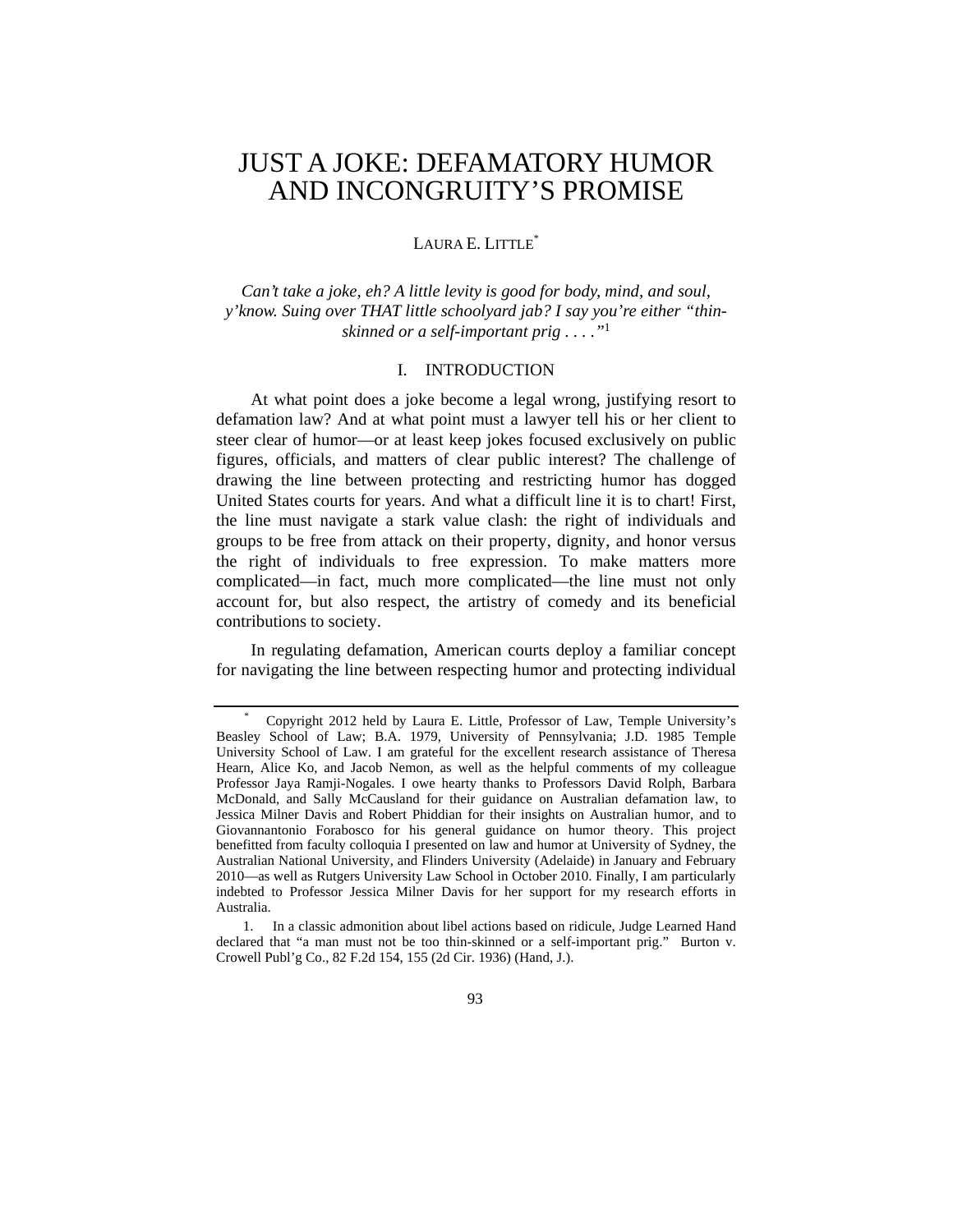# JUST A JOKE: DEFAMATORY HUMOR AND INCONGRUITY'S PROMISE

## LAURA E. LITTLE\*

*Can't take a joke, eh? A little levity is good for body, mind, and soul, y'know. Suing over THAT little schoolyard jab? I say you're either "thinskinned or a self-important prig . . . ."*<sup>1</sup>

## I. INTRODUCTION

At what point does a joke become a legal wrong, justifying resort to defamation law? And at what point must a lawyer tell his or her client to steer clear of humor—or at least keep jokes focused exclusively on public figures, officials, and matters of clear public interest? The challenge of drawing the line between protecting and restricting humor has dogged United States courts for years. And what a difficult line it is to chart! First, the line must navigate a stark value clash: the right of individuals and groups to be free from attack on their property, dignity, and honor versus the right of individuals to free expression. To make matters more complicated—in fact, much more complicated—the line must not only account for, but also respect, the artistry of comedy and its beneficial contributions to society.

In regulating defamation, American courts deploy a familiar concept for navigating the line between respecting humor and protecting individual

<sup>\*</sup> Copyright 2012 held by Laura E. Little, Professor of Law, Temple University's Beasley School of Law; B.A. 1979, University of Pennsylvania; J.D. 1985 Temple University School of Law. I am grateful for the excellent research assistance of Theresa Hearn, Alice Ko, and Jacob Nemon, as well as the helpful comments of my colleague Professor Jaya Ramji-Nogales. I owe hearty thanks to Professors David Rolph, Barbara McDonald, and Sally McCausland for their guidance on Australian defamation law, to Jessica Milner Davis and Robert Phiddian for their insights on Australian humor, and to Giovannantonio Forabosco for his general guidance on humor theory. This project benefitted from faculty colloquia I presented on law and humor at University of Sydney, the Australian National University, and Flinders University (Adelaide) in January and February 2010—as well as Rutgers University Law School in October 2010. Finally, I am particularly indebted to Professor Jessica Milner Davis for her support for my research efforts in Australia.

 <sup>1.</sup> In a classic admonition about libel actions based on ridicule, Judge Learned Hand declared that "a man must not be too thin-skinned or a self-important prig." Burton v. Crowell Publ'g Co., 82 F.2d 154, 155 (2d Cir. 1936) (Hand, J.).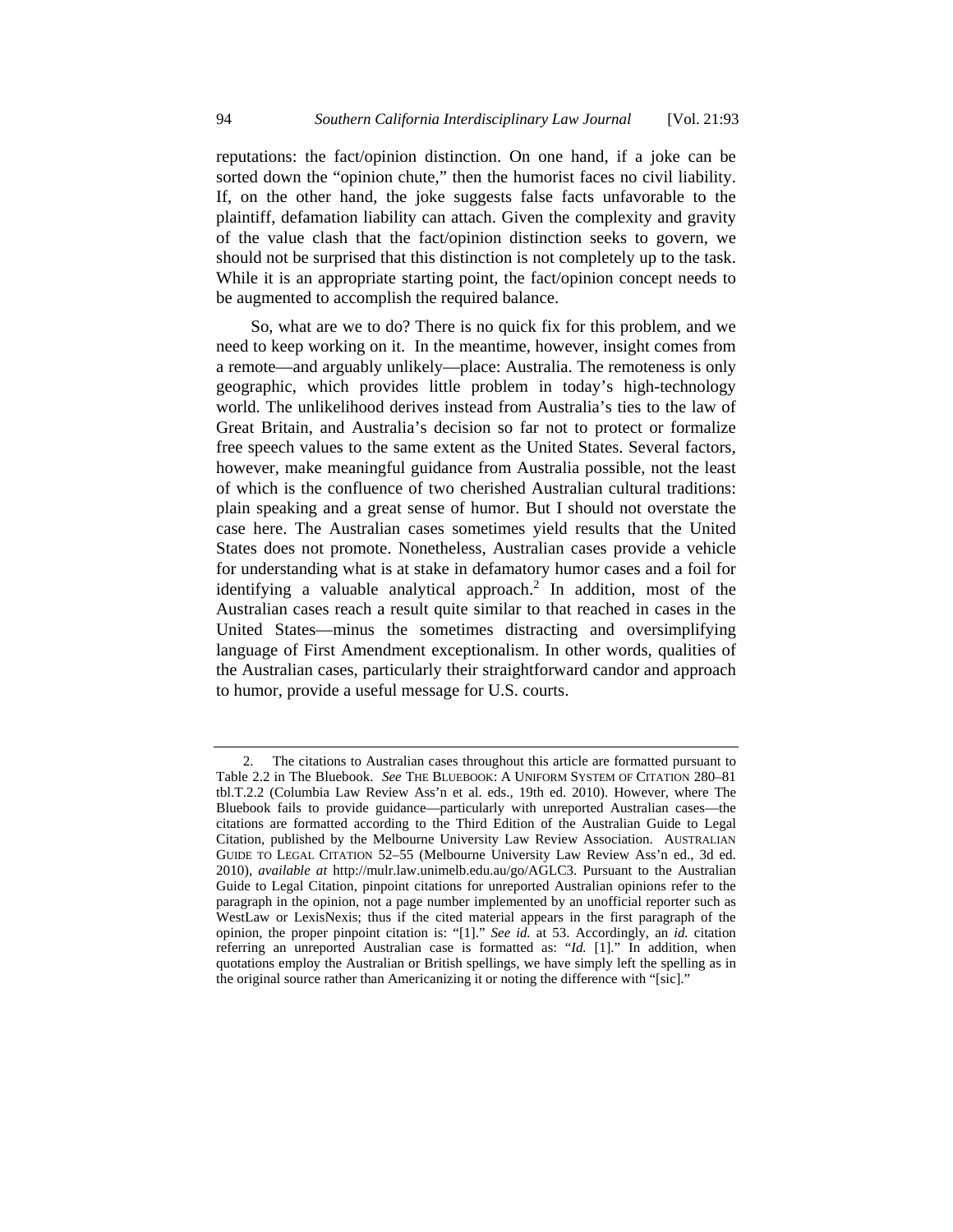reputations: the fact/opinion distinction. On one hand, if a joke can be sorted down the "opinion chute," then the humorist faces no civil liability. If, on the other hand, the joke suggests false facts unfavorable to the plaintiff, defamation liability can attach. Given the complexity and gravity of the value clash that the fact/opinion distinction seeks to govern, we should not be surprised that this distinction is not completely up to the task. While it is an appropriate starting point, the fact/opinion concept needs to be augmented to accomplish the required balance.

So, what are we to do? There is no quick fix for this problem, and we need to keep working on it. In the meantime, however, insight comes from a remote—and arguably unlikely—place: Australia. The remoteness is only geographic, which provides little problem in today's high-technology world. The unlikelihood derives instead from Australia's ties to the law of Great Britain, and Australia's decision so far not to protect or formalize free speech values to the same extent as the United States. Several factors, however, make meaningful guidance from Australia possible, not the least of which is the confluence of two cherished Australian cultural traditions: plain speaking and a great sense of humor. But I should not overstate the case here. The Australian cases sometimes yield results that the United States does not promote. Nonetheless, Australian cases provide a vehicle for understanding what is at stake in defamatory humor cases and a foil for identifying a valuable analytical approach.<sup>2</sup> In addition, most of the Australian cases reach a result quite similar to that reached in cases in the United States—minus the sometimes distracting and oversimplifying language of First Amendment exceptionalism. In other words, qualities of the Australian cases, particularly their straightforward candor and approach to humor, provide a useful message for U.S. courts.

 <sup>2.</sup> The citations to Australian cases throughout this article are formatted pursuant to Table 2.2 in The Bluebook. *See* THE BLUEBOOK: A UNIFORM SYSTEM OF CITATION 280–81 tbl.T.2.2 (Columbia Law Review Ass'n et al. eds., 19th ed. 2010). However, where The Bluebook fails to provide guidance—particularly with unreported Australian cases—the citations are formatted according to the Third Edition of the Australian Guide to Legal Citation, published by the Melbourne University Law Review Association. AUSTRALIAN GUIDE TO LEGAL CITATION 52–55 (Melbourne University Law Review Ass'n ed., 3d ed. 2010), *available at* http://mulr.law.unimelb.edu.au/go/AGLC3. Pursuant to the Australian Guide to Legal Citation, pinpoint citations for unreported Australian opinions refer to the paragraph in the opinion, not a page number implemented by an unofficial reporter such as WestLaw or LexisNexis; thus if the cited material appears in the first paragraph of the opinion, the proper pinpoint citation is: "[1]." *See id.* at 53. Accordingly, an *id.* citation referring an unreported Australian case is formatted as: "*Id.* [1]." In addition, when quotations employ the Australian or British spellings, we have simply left the spelling as in the original source rather than Americanizing it or noting the difference with "[sic]."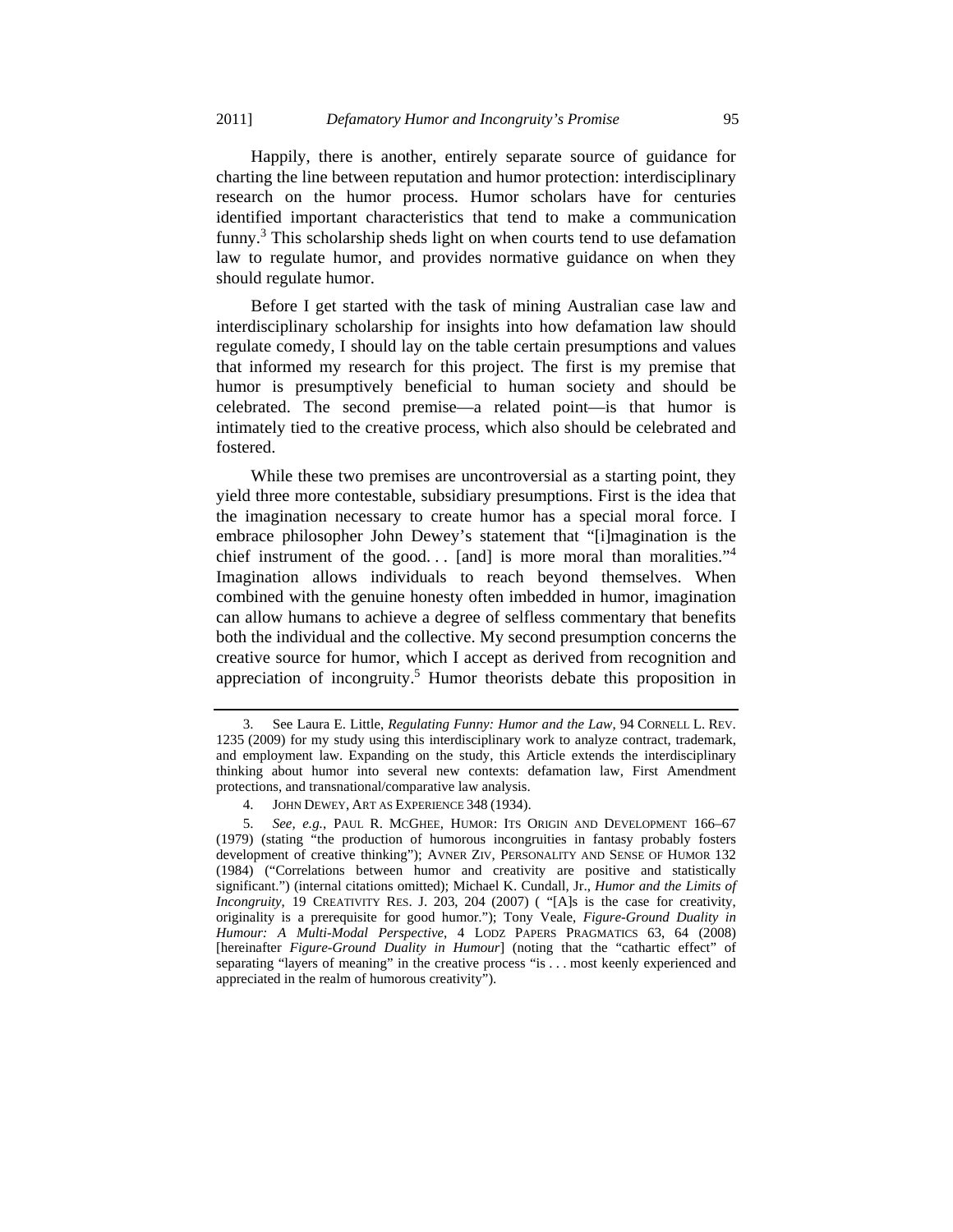Happily, there is another, entirely separate source of guidance for charting the line between reputation and humor protection: interdisciplinary research on the humor process. Humor scholars have for centuries identified important characteristics that tend to make a communication funny.<sup>3</sup> This scholarship sheds light on when courts tend to use defamation law to regulate humor, and provides normative guidance on when they should regulate humor.

Before I get started with the task of mining Australian case law and interdisciplinary scholarship for insights into how defamation law should regulate comedy, I should lay on the table certain presumptions and values that informed my research for this project. The first is my premise that humor is presumptively beneficial to human society and should be celebrated. The second premise—a related point—is that humor is intimately tied to the creative process, which also should be celebrated and fostered.

While these two premises are uncontroversial as a starting point, they yield three more contestable, subsidiary presumptions. First is the idea that the imagination necessary to create humor has a special moral force. I embrace philosopher John Dewey's statement that "[i]magination is the chief instrument of the good... [and] is more moral than moralities."<sup>4</sup> Imagination allows individuals to reach beyond themselves. When combined with the genuine honesty often imbedded in humor, imagination can allow humans to achieve a degree of selfless commentary that benefits both the individual and the collective. My second presumption concerns the creative source for humor, which I accept as derived from recognition and appreciation of incongruity.<sup>5</sup> Humor theorists debate this proposition in

 <sup>3.</sup> See Laura E. Little, *Regulating Funny: Humor and the Law*, 94 CORNELL L. REV. 1235 (2009) for my study using this interdisciplinary work to analyze contract, trademark, and employment law. Expanding on the study, this Article extends the interdisciplinary thinking about humor into several new contexts: defamation law, First Amendment protections, and transnational/comparative law analysis.

 <sup>4.</sup> JOHN DEWEY, ART AS EXPERIENCE 348 (1934).

 <sup>5.</sup> *See, e.g.*, PAUL R. MCGHEE, HUMOR: ITS ORIGIN AND DEVELOPMENT 166–67 (1979) (stating "the production of humorous incongruities in fantasy probably fosters development of creative thinking"); AVNER ZIV, PERSONALITY AND SENSE OF HUMOR 132 (1984) ("Correlations between humor and creativity are positive and statistically significant.") (internal citations omitted); Michael K. Cundall, Jr., *Humor and the Limits of Incongruity*, 19 CREATIVITY RES. J. 203, 204 (2007) ( "[A]s is the case for creativity, originality is a prerequisite for good humor."); Tony Veale, *Figure-Ground Duality in Humour: A Multi-Modal Perspective*, 4 LODZ PAPERS PRAGMATICS 63, 64 (2008) [hereinafter *Figure-Ground Duality in Humour*] (noting that the "cathartic effect" of separating "layers of meaning" in the creative process "is . . . most keenly experienced and appreciated in the realm of humorous creativity").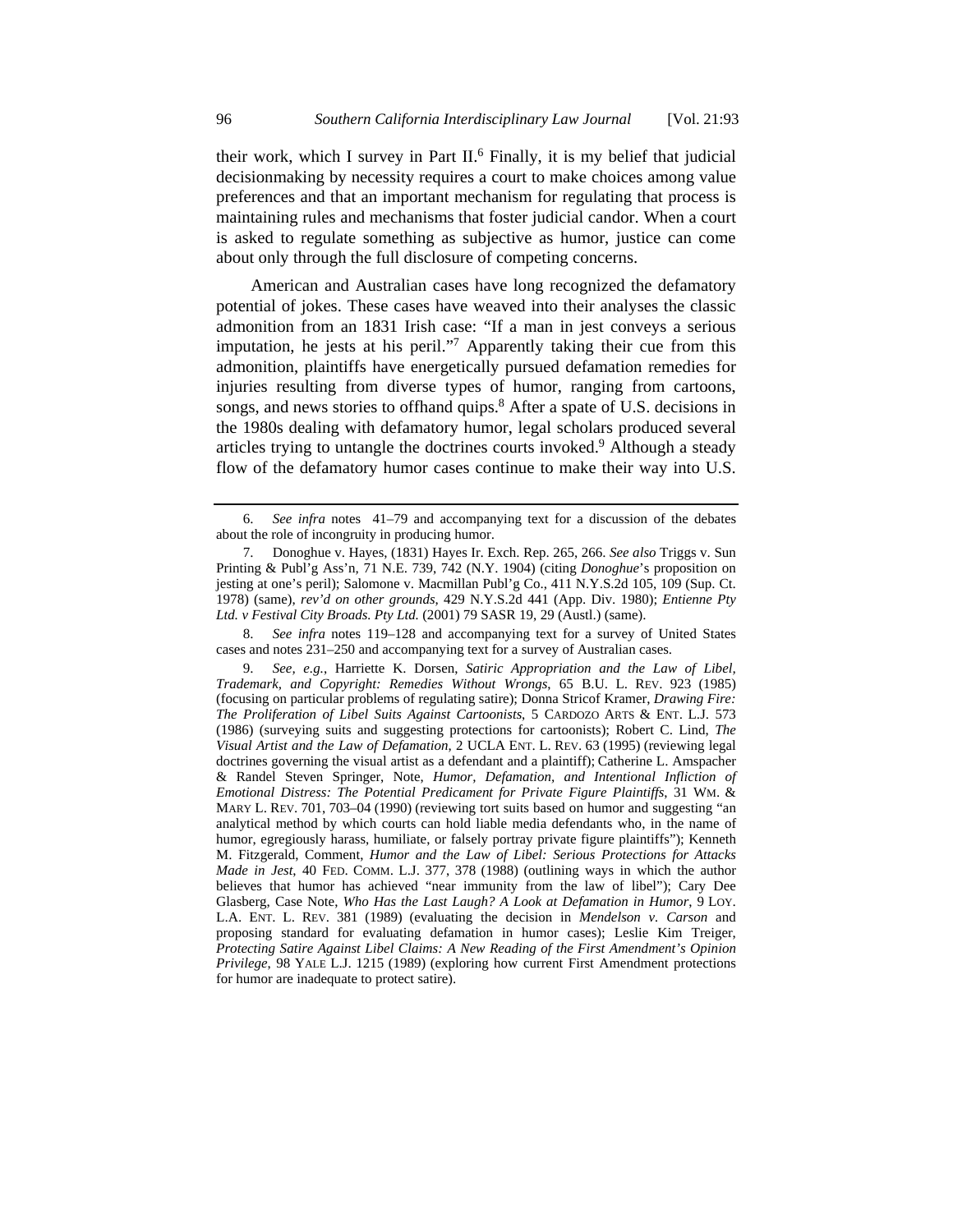their work, which I survey in Part II.<sup>6</sup> Finally, it is my belief that judicial decisionmaking by necessity requires a court to make choices among value preferences and that an important mechanism for regulating that process is maintaining rules and mechanisms that foster judicial candor. When a court is asked to regulate something as subjective as humor, justice can come about only through the full disclosure of competing concerns.

American and Australian cases have long recognized the defamatory potential of jokes. These cases have weaved into their analyses the classic admonition from an 1831 Irish case: "If a man in jest conveys a serious imputation, he jests at his peril."<sup>7</sup> Apparently taking their cue from this admonition, plaintiffs have energetically pursued defamation remedies for injuries resulting from diverse types of humor, ranging from cartoons, songs, and news stories to offhand quips.<sup>8</sup> After a spate of U.S. decisions in the 1980s dealing with defamatory humor, legal scholars produced several articles trying to untangle the doctrines courts invoked.<sup>9</sup> Although a steady flow of the defamatory humor cases continue to make their way into U.S.

 8. *See infra* notes 119–128 and accompanying text for a survey of United States cases and notes 231–250 and accompanying text for a survey of Australian cases.

 <sup>6.</sup> *See infra* notes 41–79 and accompanying text for a discussion of the debates about the role of incongruity in producing humor.

 <sup>7.</sup> Donoghue v. Hayes, (1831) Hayes Ir. Exch. Rep. 265, 266. *See also* Triggs v. Sun Printing & Publ'g Ass'n*,* 71 N.E. 739, 742 (N.Y. 1904) (citing *Donoghue*'s proposition on jesting at one's peril); Salomone v. Macmillan Publ'g Co., 411 N.Y.S.2d 105, 109 (Sup. Ct. 1978) (same), *rev'd on other grounds*, 429 N.Y.S.2d 441 (App. Div. 1980); *Entienne Pty Ltd. v Festival City Broads. Pty Ltd.* (2001) 79 SASR 19, 29 (Austl.) (same).

 <sup>9.</sup> *See, e.g.*, Harriette K. Dorsen, *Satiric Appropriation and the Law of Libel, Trademark, and Copyright: Remedies Without Wrongs*, 65 B.U. L. REV. 923 (1985) (focusing on particular problems of regulating satire); Donna Stricof Kramer, *Drawing Fire: The Proliferation of Libel Suits Against Cartoonists*, 5 CARDOZO ARTS & ENT. L.J. 573 (1986) (surveying suits and suggesting protections for cartoonists); Robert C. Lind, *The Visual Artist and the Law of Defamation*, 2 UCLA ENT. L. REV. 63 (1995) (reviewing legal doctrines governing the visual artist as a defendant and a plaintiff); Catherine L. Amspacher & Randel Steven Springer, Note, *Humor, Defamation, and Intentional Infliction of Emotional Distress: The Potential Predicament for Private Figure Plaintiffs*, 31 WM. & MARY L. REV. 701, 703–04 (1990) (reviewing tort suits based on humor and suggesting "an analytical method by which courts can hold liable media defendants who, in the name of humor, egregiously harass, humiliate, or falsely portray private figure plaintiffs"); Kenneth M. Fitzgerald, Comment, *Humor and the Law of Libel: Serious Protections for Attacks Made in Jest*, 40 FED. COMM. L.J. 377, 378 (1988) (outlining ways in which the author believes that humor has achieved "near immunity from the law of libel"); Cary Dee Glasberg, Case Note, *Who Has the Last Laugh? A Look at Defamation in Humor*, 9 LOY. L.A. ENT. L. REV. 381 (1989) (evaluating the decision in *Mendelson v. Carson* and proposing standard for evaluating defamation in humor cases); Leslie Kim Treiger, *Protecting Satire Against Libel Claims: A New Reading of the First Amendment's Opinion Privilege*, 98 YALE L.J. 1215 (1989) (exploring how current First Amendment protections for humor are inadequate to protect satire).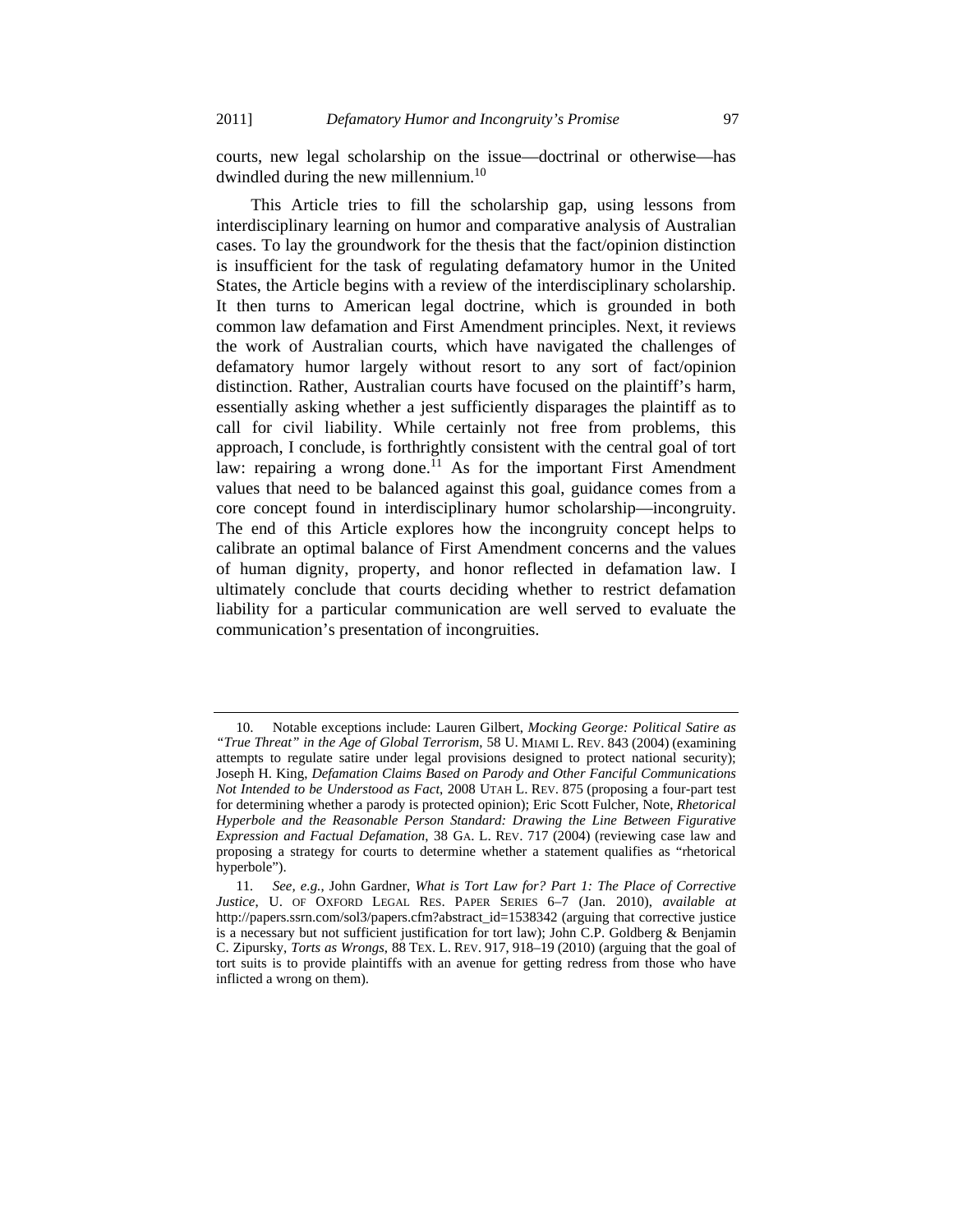courts, new legal scholarship on the issue—doctrinal or otherwise—has dwindled during the new millennium.<sup>10</sup>

This Article tries to fill the scholarship gap, using lessons from interdisciplinary learning on humor and comparative analysis of Australian cases. To lay the groundwork for the thesis that the fact/opinion distinction is insufficient for the task of regulating defamatory humor in the United States, the Article begins with a review of the interdisciplinary scholarship. It then turns to American legal doctrine, which is grounded in both common law defamation and First Amendment principles. Next, it reviews the work of Australian courts, which have navigated the challenges of defamatory humor largely without resort to any sort of fact/opinion distinction. Rather, Australian courts have focused on the plaintiff's harm, essentially asking whether a jest sufficiently disparages the plaintiff as to call for civil liability. While certainly not free from problems, this approach, I conclude, is forthrightly consistent with the central goal of tort law: repairing a wrong done.<sup>11</sup> As for the important First Amendment values that need to be balanced against this goal, guidance comes from a core concept found in interdisciplinary humor scholarship—incongruity. The end of this Article explores how the incongruity concept helps to calibrate an optimal balance of First Amendment concerns and the values of human dignity, property, and honor reflected in defamation law. I ultimately conclude that courts deciding whether to restrict defamation liability for a particular communication are well served to evaluate the communication's presentation of incongruities.

 <sup>10.</sup> Notable exceptions include: Lauren Gilbert, *Mocking George: Political Satire as "True Threat" in the Age of Global Terrorism*, 58 U. MIAMI L. REV. 843 (2004) (examining attempts to regulate satire under legal provisions designed to protect national security); Joseph H. King, *Defamation Claims Based on Parody and Other Fanciful Communications Not Intended to be Understood as Fact*, 2008 UTAH L. REV. 875 (proposing a four-part test for determining whether a parody is protected opinion); Eric Scott Fulcher, Note, *Rhetorical Hyperbole and the Reasonable Person Standard: Drawing the Line Between Figurative Expression and Factual Defamation*, 38 GA. L. REV. 717 (2004) (reviewing case law and proposing a strategy for courts to determine whether a statement qualifies as "rhetorical hyperbole").

<sup>11</sup>*. See, e.g.*, John Gardner, *What is Tort Law for? Part 1: The Place of Corrective Justice*, U. OF OXFORD LEGAL RES. PAPER SERIES 6–7 (Jan. 2010), *available at*  http://papers.ssrn.com/sol3/papers.cfm?abstract\_id=1538342 (arguing that corrective justice is a necessary but not sufficient justification for tort law); John C.P. Goldberg & Benjamin C. Zipursky, *Torts as Wrongs*, 88 TEX. L. REV. 917, 918–19 (2010) (arguing that the goal of tort suits is to provide plaintiffs with an avenue for getting redress from those who have inflicted a wrong on them).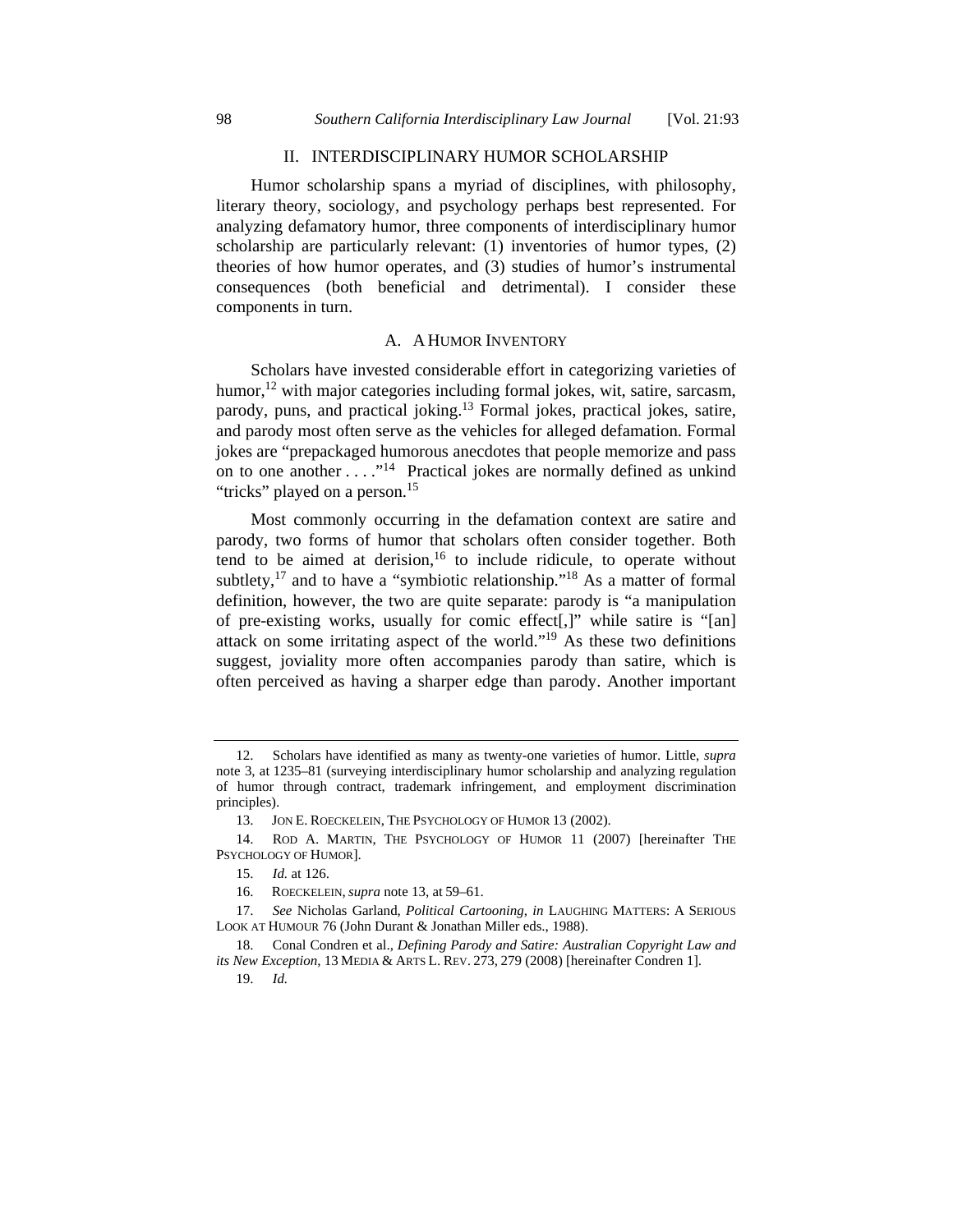### II. INTERDISCIPLINARY HUMOR SCHOLARSHIP

Humor scholarship spans a myriad of disciplines, with philosophy, literary theory, sociology, and psychology perhaps best represented. For analyzing defamatory humor, three components of interdisciplinary humor scholarship are particularly relevant: (1) inventories of humor types, (2) theories of how humor operates, and (3) studies of humor's instrumental consequences (both beneficial and detrimental). I consider these components in turn.

#### A. A HUMOR INVENTORY

Scholars have invested considerable effort in categorizing varieties of humor,<sup>12</sup> with major categories including formal jokes, wit, satire, sarcasm, parody, puns, and practical joking.13 Formal jokes, practical jokes, satire, and parody most often serve as the vehicles for alleged defamation. Formal jokes are "prepackaged humorous anecdotes that people memorize and pass on to one another  $\dots$ <sup>14</sup> Practical jokes are normally defined as unkind "tricks" played on a person.<sup>15</sup>

Most commonly occurring in the defamation context are satire and parody, two forms of humor that scholars often consider together. Both tend to be aimed at derision,<sup>16</sup> to include ridicule, to operate without subtlety,<sup>17</sup> and to have a "symbiotic relationship."<sup>18</sup> As a matter of formal definition, however, the two are quite separate: parody is "a manipulation of pre-existing works, usually for comic effect[,]" while satire is "[an] attack on some irritating aspect of the world."19 As these two definitions suggest, joviality more often accompanies parody than satire, which is often perceived as having a sharper edge than parody. Another important

 <sup>12.</sup> Scholars have identified as many as twenty-one varieties of humor. Little, *supra* note 3, at 1235–81 (surveying interdisciplinary humor scholarship and analyzing regulation of humor through contract, trademark infringement, and employment discrimination principles).

 <sup>13.</sup> JON E. ROECKELEIN, THE PSYCHOLOGY OF HUMOR 13 (2002).

 <sup>14.</sup> ROD A. MARTIN, THE PSYCHOLOGY OF HUMOR 11 (2007) [hereinafter THE PSYCHOLOGY OF HUMOR].

 <sup>15.</sup> *Id.* at 126.

 <sup>16.</sup> ROECKELEIN, *supra* note 13, at 59–61.

 <sup>17.</sup> *See* Nicholas Garland, *Political Cartooning*, *in* LAUGHING MATTERS: A SERIOUS LOOK AT HUMOUR 76 (John Durant & Jonathan Miller eds., 1988).

 <sup>18.</sup> Conal Condren et al., *Defining Parody and Satire: Australian Copyright Law and its New Exception*, 13 MEDIA & ARTS L. REV. 273, 279 (2008) [hereinafter Condren 1].

 <sup>19.</sup> *Id.*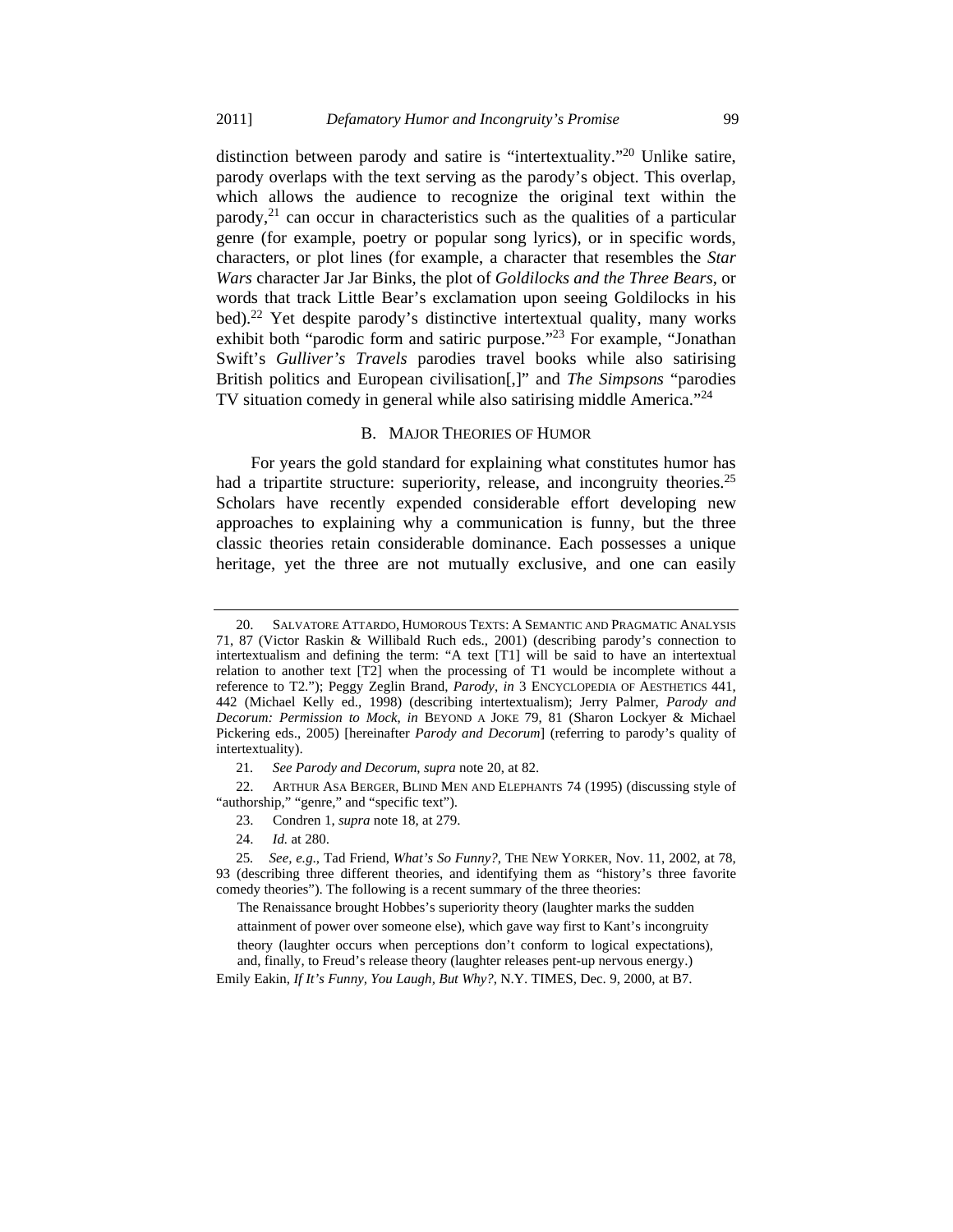distinction between parody and satire is "intertextuality."20 Unlike satire, parody overlaps with the text serving as the parody's object. This overlap, which allows the audience to recognize the original text within the parody,  $2<sup>1</sup>$  can occur in characteristics such as the qualities of a particular genre (for example, poetry or popular song lyrics), or in specific words, characters, or plot lines (for example, a character that resembles the *Star Wars* character Jar Jar Binks, the plot of *Goldilocks and the Three Bears*, or words that track Little Bear's exclamation upon seeing Goldilocks in his bed).<sup>22</sup> Yet despite parody's distinctive intertextual quality, many works exhibit both "parodic form and satiric purpose."<sup>23</sup> For example, "Jonathan Swift's *Gulliver's Travels* parodies travel books while also satirising British politics and European civilisation[,]" and *The Simpsons* "parodies TV situation comedy in general while also satirising middle America."<sup>24</sup>

#### B. MAJOR THEORIES OF HUMOR

For years the gold standard for explaining what constitutes humor has had a tripartite structure: superiority, release, and incongruity theories.<sup>25</sup> Scholars have recently expended considerable effort developing new approaches to explaining why a communication is funny, but the three classic theories retain considerable dominance. Each possesses a unique heritage, yet the three are not mutually exclusive, and one can easily

The Renaissance brought Hobbes's superiority theory (laughter marks the sudden attainment of power over someone else), which gave way first to Kant's incongruity theory (laughter occurs when perceptions don't conform to logical expectations), and, finally, to Freud's release theory (laughter releases pent-up nervous energy.)

Emily Eakin, *If It's Funny, You Laugh, But Why?*, N.Y. TIMES, Dec. 9, 2000, at B7.

SALVATORE ATTARDO, HUMOROUS TEXTS: A SEMANTIC AND PRAGMATIC ANALYSIS 71, 87 (Victor Raskin & Willibald Ruch eds., 2001) (describing parody's connection to intertextualism and defining the term: "A text [T1] will be said to have an intertextual relation to another text [T2] when the processing of T1 would be incomplete without a reference to T2."); Peggy Zeglin Brand, *Parody*, *in* 3 ENCYCLOPEDIA OF AESTHETICS 441, 442 (Michael Kelly ed., 1998) (describing intertextualism); Jerry Palmer, *Parody and Decorum: Permission to Mock*, *in* BEYOND A JOKE 79, 81 (Sharon Lockyer & Michael Pickering eds., 2005) [hereinafter *Parody and Decorum*] (referring to parody's quality of intertextuality).

<sup>21</sup>*. See Parody and Decorum*, *supra* note 20, at 82.

 <sup>22.</sup> ARTHUR ASA BERGER, BLIND MEN AND ELEPHANTS 74 (1995) (discussing style of "authorship," "genre," and "specific text").

 <sup>23.</sup> Condren 1, *supra* note 18, at 279.

 <sup>24.</sup> *Id.* at 280.

<sup>25</sup>*. See, e.g*., Tad Friend, *What's So Funny?*, THE NEW YORKER, Nov. 11, 2002, at 78, 93 (describing three different theories, and identifying them as "history's three favorite comedy theories"). The following is a recent summary of the three theories: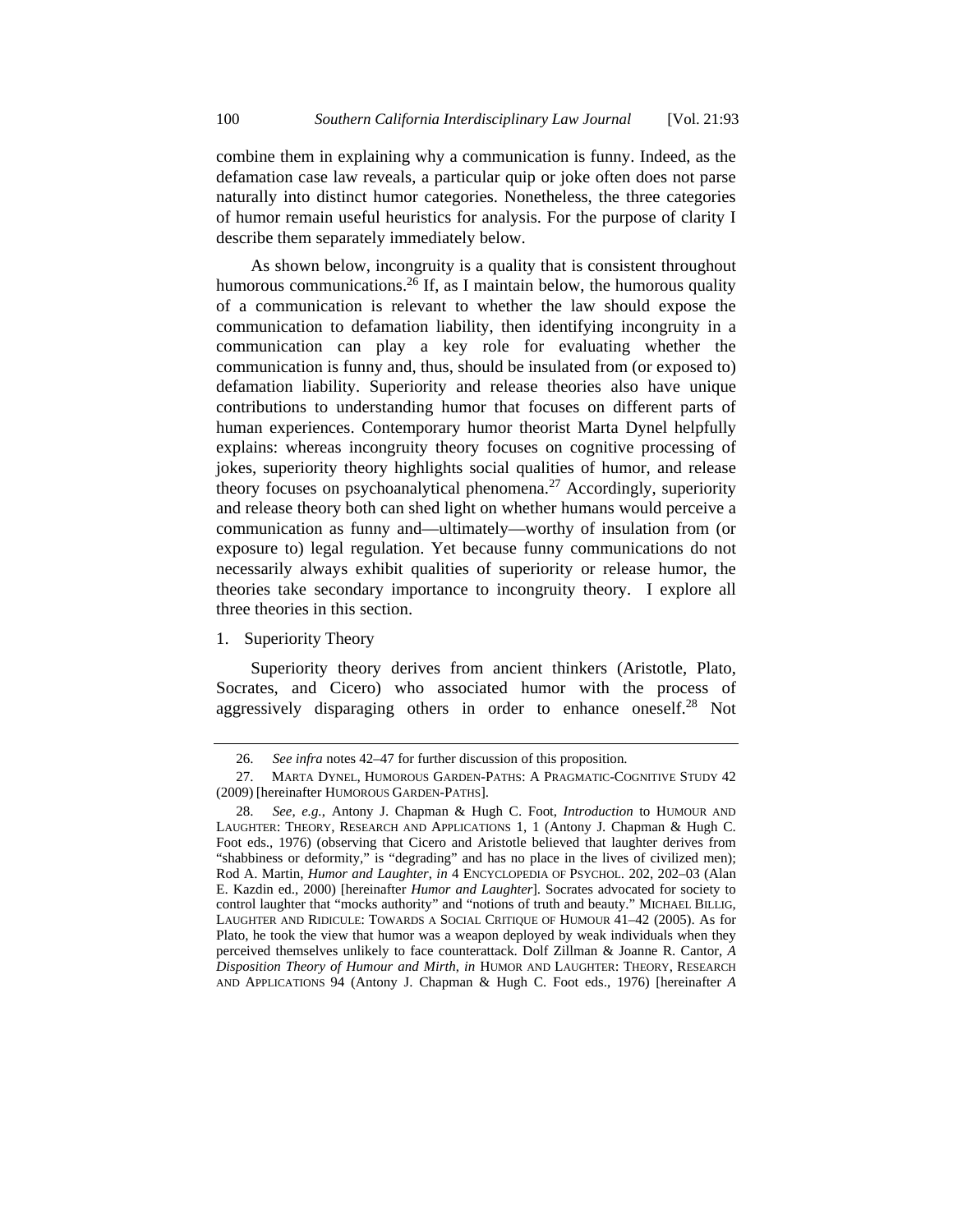combine them in explaining why a communication is funny. Indeed, as the defamation case law reveals, a particular quip or joke often does not parse naturally into distinct humor categories. Nonetheless, the three categories of humor remain useful heuristics for analysis. For the purpose of clarity I describe them separately immediately below.

As shown below, incongruity is a quality that is consistent throughout humorous communications.<sup>26</sup> If, as I maintain below, the humorous quality of a communication is relevant to whether the law should expose the communication to defamation liability, then identifying incongruity in a communication can play a key role for evaluating whether the communication is funny and, thus, should be insulated from (or exposed to) defamation liability. Superiority and release theories also have unique contributions to understanding humor that focuses on different parts of human experiences. Contemporary humor theorist Marta Dynel helpfully explains: whereas incongruity theory focuses on cognitive processing of jokes, superiority theory highlights social qualities of humor, and release theory focuses on psychoanalytical phenomena.27 Accordingly, superiority and release theory both can shed light on whether humans would perceive a communication as funny and—ultimately—worthy of insulation from (or exposure to) legal regulation. Yet because funny communications do not necessarily always exhibit qualities of superiority or release humor, the theories take secondary importance to incongruity theory. I explore all three theories in this section.

#### 1. Superiority Theory

Superiority theory derives from ancient thinkers (Aristotle, Plato, Socrates, and Cicero) who associated humor with the process of aggressively disparaging others in order to enhance oneself.<sup>28</sup> Not

 <sup>26.</sup> *See infra* notes 42–47 for further discussion of this proposition.

 <sup>27.</sup> MARTA DYNEL, HUMOROUS GARDEN-PATHS: A PRAGMATIC-COGNITIVE STUDY 42 (2009) [hereinafter HUMOROUS GARDEN-PATHS].

 <sup>28.</sup> *See, e.g.*, Antony J. Chapman & Hugh C. Foot, *Introduction* to HUMOUR AND LAUGHTER: THEORY, RESEARCH AND APPLICATIONS 1, 1 (Antony J. Chapman & Hugh C. Foot eds., 1976) (observing that Cicero and Aristotle believed that laughter derives from "shabbiness or deformity," is "degrading" and has no place in the lives of civilized men); Rod A. Martin, *Humor and Laughter*, *in* 4 ENCYCLOPEDIA OF PSYCHOL. 202, 202–03 (Alan E. Kazdin ed., 2000) [hereinafter *Humor and Laughter*]. Socrates advocated for society to control laughter that "mocks authority" and "notions of truth and beauty." MICHAEL BILLIG, LAUGHTER AND RIDICULE: TOWARDS A SOCIAL CRITIQUE OF HUMOUR 41–42 (2005). As for Plato, he took the view that humor was a weapon deployed by weak individuals when they perceived themselves unlikely to face counterattack. Dolf Zillman & Joanne R. Cantor, *A Disposition Theory of Humour and Mirth*, *in* HUMOR AND LAUGHTER: THEORY, RESEARCH AND APPLICATIONS 94 (Antony J. Chapman & Hugh C. Foot eds., 1976) [hereinafter *A*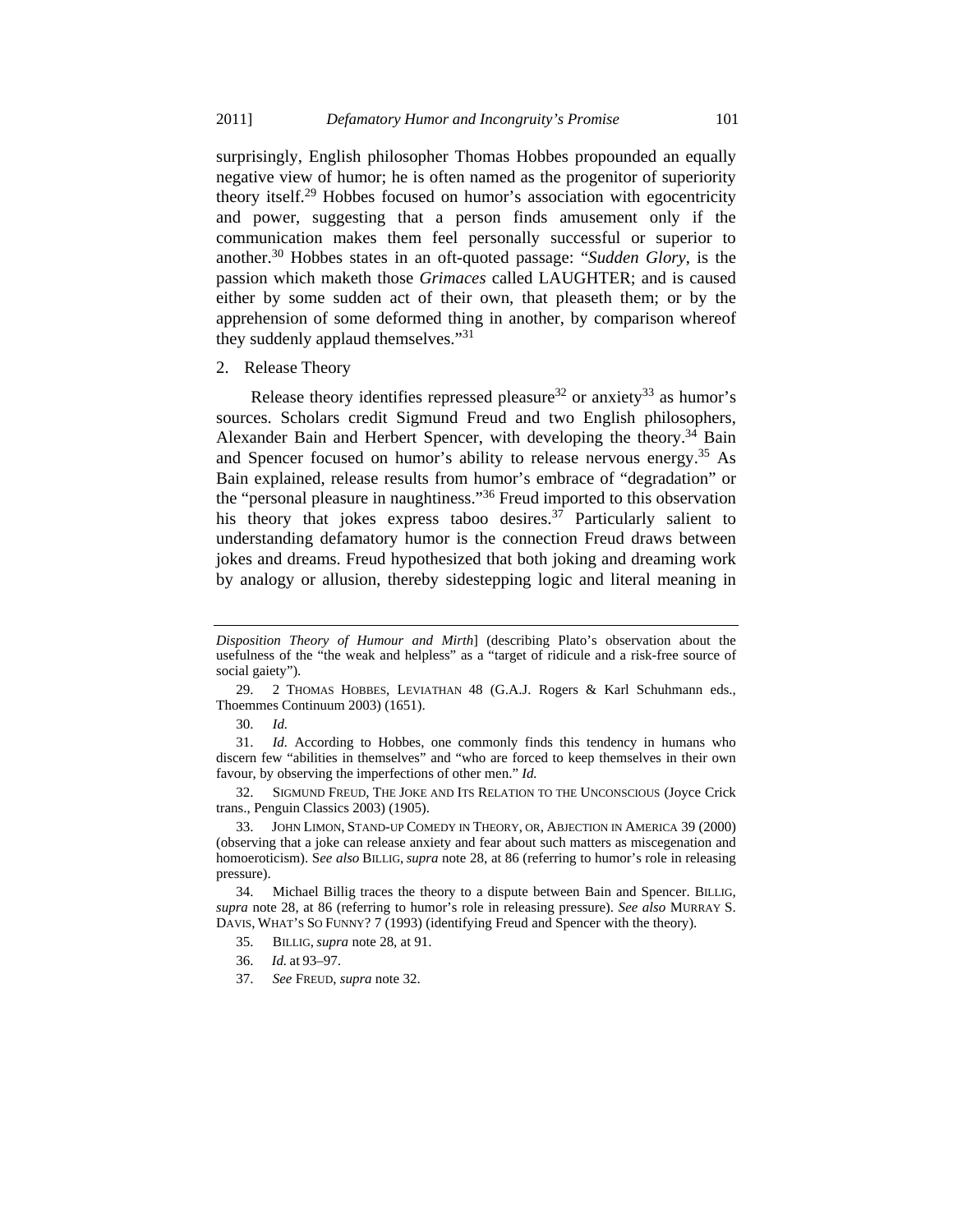surprisingly, English philosopher Thomas Hobbes propounded an equally negative view of humor; he is often named as the progenitor of superiority theory itself.<sup>29</sup> Hobbes focused on humor's association with egocentricity and power, suggesting that a person finds amusement only if the communication makes them feel personally successful or superior to another.30 Hobbes states in an oft-quoted passage: "*Sudden Glory*, is the passion which maketh those *Grimaces* called LAUGHTER; and is caused either by some sudden act of their own, that pleaseth them; or by the apprehension of some deformed thing in another, by comparison whereof they suddenly applaud themselves."31

2. Release Theory

Release theory identifies repressed pleasure<sup>32</sup> or anxiety<sup>33</sup> as humor's sources. Scholars credit Sigmund Freud and two English philosophers, Alexander Bain and Herbert Spencer, with developing the theory.<sup>34</sup> Bain and Spencer focused on humor's ability to release nervous energy.<sup>35</sup> As Bain explained, release results from humor's embrace of "degradation" or the "personal pleasure in naughtiness."36 Freud imported to this observation his theory that jokes express taboo desires.<sup>37</sup> Particularly salient to understanding defamatory humor is the connection Freud draws between jokes and dreams. Freud hypothesized that both joking and dreaming work by analogy or allusion, thereby sidestepping logic and literal meaning in

*Disposition Theory of Humour and Mirth*] (describing Plato's observation about the usefulness of the "the weak and helpless" as a "target of ridicule and a risk-free source of social gaiety").

 <sup>29. 2</sup> THOMAS HOBBES, LEVIATHAN 48 (G.A.J. Rogers & Karl Schuhmann eds., Thoemmes Continuum 2003) (1651).

 <sup>30.</sup> *Id.* 

 <sup>31.</sup> *Id.* According to Hobbes, one commonly finds this tendency in humans who discern few "abilities in themselves" and "who are forced to keep themselves in their own favour, by observing the imperfections of other men." *Id.*

 <sup>32.</sup> SIGMUND FREUD, THE JOKE AND ITS RELATION TO THE UNCONSCIOUS (Joyce Crick trans., Penguin Classics 2003) (1905).

 <sup>33.</sup> JOHN LIMON, STAND-UP COMEDY IN THEORY, OR, ABJECTION IN AMERICA 39 (2000) (observing that a joke can release anxiety and fear about such matters as miscegenation and homoeroticism). S*ee also* BILLIG, *supra* note 28, at 86 (referring to humor's role in releasing pressure).

 <sup>34.</sup> Michael Billig traces the theory to a dispute between Bain and Spencer. BILLIG, *supra* note 28, at 86 (referring to humor's role in releasing pressure). *See also* MURRAY S. DAVIS, WHAT'S SO FUNNY? 7 (1993) (identifying Freud and Spencer with the theory).

 <sup>35.</sup> BILLIG, *supra* note 28, at 91.

 <sup>36.</sup> *Id.* at 93–97.

 <sup>37.</sup> *See* FREUD, *supra* note 32.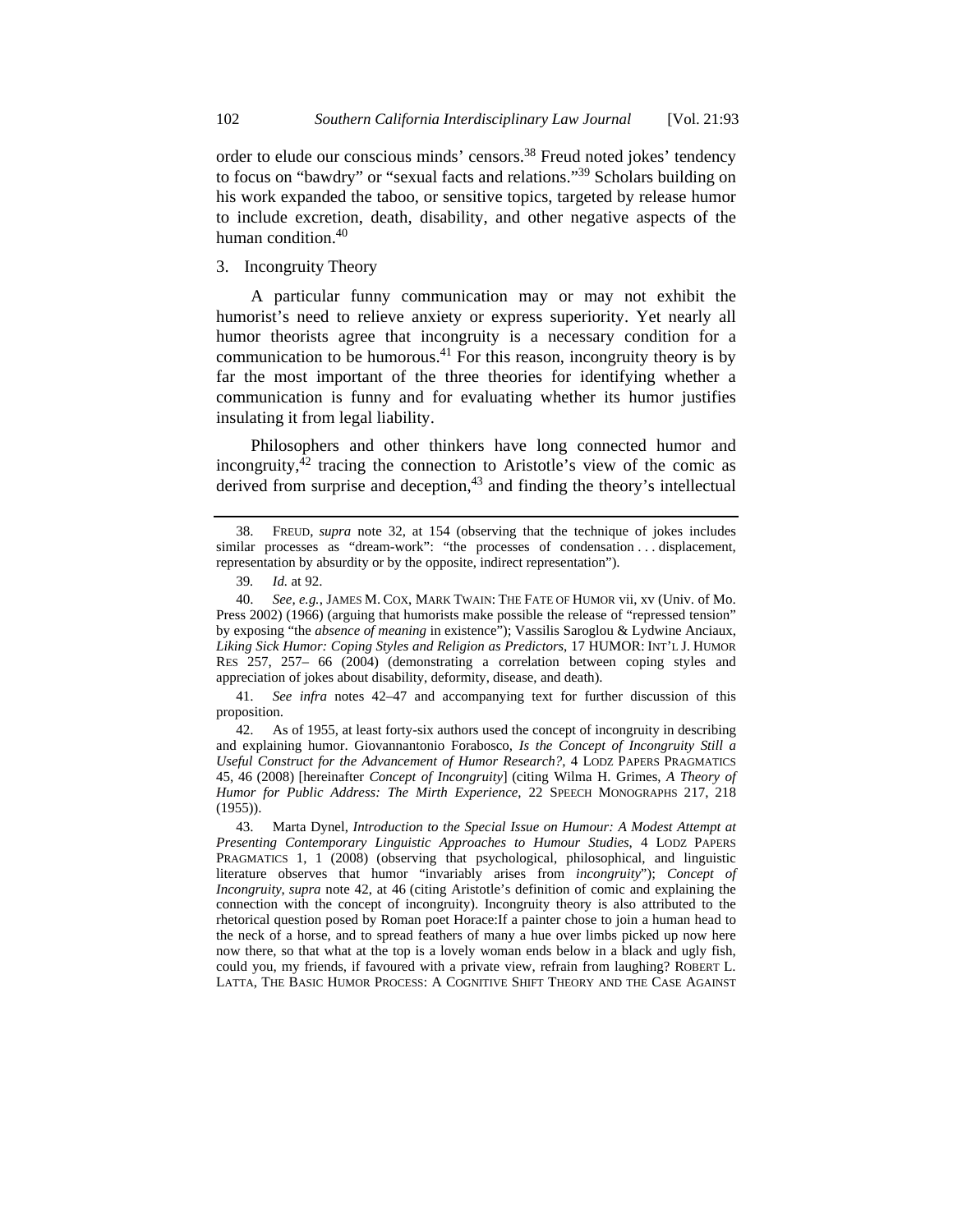order to elude our conscious minds' censors.<sup>38</sup> Freud noted jokes' tendency to focus on "bawdry" or "sexual facts and relations."39 Scholars building on his work expanded the taboo, or sensitive topics, targeted by release humor to include excretion, death, disability, and other negative aspects of the human condition.<sup>40</sup>

3. Incongruity Theory

A particular funny communication may or may not exhibit the humorist's need to relieve anxiety or express superiority. Yet nearly all humor theorists agree that incongruity is a necessary condition for a communication to be humorous.<sup>41</sup> For this reason, incongruity theory is by far the most important of the three theories for identifying whether a communication is funny and for evaluating whether its humor justifies insulating it from legal liability.

Philosophers and other thinkers have long connected humor and incongruity, $42$  tracing the connection to Aristotle's view of the comic as derived from surprise and deception, $43$  and finding the theory's intellectual

 <sup>38.</sup> FREUD, *supra* note 32, at 154 (observing that the technique of jokes includes similar processes as "dream-work": "the processes of condensation . . . displacement, representation by absurdity or by the opposite, indirect representation").

<sup>39</sup>*. Id.* at 92.

 <sup>40.</sup> *See, e.g.*, JAMES M. COX, MARK TWAIN: THE FATE OF HUMOR vii, xv (Univ. of Mo. Press 2002) (1966) (arguing that humorists make possible the release of "repressed tension" by exposing "the *absence of meaning* in existence"); Vassilis Saroglou & Lydwine Anciaux, *Liking Sick Humor: Coping Styles and Religion as Predictors*, 17 HUMOR: INT'L J. HUMOR RES 257, 257– 66 (2004) (demonstrating a correlation between coping styles and appreciation of jokes about disability, deformity, disease, and death).

 <sup>41.</sup> *See infra* notes 42–47 and accompanying text for further discussion of this proposition.

 <sup>42.</sup> As of 1955, at least forty-six authors used the concept of incongruity in describing and explaining humor. Giovannantonio Forabosco, *Is the Concept of Incongruity Still a Useful Construct for the Advancement of Humor Research?*, 4 LODZ PAPERS PRAGMATICS 45, 46 (2008) [hereinafter *Concept of Incongruity*] (citing Wilma H. Grimes, *A Theory of Humor for Public Address: The Mirth Experience*, 22 SPEECH MONOGRAPHS 217, 218 (1955)).

 <sup>43.</sup> Marta Dynel, *Introduction to the Special Issue on Humour: A Modest Attempt at Presenting Contemporary Linguistic Approaches to Humour Studies*, 4 LODZ PAPERS PRAGMATICS 1, 1 (2008) (observing that psychological, philosophical, and linguistic literature observes that humor "invariably arises from *incongruity*"); *Concept of Incongruity*, *supra* note 42, at 46 (citing Aristotle's definition of comic and explaining the connection with the concept of incongruity). Incongruity theory is also attributed to the rhetorical question posed by Roman poet Horace:If a painter chose to join a human head to the neck of a horse, and to spread feathers of many a hue over limbs picked up now here now there, so that what at the top is a lovely woman ends below in a black and ugly fish, could you, my friends, if favoured with a private view, refrain from laughing? ROBERT L. LATTA, THE BASIC HUMOR PROCESS: A COGNITIVE SHIFT THEORY AND THE CASE AGAINST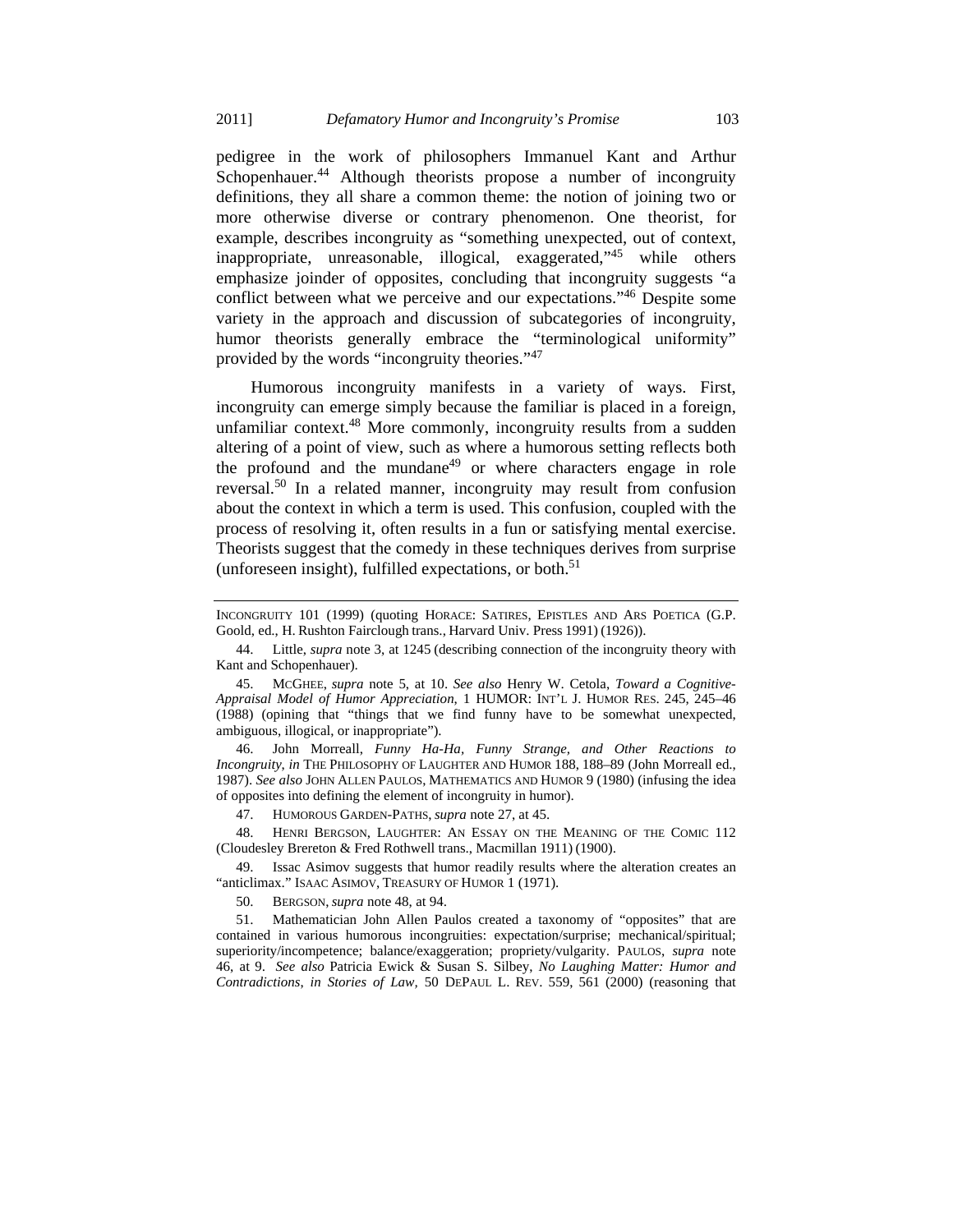pedigree in the work of philosophers Immanuel Kant and Arthur Schopenhauer.<sup>44</sup> Although theorists propose a number of incongruity definitions, they all share a common theme: the notion of joining two or more otherwise diverse or contrary phenomenon. One theorist, for example, describes incongruity as "something unexpected, out of context, inappropriate, unreasonable, illogical, exaggerated,<sup>145</sup> while others emphasize joinder of opposites, concluding that incongruity suggests "a conflict between what we perceive and our expectations."<sup>46</sup> Despite some variety in the approach and discussion of subcategories of incongruity, humor theorists generally embrace the "terminological uniformity" provided by the words "incongruity theories."<sup>47</sup>

Humorous incongruity manifests in a variety of ways. First, incongruity can emerge simply because the familiar is placed in a foreign, unfamiliar context.48 More commonly, incongruity results from a sudden altering of a point of view, such as where a humorous setting reflects both the profound and the mundane<sup>49</sup> or where characters engage in role reversal.50 In a related manner, incongruity may result from confusion about the context in which a term is used. This confusion, coupled with the process of resolving it, often results in a fun or satisfying mental exercise. Theorists suggest that the comedy in these techniques derives from surprise (unforeseen insight), fulfilled expectations, or both. $51$ 

 46. John Morreall, *Funny Ha-Ha, Funny Strange, and Other Reactions to Incongruity*, *in* THE PHILOSOPHY OF LAUGHTER AND HUMOR 188, 188–89 (John Morreall ed., 1987). *See also* JOHN ALLEN PAULOS, MATHEMATICS AND HUMOR 9 (1980) (infusing the idea of opposites into defining the element of incongruity in humor).

47. HUMOROUS GARDEN-PATHS, *supra* note 27, at 45.

 48. HENRI BERGSON, LAUGHTER: AN ESSAY ON THE MEANING OF THE COMIC 112 (Cloudesley Brereton & Fred Rothwell trans., Macmillan 1911) (1900).

 49. Issac Asimov suggests that humor readily results where the alteration creates an "anticlimax." ISAAC ASIMOV, TREASURY OF HUMOR 1 (1971).

50. BERGSON, *supra* note 48, at 94.

INCONGRUITY 101 (1999) (quoting HORACE: SATIRES, EPISTLES AND ARS POETICA (G.P. Goold, ed., H. Rushton Fairclough trans., Harvard Univ. Press 1991) (1926)).

 <sup>44.</sup> Little, *supra* note 3, at 1245 (describing connection of the incongruity theory with Kant and Schopenhauer).

 <sup>45.</sup> MCGHEE, *supra* note 5, at 10. *See also* Henry W. Cetola, *Toward a Cognitive-Appraisal Model of Humor Appreciation*, 1 HUMOR: INT'L J. HUMOR RES. 245, 245–46 (1988) (opining that "things that we find funny have to be somewhat unexpected, ambiguous, illogical, or inappropriate").

 <sup>51.</sup> Mathematician John Allen Paulos created a taxonomy of "opposites" that are contained in various humorous incongruities: expectation/surprise; mechanical/spiritual; superiority/incompetence; balance/exaggeration; propriety/vulgarity. PAULOS, *supra* note 46, at 9. *See also* Patricia Ewick & Susan S. Silbey, *No Laughing Matter: Humor and Contradictions*, *in Stories of Law,* 50 DEPAUL L. REV. 559, 561 (2000) (reasoning that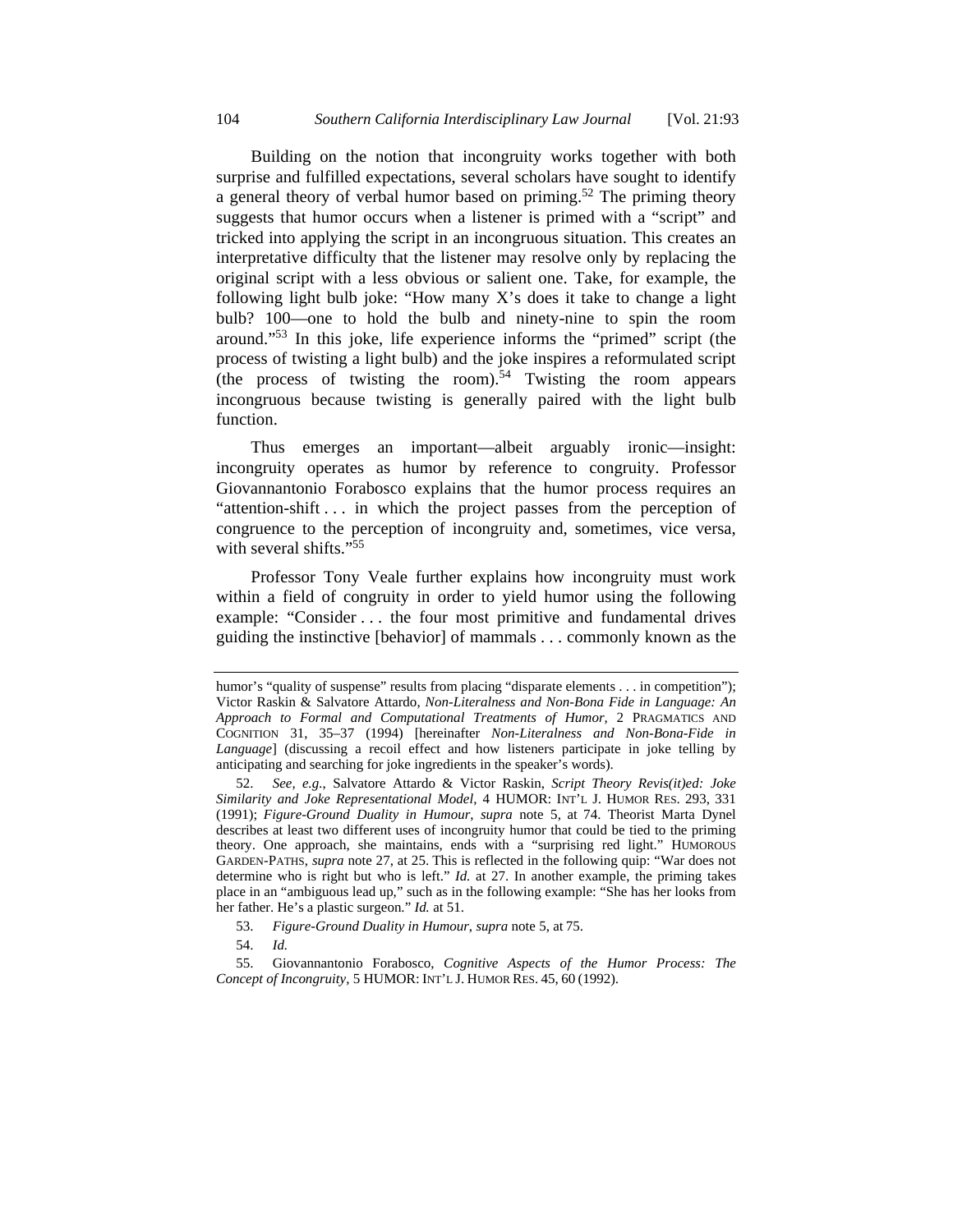Building on the notion that incongruity works together with both surprise and fulfilled expectations, several scholars have sought to identify a general theory of verbal humor based on priming.<sup>52</sup> The priming theory suggests that humor occurs when a listener is primed with a "script" and tricked into applying the script in an incongruous situation. This creates an interpretative difficulty that the listener may resolve only by replacing the original script with a less obvious or salient one. Take, for example, the following light bulb joke: "How many X's does it take to change a light bulb? 100—one to hold the bulb and ninety-nine to spin the room around."53 In this joke, life experience informs the "primed" script (the process of twisting a light bulb) and the joke inspires a reformulated script (the process of twisting the room).<sup>54</sup> Twisting the room appears incongruous because twisting is generally paired with the light bulb function.

Thus emerges an important—albeit arguably ironic—insight: incongruity operates as humor by reference to congruity. Professor Giovannantonio Forabosco explains that the humor process requires an "attention-shift . . . in which the project passes from the perception of congruence to the perception of incongruity and, sometimes, vice versa, with several shifts."<sup>55</sup>

Professor Tony Veale further explains how incongruity must work within a field of congruity in order to yield humor using the following example: "Consider . . . the four most primitive and fundamental drives guiding the instinctive [behavior] of mammals . . . commonly known as the

humor's "quality of suspense" results from placing "disparate elements . . . in competition"); Victor Raskin & Salvatore Attardo, *Non-Literalness and Non-Bona Fide in Language: An Approach to Formal and Computational Treatments of Humor*, 2 PRAGMATICS AND COGNITION 31, 35–37 (1994) [hereinafter *Non-Literalness and Non-Bona-Fide in Language*] (discussing a recoil effect and how listeners participate in joke telling by anticipating and searching for joke ingredients in the speaker's words).

 <sup>52.</sup> *See, e.g.*, Salvatore Attardo & Victor Raskin, *Script Theory Revis(it)ed: Joke Similarity and Joke Representational Model*, 4 HUMOR: INT'L J. HUMOR RES. 293, 331 (1991); *Figure-Ground Duality in Humour*, *supra* note 5, at 74. Theorist Marta Dynel describes at least two different uses of incongruity humor that could be tied to the priming theory. One approach, she maintains, ends with a "surprising red light." HUMOROUS GARDEN-PATHS, *supra* note 27, at 25. This is reflected in the following quip: "War does not determine who is right but who is left." *Id.* at 27. In another example, the priming takes place in an "ambiguous lead up," such as in the following example: "She has her looks from her father. He's a plastic surgeon." *Id.* at 51.

 <sup>53.</sup> *Figure-Ground Duality in Humour*, *supra* note 5, at 75.

 <sup>54.</sup> *Id.*

 <sup>55.</sup> Giovannantonio Forabosco, *Cognitive Aspects of the Humor Process: The Concept of Incongruity*, 5 HUMOR: INT'L J. HUMOR RES. 45, 60 (1992).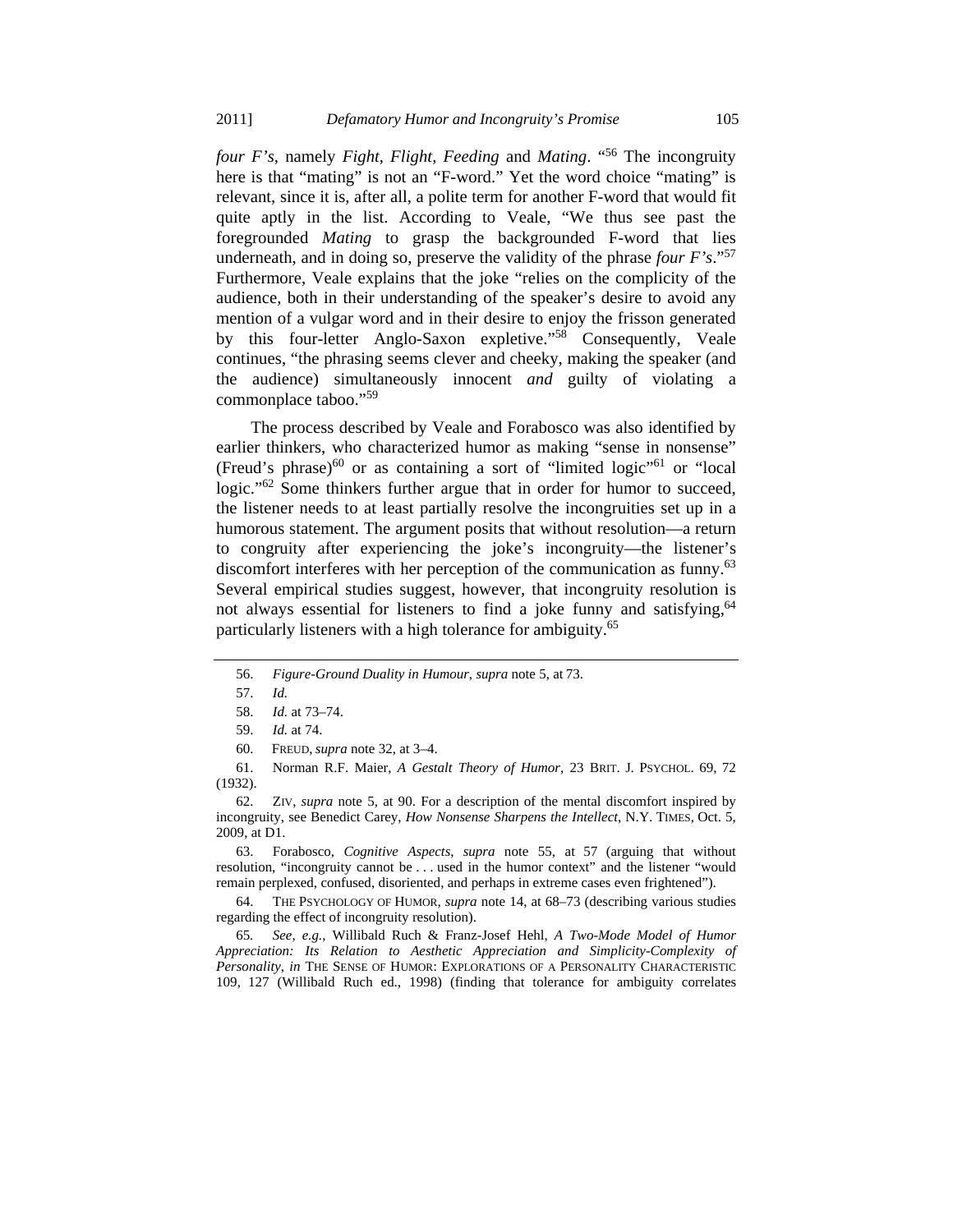*four F's,* namely *Fight, Flight, Feeding* and *Mating*. "56 The incongruity here is that "mating" is not an "F-word." Yet the word choice "mating" is relevant, since it is, after all, a polite term for another F-word that would fit quite aptly in the list. According to Veale, "We thus see past the foregrounded *Mating* to grasp the backgrounded F-word that lies underneath, and in doing so, preserve the validity of the phrase *four F's*."57 Furthermore, Veale explains that the joke "relies on the complicity of the audience, both in their understanding of the speaker's desire to avoid any mention of a vulgar word and in their desire to enjoy the frisson generated by this four-letter Anglo-Saxon expletive."58 Consequently, Veale continues, "the phrasing seems clever and cheeky, making the speaker (and the audience) simultaneously innocent *and* guilty of violating a commonplace taboo."<sup>59</sup>

The process described by Veale and Forabosco was also identified by earlier thinkers, who characterized humor as making "sense in nonsense" (Freud's phrase) $^{60}$  or as containing a sort of "limited logic"<sup>61</sup> or "local logic."<sup>62</sup> Some thinkers further argue that in order for humor to succeed, the listener needs to at least partially resolve the incongruities set up in a humorous statement. The argument posits that without resolution—a return to congruity after experiencing the joke's incongruity—the listener's discomfort interferes with her perception of the communication as funny.<sup>63</sup> Several empirical studies suggest, however, that incongruity resolution is not always essential for listeners to find a joke funny and satisfying,<sup>64</sup> particularly listeners with a high tolerance for ambiguity.<sup>65</sup>

 61. Norman R.F. Maier, *A Gestalt Theory of Humor*, 23 BRIT. J. PSYCHOL. 69, 72 (1932).

 62. ZIV, *supra* note 5, at 90. For a description of the mental discomfort inspired by incongruity, see Benedict Carey, *How Nonsense Sharpens the Intellect*, N.Y. TIMES, Oct. 5, 2009, at D1.

 63. Forabosco, *Cognitive Aspects*, *supra* note 55, at 57 (arguing that without resolution, "incongruity cannot be . . . used in the humor context" and the listener "would remain perplexed, confused, disoriented, and perhaps in extreme cases even frightened").

 64. THE PSYCHOLOGY OF HUMOR, *supra* note 14, at 68–73 (describing various studies regarding the effect of incongruity resolution).

65*. See, e.g.*, Willibald Ruch & Franz-Josef Hehl, *A Two-Mode Model of Humor Appreciation: Its Relation to Aesthetic Appreciation and Simplicity-Complexity of Personality*, *in* THE SENSE OF HUMOR: EXPLORATIONS OF A PERSONALITY CHARACTERISTIC 109, 127 (Willibald Ruch ed., 1998) (finding that tolerance for ambiguity correlates

 <sup>56.</sup> *Figure-Ground Duality in Humour*, *supra* note 5, at 73.

 <sup>57.</sup> *Id.*

 <sup>58.</sup> *Id.* at 73–74.

 <sup>59.</sup> *Id.* at 74.

 <sup>60.</sup> FREUD, *supra* note 32, at 3–4.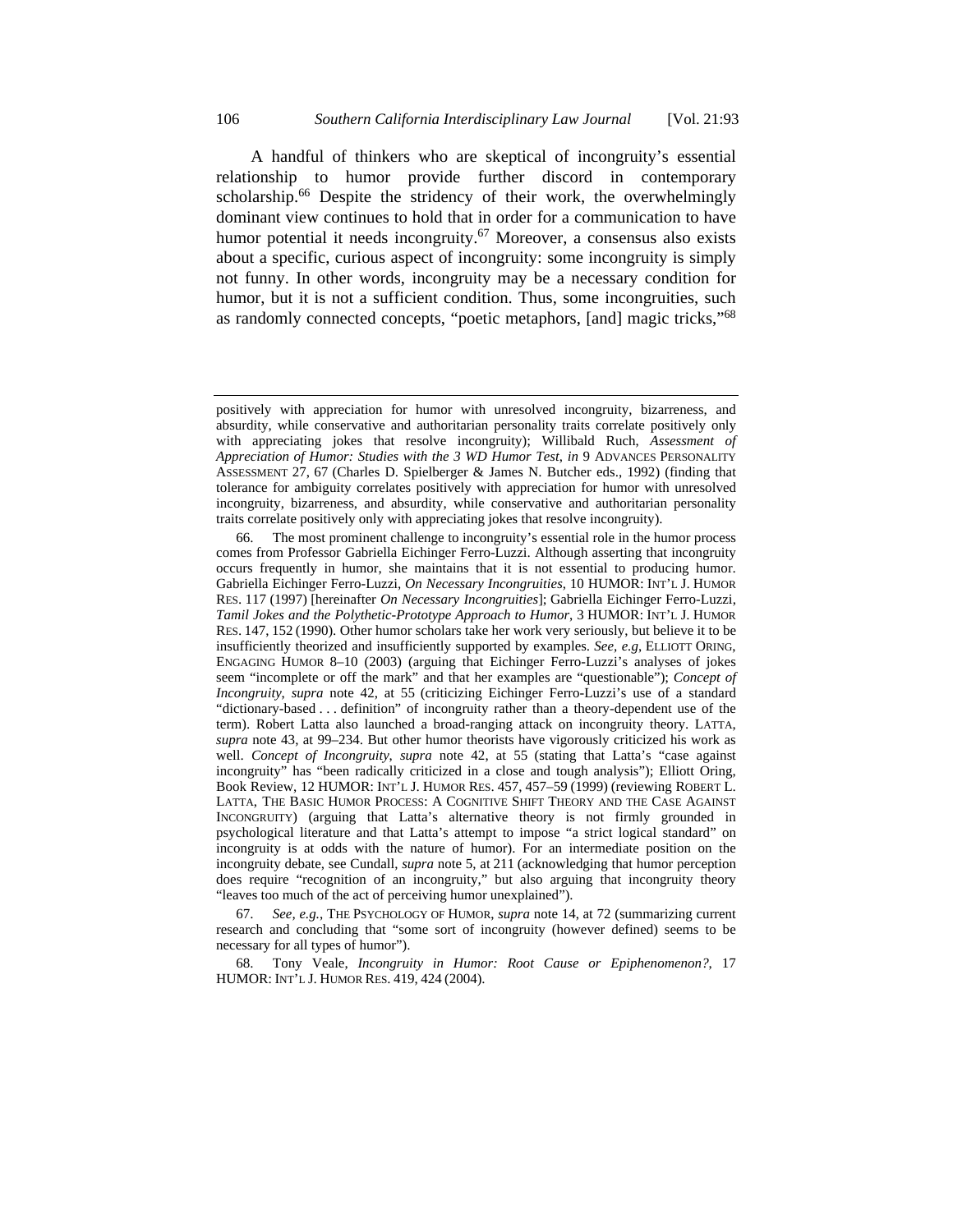A handful of thinkers who are skeptical of incongruity's essential relationship to humor provide further discord in contemporary scholarship.<sup>66</sup> Despite the stridency of their work, the overwhelmingly dominant view continues to hold that in order for a communication to have humor potential it needs incongruity.<sup>67</sup> Moreover, a consensus also exists about a specific, curious aspect of incongruity: some incongruity is simply not funny. In other words, incongruity may be a necessary condition for humor, but it is not a sufficient condition. Thus, some incongruities, such as randomly connected concepts, "poetic metaphors, [and] magic tricks,"68

 67. *See, e.g.*, THE PSYCHOLOGY OF HUMOR, *supra* note 14, at 72 (summarizing current research and concluding that "some sort of incongruity (however defined) seems to be necessary for all types of humor").

 68. Tony Veale, *Incongruity in Humor: Root Cause or Epiphenomenon?*, 17 HUMOR: INT'L J. HUMOR RES. 419, 424 (2004).

positively with appreciation for humor with unresolved incongruity, bizarreness, and absurdity, while conservative and authoritarian personality traits correlate positively only with appreciating jokes that resolve incongruity); Willibald Ruch, *Assessment of Appreciation of Humor: Studies with the 3 WD Humor Test*, *in* 9 ADVANCES PERSONALITY ASSESSMENT 27, 67 (Charles D. Spielberger & James N. Butcher eds., 1992) (finding that tolerance for ambiguity correlates positively with appreciation for humor with unresolved incongruity, bizarreness, and absurdity, while conservative and authoritarian personality traits correlate positively only with appreciating jokes that resolve incongruity).

 <sup>66.</sup> The most prominent challenge to incongruity's essential role in the humor process comes from Professor Gabriella Eichinger Ferro-Luzzi. Although asserting that incongruity occurs frequently in humor, she maintains that it is not essential to producing humor. Gabriella Eichinger Ferro-Luzzi, *On Necessary Incongruities*, 10 HUMOR: INT'L J. HUMOR RES. 117 (1997) [hereinafter *On Necessary Incongruities*]; Gabriella Eichinger Ferro-Luzzi, *Tamil Jokes and the Polythetic-Prototype Approach to Humor*, 3 HUMOR: INT'L J. HUMOR RES. 147, 152 (1990). Other humor scholars take her work very seriously, but believe it to be insufficiently theorized and insufficiently supported by examples. *See, e.g*, ELLIOTT ORING, ENGAGING HUMOR 8–10 (2003) (arguing that Eichinger Ferro-Luzzi's analyses of jokes seem "incomplete or off the mark" and that her examples are "questionable"); *Concept of Incongruity*, *supra* note 42, at 55 (criticizing Eichinger Ferro-Luzzi's use of a standard "dictionary-based . . . definition" of incongruity rather than a theory-dependent use of the term). Robert Latta also launched a broad-ranging attack on incongruity theory. LATTA, *supra* note 43, at 99–234. But other humor theorists have vigorously criticized his work as well. *Concept of Incongruity*, *supra* note 42, at 55 (stating that Latta's "case against incongruity" has "been radically criticized in a close and tough analysis"); Elliott Oring, Book Review, 12 HUMOR: INT'L J. HUMOR RES. 457, 457–59 (1999) (reviewing ROBERT L. LATTA, THE BASIC HUMOR PROCESS: A COGNITIVE SHIFT THEORY AND THE CASE AGAINST INCONGRUITY) (arguing that Latta's alternative theory is not firmly grounded in psychological literature and that Latta's attempt to impose "a strict logical standard" on incongruity is at odds with the nature of humor). For an intermediate position on the incongruity debate, see Cundall, *supra* note 5, at 211 (acknowledging that humor perception does require "recognition of an incongruity," but also arguing that incongruity theory "leaves too much of the act of perceiving humor unexplained").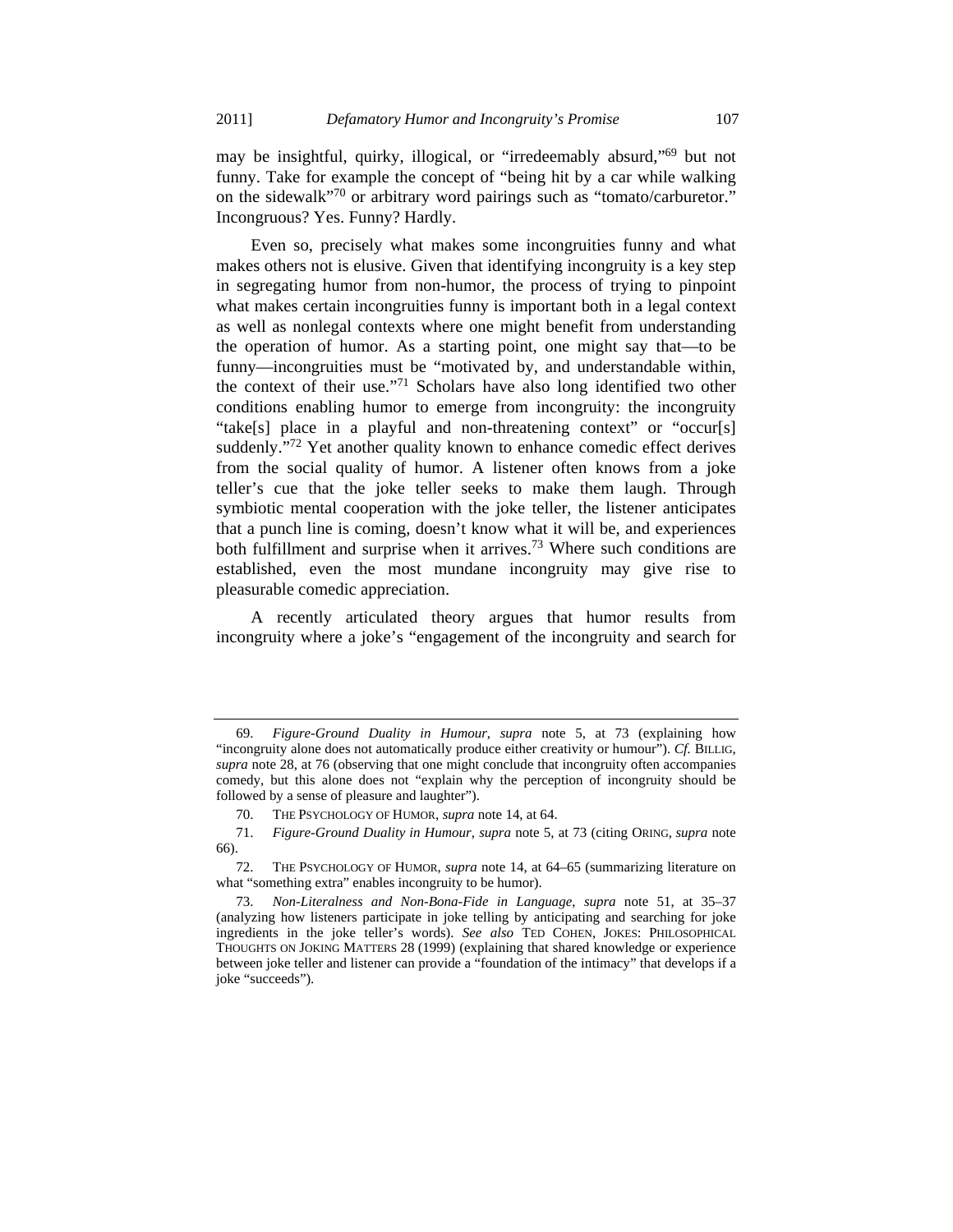may be insightful, quirky, illogical, or "irredeemably absurd,"69 but not funny. Take for example the concept of "being hit by a car while walking on the sidewalk"70 or arbitrary word pairings such as "tomato/carburetor." Incongruous? Yes. Funny? Hardly.

Even so, precisely what makes some incongruities funny and what makes others not is elusive. Given that identifying incongruity is a key step in segregating humor from non-humor, the process of trying to pinpoint what makes certain incongruities funny is important both in a legal context as well as nonlegal contexts where one might benefit from understanding the operation of humor. As a starting point, one might say that—to be funny—incongruities must be "motivated by, and understandable within, the context of their use."71 Scholars have also long identified two other conditions enabling humor to emerge from incongruity: the incongruity "take[s] place in a playful and non-threatening context" or "occur[s] suddenly."<sup>72</sup> Yet another quality known to enhance comedic effect derives from the social quality of humor. A listener often knows from a joke teller's cue that the joke teller seeks to make them laugh. Through symbiotic mental cooperation with the joke teller, the listener anticipates that a punch line is coming, doesn't know what it will be, and experiences both fulfillment and surprise when it arrives.<sup>73</sup> Where such conditions are established, even the most mundane incongruity may give rise to pleasurable comedic appreciation.

A recently articulated theory argues that humor results from incongruity where a joke's "engagement of the incongruity and search for

 <sup>69.</sup> *Figure-Ground Duality in Humour*, *supra* note 5, at 73 (explaining how "incongruity alone does not automatically produce either creativity or humour"). *Cf.* BILLIG, *supra* note 28, at 76 (observing that one might conclude that incongruity often accompanies comedy, but this alone does not "explain why the perception of incongruity should be followed by a sense of pleasure and laughter").

 <sup>70.</sup> THE PSYCHOLOGY OF HUMOR, *supra* note 14, at 64.

 <sup>71.</sup> *Figure-Ground Duality in Humour*, *supra* note 5, at 73 (citing ORING, *supra* note 66).

 <sup>72.</sup> THE PSYCHOLOGY OF HUMOR, *supra* note 14, at 64–65 (summarizing literature on what "something extra" enables incongruity to be humor).

 <sup>73.</sup> *Non-Literalness and Non-Bona-Fide in Language*, *supra* note 51, at 35–37 (analyzing how listeners participate in joke telling by anticipating and searching for joke ingredients in the joke teller's words). *See also* TED COHEN, JOKES: PHILOSOPHICAL THOUGHTS ON JOKING MATTERS 28 (1999) (explaining that shared knowledge or experience between joke teller and listener can provide a "foundation of the intimacy" that develops if a joke "succeeds").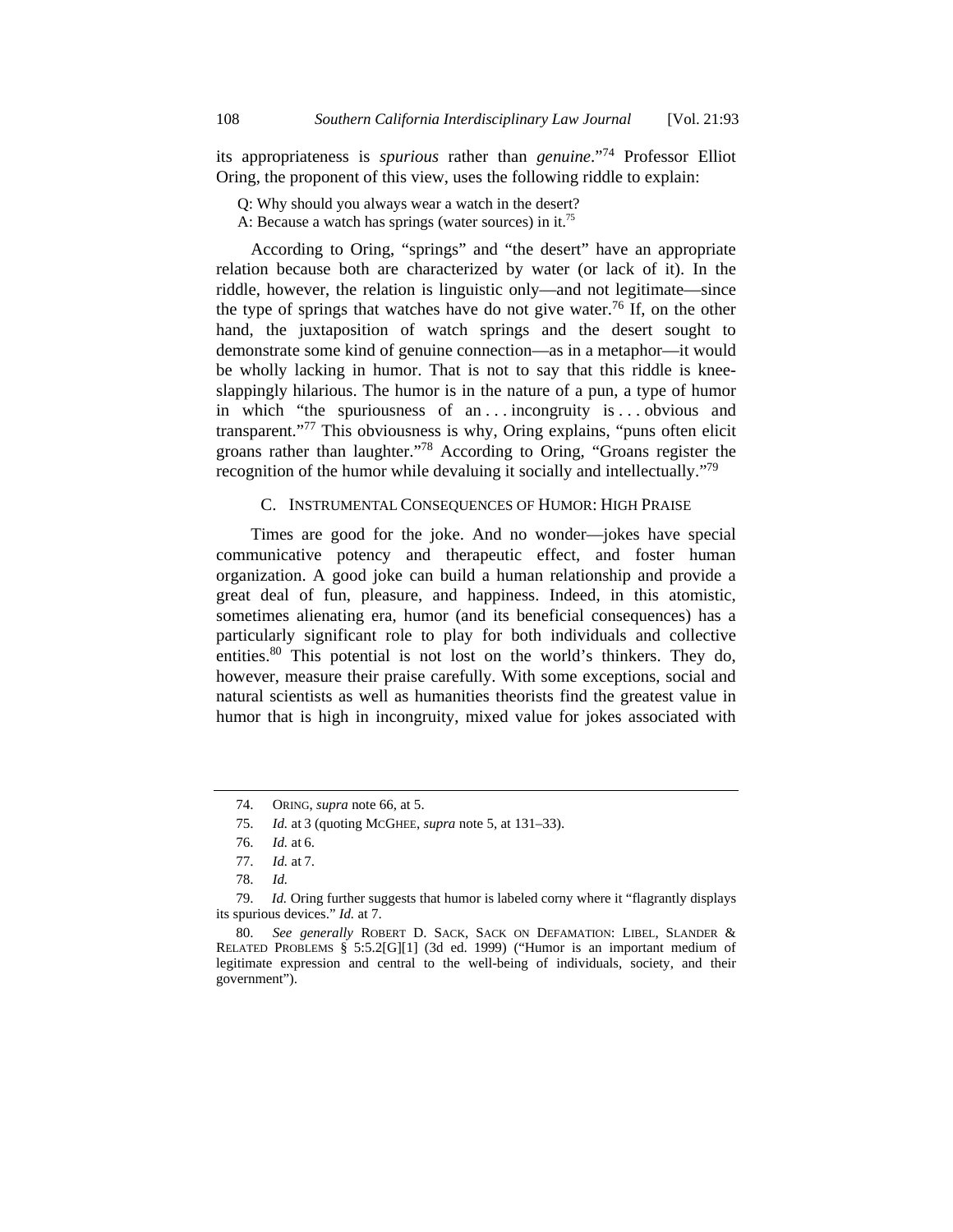its appropriateness is *spurious* rather than *genuine*."74 Professor Elliot Oring, the proponent of this view, uses the following riddle to explain:

Q: Why should you always wear a watch in the desert?

A: Because a watch has springs (water sources) in it.75

According to Oring, "springs" and "the desert" have an appropriate relation because both are characterized by water (or lack of it). In the riddle, however, the relation is linguistic only—and not legitimate—since the type of springs that watches have do not give water.<sup>76</sup> If, on the other hand, the juxtaposition of watch springs and the desert sought to demonstrate some kind of genuine connection—as in a metaphor—it would be wholly lacking in humor. That is not to say that this riddle is kneeslappingly hilarious. The humor is in the nature of a pun, a type of humor in which "the spuriousness of an ... incongruity is ... obvious and transparent."77 This obviousness is why, Oring explains, "puns often elicit groans rather than laughter."78 According to Oring, "Groans register the recognition of the humor while devaluing it socially and intellectually."<sup>79</sup>

#### C. INSTRUMENTAL CONSEQUENCES OF HUMOR: HIGH PRAISE

Times are good for the joke. And no wonder—jokes have special communicative potency and therapeutic effect, and foster human organization. A good joke can build a human relationship and provide a great deal of fun, pleasure, and happiness. Indeed, in this atomistic, sometimes alienating era, humor (and its beneficial consequences) has a particularly significant role to play for both individuals and collective entities.<sup>80</sup> This potential is not lost on the world's thinkers. They do, however, measure their praise carefully. With some exceptions, social and natural scientists as well as humanities theorists find the greatest value in humor that is high in incongruity, mixed value for jokes associated with

 <sup>74.</sup> ORING, *supra* note 66, at 5.

 <sup>75.</sup> *Id.* at 3 (quoting MCGHEE, *supra* note 5, at 131–33).

 <sup>76.</sup> *Id.* at 6.

 <sup>77.</sup> *Id.* at 7.

 <sup>78.</sup> *Id.*

 <sup>79.</sup> *Id.* Oring further suggests that humor is labeled corny where it "flagrantly displays its spurious devices." *Id.* at 7.

 <sup>80.</sup> *See generally* ROBERT D. SACK, SACK ON DEFAMATION: LIBEL, SLANDER & RELATED PROBLEMS § 5:5.2[G][1] (3d ed. 1999) ("Humor is an important medium of legitimate expression and central to the well-being of individuals, society, and their government").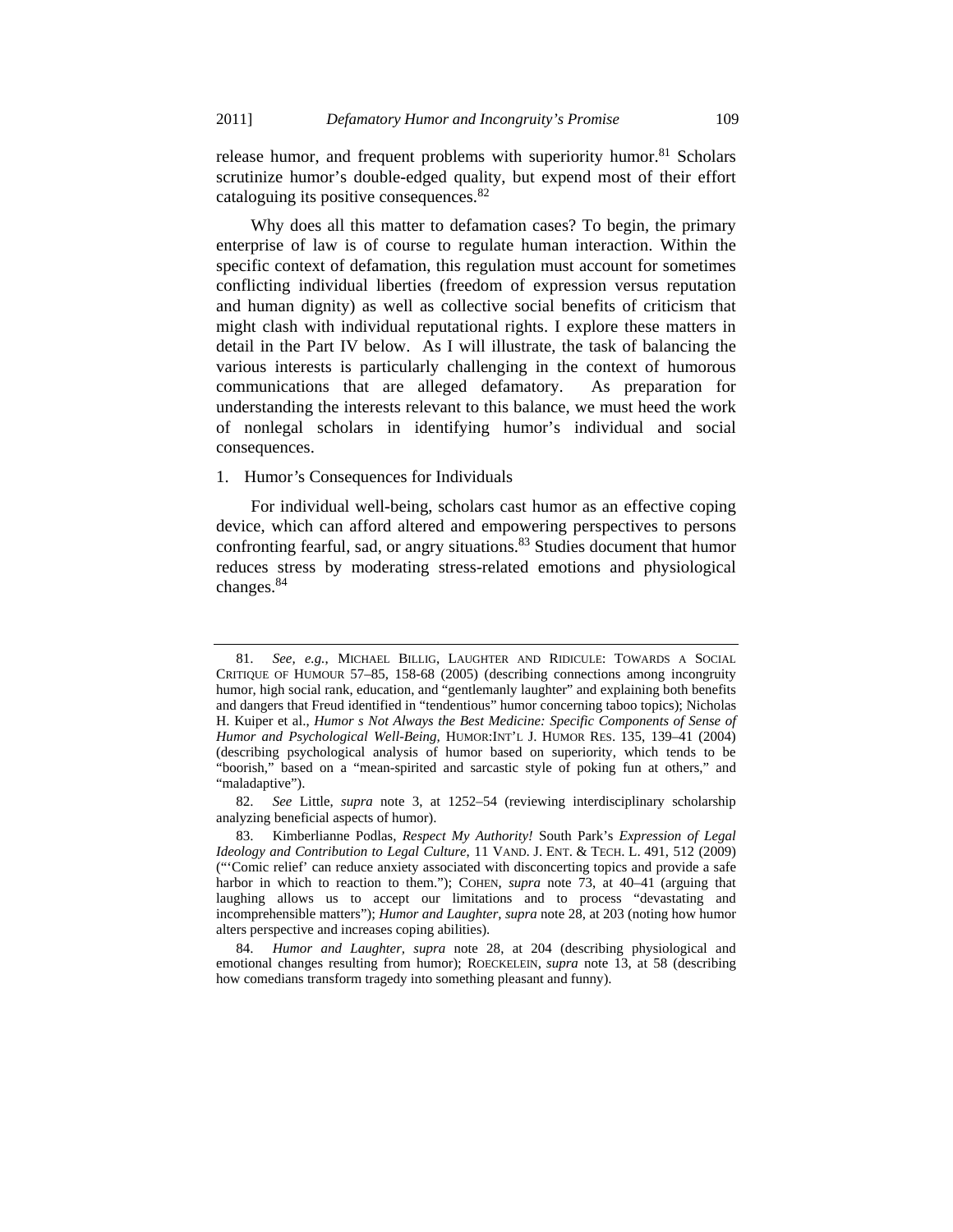release humor, and frequent problems with superiority humor.<sup>81</sup> Scholars scrutinize humor's double-edged quality, but expend most of their effort cataloguing its positive consequences.<sup>82</sup>

Why does all this matter to defamation cases? To begin, the primary enterprise of law is of course to regulate human interaction. Within the specific context of defamation, this regulation must account for sometimes conflicting individual liberties (freedom of expression versus reputation and human dignity) as well as collective social benefits of criticism that might clash with individual reputational rights. I explore these matters in detail in the Part IV below. As I will illustrate, the task of balancing the various interests is particularly challenging in the context of humorous communications that are alleged defamatory. As preparation for understanding the interests relevant to this balance, we must heed the work of nonlegal scholars in identifying humor's individual and social consequences.

## 1. Humor*'*s Consequences for Individuals

For individual well-being, scholars cast humor as an effective coping device, which can afford altered and empowering perspectives to persons confronting fearful, sad, or angry situations.<sup>83</sup> Studies document that humor reduces stress by moderating stress-related emotions and physiological changes.<sup>84</sup>

 <sup>81.</sup> *See, e.g.*, MICHAEL BILLIG, LAUGHTER AND RIDICULE: TOWARDS A SOCIAL CRITIQUE OF HUMOUR 57–85, 158-68 (2005) (describing connections among incongruity humor, high social rank, education, and "gentlemanly laughter" and explaining both benefits and dangers that Freud identified in "tendentious" humor concerning taboo topics); Nicholas H. Kuiper et al., *Humor s Not Always the Best Medicine: Specific Components of Sense of Humor and Psychological Well-Being,* HUMOR:INT'L J. HUMOR RES. 135, 139–41 (2004) (describing psychological analysis of humor based on superiority, which tends to be "boorish," based on a "mean-spirited and sarcastic style of poking fun at others," and "maladaptive").

 <sup>82.</sup> *See* Little, *supra* note 3, at 1252–54 (reviewing interdisciplinary scholarship analyzing beneficial aspects of humor).

 <sup>83.</sup> Kimberlianne Podlas, *Respect My Authority!* South Park's *Expression of Legal Ideology and Contribution to Legal Culture*, 11 VAND. J. ENT. & TECH. L. 491, 512 (2009) ("'Comic relief' can reduce anxiety associated with disconcerting topics and provide a safe harbor in which to reaction to them."); COHEN, *supra* note 73, at 40–41 (arguing that laughing allows us to accept our limitations and to process "devastating and incomprehensible matters"); *Humor and Laughter*, *supra* note 28, at 203 (noting how humor alters perspective and increases coping abilities).

 <sup>84.</sup> *Humor and Laughter, supra* note 28, at 204 (describing physiological and emotional changes resulting from humor); ROECKELEIN, *supra* note 13, at 58 (describing how comedians transform tragedy into something pleasant and funny).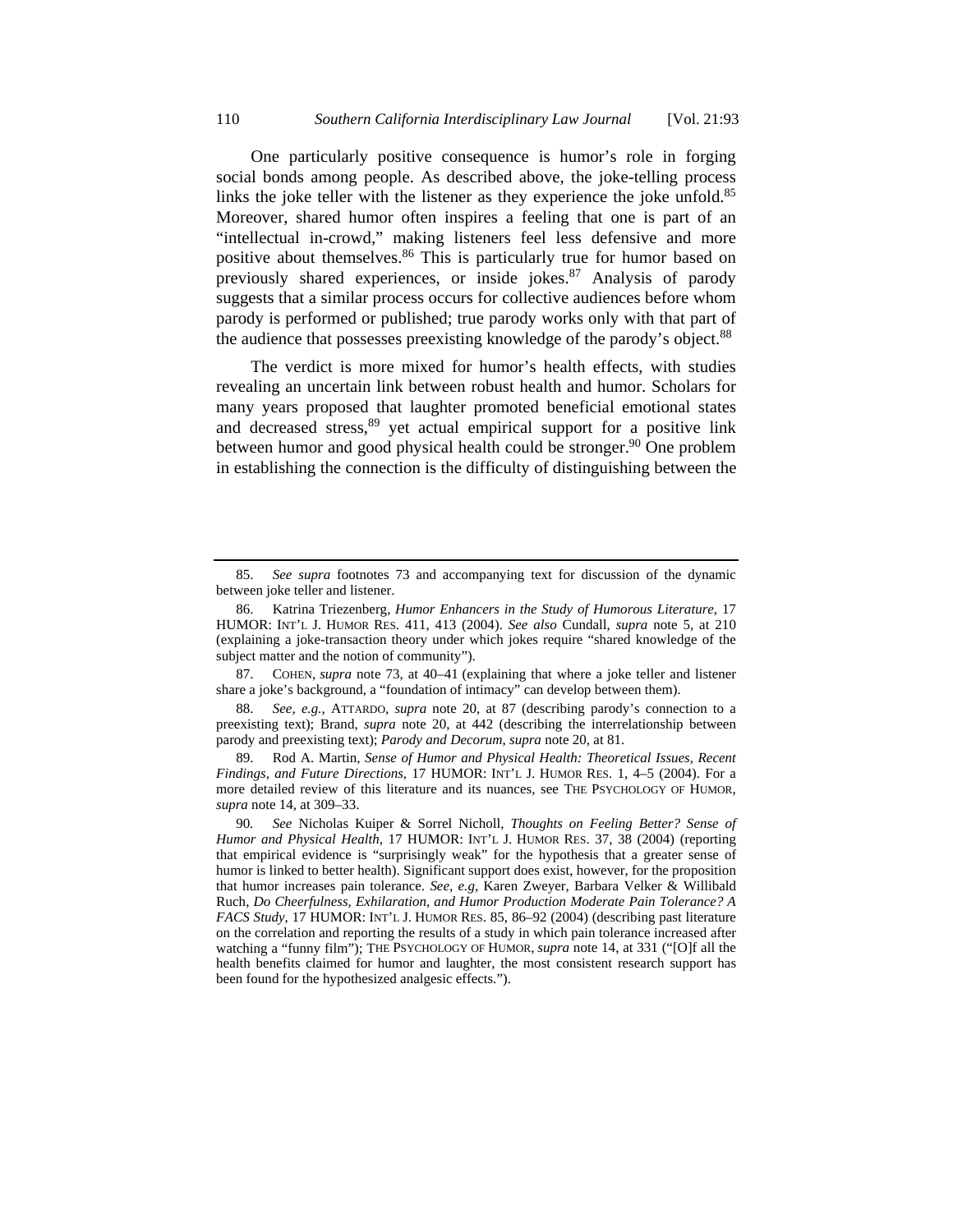One particularly positive consequence is humor's role in forging social bonds among people. As described above, the joke-telling process links the joke teller with the listener as they experience the joke unfold.<sup>85</sup> Moreover, shared humor often inspires a feeling that one is part of an "intellectual in-crowd," making listeners feel less defensive and more positive about themselves.<sup>86</sup> This is particularly true for humor based on previously shared experiences, or inside jokes.<sup>87</sup> Analysis of parody suggests that a similar process occurs for collective audiences before whom parody is performed or published; true parody works only with that part of the audience that possesses preexisting knowledge of the parody's object.<sup>88</sup>

The verdict is more mixed for humor's health effects, with studies revealing an uncertain link between robust health and humor. Scholars for many years proposed that laughter promoted beneficial emotional states and decreased stress, <sup>89</sup> yet actual empirical support for a positive link between humor and good physical health could be stronger.<sup>90</sup> One problem in establishing the connection is the difficulty of distinguishing between the

 87. COHEN, *supra* note 73, at 40–41 (explaining that where a joke teller and listener share a joke's background, a "foundation of intimacy" can develop between them).

 88. *See, e.g.*, ATTARDO, *supra* note 20, at 87 (describing parody's connection to a preexisting text); Brand, *supra* note 20, at 442 (describing the interrelationship between parody and preexisting text); *Parody and Decorum*, *supra* note 20, at 81.

 89. Rod A. Martin, *Sense of Humor and Physical Health: Theoretical Issues, Recent Findings, and Future Directions*, 17 HUMOR: INT'L J. HUMOR RES. 1, 4–5 (2004). For a more detailed review of this literature and its nuances, see THE PSYCHOLOGY OF HUMOR, *supra* note 14, at 309–33.

 <sup>85.</sup> *See supra* footnotes 73 and accompanying text for discussion of the dynamic between joke teller and listener.

 <sup>86.</sup> Katrina Triezenberg, *Humor Enhancers in the Study of Humorous Literature*, 17 HUMOR: INT'L J. HUMOR RES. 411, 413 (2004). *See also* Cundall, *supra* note 5, at 210 (explaining a joke-transaction theory under which jokes require "shared knowledge of the subject matter and the notion of community").

<sup>90</sup>*. See* Nicholas Kuiper & Sorrel Nicholl, *Thoughts on Feeling Better? Sense of Humor and Physical Health*, 17 HUMOR: INT'L J. HUMOR RES. 37, 38 (2004) (reporting that empirical evidence is "surprisingly weak" for the hypothesis that a greater sense of humor is linked to better health). Significant support does exist, however, for the proposition that humor increases pain tolerance. *See, e.g*, Karen Zweyer, Barbara Velker & Willibald Ruch, *Do Cheerfulness, Exhilaration, and Humor Production Moderate Pain Tolerance? A FACS Study*, 17 HUMOR: INT'L J. HUMOR RES. 85, 86–92 (2004) (describing past literature on the correlation and reporting the results of a study in which pain tolerance increased after watching a "funny film"); THE PSYCHOLOGY OF HUMOR, *supra* note 14, at 331 ("[O]f all the health benefits claimed for humor and laughter, the most consistent research support has been found for the hypothesized analgesic effects.").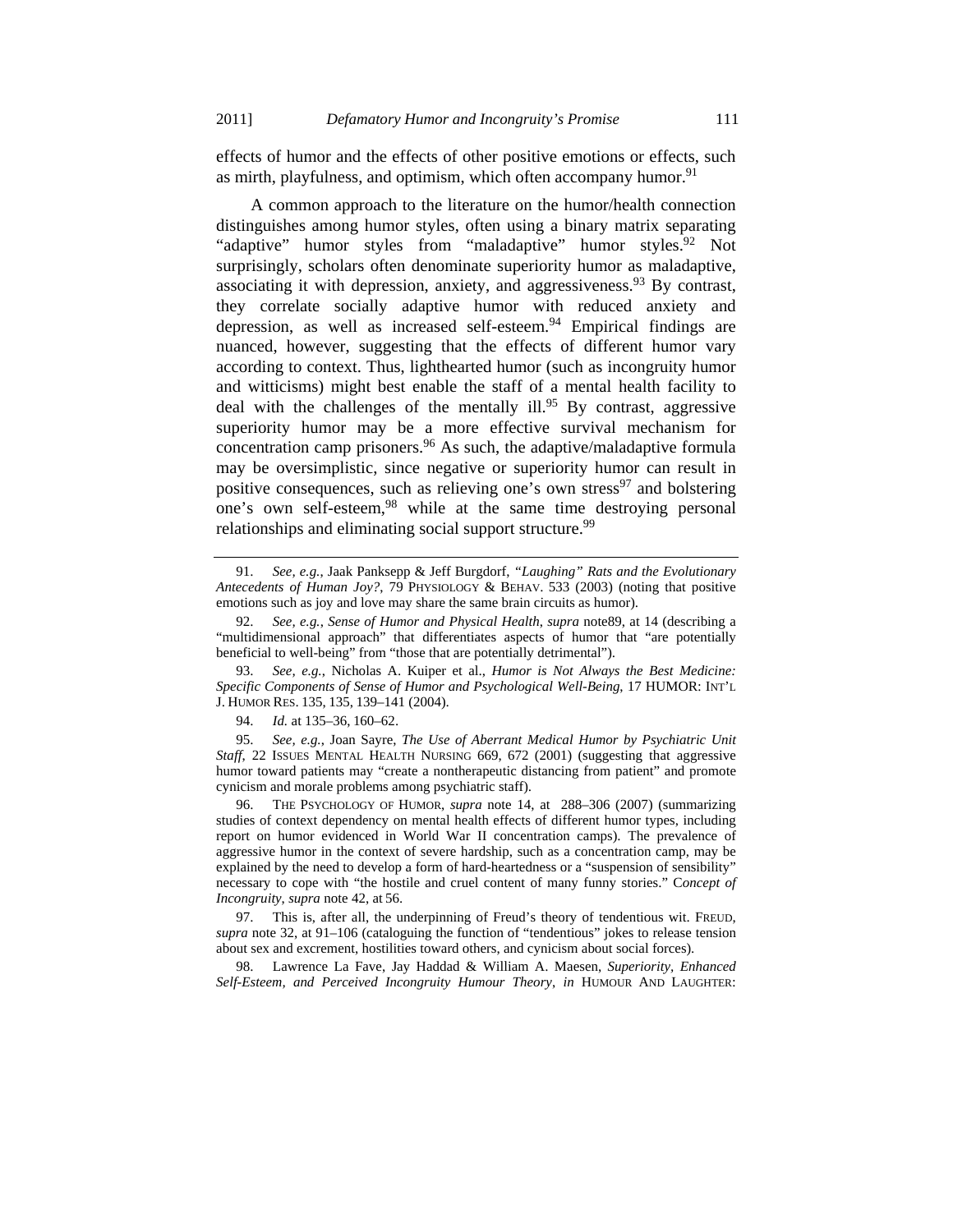effects of humor and the effects of other positive emotions or effects, such as mirth, playfulness, and optimism, which often accompany humor.<sup>91</sup>

A common approach to the literature on the humor/health connection distinguishes among humor styles, often using a binary matrix separating "adaptive" humor styles from "maladaptive" humor styles.<sup>92</sup> Not surprisingly, scholars often denominate superiority humor as maladaptive, associating it with depression, anxiety, and aggressiveness.  $93$  By contrast, they correlate socially adaptive humor with reduced anxiety and depression, as well as increased self-esteem.<sup>94</sup> Empirical findings are nuanced, however, suggesting that the effects of different humor vary according to context. Thus, lighthearted humor (such as incongruity humor and witticisms) might best enable the staff of a mental health facility to deal with the challenges of the mentally ill.<sup>95</sup> By contrast, aggressive superiority humor may be a more effective survival mechanism for concentration camp prisoners.<sup>96</sup> As such, the adaptive/maladaptive formula may be oversimplistic, since negative or superiority humor can result in positive consequences, such as relieving one's own stress<sup>97</sup> and bolstering one's own self-esteem,<sup>98</sup> while at the same time destroying personal relationships and eliminating social support structure.<sup>99</sup>

 98. Lawrence La Fave, Jay Haddad & William A. Maesen, *Superiority, Enhanced Self-Esteem, and Perceived Incongruity Humour Theory*, *in* HUMOUR AND LAUGHTER:

 <sup>91.</sup> *See, e.g.*, Jaak Panksepp & Jeff Burgdorf, *"Laughing" Rats and the Evolutionary Antecedents of Human Joy?*, 79 PHYSIOLOGY & BEHAV. 533 (2003) (noting that positive emotions such as joy and love may share the same brain circuits as humor).

 <sup>92.</sup> *See, e.g.*, *Sense of Humor and Physical Health*, *supra* note89, at 14 (describing a "multidimensional approach" that differentiates aspects of humor that "are potentially beneficial to well-being" from "those that are potentially detrimental").

 <sup>93.</sup> *See, e.g.*, Nicholas A. Kuiper et al., *Humor is Not Always the Best Medicine: Specific Components of Sense of Humor and Psychological Well-Being*, 17 HUMOR: INT'L J. HUMOR RES. 135, 135, 139–141 (2004).

 <sup>94.</sup> *Id.* at 135–36, 160–62.

 <sup>95.</sup> *See, e.g.*, Joan Sayre, *The Use of Aberrant Medical Humor by Psychiatric Unit Staff*, 22 ISSUES MENTAL HEALTH NURSING 669, 672 (2001) (suggesting that aggressive humor toward patients may "create a nontherapeutic distancing from patient" and promote cynicism and morale problems among psychiatric staff).

 <sup>96.</sup> THE PSYCHOLOGY OF HUMOR, *supra* note 14, at 288–306 (2007) (summarizing studies of context dependency on mental health effects of different humor types, including report on humor evidenced in World War II concentration camps). The prevalence of aggressive humor in the context of severe hardship, such as a concentration camp, may be explained by the need to develop a form of hard-heartedness or a "suspension of sensibility" necessary to cope with "the hostile and cruel content of many funny stories." C*oncept of Incongruity*, *supra* note 42, at 56.

 <sup>97.</sup> This is, after all, the underpinning of Freud's theory of tendentious wit. FREUD, *supra* note 32, at 91–106 (cataloguing the function of "tendentious" jokes to release tension about sex and excrement, hostilities toward others, and cynicism about social forces).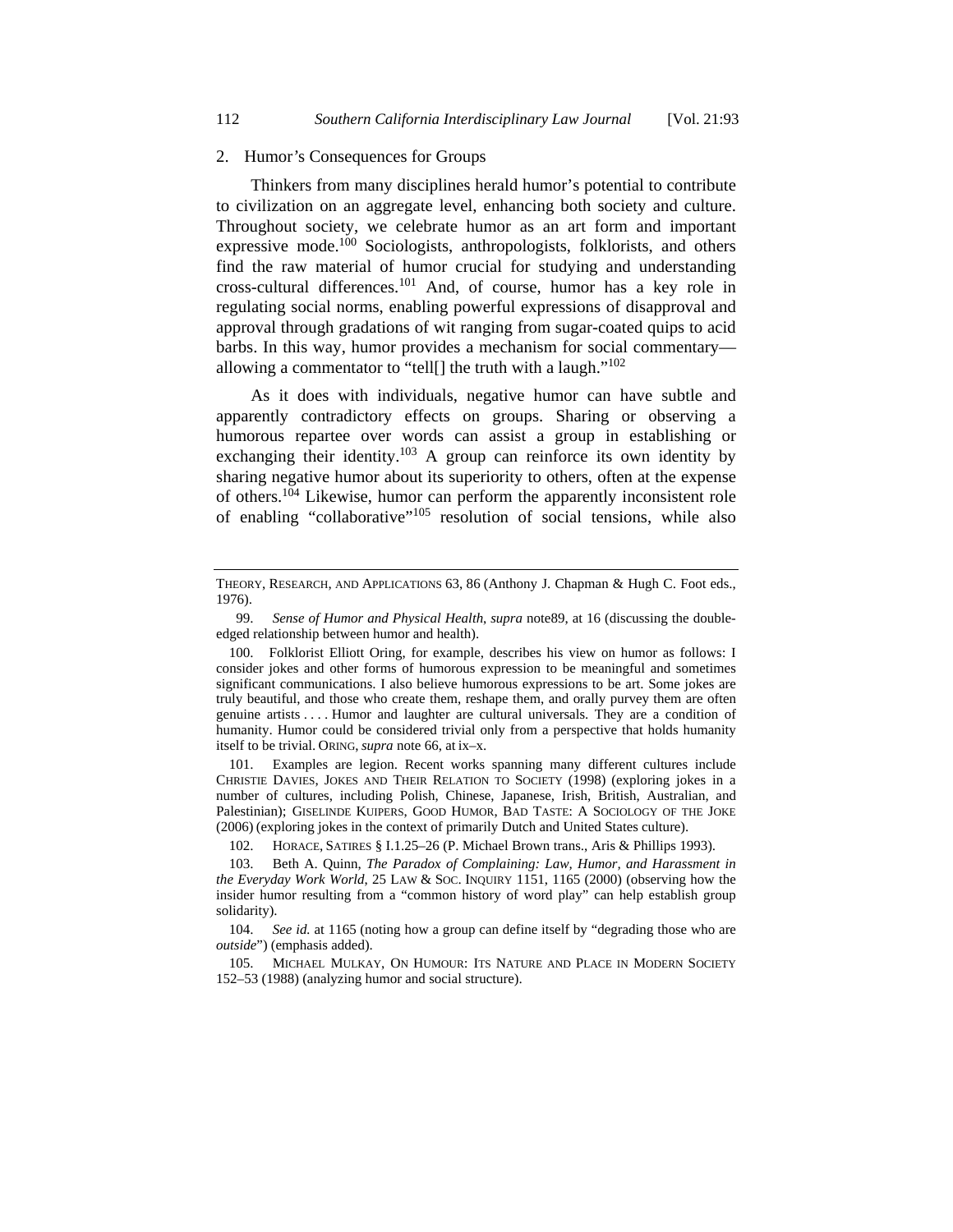#### 2. Humor*'*s Consequences for Groups

Thinkers from many disciplines herald humor's potential to contribute to civilization on an aggregate level, enhancing both society and culture. Throughout society, we celebrate humor as an art form and important expressive mode.<sup>100</sup> Sociologists, anthropologists, folklorists, and others find the raw material of humor crucial for studying and understanding cross-cultural differences.101 And, of course, humor has a key role in regulating social norms, enabling powerful expressions of disapproval and approval through gradations of wit ranging from sugar-coated quips to acid barbs. In this way, humor provides a mechanism for social commentary allowing a commentator to "tell[] the truth with a laugh." $102$ 

As it does with individuals, negative humor can have subtle and apparently contradictory effects on groups. Sharing or observing a humorous repartee over words can assist a group in establishing or exchanging their identity.<sup>103</sup> A group can reinforce its own identity by sharing negative humor about its superiority to others, often at the expense of others.104 Likewise, humor can perform the apparently inconsistent role of enabling "collaborative"105 resolution of social tensions, while also

 101. Examples are legion. Recent works spanning many different cultures include CHRISTIE DAVIES, JOKES AND THEIR RELATION TO SOCIETY (1998) (exploring jokes in a number of cultures, including Polish, Chinese, Japanese, Irish, British, Australian, and Palestinian); GISELINDE KUIPERS, GOOD HUMOR, BAD TASTE: A SOCIOLOGY OF THE JOKE (2006) (exploring jokes in the context of primarily Dutch and United States culture).

THEORY, RESEARCH, AND APPLICATIONS 63, 86 (Anthony J. Chapman & Hugh C. Foot eds., 1976).

 <sup>99.</sup> *Sense of Humor and Physical Health*, *supra* note89, at 16 (discussing the doubleedged relationship between humor and health).

 <sup>100.</sup> Folklorist Elliott Oring, for example, describes his view on humor as follows: I consider jokes and other forms of humorous expression to be meaningful and sometimes significant communications. I also believe humorous expressions to be art. Some jokes are truly beautiful, and those who create them, reshape them, and orally purvey them are often genuine artists . . . . Humor and laughter are cultural universals. They are a condition of humanity. Humor could be considered trivial only from a perspective that holds humanity itself to be trivial. ORING, *supra* note 66, at ix–x.

 <sup>102.</sup> HORACE, SATIRES § I.1.25–26 (P. Michael Brown trans., Aris & Phillips 1993).

 <sup>103.</sup> Beth A. Quinn, *The Paradox of Complaining: Law, Humor, and Harassment in the Everyday Work World*, 25 LAW & SOC. INQUIRY 1151, 1165 (2000) (observing how the insider humor resulting from a "common history of word play" can help establish group solidarity).

 <sup>104.</sup> *See id.* at 1165 (noting how a group can define itself by "degrading those who are *outside*") (emphasis added).

 <sup>105.</sup> MICHAEL MULKAY, ON HUMOUR: ITS NATURE AND PLACE IN MODERN SOCIETY 152–53 (1988) (analyzing humor and social structure).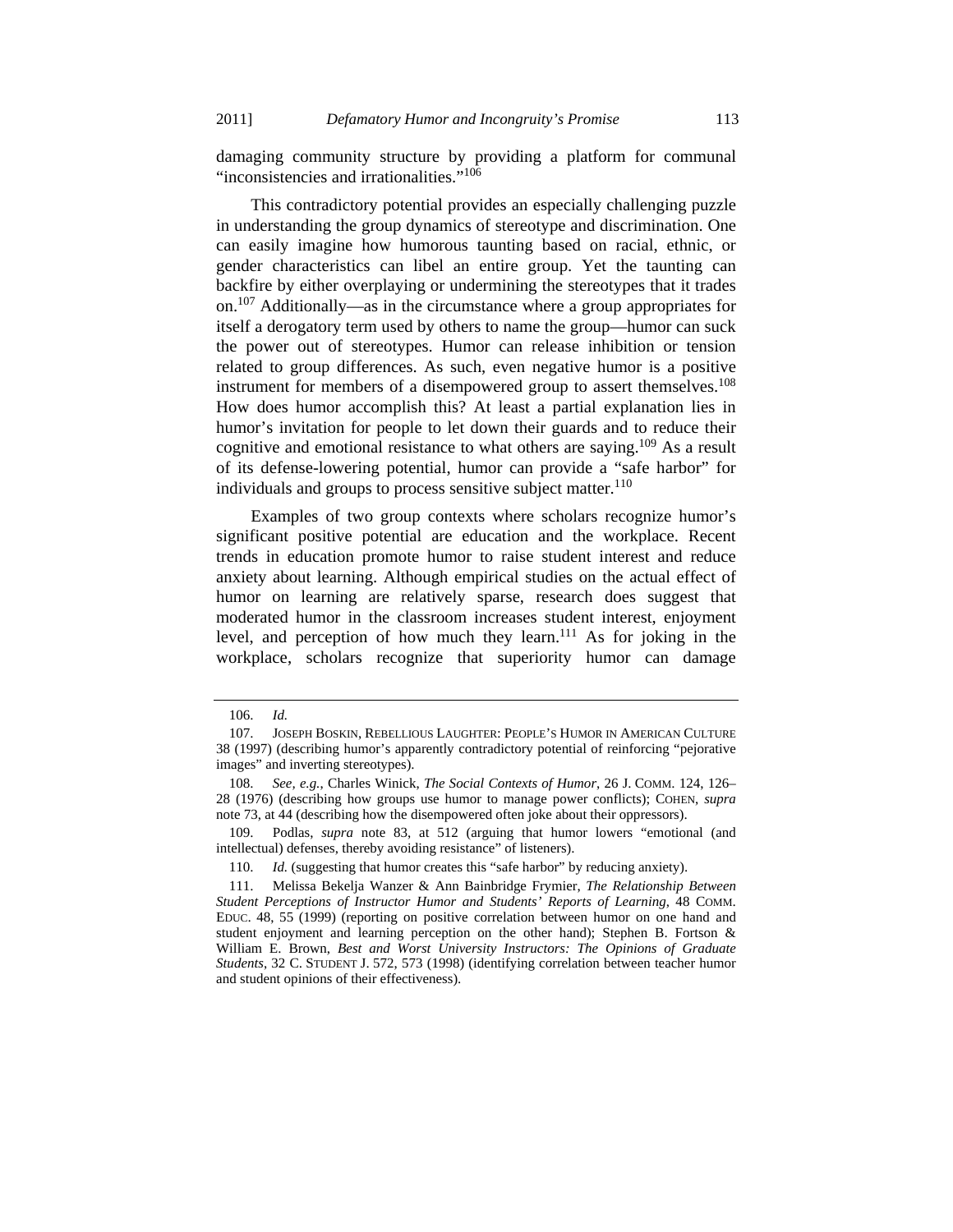damaging community structure by providing a platform for communal "inconsistencies and irrationalities."106

This contradictory potential provides an especially challenging puzzle in understanding the group dynamics of stereotype and discrimination. One can easily imagine how humorous taunting based on racial, ethnic, or gender characteristics can libel an entire group. Yet the taunting can backfire by either overplaying or undermining the stereotypes that it trades on.107 Additionally—as in the circumstance where a group appropriates for itself a derogatory term used by others to name the group—humor can suck the power out of stereotypes. Humor can release inhibition or tension related to group differences. As such, even negative humor is a positive instrument for members of a disempowered group to assert themselves.<sup>108</sup> How does humor accomplish this? At least a partial explanation lies in humor's invitation for people to let down their guards and to reduce their cognitive and emotional resistance to what others are saying.<sup>109</sup> As a result of its defense-lowering potential, humor can provide a "safe harbor" for individuals and groups to process sensitive subject matter. $110$ 

Examples of two group contexts where scholars recognize humor's significant positive potential are education and the workplace. Recent trends in education promote humor to raise student interest and reduce anxiety about learning. Although empirical studies on the actual effect of humor on learning are relatively sparse, research does suggest that moderated humor in the classroom increases student interest, enjoyment level, and perception of how much they learn.<sup>111</sup> As for joking in the workplace, scholars recognize that superiority humor can damage

 <sup>106.</sup> *Id.*

 <sup>107.</sup> JOSEPH BOSKIN, REBELLIOUS LAUGHTER: PEOPLE'S HUMOR IN AMERICAN CULTURE 38 (1997) (describing humor's apparently contradictory potential of reinforcing "pejorative images" and inverting stereotypes).

 <sup>108.</sup> *See, e.g.*, Charles Winick, *The Social Contexts of Humor*, 26 J. COMM. 124, 126– 28 (1976) (describing how groups use humor to manage power conflicts); COHEN, *supra* note 73, at 44 (describing how the disempowered often joke about their oppressors).

 <sup>109.</sup> Podlas, *supra* note 83, at 512 (arguing that humor lowers "emotional (and intellectual) defenses, thereby avoiding resistance" of listeners).

 <sup>110.</sup> *Id.* (suggesting that humor creates this "safe harbor" by reducing anxiety).

 <sup>111.</sup> Melissa Bekelja Wanzer & Ann Bainbridge Frymier, *The Relationship Between Student Perceptions of Instructor Humor and Students' Reports of Learning*, 48 COMM. EDUC. 48, 55 (1999) (reporting on positive correlation between humor on one hand and student enjoyment and learning perception on the other hand); Stephen B. Fortson & William E. Brown, *Best and Worst University Instructors: The Opinions of Graduate Students*, 32 C. STUDENT J. 572, 573 (1998) (identifying correlation between teacher humor and student opinions of their effectiveness).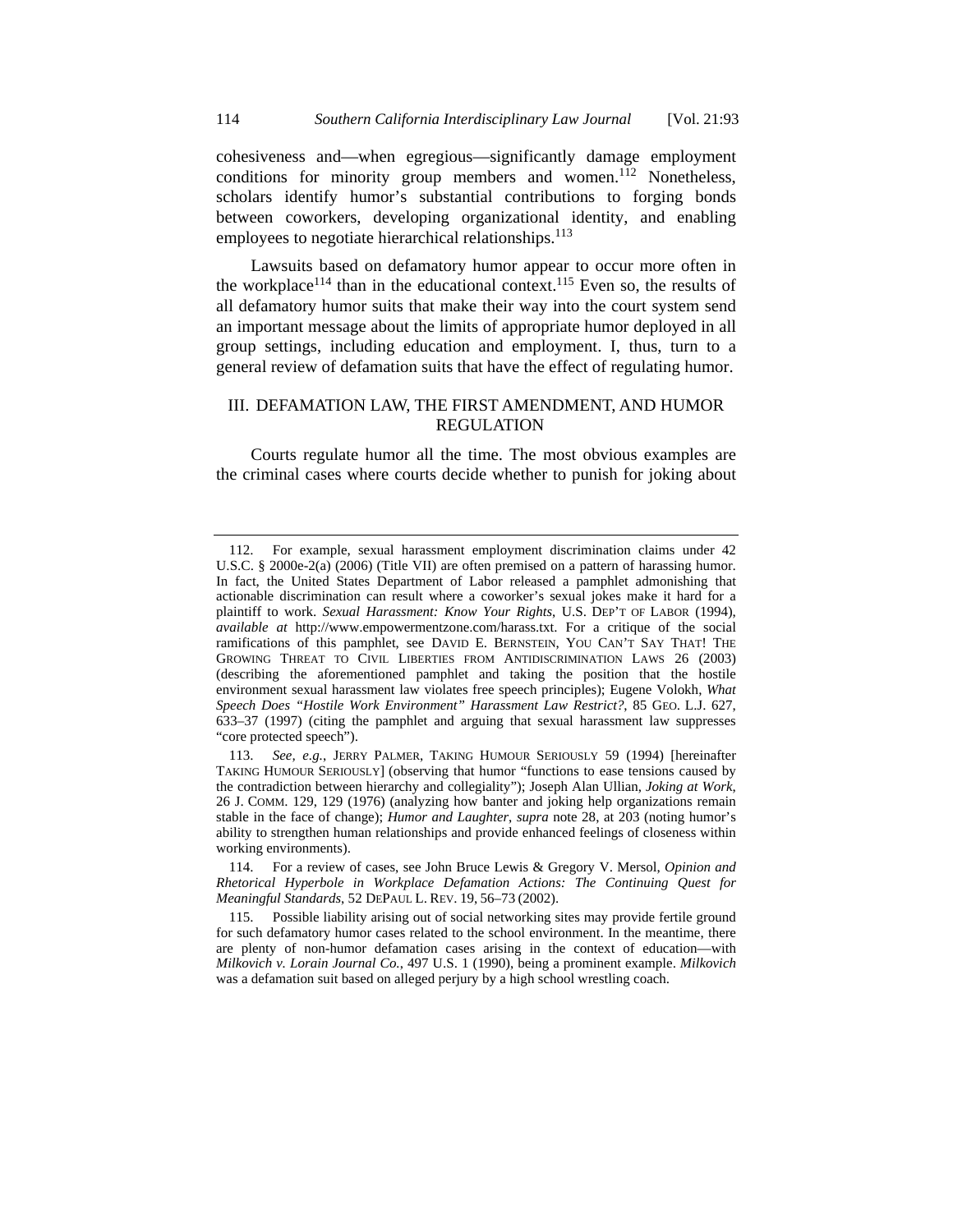cohesiveness and—when egregious—significantly damage employment conditions for minority group members and women.<sup>112</sup> Nonetheless, scholars identify humor's substantial contributions to forging bonds between coworkers, developing organizational identity, and enabling employees to negotiate hierarchical relationships.<sup>113</sup>

Lawsuits based on defamatory humor appear to occur more often in the workplace<sup>114</sup> than in the educational context.<sup>115</sup> Even so, the results of all defamatory humor suits that make their way into the court system send an important message about the limits of appropriate humor deployed in all group settings, including education and employment. I, thus, turn to a general review of defamation suits that have the effect of regulating humor.

# III. DEFAMATION LAW, THE FIRST AMENDMENT, AND HUMOR REGULATION

Courts regulate humor all the time. The most obvious examples are the criminal cases where courts decide whether to punish for joking about

 <sup>112.</sup> For example, sexual harassment employment discrimination claims under 42 U.S.C. § 2000e-2(a) (2006) (Title VII) are often premised on a pattern of harassing humor. In fact, the United States Department of Labor released a pamphlet admonishing that actionable discrimination can result where a coworker's sexual jokes make it hard for a plaintiff to work. *Sexual Harassment: Know Your Rights*, U.S. DEP'T OF LABOR (1994), *available at* http://www.empowermentzone.com/harass.txt. For a critique of the social ramifications of this pamphlet, see DAVID E. BERNSTEIN, YOU CAN'T SAY THAT! THE GROWING THREAT TO CIVIL LIBERTIES FROM ANTIDISCRIMINATION LAWS 26 (2003) (describing the aforementioned pamphlet and taking the position that the hostile environment sexual harassment law violates free speech principles); Eugene Volokh, *What Speech Does "Hostile Work Environment" Harassment Law Restrict?*, 85 GEO. L.J. 627, 633–37 (1997) (citing the pamphlet and arguing that sexual harassment law suppresses "core protected speech").

 <sup>113.</sup> *See, e.g.*, JERRY PALMER, TAKING HUMOUR SERIOUSLY 59 (1994) [hereinafter TAKING HUMOUR SERIOUSLY] (observing that humor "functions to ease tensions caused by the contradiction between hierarchy and collegiality"); Joseph Alan Ullian, *Joking at Work*, 26 J. COMM. 129, 129 (1976) (analyzing how banter and joking help organizations remain stable in the face of change); *Humor and Laughter*, *supra* note 28, at 203 (noting humor's ability to strengthen human relationships and provide enhanced feelings of closeness within working environments).

 <sup>114.</sup> For a review of cases, see John Bruce Lewis & Gregory V. Mersol, *Opinion and Rhetorical Hyperbole in Workplace Defamation Actions: The Continuing Quest for Meaningful Standards*, 52 DEPAUL L. REV. 19, 56–73 (2002).

 <sup>115.</sup> Possible liability arising out of social networking sites may provide fertile ground for such defamatory humor cases related to the school environment. In the meantime, there are plenty of non-humor defamation cases arising in the context of education—with *Milkovich v. Lorain Journal Co.*, 497 U.S. 1 (1990), being a prominent example. *Milkovich*  was a defamation suit based on alleged perjury by a high school wrestling coach.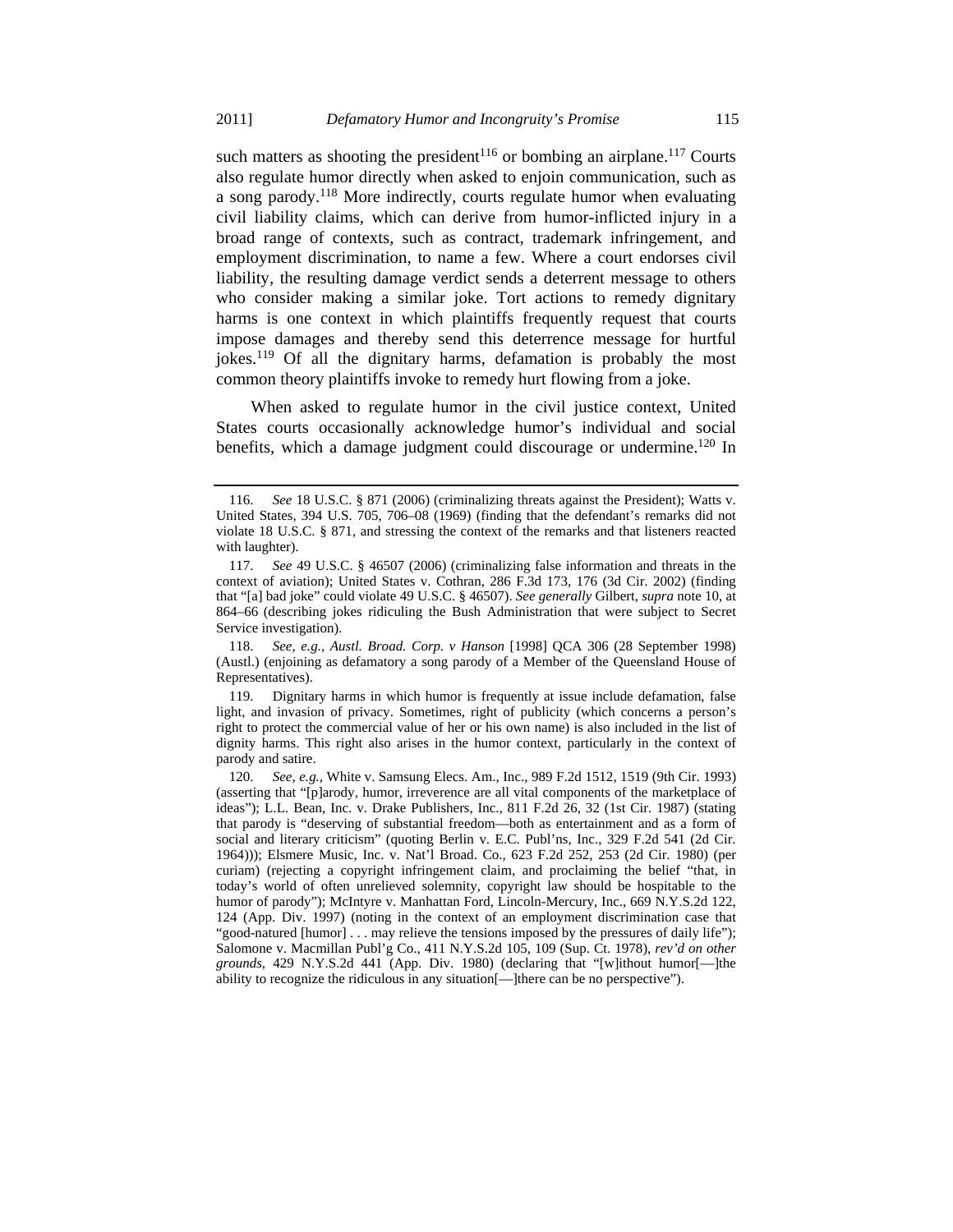such matters as shooting the president<sup>116</sup> or bombing an airplane.<sup>117</sup> Courts also regulate humor directly when asked to enjoin communication, such as a song parody.118 More indirectly, courts regulate humor when evaluating civil liability claims, which can derive from humor-inflicted injury in a broad range of contexts, such as contract, trademark infringement, and employment discrimination, to name a few. Where a court endorses civil liability, the resulting damage verdict sends a deterrent message to others who consider making a similar joke. Tort actions to remedy dignitary harms is one context in which plaintiffs frequently request that courts impose damages and thereby send this deterrence message for hurtful jokes.<sup>119</sup> Of all the dignitary harms, defamation is probably the most common theory plaintiffs invoke to remedy hurt flowing from a joke.

When asked to regulate humor in the civil justice context, United States courts occasionally acknowledge humor's individual and social benefits, which a damage judgment could discourage or undermine.<sup>120</sup> In

 118. *See, e.g.*, *Austl. Broad. Corp. v Hanson* [1998] QCA 306 (28 September 1998) (Austl.) (enjoining as defamatory a song parody of a Member of the Queensland House of Representatives).

 119. Dignitary harms in which humor is frequently at issue include defamation, false light, and invasion of privacy. Sometimes, right of publicity (which concerns a person's right to protect the commercial value of her or his own name) is also included in the list of dignity harms. This right also arises in the humor context, particularly in the context of parody and satire.

 <sup>116.</sup> *See* 18 U.S.C. § 871 (2006) (criminalizing threats against the President); Watts v. United States, 394 U.S. 705, 706–08 (1969) (finding that the defendant's remarks did not violate 18 U.S.C. § 871, and stressing the context of the remarks and that listeners reacted with laughter).

 <sup>117.</sup> *See* 49 U.S.C. § 46507 (2006) (criminalizing false information and threats in the context of aviation); United States v. Cothran, 286 F.3d 173, 176 (3d Cir. 2002) (finding that "[a] bad joke" could violate 49 U.S.C. § 46507). *See generally* Gilbert, *supra* note 10, at 864–66 (describing jokes ridiculing the Bush Administration that were subject to Secret Service investigation).

 <sup>120.</sup> *See, e.g.*, White v. Samsung Elecs. Am., Inc., 989 F.2d 1512, 1519 (9th Cir. 1993) (asserting that "[p]arody, humor, irreverence are all vital components of the marketplace of ideas"); L.L. Bean, Inc. v. Drake Publishers, Inc.*,* 811 F.2d 26, 32 (1st Cir. 1987) (stating that parody is "deserving of substantial freedom—both as entertainment and as a form of social and literary criticism" (quoting Berlin v. E.C. Publ'ns, Inc., 329 F.2d 541 (2d Cir. 1964))); Elsmere Music, Inc. v. Nat'l Broad. Co.*,* 623 F.2d 252, 253 (2d Cir. 1980) (per curiam) (rejecting a copyright infringement claim, and proclaiming the belief "that, in today's world of often unrelieved solemnity, copyright law should be hospitable to the humor of parody"); McIntyre v. Manhattan Ford, Lincoln-Mercury, Inc., 669 N.Y.S.2d 122, 124 (App. Div. 1997) (noting in the context of an employment discrimination case that "good-natured [humor] . . . may relieve the tensions imposed by the pressures of daily life"); Salomone v. Macmillan Publ'g Co., 411 N.Y.S.2d 105, 109 (Sup. Ct. 1978), *rev'd on other grounds*, 429 N.Y.S.2d 441 (App. Div. 1980) (declaring that "[w]ithout humor[—]the ability to recognize the ridiculous in any situation[—]there can be no perspective").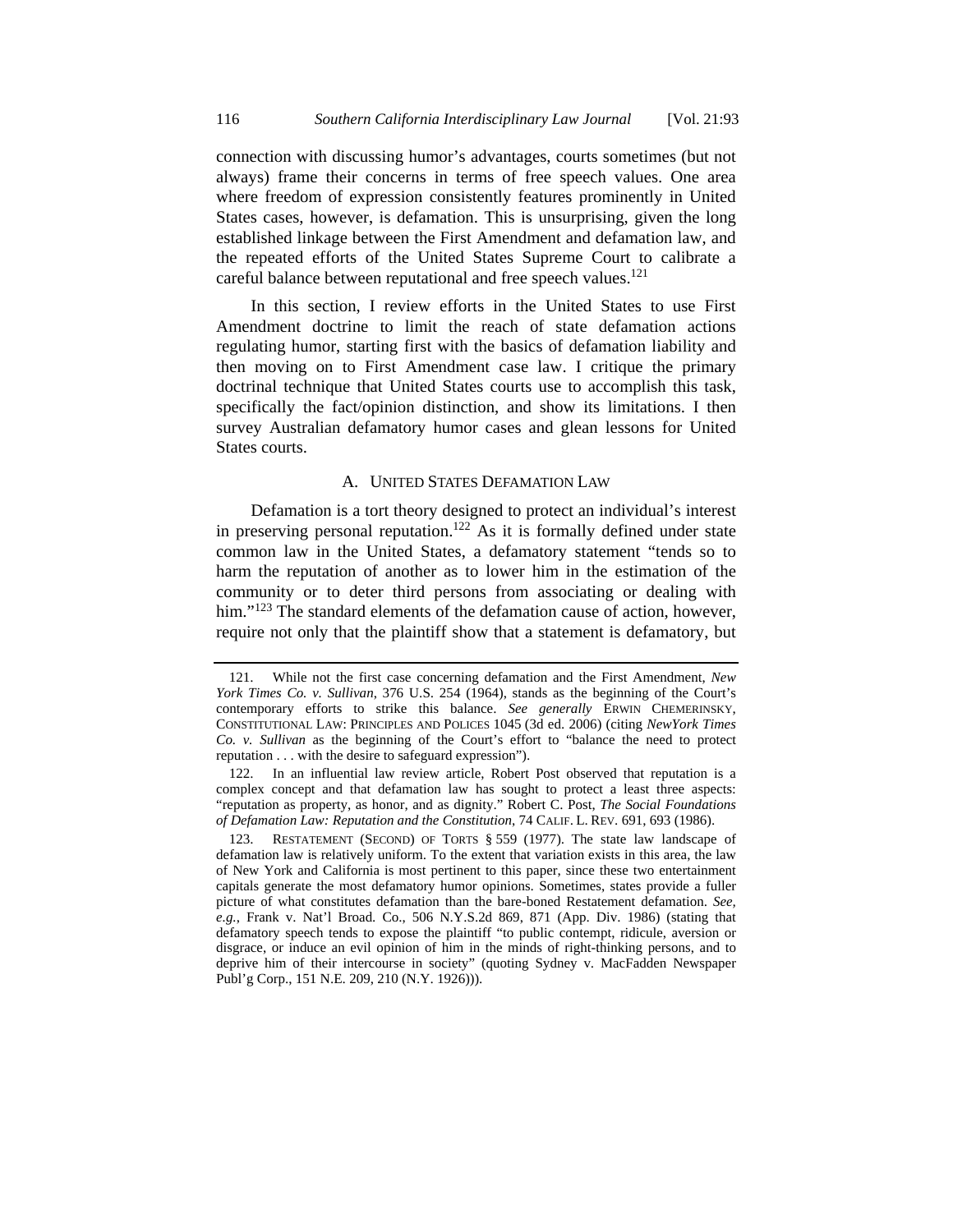connection with discussing humor's advantages, courts sometimes (but not always) frame their concerns in terms of free speech values. One area where freedom of expression consistently features prominently in United States cases, however, is defamation. This is unsurprising, given the long established linkage between the First Amendment and defamation law, and the repeated efforts of the United States Supreme Court to calibrate a careful balance between reputational and free speech values.<sup>121</sup>

In this section, I review efforts in the United States to use First Amendment doctrine to limit the reach of state defamation actions regulating humor, starting first with the basics of defamation liability and then moving on to First Amendment case law. I critique the primary doctrinal technique that United States courts use to accomplish this task, specifically the fact/opinion distinction, and show its limitations. I then survey Australian defamatory humor cases and glean lessons for United States courts.

### A. UNITED STATES DEFAMATION LAW

Defamation is a tort theory designed to protect an individual's interest in preserving personal reputation.<sup>122</sup> As it is formally defined under state common law in the United States, a defamatory statement "tends so to harm the reputation of another as to lower him in the estimation of the community or to deter third persons from associating or dealing with him."<sup>123</sup> The standard elements of the defamation cause of action, however, require not only that the plaintiff show that a statement is defamatory, but

 <sup>121.</sup> While not the first case concerning defamation and the First Amendment, *New York Times Co. v. Sullivan*, 376 U.S. 254 (1964), stands as the beginning of the Court's contemporary efforts to strike this balance. *See generally* ERWIN CHEMERINSKY, CONSTITUTIONAL LAW: PRINCIPLES AND POLICES 1045 (3d ed. 2006) (citing *NewYork Times Co. v. Sullivan* as the beginning of the Court's effort to "balance the need to protect reputation . . . with the desire to safeguard expression").

 <sup>122.</sup> In an influential law review article, Robert Post observed that reputation is a complex concept and that defamation law has sought to protect a least three aspects: "reputation as property, as honor, and as dignity." Robert C. Post, *The Social Foundations of Defamation Law: Reputation and the Constitution*, 74 CALIF. L. REV. 691, 693 (1986).

 <sup>123.</sup> RESTATEMENT (SECOND) OF TORTS § 559 (1977). The state law landscape of defamation law is relatively uniform. To the extent that variation exists in this area, the law of New York and California is most pertinent to this paper, since these two entertainment capitals generate the most defamatory humor opinions. Sometimes, states provide a fuller picture of what constitutes defamation than the bare-boned Restatement defamation. *See, e.g.*, Frank v. Nat'l Broad. Co., 506 N.Y.S.2d 869, 871 (App. Div. 1986) (stating that defamatory speech tends to expose the plaintiff "to public contempt, ridicule, aversion or disgrace, or induce an evil opinion of him in the minds of right-thinking persons, and to deprive him of their intercourse in society" (quoting Sydney v. MacFadden Newspaper Publ'g Corp., 151 N.E. 209, 210 (N.Y. 1926))).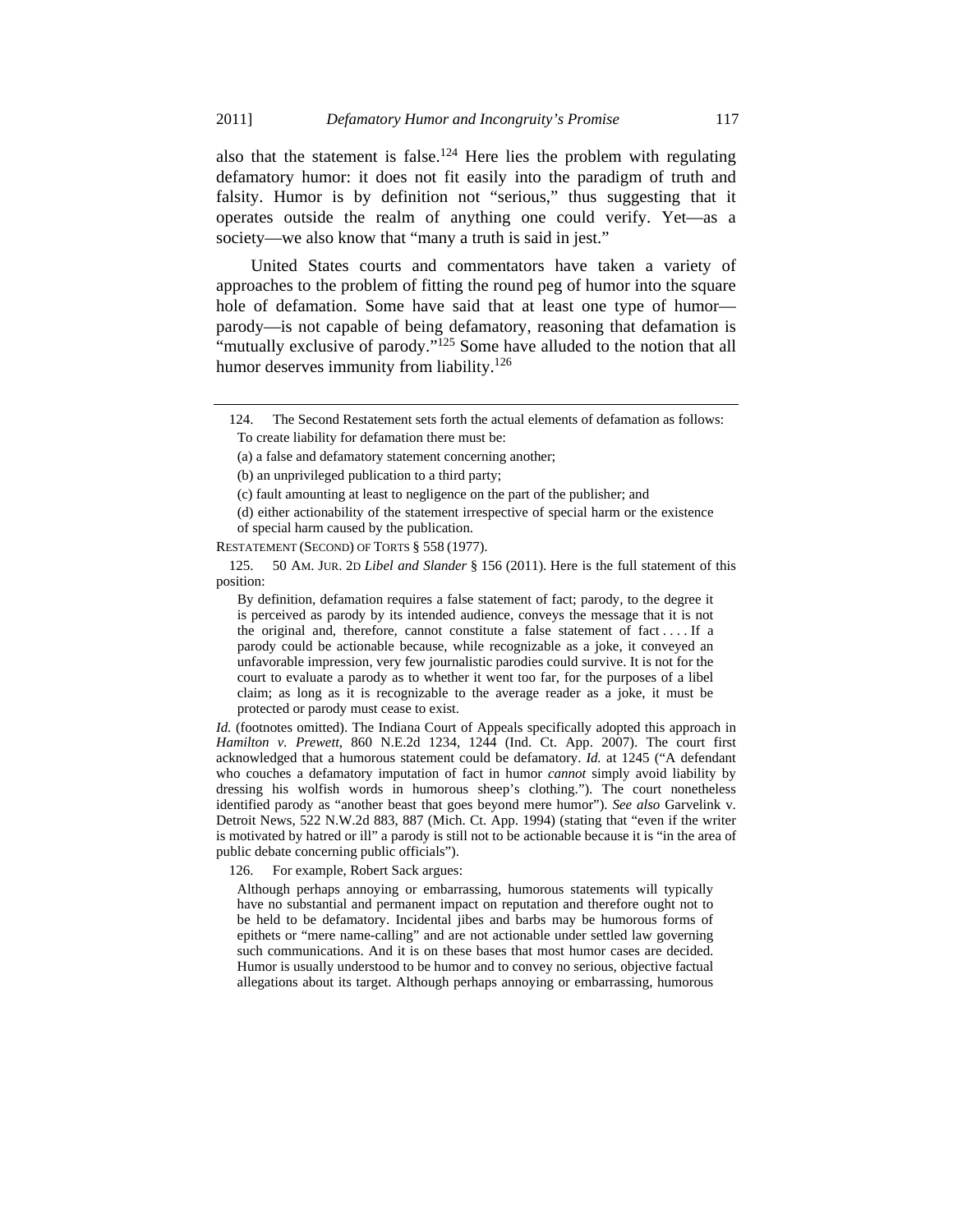also that the statement is false.<sup>124</sup> Here lies the problem with regulating defamatory humor: it does not fit easily into the paradigm of truth and falsity. Humor is by definition not "serious," thus suggesting that it operates outside the realm of anything one could verify. Yet—as a society—we also know that "many a truth is said in jest."

United States courts and commentators have taken a variety of approaches to the problem of fitting the round peg of humor into the square hole of defamation. Some have said that at least one type of humor parody—is not capable of being defamatory, reasoning that defamation is "mutually exclusive of parody."<sup>125</sup> Some have alluded to the notion that all humor deserves immunity from liability.<sup>126</sup>

(b) an unprivileged publication to a third party;

(c) fault amounting at least to negligence on the part of the publisher; and

RESTATEMENT (SECOND) OF TORTS § 558 (1977).

 125. 50 AM. JUR. 2D *Libel and Slander* § 156 (2011). Here is the full statement of this position:

By definition, defamation requires a false statement of fact; parody, to the degree it is perceived as parody by its intended audience, conveys the message that it is not the original and, therefore, cannot constitute a false statement of fact . . . . If a parody could be actionable because, while recognizable as a joke, it conveyed an unfavorable impression, very few journalistic parodies could survive. It is not for the court to evaluate a parody as to whether it went too far, for the purposes of a libel claim; as long as it is recognizable to the average reader as a joke, it must be protected or parody must cease to exist.

*Id.* (footnotes omitted). The Indiana Court of Appeals specifically adopted this approach in *Hamilton v. Prewett*, 860 N.E.2d 1234, 1244 (Ind. Ct. App. 2007). The court first acknowledged that a humorous statement could be defamatory. *Id.* at 1245 ("A defendant who couches a defamatory imputation of fact in humor *cannot* simply avoid liability by dressing his wolfish words in humorous sheep's clothing."). The court nonetheless identified parody as "another beast that goes beyond mere humor"). *See also* Garvelink v. Detroit News, 522 N.W.2d 883, 887 (Mich. Ct. App. 1994) (stating that "even if the writer is motivated by hatred or ill" a parody is still not to be actionable because it is "in the area of public debate concerning public officials").

126. For example, Robert Sack argues:

Although perhaps annoying or embarrassing, humorous statements will typically have no substantial and permanent impact on reputation and therefore ought not to be held to be defamatory. Incidental jibes and barbs may be humorous forms of epithets or "mere name-calling" and are not actionable under settled law governing such communications. And it is on these bases that most humor cases are decided. Humor is usually understood to be humor and to convey no serious, objective factual allegations about its target. Although perhaps annoying or embarrassing, humorous

 <sup>124.</sup> The Second Restatement sets forth the actual elements of defamation as follows:

To create liability for defamation there must be:

<sup>(</sup>a) a false and defamatory statement concerning another;

<sup>(</sup>d) either actionability of the statement irrespective of special harm or the existence of special harm caused by the publication.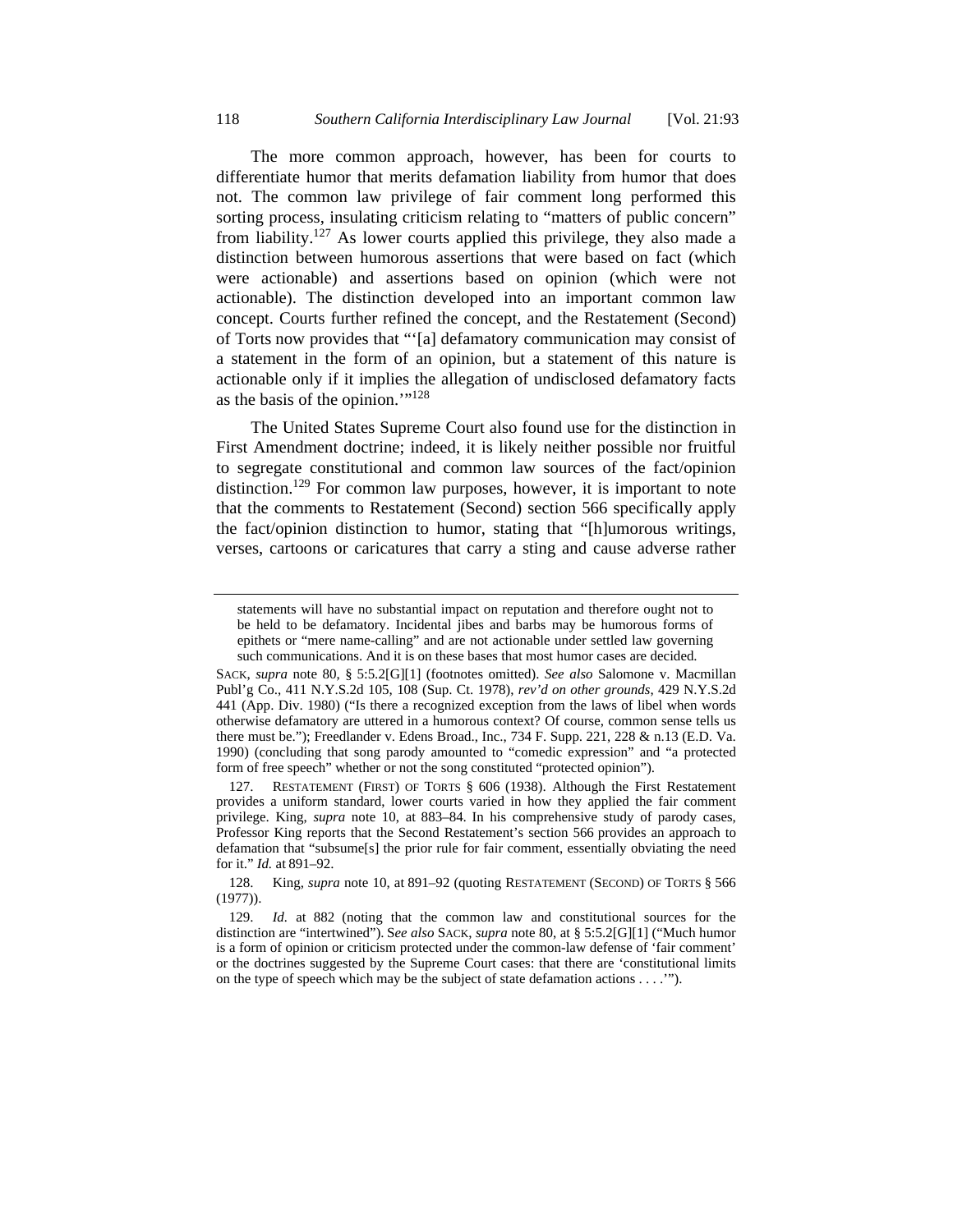The more common approach, however, has been for courts to differentiate humor that merits defamation liability from humor that does not. The common law privilege of fair comment long performed this sorting process, insulating criticism relating to "matters of public concern" from liability.<sup>127</sup> As lower courts applied this privilege, they also made a distinction between humorous assertions that were based on fact (which were actionable) and assertions based on opinion (which were not actionable). The distinction developed into an important common law concept. Courts further refined the concept, and the Restatement (Second) of Torts now provides that "'[a] defamatory communication may consist of a statement in the form of an opinion, but a statement of this nature is actionable only if it implies the allegation of undisclosed defamatory facts as the basis of the opinion.'"128

The United States Supreme Court also found use for the distinction in First Amendment doctrine; indeed, it is likely neither possible nor fruitful to segregate constitutional and common law sources of the fact/opinion distinction.<sup>129</sup> For common law purposes, however, it is important to note that the comments to Restatement (Second) section 566 specifically apply the fact/opinion distinction to humor, stating that "[h]umorous writings, verses, cartoons or caricatures that carry a sting and cause adverse rather

 127. RESTATEMENT (FIRST) OF TORTS § 606 (1938). Although the First Restatement provides a uniform standard, lower courts varied in how they applied the fair comment privilege. King, *supra* note 10, at 883–84. In his comprehensive study of parody cases, Professor King reports that the Second Restatement's section 566 provides an approach to defamation that "subsume[s] the prior rule for fair comment, essentially obviating the need for it." *Id.* at 891–92.

statements will have no substantial impact on reputation and therefore ought not to be held to be defamatory. Incidental jibes and barbs may be humorous forms of epithets or "mere name-calling" and are not actionable under settled law governing such communications. And it is on these bases that most humor cases are decided.

SACK, *supra* note 80, § 5:5.2[G][1] (footnotes omitted). *See also* Salomone v. Macmillan Publ'g Co., 411 N.Y.S.2d 105, 108 (Sup. Ct. 1978), *rev'd on other grounds*, 429 N.Y.S.2d 441 (App. Div. 1980) ("Is there a recognized exception from the laws of libel when words otherwise defamatory are uttered in a humorous context? Of course, common sense tells us there must be."); Freedlander v. Edens Broad., Inc., 734 F. Supp. 221, 228 & n.13 (E.D. Va. 1990) (concluding that song parody amounted to "comedic expression" and "a protected form of free speech" whether or not the song constituted "protected opinion").

 <sup>128.</sup> King, *supra* note 10, at 891–92 (quoting RESTATEMENT (SECOND) OF TORTS § 566 (1977)).

 <sup>129.</sup> *Id.* at 882 (noting that the common law and constitutional sources for the distinction are "intertwined"). S*ee also* SACK, *supra* note 80, at § 5:5.2[G][1] ("Much humor is a form of opinion or criticism protected under the common-law defense of 'fair comment' or the doctrines suggested by the Supreme Court cases: that there are 'constitutional limits on the type of speech which may be the subject of state defamation actions . . . .'").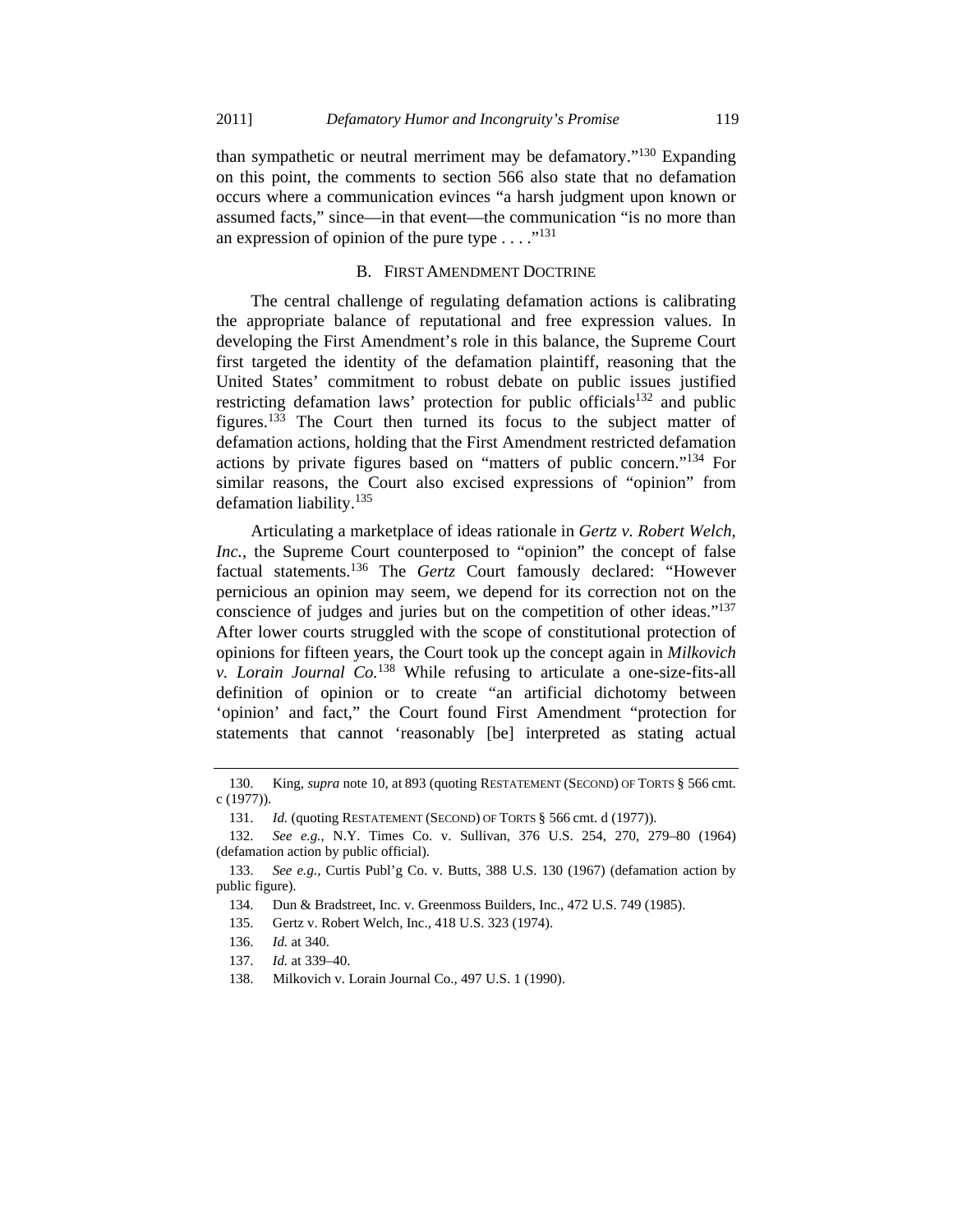than sympathetic or neutral merriment may be defamatory."130 Expanding on this point, the comments to section 566 also state that no defamation occurs where a communication evinces "a harsh judgment upon known or assumed facts," since—in that event—the communication "is no more than an expression of opinion of the pure type  $\dots$ ."<sup>131</sup>

#### B. FIRST AMENDMENT DOCTRINE

The central challenge of regulating defamation actions is calibrating the appropriate balance of reputational and free expression values. In developing the First Amendment's role in this balance, the Supreme Court first targeted the identity of the defamation plaintiff, reasoning that the United States' commitment to robust debate on public issues justified restricting defamation laws' protection for public officials<sup>132</sup> and public figures.133 The Court then turned its focus to the subject matter of defamation actions, holding that the First Amendment restricted defamation actions by private figures based on "matters of public concern."134 For similar reasons, the Court also excised expressions of "opinion" from defamation liability.135

Articulating a marketplace of ideas rationale in *Gertz v. Robert Welch, Inc.*, the Supreme Court counterposed to "opinion" the concept of false factual statements.136 The *Gertz* Court famously declared: "However pernicious an opinion may seem, we depend for its correction not on the conscience of judges and juries but on the competition of other ideas."<sup>137</sup> After lower courts struggled with the scope of constitutional protection of opinions for fifteen years, the Court took up the concept again in *Milkovich v. Lorain Journal Co.*138 While refusing to articulate a one-size-fits-all definition of opinion or to create "an artificial dichotomy between 'opinion' and fact," the Court found First Amendment "protection for statements that cannot 'reasonably [be] interpreted as stating actual

 <sup>130.</sup> King, *supra* note 10, at 893 (quoting RESTATEMENT (SECOND) OF TORTS § 566 cmt. c (1977)).

<sup>131.</sup> *Id.* (quoting RESTATEMENT (SECOND) OF TORTS § 566 cmt. d (1977)).

 <sup>132.</sup> *See e.g.,* N.Y. Times Co. v. Sullivan, 376 U.S. 254, 270, 279–80 (1964) (defamation action by public official).

 <sup>133.</sup> *See e.g.,* Curtis Publ'g Co. v. Butts, 388 U.S. 130 (1967) (defamation action by public figure).

 <sup>134.</sup> Dun & Bradstreet, Inc. v. Greenmoss Builders, Inc., 472 U.S. 749 (1985).

 <sup>135.</sup> Gertz v. Robert Welch, Inc., 418 U.S. 323 (1974).

 <sup>136.</sup> *Id.* at 340.

 <sup>137.</sup> *Id.* at 339–40.

 <sup>138.</sup> Milkovich v. Lorain Journal Co., 497 U.S. 1 (1990).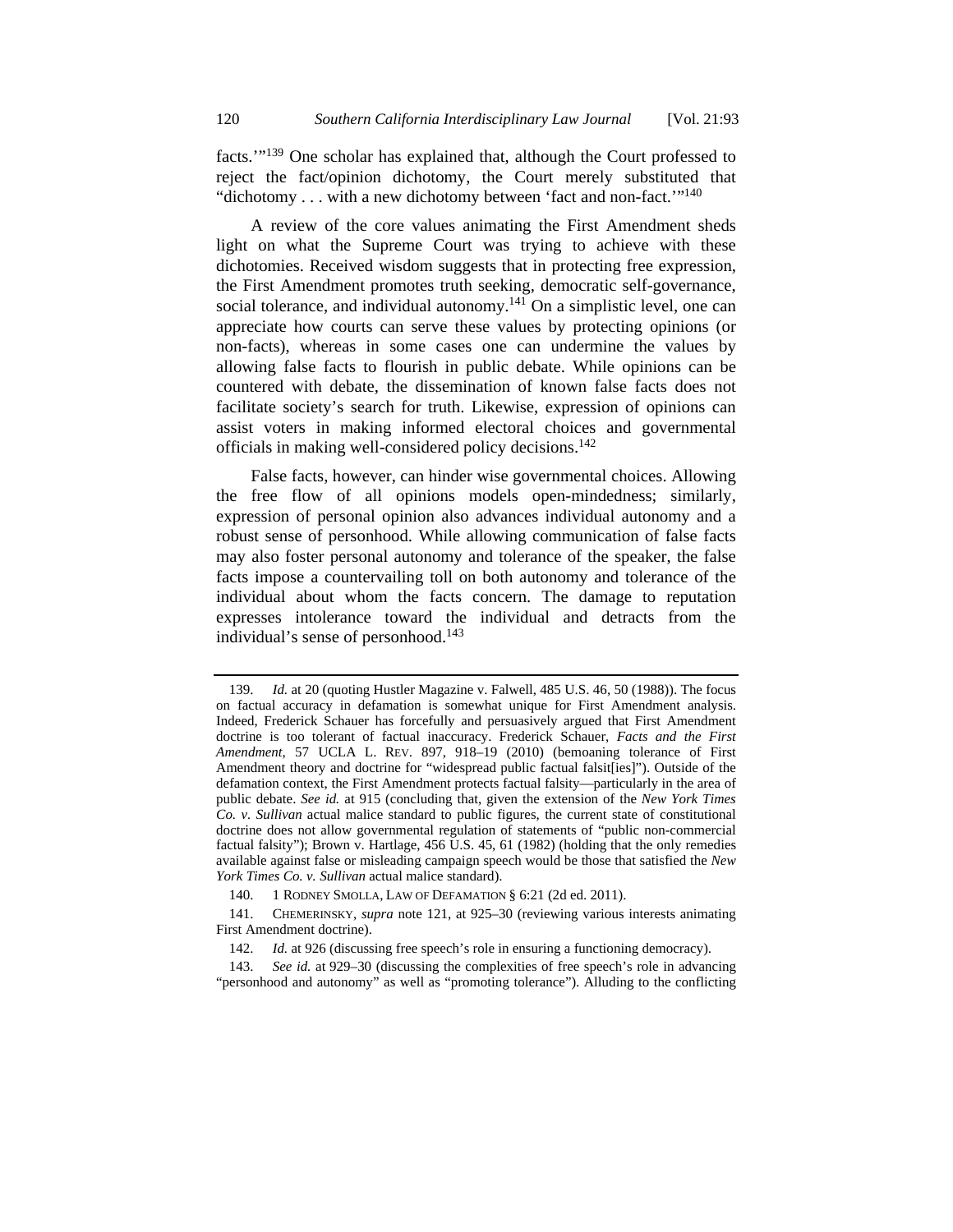facts.'"139 One scholar has explained that, although the Court professed to reject the fact/opinion dichotomy, the Court merely substituted that "dichotomy . . . with a new dichotomy between 'fact and non-fact.'"140

A review of the core values animating the First Amendment sheds light on what the Supreme Court was trying to achieve with these dichotomies. Received wisdom suggests that in protecting free expression, the First Amendment promotes truth seeking, democratic self-governance, social tolerance, and individual autonomy.<sup>141</sup> On a simplistic level, one can appreciate how courts can serve these values by protecting opinions (or non-facts), whereas in some cases one can undermine the values by allowing false facts to flourish in public debate. While opinions can be countered with debate, the dissemination of known false facts does not facilitate society's search for truth. Likewise, expression of opinions can assist voters in making informed electoral choices and governmental officials in making well-considered policy decisions.142

False facts, however, can hinder wise governmental choices. Allowing the free flow of all opinions models open-mindedness; similarly, expression of personal opinion also advances individual autonomy and a robust sense of personhood. While allowing communication of false facts may also foster personal autonomy and tolerance of the speaker, the false facts impose a countervailing toll on both autonomy and tolerance of the individual about whom the facts concern. The damage to reputation expresses intolerance toward the individual and detracts from the individual's sense of personhood.<sup>143</sup>

 <sup>139.</sup> *Id.* at 20 (quoting Hustler Magazine v. Falwell, 485 U.S. 46, 50 (1988)). The focus on factual accuracy in defamation is somewhat unique for First Amendment analysis. Indeed, Frederick Schauer has forcefully and persuasively argued that First Amendment doctrine is too tolerant of factual inaccuracy. Frederick Schauer, *Facts and the First Amendment*, 57 UCLA L. REV. 897, 918–19 (2010) (bemoaning tolerance of First Amendment theory and doctrine for "widespread public factual falsit[ies]"). Outside of the defamation context, the First Amendment protects factual falsity—particularly in the area of public debate. *See id.* at 915 (concluding that, given the extension of the *New York Times Co. v. Sullivan* actual malice standard to public figures, the current state of constitutional doctrine does not allow governmental regulation of statements of "public non-commercial factual falsity"); Brown v. Hartlage, 456 U.S. 45, 61 (1982) (holding that the only remedies available against false or misleading campaign speech would be those that satisfied the *New York Times Co. v. Sullivan* actual malice standard).

 <sup>140. 1</sup> RODNEY SMOLLA, LAW OF DEFAMATION § 6:21 (2d ed. 2011).

 <sup>141.</sup> CHEMERINSKY, *supra* note 121, at 925–30 (reviewing various interests animating First Amendment doctrine).

<sup>142.</sup> *Id.* at 926 (discussing free speech's role in ensuring a functioning democracy).

 <sup>143.</sup> *See id.* at 929–30 (discussing the complexities of free speech's role in advancing "personhood and autonomy" as well as "promoting tolerance"). Alluding to the conflicting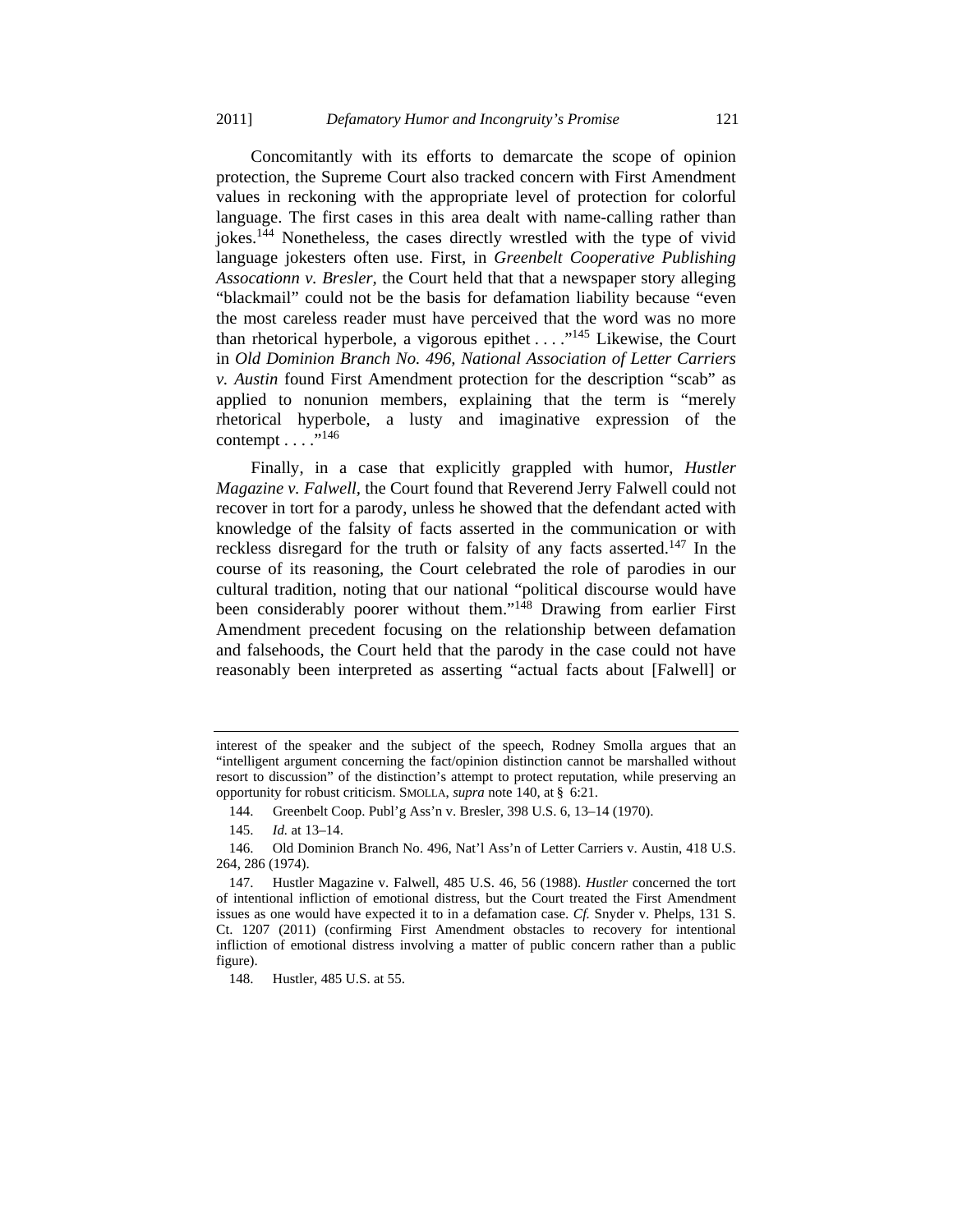Concomitantly with its efforts to demarcate the scope of opinion protection, the Supreme Court also tracked concern with First Amendment values in reckoning with the appropriate level of protection for colorful language. The first cases in this area dealt with name-calling rather than jokes.144 Nonetheless, the cases directly wrestled with the type of vivid language jokesters often use. First, in *Greenbelt Cooperative Publishing Assocationn v. Bresler,* the Court held that that a newspaper story alleging "blackmail" could not be the basis for defamation liability because "even the most careless reader must have perceived that the word was no more than rhetorical hyperbole, a vigorous epithet  $\dots$ <sup>145</sup> Likewise, the Court in *Old Dominion Branch No. 496, National Association of Letter Carriers v. Austin* found First Amendment protection for the description "scab" as applied to nonunion members, explaining that the term is "merely rhetorical hyperbole, a lusty and imaginative expression of the contempt  $\ldots$  ."<sup>146</sup>

Finally, in a case that explicitly grappled with humor, *Hustler Magazine v. Falwell,* the Court found that Reverend Jerry Falwell could not recover in tort for a parody, unless he showed that the defendant acted with knowledge of the falsity of facts asserted in the communication or with reckless disregard for the truth or falsity of any facts asserted.<sup>147</sup> In the course of its reasoning, the Court celebrated the role of parodies in our cultural tradition, noting that our national "political discourse would have been considerably poorer without them."<sup>148</sup> Drawing from earlier First Amendment precedent focusing on the relationship between defamation and falsehoods, the Court held that the parody in the case could not have reasonably been interpreted as asserting "actual facts about [Falwell] or

148. Hustler, 485 U.S. at 55.

interest of the speaker and the subject of the speech, Rodney Smolla argues that an "intelligent argument concerning the fact/opinion distinction cannot be marshalled without resort to discussion" of the distinction's attempt to protect reputation, while preserving an opportunity for robust criticism. SMOLLA, *supra* note 140, at § 6:21.

 <sup>144.</sup> Greenbelt Coop. Publ'g Ass'n v. Bresler, 398 U.S. 6, 13–14 (1970).

 <sup>145.</sup> *Id.* at 13–14.

 <sup>146.</sup> Old Dominion Branch No. 496, Nat'l Ass'n of Letter Carriers v. Austin, 418 U.S. 264, 286 (1974).

 <sup>147.</sup> Hustler Magazine v. Falwell, 485 U.S. 46, 56 (1988). *Hustler* concerned the tort of intentional infliction of emotional distress, but the Court treated the First Amendment issues as one would have expected it to in a defamation case. *Cf.* Snyder v. Phelps, 131 S. Ct. 1207 (2011) (confirming First Amendment obstacles to recovery for intentional infliction of emotional distress involving a matter of public concern rather than a public figure).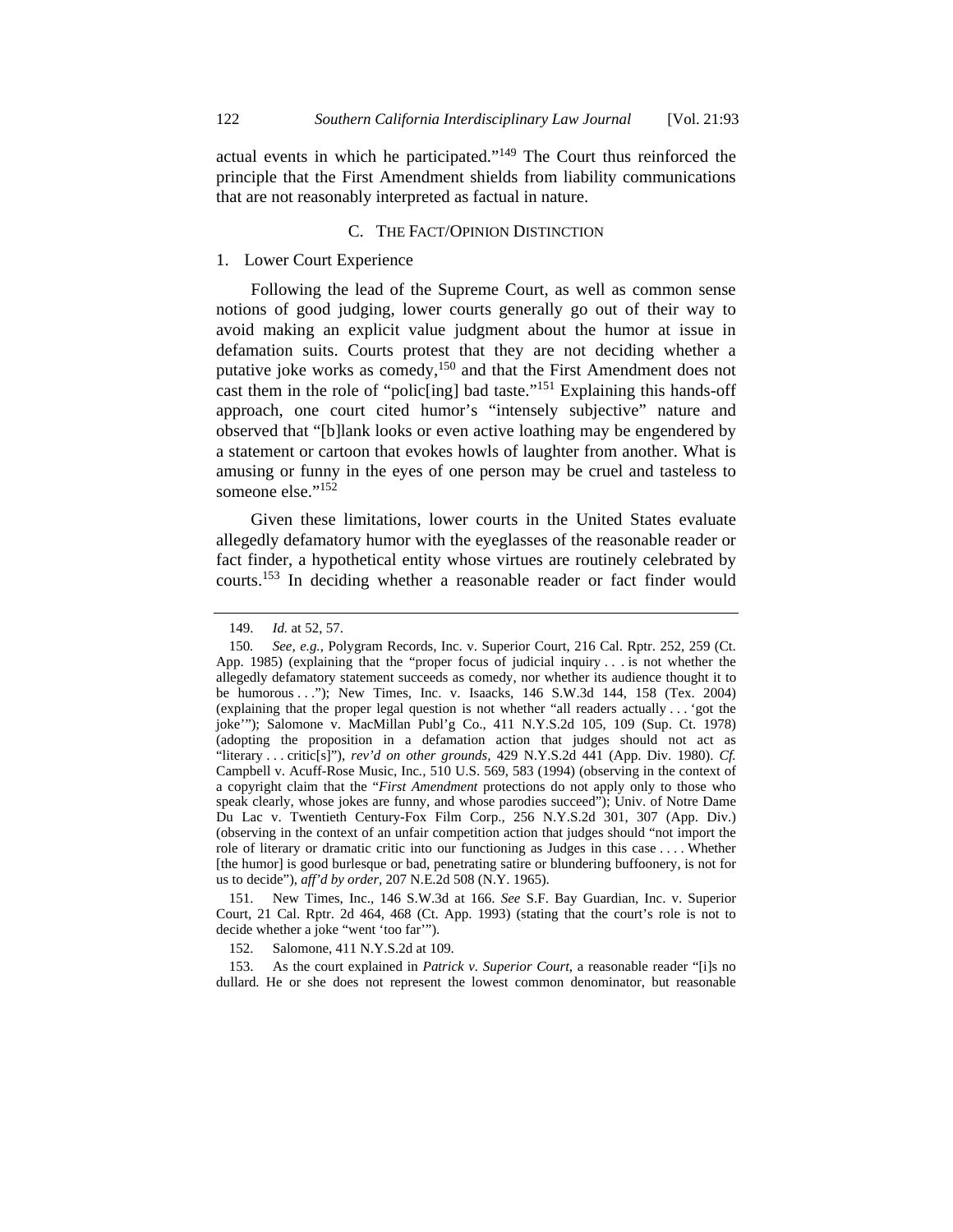actual events in which he participated."149 The Court thus reinforced the principle that the First Amendment shields from liability communications that are not reasonably interpreted as factual in nature.

## C. THE FACT/OPINION DISTINCTION

## 1. Lower Court Experience

Following the lead of the Supreme Court, as well as common sense notions of good judging, lower courts generally go out of their way to avoid making an explicit value judgment about the humor at issue in defamation suits. Courts protest that they are not deciding whether a putative joke works as comedy,<sup>150</sup> and that the First Amendment does not cast them in the role of "polic[ing] bad taste."151 Explaining this hands-off approach, one court cited humor's "intensely subjective" nature and observed that "[b]lank looks or even active loathing may be engendered by a statement or cartoon that evokes howls of laughter from another. What is amusing or funny in the eyes of one person may be cruel and tasteless to someone else."<sup>152</sup>

Given these limitations, lower courts in the United States evaluate allegedly defamatory humor with the eyeglasses of the reasonable reader or fact finder, a hypothetical entity whose virtues are routinely celebrated by courts.153 In deciding whether a reasonable reader or fact finder would

 151. New Times, Inc.*,* 146 S.W.3d at 166. *See* S.F. Bay Guardian, Inc. v. Superior Court*,* 21 Cal. Rptr. 2d 464, 468 (Ct. App. 1993) (stating that the court's role is not to decide whether a joke "went 'too far'").

152. Salomone, 411 N.Y.S.2d at 109.

 153. As the court explained in *Patrick v. Superior Court*, a reasonable reader "[i]s no dullard. He or she does not represent the lowest common denominator, but reasonable

 <sup>149.</sup> *Id.* at 52, 57.

<sup>150</sup>*. See, e.g.*, Polygram Records, Inc. v. Superior Court, 216 Cal. Rptr. 252, 259 (Ct. App. 1985) (explaining that the "proper focus of judicial inquiry . . . is not whether the allegedly defamatory statement succeeds as comedy, nor whether its audience thought it to be humorous . . ."); New Times, Inc. v. Isaacks*,* 146 S.W.3d 144, 158 (Tex. 2004) (explaining that the proper legal question is not whether "all readers actually . . . 'got the joke'"); Salomone v. MacMillan Publ'g Co., 411 N.Y.S.2d 105, 109 (Sup. Ct. 1978) (adopting the proposition in a defamation action that judges should not act as "literary . . . critic[s]"), *rev'd on other grounds,* 429 N.Y.S.2d 441 (App. Div. 1980). *Cf.* Campbell v. Acuff-Rose Music, Inc*.,* 510 U.S. 569, 583 (1994) (observing in the context of a copyright claim that the "*First Amendment* protections do not apply only to those who speak clearly, whose jokes are funny, and whose parodies succeed"); Univ. of Notre Dame Du Lac v. Twentieth Century-Fox Film Corp.*,* 256 N.Y.S.2d 301, 307 (App. Div.) (observing in the context of an unfair competition action that judges should "not import the role of literary or dramatic critic into our functioning as Judges in this case . . . . Whether [the humor] is good burlesque or bad, penetrating satire or blundering buffoonery, is not for us to decide"), *aff'd by order,* 207 N.E.2d 508 (N.Y. 1965).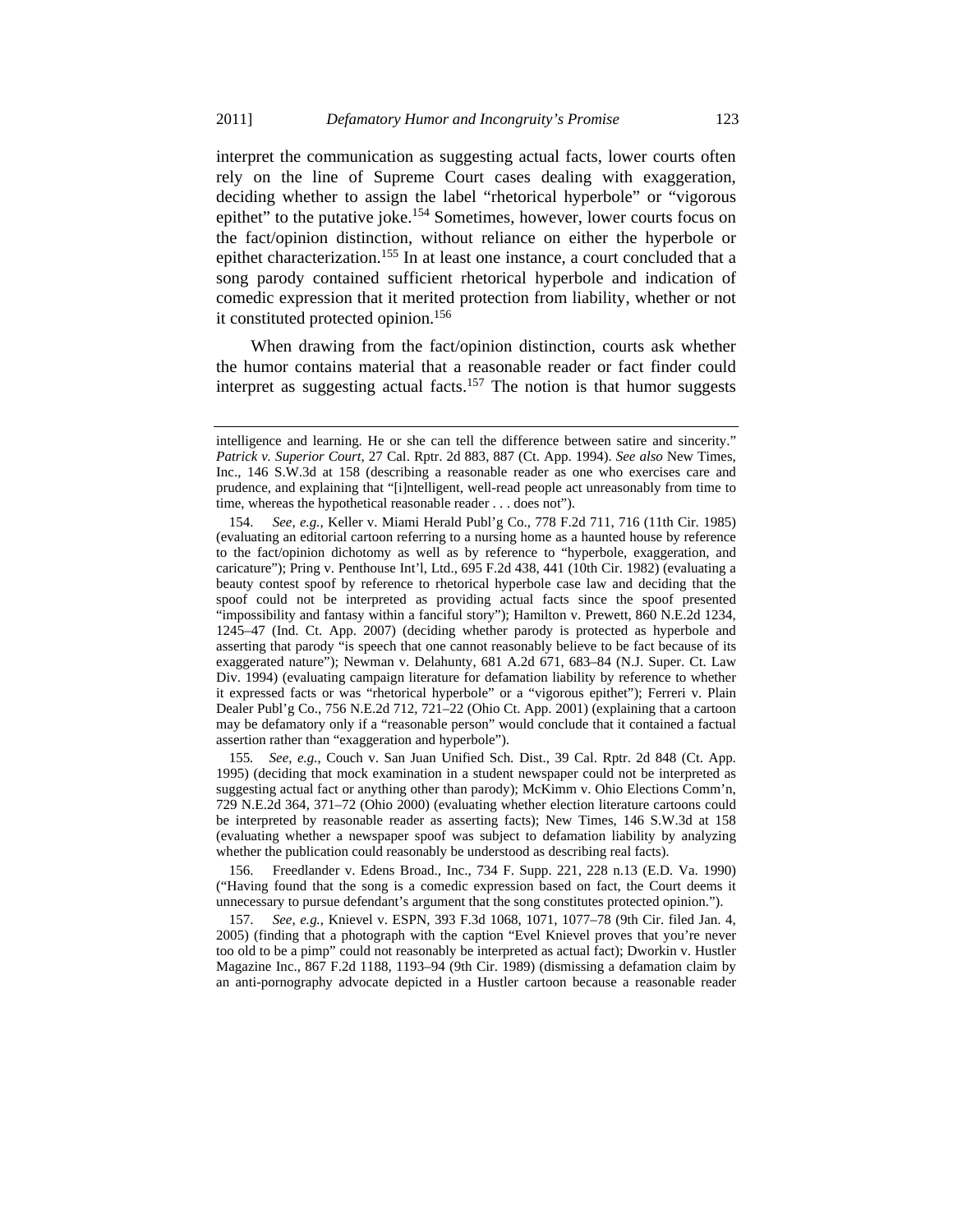interpret the communication as suggesting actual facts, lower courts often rely on the line of Supreme Court cases dealing with exaggeration, deciding whether to assign the label "rhetorical hyperbole" or "vigorous epithet" to the putative joke.<sup>154</sup> Sometimes, however, lower courts focus on the fact/opinion distinction, without reliance on either the hyperbole or epithet characterization.<sup>155</sup> In at least one instance, a court concluded that a song parody contained sufficient rhetorical hyperbole and indication of comedic expression that it merited protection from liability, whether or not it constituted protected opinion.<sup>156</sup>

When drawing from the fact/opinion distinction, courts ask whether the humor contains material that a reasonable reader or fact finder could interpret as suggesting actual facts.<sup>157</sup> The notion is that humor suggests

155*. See, e.g.*, Couch v. San Juan Unified Sch. Dist., 39 Cal. Rptr. 2d 848 (Ct. App. 1995) (deciding that mock examination in a student newspaper could not be interpreted as suggesting actual fact or anything other than parody); McKimm v. Ohio Elections Comm'n, 729 N.E.2d 364, 371–72 (Ohio 2000) (evaluating whether election literature cartoons could be interpreted by reasonable reader as asserting facts); New Times, 146 S.W.3d at 158 (evaluating whether a newspaper spoof was subject to defamation liability by analyzing whether the publication could reasonably be understood as describing real facts).

 156. Freedlander v. Edens Broad., Inc., 734 F. Supp. 221, 228 n.13 (E.D. Va. 1990) ("Having found that the song is a comedic expression based on fact, the Court deems it unnecessary to pursue defendant's argument that the song constitutes protected opinion.").

 157. *See, e.g.*, Knievel v. ESPN, 393 F.3d 1068, 1071, 1077–78 (9th Cir. filed Jan. 4, 2005) (finding that a photograph with the caption "Evel Knievel proves that you're never too old to be a pimp" could not reasonably be interpreted as actual fact); Dworkin v. Hustler Magazine Inc.*,* 867 F.2d 1188, 1193–94 (9th Cir. 1989) (dismissing a defamation claim by an anti-pornography advocate depicted in a Hustler cartoon because a reasonable reader

intelligence and learning. He or she can tell the difference between satire and sincerity." *Patrick v. Superior Court*, 27 Cal. Rptr. 2d 883, 887 (Ct. App. 1994). *See also* New Times, Inc.*,* 146 S.W.3d at 158 (describing a reasonable reader as one who exercises care and prudence, and explaining that "[i]ntelligent, well-read people act unreasonably from time to time, whereas the hypothetical reasonable reader . . . does not").

 <sup>154.</sup> *See, e.g.*, Keller v. Miami Herald Publ'g Co., 778 F.2d 711, 716 (11th Cir. 1985) (evaluating an editorial cartoon referring to a nursing home as a haunted house by reference to the fact/opinion dichotomy as well as by reference to "hyperbole, exaggeration, and caricature"); Pring v. Penthouse Int'l, Ltd., 695 F.2d 438, 441 (10th Cir. 1982) (evaluating a beauty contest spoof by reference to rhetorical hyperbole case law and deciding that the spoof could not be interpreted as providing actual facts since the spoof presented "impossibility and fantasy within a fanciful story"); Hamilton v. Prewett, 860 N.E.2d 1234, 1245–47 (Ind. Ct. App. 2007) (deciding whether parody is protected as hyperbole and asserting that parody "is speech that one cannot reasonably believe to be fact because of its exaggerated nature"); Newman v. Delahunty, 681 A.2d 671, 683–84 (N.J. Super. Ct. Law Div. 1994) (evaluating campaign literature for defamation liability by reference to whether it expressed facts or was "rhetorical hyperbole" or a "vigorous epithet"); Ferreri v. Plain Dealer Publ'g Co., 756 N.E.2d 712, 721–22 (Ohio Ct. App. 2001) (explaining that a cartoon may be defamatory only if a "reasonable person" would conclude that it contained a factual assertion rather than "exaggeration and hyperbole").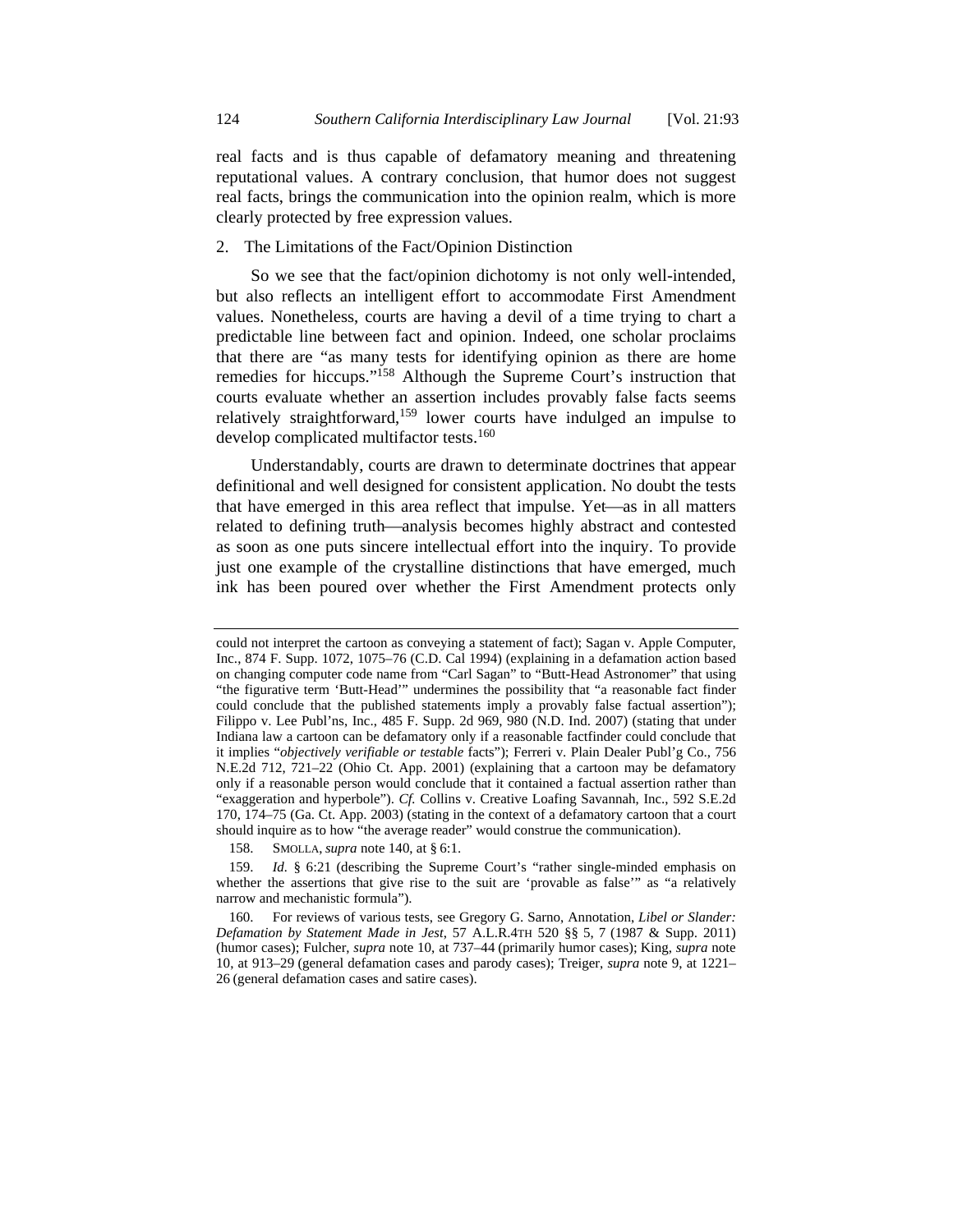real facts and is thus capable of defamatory meaning and threatening reputational values. A contrary conclusion, that humor does not suggest real facts, brings the communication into the opinion realm, which is more clearly protected by free expression values.

## 2. The Limitations of the Fact/Opinion Distinction

So we see that the fact/opinion dichotomy is not only well-intended, but also reflects an intelligent effort to accommodate First Amendment values. Nonetheless, courts are having a devil of a time trying to chart a predictable line between fact and opinion. Indeed, one scholar proclaims that there are "as many tests for identifying opinion as there are home remedies for hiccups."158 Although the Supreme Court's instruction that courts evaluate whether an assertion includes provably false facts seems relatively straightforward,<sup>159</sup> lower courts have indulged an impulse to develop complicated multifactor tests.<sup>160</sup>

Understandably, courts are drawn to determinate doctrines that appear definitional and well designed for consistent application. No doubt the tests that have emerged in this area reflect that impulse. Yet—as in all matters related to defining truth—analysis becomes highly abstract and contested as soon as one puts sincere intellectual effort into the inquiry. To provide just one example of the crystalline distinctions that have emerged, much ink has been poured over whether the First Amendment protects only

could not interpret the cartoon as conveying a statement of fact); Sagan v. Apple Computer, Inc., 874 F. Supp. 1072, 1075–76 (C.D. Cal 1994) (explaining in a defamation action based on changing computer code name from "Carl Sagan" to "Butt-Head Astronomer" that using "the figurative term 'Butt-Head'" undermines the possibility that "a reasonable fact finder could conclude that the published statements imply a provably false factual assertion"); Filippo v. Lee Publ'ns, Inc., 485 F. Supp. 2d 969, 980 (N.D. Ind. 2007) (stating that under Indiana law a cartoon can be defamatory only if a reasonable factfinder could conclude that it implies "*objectively verifiable or testable* facts"); Ferreri v. Plain Dealer Publ'g Co., 756 N.E.2d 712, 721–22 (Ohio Ct. App. 2001) (explaining that a cartoon may be defamatory only if a reasonable person would conclude that it contained a factual assertion rather than "exaggeration and hyperbole"). *Cf.* Collins v. Creative Loafing Savannah, Inc., 592 S.E.2d 170, 174–75 (Ga. Ct. App. 2003) (stating in the context of a defamatory cartoon that a court should inquire as to how "the average reader" would construe the communication).

 <sup>158.</sup> SMOLLA, *supra* note 140, at § 6:1.

 <sup>159.</sup> *Id.* § 6:21 (describing the Supreme Court's "rather single-minded emphasis on whether the assertions that give rise to the suit are 'provable as false'" as "a relatively narrow and mechanistic formula").

 <sup>160.</sup> For reviews of various tests, see Gregory G. Sarno, Annotation, *Libel or Slander: Defamation by Statement Made in Jest*, 57 A.L.R.4TH 520 §§ 5, 7 (1987 & Supp. 2011) (humor cases); Fulcher, *supra* note 10, at 737–44 (primarily humor cases); King, *supra* note 10, at 913–29 (general defamation cases and parody cases); Treiger, *supra* note 9, at 1221– 26 (general defamation cases and satire cases).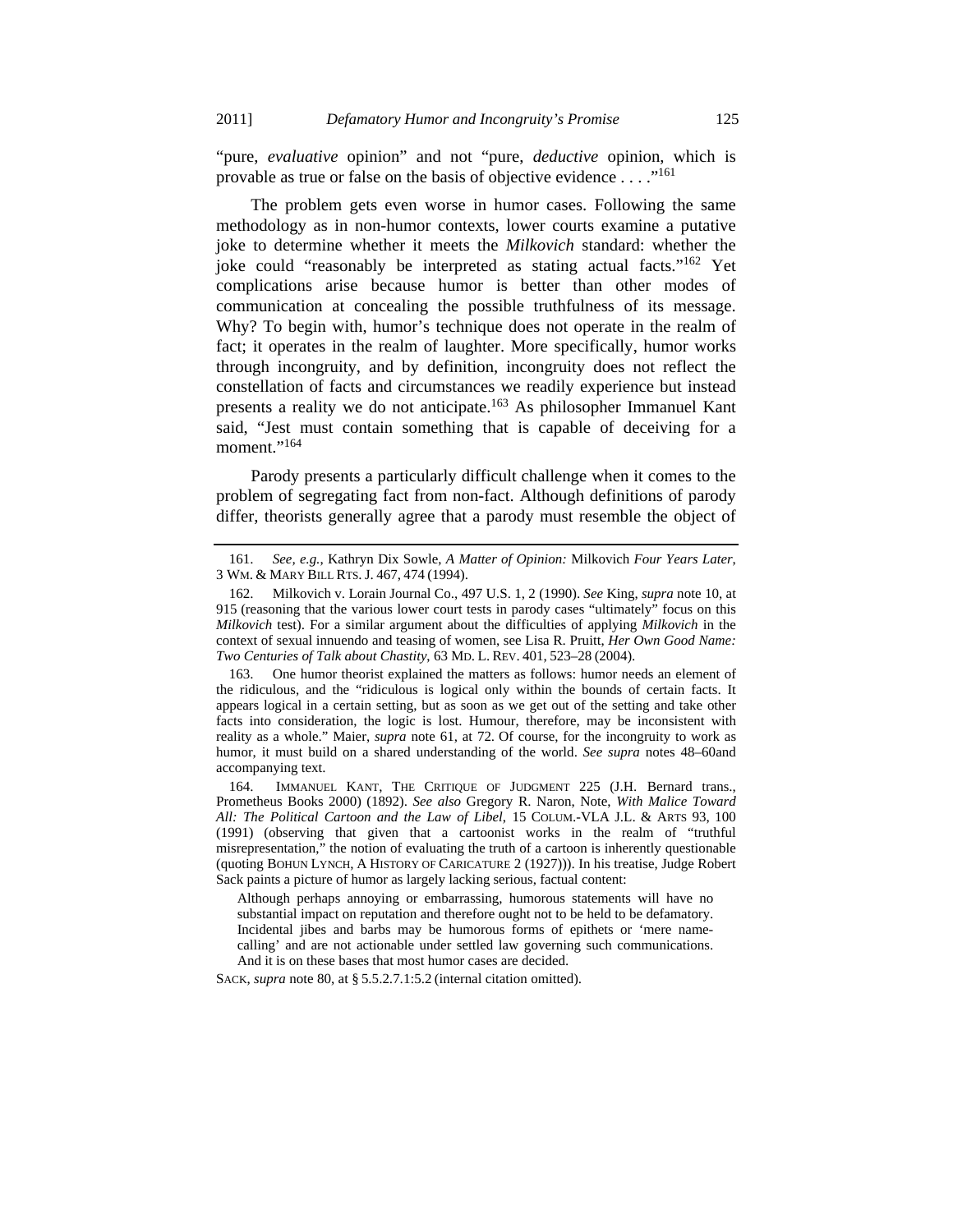"pure, *evaluative* opinion" and not "pure, *deductive* opinion, which is provable as true or false on the basis of objective evidence  $\dots$ <sup>161</sup>

The problem gets even worse in humor cases. Following the same methodology as in non-humor contexts, lower courts examine a putative joke to determine whether it meets the *Milkovich* standard: whether the joke could "reasonably be interpreted as stating actual facts."162 Yet complications arise because humor is better than other modes of communication at concealing the possible truthfulness of its message. Why? To begin with, humor's technique does not operate in the realm of fact; it operates in the realm of laughter. More specifically, humor works through incongruity, and by definition, incongruity does not reflect the constellation of facts and circumstances we readily experience but instead presents a reality we do not anticipate.<sup>163</sup> As philosopher Immanuel Kant said, "Jest must contain something that is capable of deceiving for a moment."<sup>164</sup>

Parody presents a particularly difficult challenge when it comes to the problem of segregating fact from non-fact. Although definitions of parody differ, theorists generally agree that a parody must resemble the object of

Although perhaps annoying or embarrassing, humorous statements will have no substantial impact on reputation and therefore ought not to be held to be defamatory. Incidental jibes and barbs may be humorous forms of epithets or 'mere namecalling' and are not actionable under settled law governing such communications. And it is on these bases that most humor cases are decided.

SACK, *supra* note 80, at § 5.5.2.7.1:5.2 (internal citation omitted).

 <sup>161.</sup> *See, e.g.*, Kathryn Dix Sowle, *A Matter of Opinion:* Milkovich *Four Years Later*, 3 WM. & MARY BILL RTS. J. 467, 474 (1994).

 <sup>162.</sup> Milkovich v. Lorain Journal Co., 497 U.S. 1, 2 (1990). *See* King, *supra* note 10, at 915 (reasoning that the various lower court tests in parody cases "ultimately" focus on this *Milkovich* test). For a similar argument about the difficulties of applying *Milkovich* in the context of sexual innuendo and teasing of women, see Lisa R. Pruitt, *Her Own Good Name: Two Centuries of Talk about Chastity*, 63 MD. L. REV. 401, 523–28 (2004).

 <sup>163.</sup> One humor theorist explained the matters as follows: humor needs an element of the ridiculous, and the "ridiculous is logical only within the bounds of certain facts. It appears logical in a certain setting, but as soon as we get out of the setting and take other facts into consideration, the logic is lost. Humour, therefore, may be inconsistent with reality as a whole." Maier, *supra* note 61, at 72. Of course, for the incongruity to work as humor, it must build on a shared understanding of the world. *See supra* notes 48–60and accompanying text.

 <sup>164.</sup> IMMANUEL KANT, THE CRITIQUE OF JUDGMENT 225 (J.H. Bernard trans., Prometheus Books 2000) (1892). *See also* Gregory R. Naron, Note, *With Malice Toward All: The Political Cartoon and the Law of Libel*, 15 COLUM.-VLA J.L. & ARTS 93, 100 (1991) (observing that given that a cartoonist works in the realm of "truthful misrepresentation," the notion of evaluating the truth of a cartoon is inherently questionable (quoting BOHUN LYNCH, A HISTORY OF CARICATURE 2 (1927))). In his treatise, Judge Robert Sack paints a picture of humor as largely lacking serious, factual content: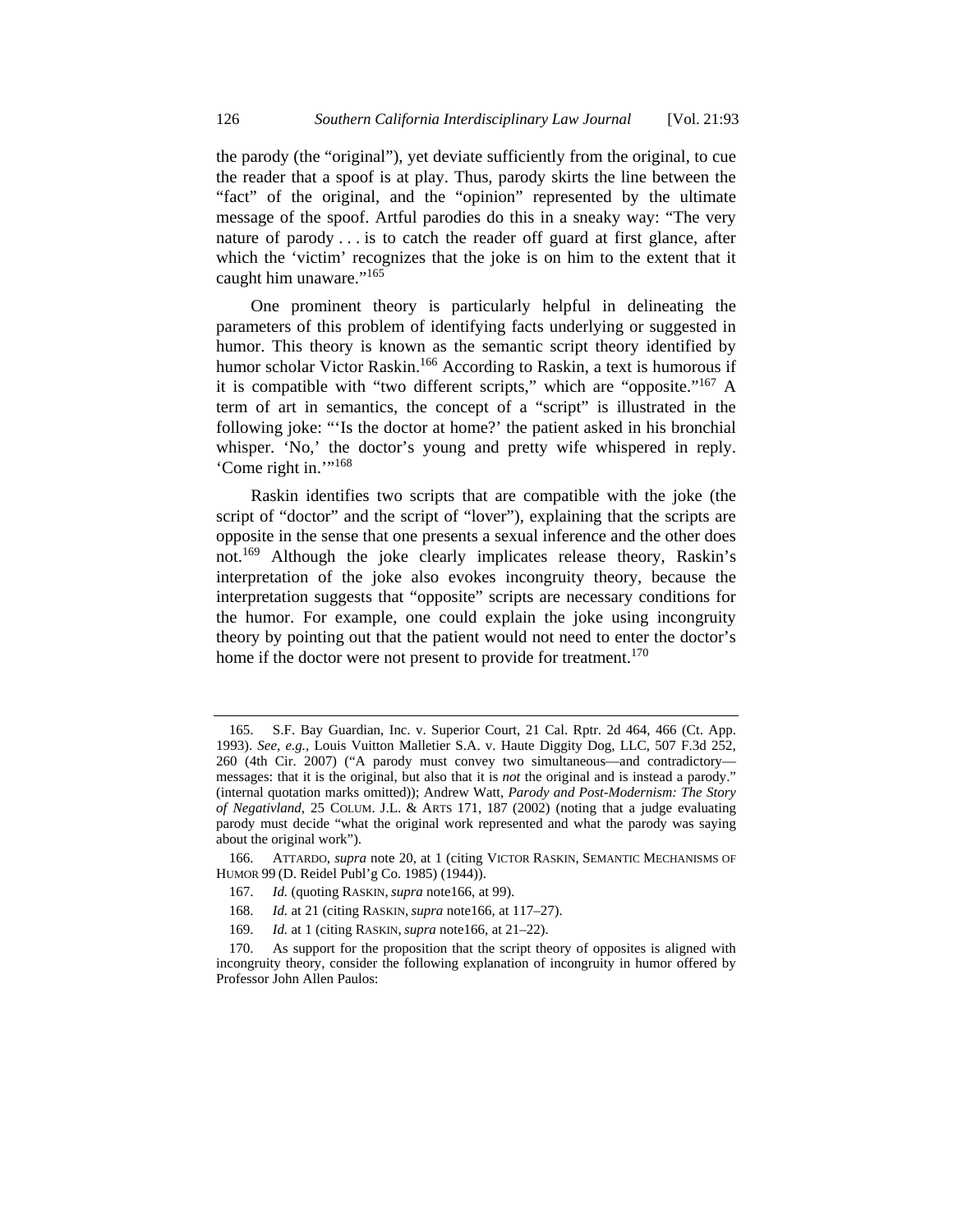the parody (the "original"), yet deviate sufficiently from the original, to cue the reader that a spoof is at play. Thus, parody skirts the line between the "fact" of the original, and the "opinion" represented by the ultimate message of the spoof. Artful parodies do this in a sneaky way: "The very nature of parody . . . is to catch the reader off guard at first glance, after which the 'victim' recognizes that the joke is on him to the extent that it caught him unaware."<sup>165</sup>

One prominent theory is particularly helpful in delineating the parameters of this problem of identifying facts underlying or suggested in humor. This theory is known as the semantic script theory identified by humor scholar Victor Raskin.<sup>166</sup> According to Raskin, a text is humorous if it is compatible with "two different scripts," which are "opposite."<sup>167</sup> A term of art in semantics, the concept of a "script" is illustrated in the following joke: "'Is the doctor at home?' the patient asked in his bronchial whisper. 'No,' the doctor's young and pretty wife whispered in reply. 'Come right in.'"168

Raskin identifies two scripts that are compatible with the joke (the script of "doctor" and the script of "lover"), explaining that the scripts are opposite in the sense that one presents a sexual inference and the other does not.169 Although the joke clearly implicates release theory, Raskin's interpretation of the joke also evokes incongruity theory, because the interpretation suggests that "opposite" scripts are necessary conditions for the humor. For example, one could explain the joke using incongruity theory by pointing out that the patient would not need to enter the doctor's home if the doctor were not present to provide for treatment.<sup>170</sup>

 <sup>165.</sup> S.F. Bay Guardian, Inc. v. Superior Court, 21 Cal. Rptr. 2d 464, 466 (Ct. App. 1993). *See, e.g.*, Louis Vuitton Malletier S.A. v. Haute Diggity Dog, LLC, 507 F.3d 252, 260 (4th Cir. 2007) ("A parody must convey two simultaneous—and contradictory messages: that it is the original, but also that it is *not* the original and is instead a parody." (internal quotation marks omitted)); Andrew Watt, *Parody and Post-Modernism: The Story of Negativland*, 25 COLUM. J.L. & ARTS 171, 187 (2002) (noting that a judge evaluating parody must decide "what the original work represented and what the parody was saying about the original work").

 <sup>166.</sup> ATTARDO, *supra* note 20, at 1 (citing VICTOR RASKIN, SEMANTIC MECHANISMS OF HUMOR 99 (D. Reidel Publ'g Co. 1985) (1944)).

 <sup>167.</sup> *Id.* (quoting RASKIN, *supra* note166, at 99).

 <sup>168.</sup> *Id.* at 21 (citing RASKIN, *supra* note166, at 117–27).

 <sup>169.</sup> *Id.* at 1 (citing RASKIN, *supra* note166, at 21–22).

 <sup>170.</sup> As support for the proposition that the script theory of opposites is aligned with incongruity theory, consider the following explanation of incongruity in humor offered by Professor John Allen Paulos: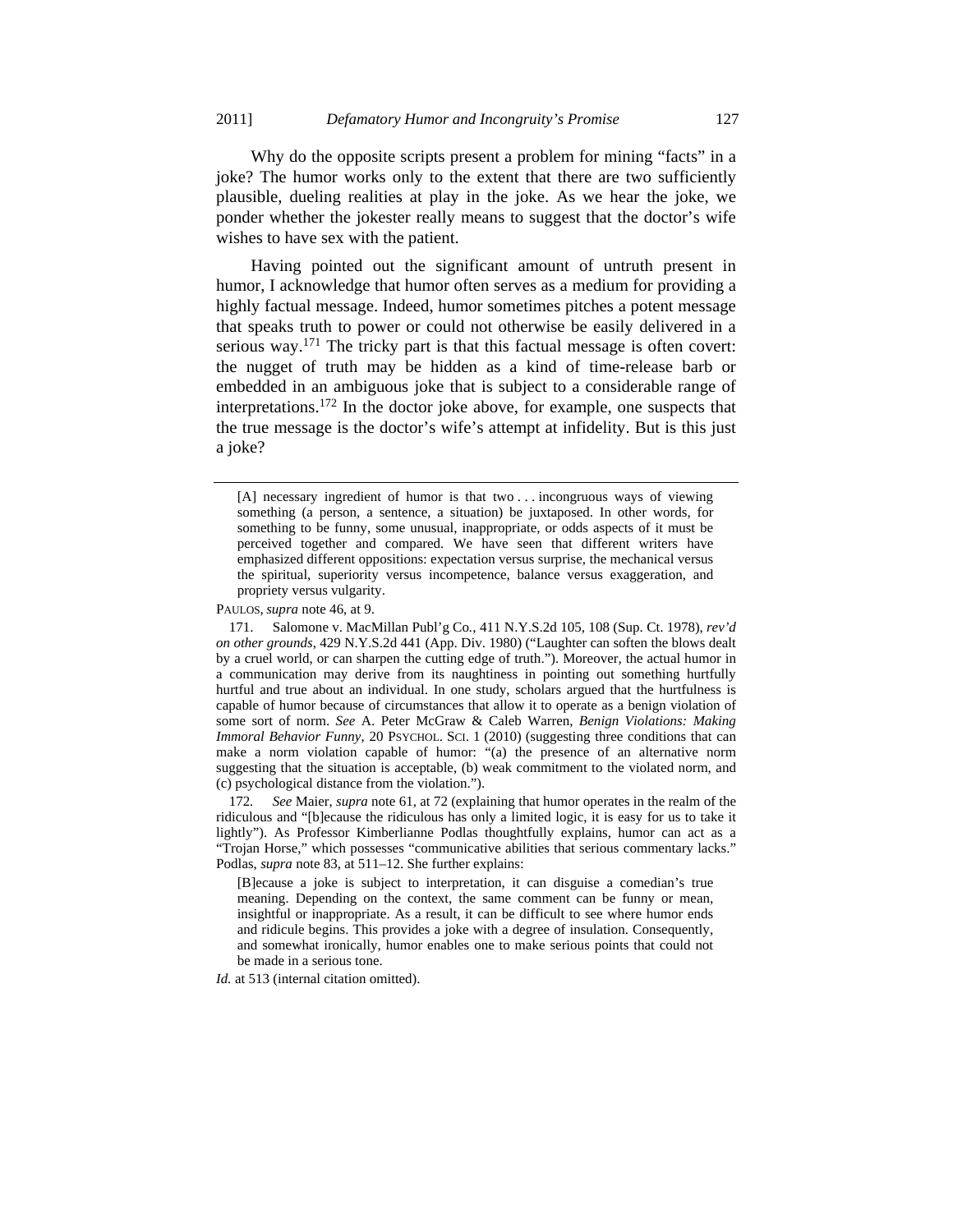Why do the opposite scripts present a problem for mining "facts" in a joke? The humor works only to the extent that there are two sufficiently plausible, dueling realities at play in the joke. As we hear the joke, we ponder whether the jokester really means to suggest that the doctor's wife wishes to have sex with the patient.

Having pointed out the significant amount of untruth present in humor, I acknowledge that humor often serves as a medium for providing a highly factual message. Indeed, humor sometimes pitches a potent message that speaks truth to power or could not otherwise be easily delivered in a serious way.<sup>171</sup> The tricky part is that this factual message is often covert: the nugget of truth may be hidden as a kind of time-release barb or embedded in an ambiguous joke that is subject to a considerable range of interpretations.172 In the doctor joke above, for example, one suspects that the true message is the doctor's wife's attempt at infidelity. But is this just a joke?

PAULOS, *supra* note 46, at 9.

*Id.* at 513 (internal citation omitted).

<sup>[</sup>A] necessary ingredient of humor is that two . . . incongruous ways of viewing something (a person, a sentence, a situation) be juxtaposed. In other words, for something to be funny, some unusual, inappropriate, or odds aspects of it must be perceived together and compared. We have seen that different writers have emphasized different oppositions: expectation versus surprise, the mechanical versus the spiritual, superiority versus incompetence, balance versus exaggeration, and propriety versus vulgarity.

 <sup>171.</sup> Salomone v. MacMillan Publ'g Co*.*, 411 N.Y.S.2d 105, 108 (Sup. Ct. 1978), *rev'd on other grounds*, 429 N.Y.S.2d 441 (App. Div. 1980) ("Laughter can soften the blows dealt by a cruel world, or can sharpen the cutting edge of truth."). Moreover, the actual humor in a communication may derive from its naughtiness in pointing out something hurtfully hurtful and true about an individual. In one study, scholars argued that the hurtfulness is capable of humor because of circumstances that allow it to operate as a benign violation of some sort of norm. *See* A. Peter McGraw & Caleb Warren, *Benign Violations: Making Immoral Behavior Funny*, 20 PSYCHOL. SCI. 1 (2010) (suggesting three conditions that can make a norm violation capable of humor: "(a) the presence of an alternative norm suggesting that the situation is acceptable, (b) weak commitment to the violated norm, and (c) psychological distance from the violation.").

<sup>172</sup>*. See* Maier, *supra* note 61, at 72 (explaining that humor operates in the realm of the ridiculous and "[b]ecause the ridiculous has only a limited logic, it is easy for us to take it lightly"). As Professor Kimberlianne Podlas thoughtfully explains, humor can act as a "Trojan Horse," which possesses "communicative abilities that serious commentary lacks." Podlas, *supra* note 83, at 511–12. She further explains:

<sup>[</sup>B]ecause a joke is subject to interpretation, it can disguise a comedian's true meaning. Depending on the context, the same comment can be funny or mean, insightful or inappropriate. As a result, it can be difficult to see where humor ends and ridicule begins. This provides a joke with a degree of insulation. Consequently, and somewhat ironically, humor enables one to make serious points that could not be made in a serious tone.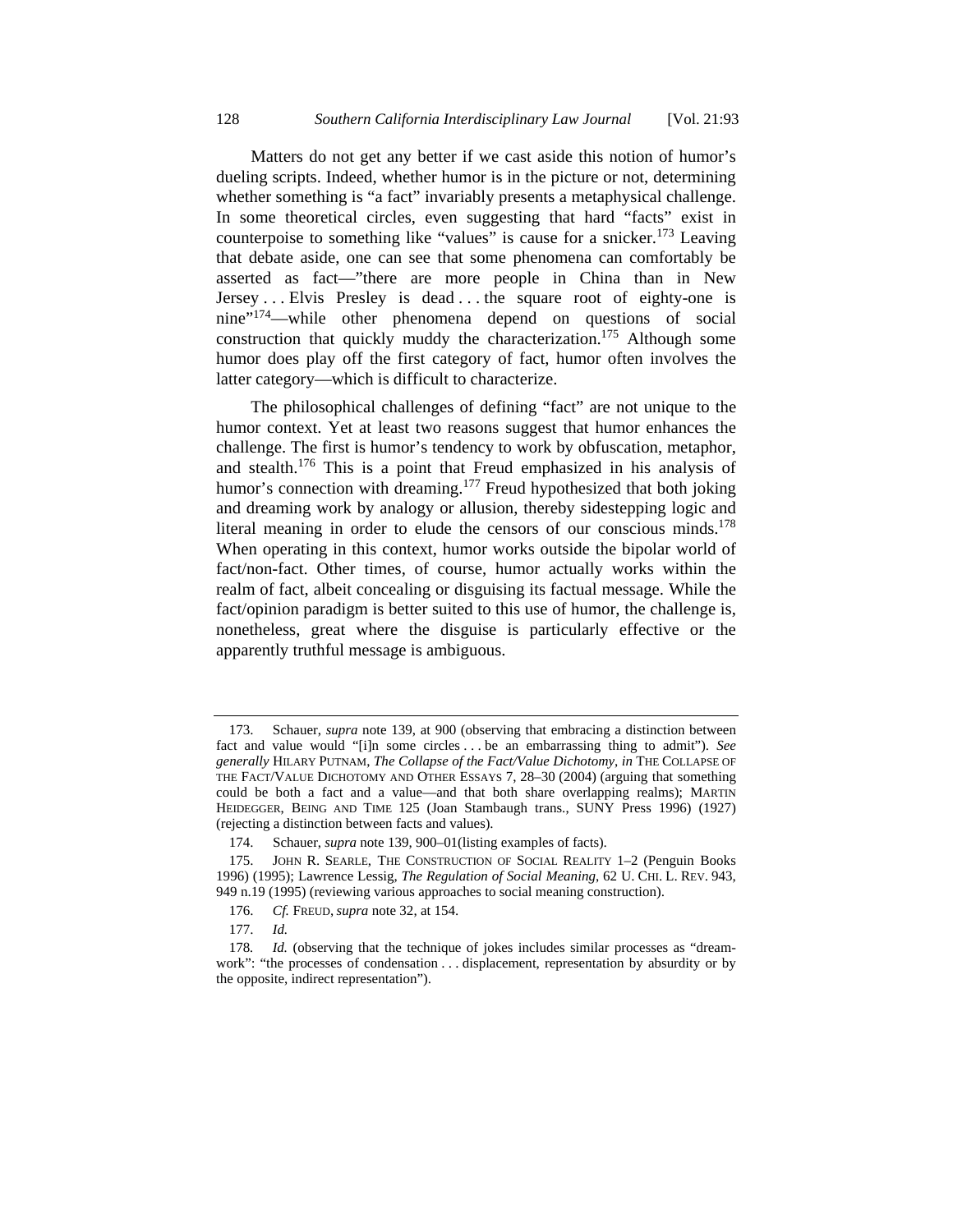Matters do not get any better if we cast aside this notion of humor's dueling scripts. Indeed, whether humor is in the picture or not, determining whether something is "a fact" invariably presents a metaphysical challenge. In some theoretical circles, even suggesting that hard "facts" exist in counterpoise to something like "values" is cause for a snicker.<sup>173</sup> Leaving that debate aside, one can see that some phenomena can comfortably be asserted as fact—"there are more people in China than in New Jersey ... Elvis Presley is dead ... the square root of eighty-one is nine"174—while other phenomena depend on questions of social construction that quickly muddy the characterization.<sup>175</sup> Although some humor does play off the first category of fact, humor often involves the latter category—which is difficult to characterize.

The philosophical challenges of defining "fact" are not unique to the humor context. Yet at least two reasons suggest that humor enhances the challenge. The first is humor's tendency to work by obfuscation, metaphor, and stealth.176 This is a point that Freud emphasized in his analysis of humor's connection with dreaming.<sup>177</sup> Freud hypothesized that both joking and dreaming work by analogy or allusion, thereby sidestepping logic and literal meaning in order to elude the censors of our conscious minds.<sup>178</sup> When operating in this context, humor works outside the bipolar world of fact/non-fact. Other times, of course, humor actually works within the realm of fact, albeit concealing or disguising its factual message. While the fact/opinion paradigm is better suited to this use of humor, the challenge is, nonetheless, great where the disguise is particularly effective or the apparently truthful message is ambiguous.

 <sup>173.</sup> Schauer, *supra* note 139, at 900 (observing that embracing a distinction between fact and value would "[i]n some circles . . . be an embarrassing thing to admit"). *See generally* HILARY PUTNAM, *The Collapse of the Fact/Value Dichotomy*, *in* THE COLLAPSE OF THE FACT/VALUE DICHOTOMY AND OTHER ESSAYS 7, 28–30 (2004) (arguing that something could be both a fact and a value—and that both share overlapping realms); MARTIN HEIDEGGER, BEING AND TIME 125 (Joan Stambaugh trans., SUNY Press 1996) (1927) (rejecting a distinction between facts and values).

 <sup>174.</sup> Schauer, *supra* note 139, 900–01(listing examples of facts).

 <sup>175.</sup> JOHN R. SEARLE, THE CONSTRUCTION OF SOCIAL REALITY 1–2 (Penguin Books 1996) (1995); Lawrence Lessig, *The Regulation of Social Meaning*, 62 U. CHI. L. REV. 943, 949 n.19 (1995) (reviewing various approaches to social meaning construction).

 <sup>176.</sup> *Cf.* FREUD, *supra* note 32, at 154.

 <sup>177.</sup> *Id.*

<sup>178</sup>*. Id.* (observing that the technique of jokes includes similar processes as "dreamwork": "the processes of condensation . . . displacement, representation by absurdity or by the opposite, indirect representation").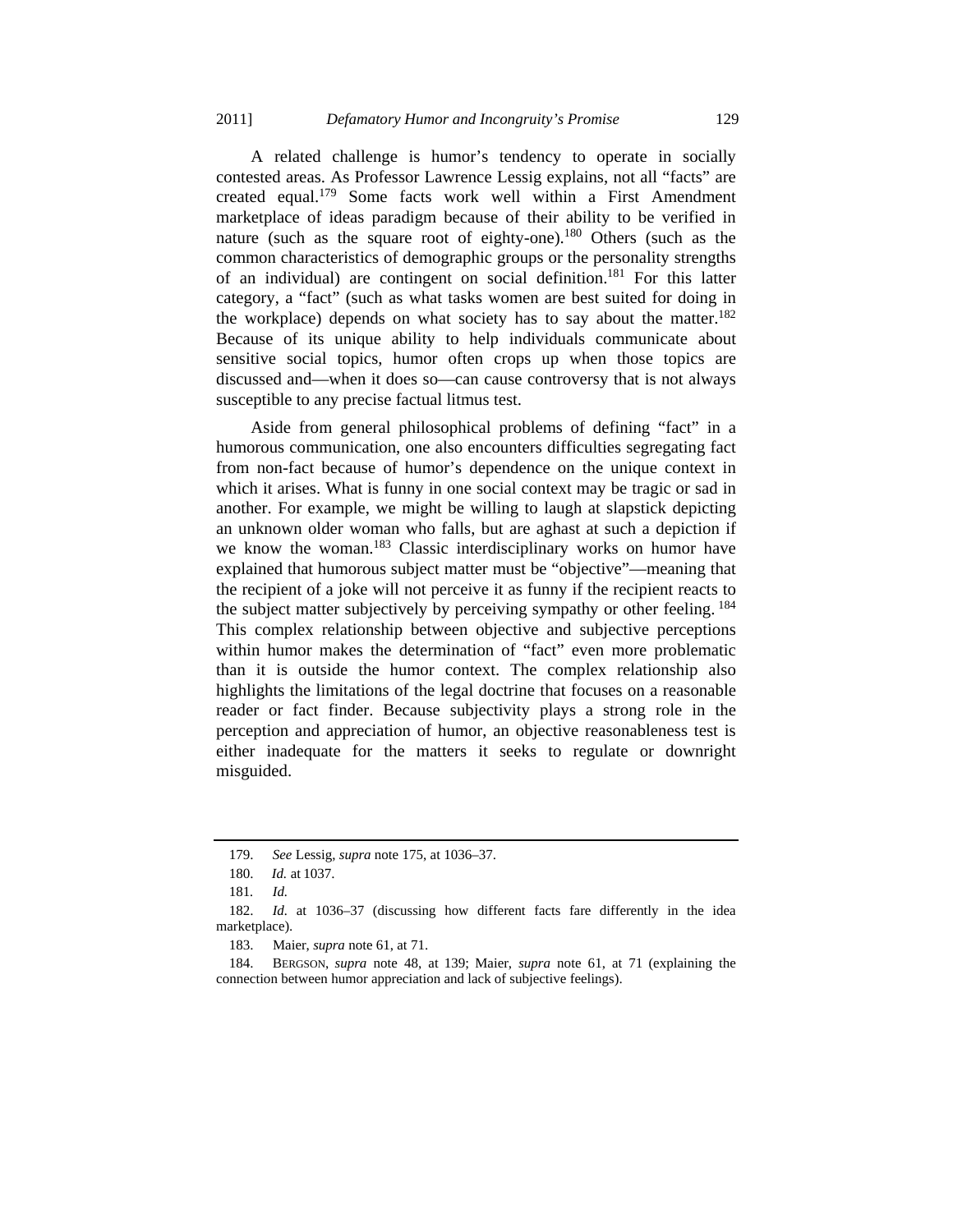A related challenge is humor's tendency to operate in socially contested areas. As Professor Lawrence Lessig explains, not all "facts" are created equal.179 Some facts work well within a First Amendment marketplace of ideas paradigm because of their ability to be verified in nature (such as the square root of eighty-one).<sup>180</sup> Others (such as the common characteristics of demographic groups or the personality strengths of an individual) are contingent on social definition.<sup>181</sup> For this latter category, a "fact" (such as what tasks women are best suited for doing in the workplace) depends on what society has to say about the matter.<sup>182</sup> Because of its unique ability to help individuals communicate about sensitive social topics, humor often crops up when those topics are discussed and—when it does so—can cause controversy that is not always susceptible to any precise factual litmus test.

Aside from general philosophical problems of defining "fact" in a humorous communication, one also encounters difficulties segregating fact from non-fact because of humor's dependence on the unique context in which it arises. What is funny in one social context may be tragic or sad in another. For example, we might be willing to laugh at slapstick depicting an unknown older woman who falls, but are aghast at such a depiction if we know the woman.<sup>183</sup> Classic interdisciplinary works on humor have explained that humorous subject matter must be "objective"—meaning that the recipient of a joke will not perceive it as funny if the recipient reacts to the subject matter subjectively by perceiving sympathy or other feeling. <sup>184</sup> This complex relationship between objective and subjective perceptions within humor makes the determination of "fact" even more problematic than it is outside the humor context. The complex relationship also highlights the limitations of the legal doctrine that focuses on a reasonable reader or fact finder. Because subjectivity plays a strong role in the perception and appreciation of humor, an objective reasonableness test is either inadequate for the matters it seeks to regulate or downright misguided.

 <sup>179.</sup> *See* Lessig, *supra* note 175, at 1036–37.

 <sup>180.</sup> *Id.* at 1037.

<sup>181</sup>*. Id.*

 <sup>182.</sup> *Id.* at 1036–37 (discussing how different facts fare differently in the idea marketplace).

 <sup>183.</sup> Maier, *supra* note 61, at 71.

 <sup>184.</sup> BERGSON, *supra* note 48, at 139; Maier, *supra* note 61, at 71 (explaining the connection between humor appreciation and lack of subjective feelings).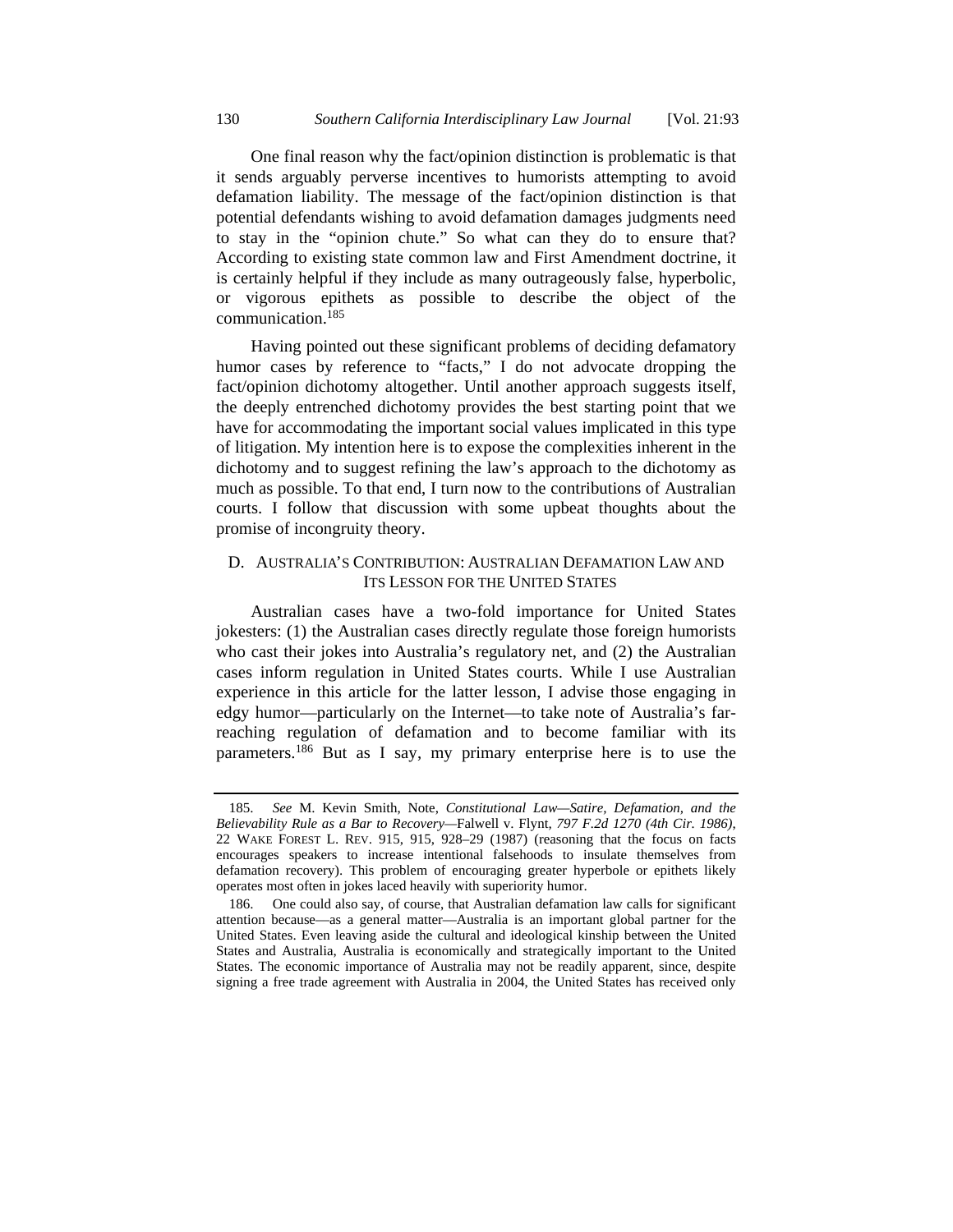One final reason why the fact/opinion distinction is problematic is that it sends arguably perverse incentives to humorists attempting to avoid defamation liability. The message of the fact/opinion distinction is that potential defendants wishing to avoid defamation damages judgments need to stay in the "opinion chute." So what can they do to ensure that? According to existing state common law and First Amendment doctrine, it is certainly helpful if they include as many outrageously false, hyperbolic, or vigorous epithets as possible to describe the object of the communication.<sup>185</sup>

Having pointed out these significant problems of deciding defamatory humor cases by reference to "facts," I do not advocate dropping the fact/opinion dichotomy altogether. Until another approach suggests itself, the deeply entrenched dichotomy provides the best starting point that we have for accommodating the important social values implicated in this type of litigation. My intention here is to expose the complexities inherent in the dichotomy and to suggest refining the law's approach to the dichotomy as much as possible. To that end, I turn now to the contributions of Australian courts. I follow that discussion with some upbeat thoughts about the promise of incongruity theory.

## D. AUSTRALIA'S CONTRIBUTION: AUSTRALIAN DEFAMATION LAW AND ITS LESSON FOR THE UNITED STATES

Australian cases have a two-fold importance for United States jokesters: (1) the Australian cases directly regulate those foreign humorists who cast their jokes into Australia's regulatory net, and (2) the Australian cases inform regulation in United States courts. While I use Australian experience in this article for the latter lesson, I advise those engaging in edgy humor—particularly on the Internet—to take note of Australia's farreaching regulation of defamation and to become familiar with its parameters.186 But as I say, my primary enterprise here is to use the

 <sup>185.</sup> *See* M. Kevin Smith, Note, *Constitutional Law—Satire, Defamation, and the Believability Rule as a Bar to Recovery—*Falwell v. Flynt*, 797 F.2d 1270 (4th Cir. 1986)*, 22 WAKE FOREST L. REV. 915, 915, 928–29 (1987) (reasoning that the focus on facts encourages speakers to increase intentional falsehoods to insulate themselves from defamation recovery). This problem of encouraging greater hyperbole or epithets likely operates most often in jokes laced heavily with superiority humor.

 <sup>186.</sup> One could also say, of course, that Australian defamation law calls for significant attention because—as a general matter—Australia is an important global partner for the United States. Even leaving aside the cultural and ideological kinship between the United States and Australia, Australia is economically and strategically important to the United States. The economic importance of Australia may not be readily apparent, since, despite signing a free trade agreement with Australia in 2004, the United States has received only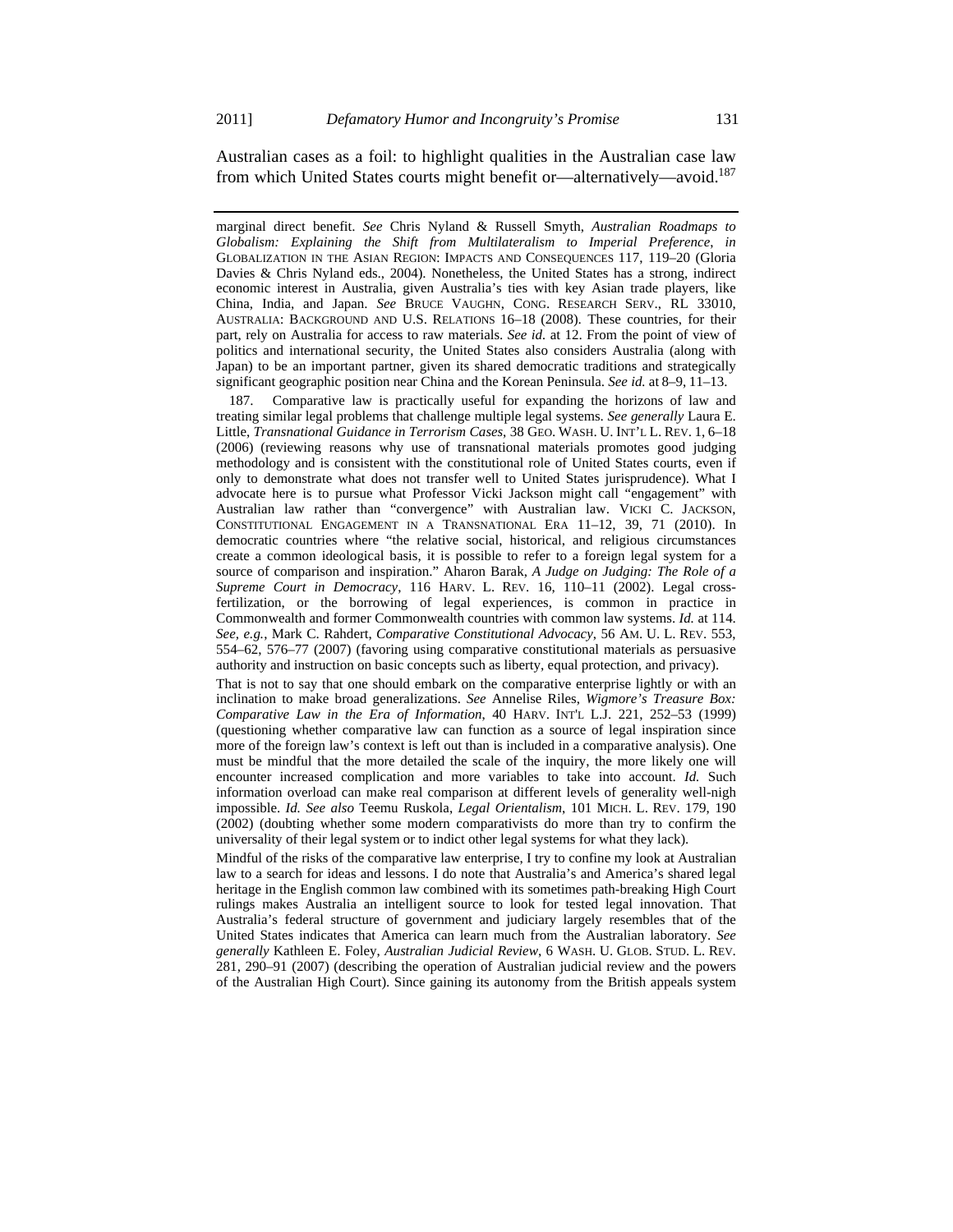Australian cases as a foil: to highlight qualities in the Australian case law from which United States courts might benefit or—alternatively—avoid.187

marginal direct benefit. *See* Chris Nyland & Russell Smyth, *Australian Roadmaps to Globalism: Explaining the Shift from Multilateralism to Imperial Preference*, *in* GLOBALIZATION IN THE ASIAN REGION: IMPACTS AND CONSEQUENCES 117, 119–20 (Gloria Davies & Chris Nyland eds., 2004). Nonetheless, the United States has a strong, indirect economic interest in Australia, given Australia's ties with key Asian trade players, like China, India, and Japan. *See* BRUCE VAUGHN, CONG. RESEARCH SERV., RL 33010, AUSTRALIA: BACKGROUND AND U.S. RELATIONS 16–18 (2008). These countries, for their part, rely on Australia for access to raw materials. *See id.* at 12. From the point of view of politics and international security, the United States also considers Australia (along with Japan) to be an important partner, given its shared democratic traditions and strategically significant geographic position near China and the Korean Peninsula. *See id.* at 8–9, 11–13.

 187. Comparative law is practically useful for expanding the horizons of law and treating similar legal problems that challenge multiple legal systems. *See generally* Laura E. Little, *Transnational Guidance in Terrorism Cases*, 38 GEO. WASH. U. INT'L L. REV. 1, 6–18 (2006) (reviewing reasons why use of transnational materials promotes good judging methodology and is consistent with the constitutional role of United States courts, even if only to demonstrate what does not transfer well to United States jurisprudence). What I advocate here is to pursue what Professor Vicki Jackson might call "engagement" with Australian law rather than "convergence" with Australian law. VICKI C. JACKSON, CONSTITUTIONAL ENGAGEMENT IN A TRANSNATIONAL ERA 11–12, 39, 71 (2010). In democratic countries where "the relative social, historical, and religious circumstances create a common ideological basis, it is possible to refer to a foreign legal system for a source of comparison and inspiration." Aharon Barak, *A Judge on Judging: The Role of a Supreme Court in Democracy*, 116 HARV. L. REV. 16, 110–11 (2002). Legal crossfertilization, or the borrowing of legal experiences, is common in practice in Commonwealth and former Commonwealth countries with common law systems. *Id.* at 114. *See, e.g.*, Mark C. Rahdert, *Comparative Constitutional Advocacy*, 56 AM. U. L. REV. 553, 554–62, 576–77 (2007) (favoring using comparative constitutional materials as persuasive authority and instruction on basic concepts such as liberty, equal protection, and privacy).

That is not to say that one should embark on the comparative enterprise lightly or with an inclination to make broad generalizations. *See* Annelise Riles, *Wigmore's Treasure Box: Comparative Law in the Era of Information*, 40 HARV. INT'L L.J. 221, 252–53 (1999) (questioning whether comparative law can function as a source of legal inspiration since more of the foreign law's context is left out than is included in a comparative analysis). One must be mindful that the more detailed the scale of the inquiry, the more likely one will encounter increased complication and more variables to take into account. *Id.* Such information overload can make real comparison at different levels of generality well-nigh impossible. *Id. See also* Teemu Ruskola, *Legal Orientalism*, 101 MICH. L. REV. 179, 190 (2002) (doubting whether some modern comparativists do more than try to confirm the universality of their legal system or to indict other legal systems for what they lack).

Mindful of the risks of the comparative law enterprise, I try to confine my look at Australian law to a search for ideas and lessons. I do note that Australia's and America's shared legal heritage in the English common law combined with its sometimes path-breaking High Court rulings makes Australia an intelligent source to look for tested legal innovation. That Australia's federal structure of government and judiciary largely resembles that of the United States indicates that America can learn much from the Australian laboratory. *See generally* Kathleen E. Foley, *Australian Judicial Review*, 6 WASH. U. GLOB. STUD. L. REV. 281, 290–91 (2007) (describing the operation of Australian judicial review and the powers of the Australian High Court). Since gaining its autonomy from the British appeals system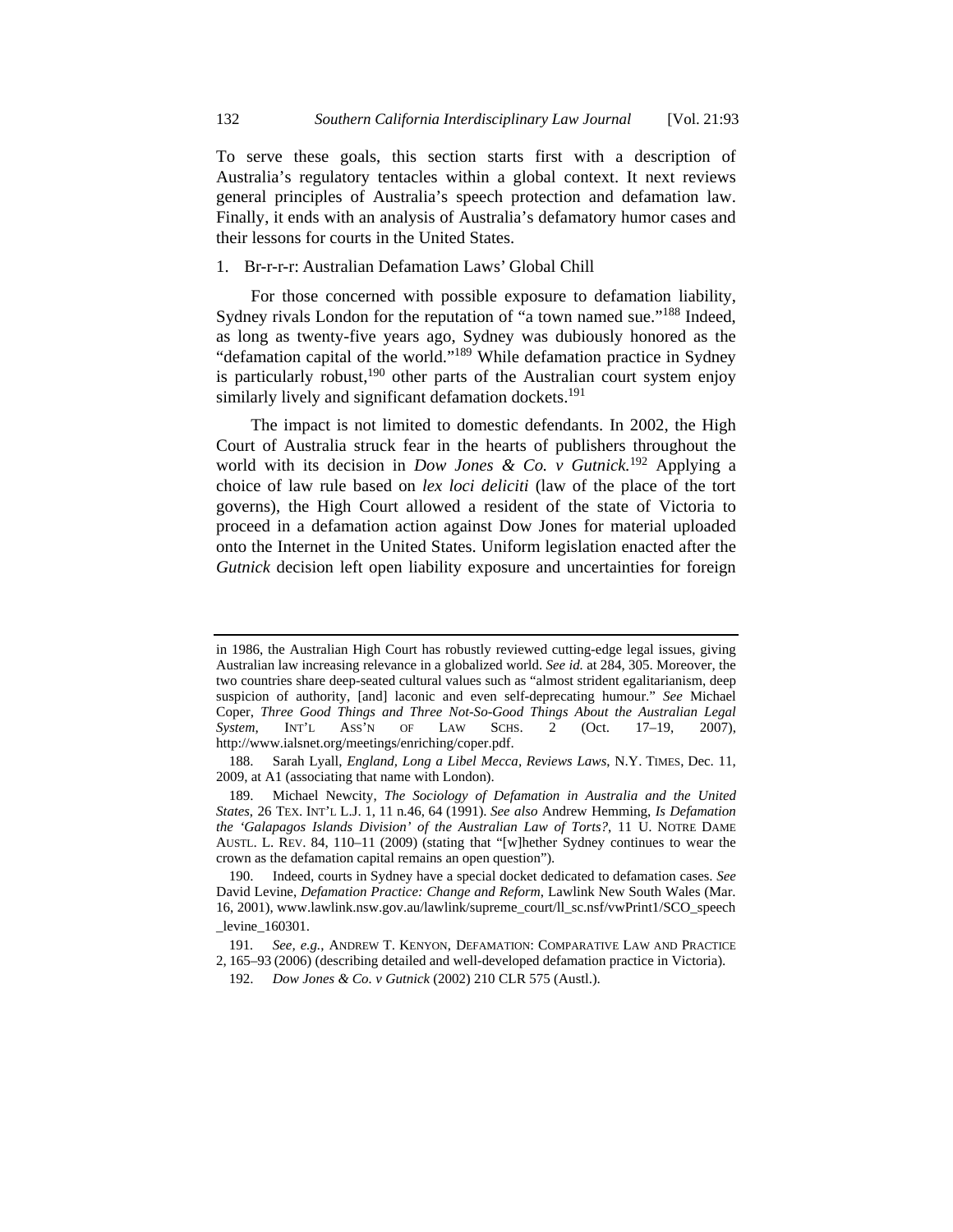To serve these goals, this section starts first with a description of Australia's regulatory tentacles within a global context. It next reviews general principles of Australia's speech protection and defamation law. Finally, it ends with an analysis of Australia's defamatory humor cases and their lessons for courts in the United States.

#### 1. Br-r-r-r: Australian Defamation Laws' Global Chill

For those concerned with possible exposure to defamation liability, Sydney rivals London for the reputation of "a town named sue."<sup>188</sup> Indeed, as long as twenty-five years ago, Sydney was dubiously honored as the "defamation capital of the world."189 While defamation practice in Sydney is particularly robust, $190$  other parts of the Australian court system enjoy similarly lively and significant defamation dockets.<sup>191</sup>

The impact is not limited to domestic defendants. In 2002, the High Court of Australia struck fear in the hearts of publishers throughout the world with its decision in *Dow Jones & Co. v Gutnick.*192 Applying a choice of law rule based on *lex loci deliciti* (law of the place of the tort governs), the High Court allowed a resident of the state of Victoria to proceed in a defamation action against Dow Jones for material uploaded onto the Internet in the United States. Uniform legislation enacted after the *Gutnick* decision left open liability exposure and uncertainties for foreign

in 1986, the Australian High Court has robustly reviewed cutting-edge legal issues, giving Australian law increasing relevance in a globalized world. *See id.* at 284, 305. Moreover, the two countries share deep-seated cultural values such as "almost strident egalitarianism, deep suspicion of authority, [and] laconic and even self-deprecating humour." *See* Michael Coper, *Three Good Things and Three Not-So-Good Things About the Australian Legal System*, INT'L ASS'N OF LAW SCHS. 2 (Oct. 17–19, 2007), http://www.ialsnet.org/meetings/enriching/coper.pdf.

 <sup>188.</sup> Sarah Lyall, *England, Long a Libel Mecca, Reviews Laws*, N.Y. TIMES, Dec. 11, 2009, at A1 (associating that name with London).

 <sup>189.</sup> Michael Newcity, *The Sociology of Defamation in Australia and the United States*, 26 TEX. INT'L L.J. 1, 11 n.46, 64 (1991). *See also* Andrew Hemming, *Is Defamation the 'Galapagos Islands Division' of the Australian Law of Torts?*, 11 U. NOTRE DAME AUSTL. L. REV. 84, 110–11 (2009) (stating that "[w]hether Sydney continues to wear the crown as the defamation capital remains an open question").

 <sup>190.</sup> Indeed, courts in Sydney have a special docket dedicated to defamation cases. *See*  David Levine, *Defamation Practice: Change and Reform*, Lawlink New South Wales (Mar. 16, 2001), www.lawlink.nsw.gov.au/lawlink/supreme\_court/ll\_sc.nsf/vwPrint1/SCO\_speech \_levine\_160301.

<sup>191</sup>*. See, e.g.*, ANDREW T. KENYON, DEFAMATION: COMPARATIVE LAW AND PRACTICE 2, 165–93 (2006) (describing detailed and well-developed defamation practice in Victoria).

 <sup>192.</sup> *Dow Jones & Co. v Gutnick* (2002) 210 CLR 575 (Austl.).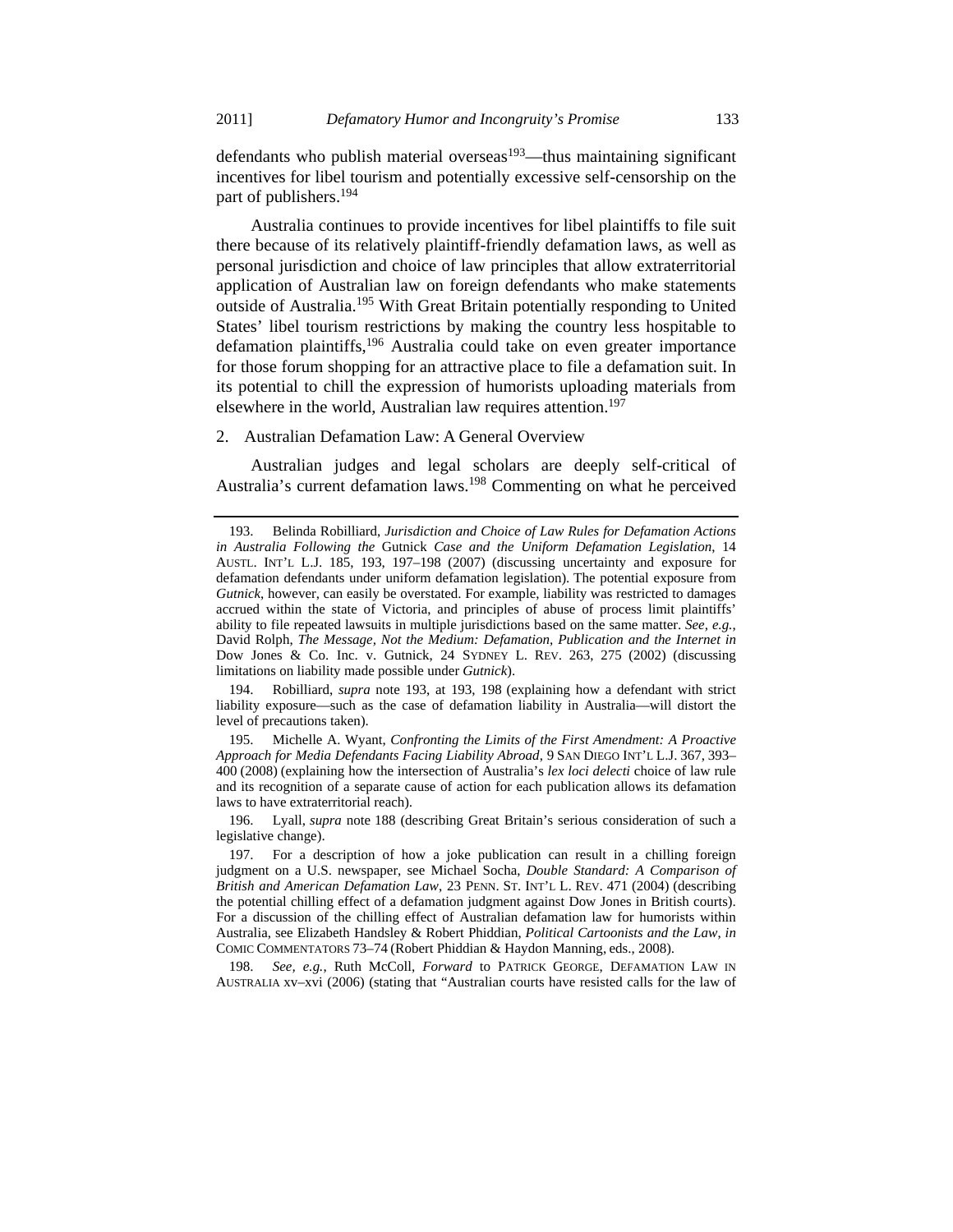defendants who publish material overseas<sup>193</sup>—thus maintaining significant incentives for libel tourism and potentially excessive self-censorship on the part of publishers.<sup>194</sup>

Australia continues to provide incentives for libel plaintiffs to file suit there because of its relatively plaintiff-friendly defamation laws, as well as personal jurisdiction and choice of law principles that allow extraterritorial application of Australian law on foreign defendants who make statements outside of Australia.<sup>195</sup> With Great Britain potentially responding to United States' libel tourism restrictions by making the country less hospitable to defamation plaintiffs,<sup>196</sup> Australia could take on even greater importance for those forum shopping for an attractive place to file a defamation suit. In its potential to chill the expression of humorists uploading materials from elsewhere in the world, Australian law requires attention.<sup>197</sup>

# 2. Australian Defamation Law: A General Overview

Australian judges and legal scholars are deeply self-critical of Australia's current defamation laws.198 Commenting on what he perceived

 194. Robilliard, *supra* note 193, at 193, 198 (explaining how a defendant with strict liability exposure—such as the case of defamation liability in Australia—will distort the level of precautions taken).

 195. Michelle A. Wyant, *Confronting the Limits of the First Amendment: A Proactive Approach for Media Defendants Facing Liability Abroad*, 9 SAN DIEGO INT'L L.J. 367, 393– 400 (2008) (explaining how the intersection of Australia's *lex loci delecti* choice of law rule and its recognition of a separate cause of action for each publication allows its defamation laws to have extraterritorial reach).

 196. Lyall, *supra* note 188 (describing Great Britain's serious consideration of such a legislative change).

 198. *See, e.g.*, Ruth McColl, *Forward* to PATRICK GEORGE, DEFAMATION LAW IN AUSTRALIA xv–xvi (2006) (stating that "Australian courts have resisted calls for the law of

 <sup>193.</sup> Belinda Robilliard, *Jurisdiction and Choice of Law Rules for Defamation Actions in Australia Following the* Gutnick *Case and the Uniform Defamation Legislation*, 14 AUSTL. INT'L L.J. 185, 193, 197–198 (2007) (discussing uncertainty and exposure for defamation defendants under uniform defamation legislation). The potential exposure from *Gutnick*, however, can easily be overstated. For example, liability was restricted to damages accrued within the state of Victoria, and principles of abuse of process limit plaintiffs' ability to file repeated lawsuits in multiple jurisdictions based on the same matter. *See, e.g.*, David Rolph, *The Message, Not the Medium: Defamation, Publication and the Internet in*  Dow Jones & Co. Inc. v. Gutnick, 24 SYDNEY L. REV. 263, 275 (2002) (discussing limitations on liability made possible under *Gutnick*).

 <sup>197.</sup> For a description of how a joke publication can result in a chilling foreign judgment on a U.S. newspaper, see Michael Socha, *Double Standard: A Comparison of British and American Defamation Law*, 23 PENN. ST. INT'L L. REV. 471 (2004) (describing the potential chilling effect of a defamation judgment against Dow Jones in British courts). For a discussion of the chilling effect of Australian defamation law for humorists within Australia, see Elizabeth Handsley & Robert Phiddian, *Political Cartoonists and the Law*, *in* COMIC COMMENTATORS 73–74 (Robert Phiddian & Haydon Manning, eds., 2008).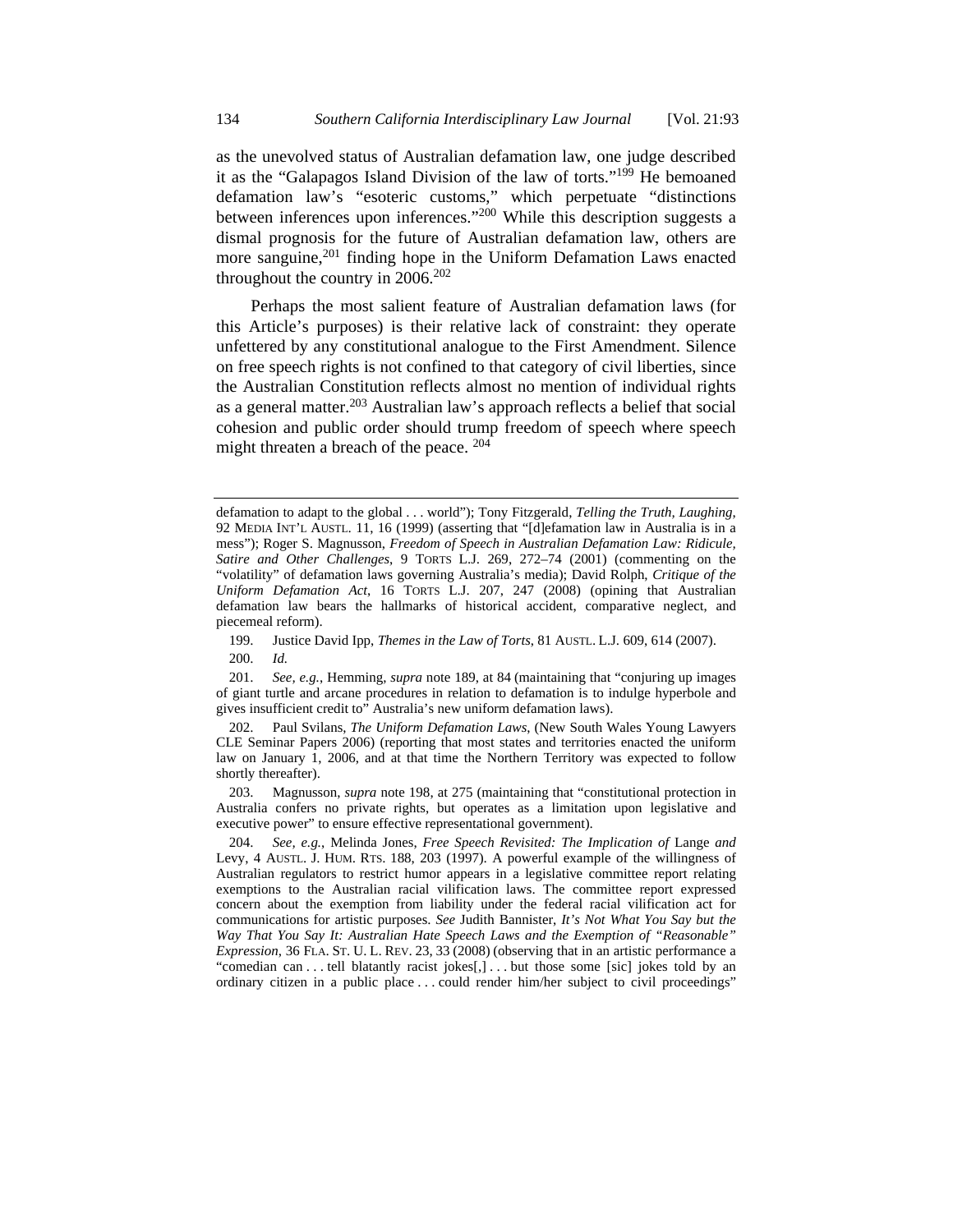as the unevolved status of Australian defamation law, one judge described it as the "Galapagos Island Division of the law of torts."199 He bemoaned defamation law's "esoteric customs," which perpetuate "distinctions between inferences upon inferences."200 While this description suggests a dismal prognosis for the future of Australian defamation law, others are more sanguine,<sup>201</sup> finding hope in the Uniform Defamation Laws enacted throughout the country in 2006.202

Perhaps the most salient feature of Australian defamation laws (for this Article's purposes) is their relative lack of constraint: they operate unfettered by any constitutional analogue to the First Amendment. Silence on free speech rights is not confined to that category of civil liberties, since the Australian Constitution reflects almost no mention of individual rights as a general matter.<sup>203</sup> Australian law's approach reflects a belief that social cohesion and public order should trump freedom of speech where speech might threaten a breach of the peace. <sup>204</sup>

defamation to adapt to the global . . . world"); Tony Fitzgerald, *Telling the Truth, Laughing*, 92 MEDIA INT'L AUSTL. 11, 16 (1999) (asserting that "[d]efamation law in Australia is in a mess"); Roger S. Magnusson, *Freedom of Speech in Australian Defamation Law: Ridicule, Satire and Other Challenges*, 9 TORTS L.J. 269, 272–74 (2001) (commenting on the "volatility" of defamation laws governing Australia's media); David Rolph, *Critique of the Uniform Defamation Act*, 16 TORTS L.J. 207, 247 (2008) (opining that Australian defamation law bears the hallmarks of historical accident, comparative neglect, and piecemeal reform).

 <sup>199.</sup> Justice David Ipp, *Themes in the Law of Torts*, 81 AUSTL. L.J. 609, 614 (2007). 200. *Id.*

 <sup>201.</sup> *See, e.g.*, Hemming, *supra* note 189, at 84 (maintaining that "conjuring up images of giant turtle and arcane procedures in relation to defamation is to indulge hyperbole and gives insufficient credit to" Australia's new uniform defamation laws).

 <sup>202.</sup> Paul Svilans, *The Uniform Defamation Laws*, (New South Wales Young Lawyers CLE Seminar Papers 2006) (reporting that most states and territories enacted the uniform law on January 1, 2006, and at that time the Northern Territory was expected to follow shortly thereafter).

 <sup>203.</sup> Magnusson, *supra* note 198, at 275 (maintaining that "constitutional protection in Australia confers no private rights, but operates as a limitation upon legislative and executive power" to ensure effective representational government).

 <sup>204.</sup> *See, e.g.*, Melinda Jones, *Free Speech Revisited: The Implication of* Lange *and* Levy, 4 AUSTL. J. HUM. RTS. 188, 203 (1997). A powerful example of the willingness of Australian regulators to restrict humor appears in a legislative committee report relating exemptions to the Australian racial vilification laws. The committee report expressed concern about the exemption from liability under the federal racial vilification act for communications for artistic purposes. *See* Judith Bannister, *It's Not What You Say but the Way That You Say It: Australian Hate Speech Laws and the Exemption of "Reasonable" Expression*, 36 FLA. ST. U. L. REV. 23, 33 (2008) (observing that in an artistic performance a "comedian can . . . tell blatantly racist jokes[,] . . . but those some [sic] jokes told by an ordinary citizen in a public place . . . could render him/her subject to civil proceedings"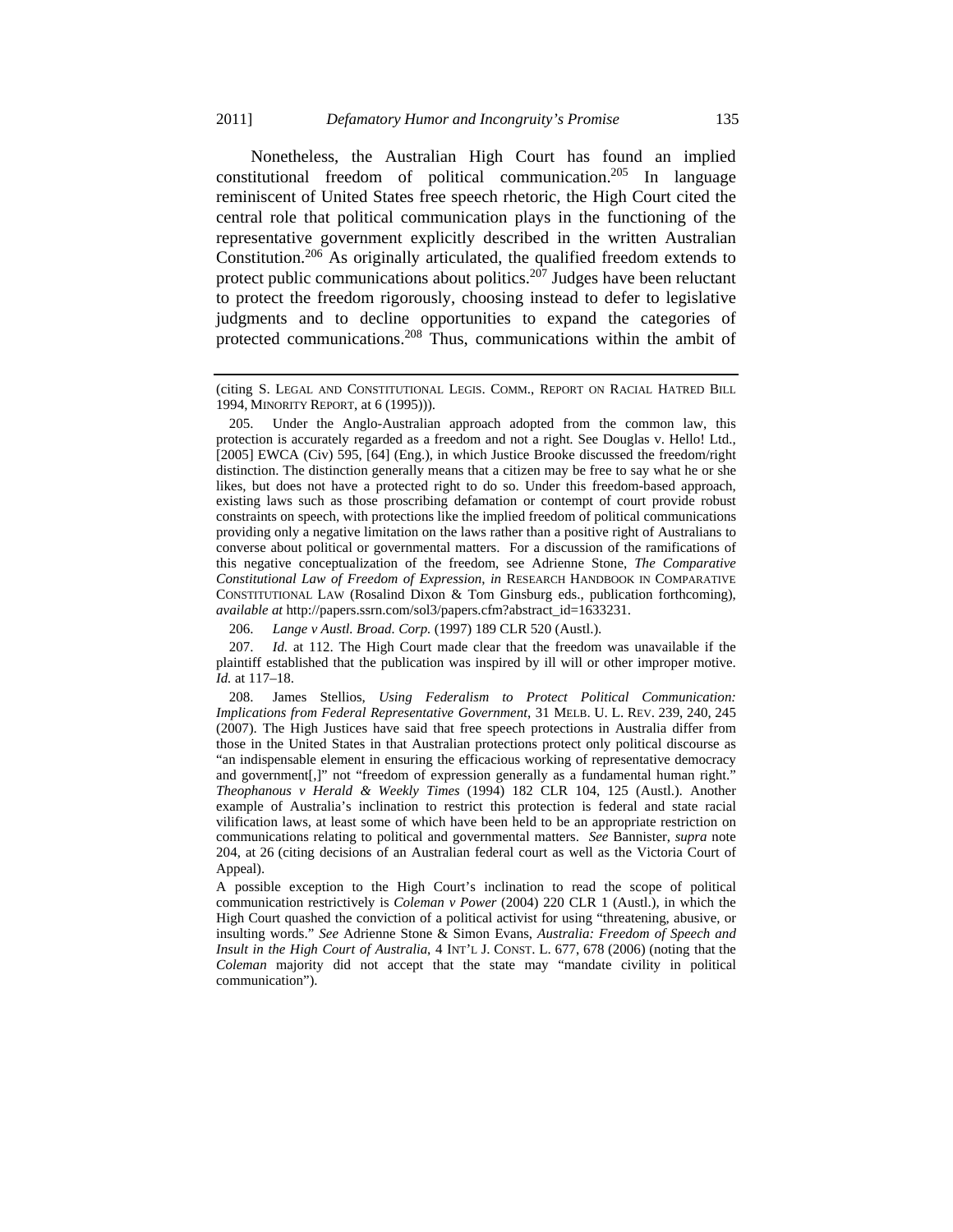Nonetheless, the Australian High Court has found an implied constitutional freedom of political communication.205 In language reminiscent of United States free speech rhetoric, the High Court cited the central role that political communication plays in the functioning of the representative government explicitly described in the written Australian Constitution.206 As originally articulated, the qualified freedom extends to protect public communications about politics.<sup>207</sup> Judges have been reluctant to protect the freedom rigorously, choosing instead to defer to legislative judgments and to decline opportunities to expand the categories of protected communications.208 Thus, communications within the ambit of

206. *Lange v Austl. Broad. Corp.* (1997) 189 CLR 520 (Austl.).

 207. *Id.* at 112. The High Court made clear that the freedom was unavailable if the plaintiff established that the publication was inspired by ill will or other improper motive. *Id.* at 117–18.

 208. James Stellios, *Using Federalism to Protect Political Communication: Implications from Federal Representative Government*, 31 MELB. U. L. REV. 239, 240, 245 (2007). The High Justices have said that free speech protections in Australia differ from those in the United States in that Australian protections protect only political discourse as "an indispensable element in ensuring the efficacious working of representative democracy and government[,]" not "freedom of expression generally as a fundamental human right." *Theophanous v Herald & Weekly Times* (1994) 182 CLR 104, 125 (Austl.). Another example of Australia's inclination to restrict this protection is federal and state racial vilification laws, at least some of which have been held to be an appropriate restriction on communications relating to political and governmental matters. *See* Bannister, *supra* note 204, at 26 (citing decisions of an Australian federal court as well as the Victoria Court of Appeal).

A possible exception to the High Court's inclination to read the scope of political communication restrictively is *Coleman v Power* (2004) 220 CLR 1 (Austl.), in which the High Court quashed the conviction of a political activist for using "threatening, abusive, or insulting words." *See* Adrienne Stone & Simon Evans, *Australia: Freedom of Speech and Insult in the High Court of Australia*, 4 INT'L J. CONST. L. 677, 678 (2006) (noting that the *Coleman* majority did not accept that the state may "mandate civility in political communication").

<sup>(</sup>citing S. LEGAL AND CONSTITUTIONAL LEGIS. COMM., REPORT ON RACIAL HATRED BILL 1994, MINORITY REPORT, at 6 (1995))).

 <sup>205.</sup> Under the Anglo-Australian approach adopted from the common law, this protection is accurately regarded as a freedom and not a right*.* See Douglas v. Hello! Ltd., [2005] EWCA (Civ) 595, [64] (Eng.), in which Justice Brooke discussed the freedom/right distinction. The distinction generally means that a citizen may be free to say what he or she likes, but does not have a protected right to do so. Under this freedom-based approach, existing laws such as those proscribing defamation or contempt of court provide robust constraints on speech, with protections like the implied freedom of political communications providing only a negative limitation on the laws rather than a positive right of Australians to converse about political or governmental matters. For a discussion of the ramifications of this negative conceptualization of the freedom, see Adrienne Stone, *The Comparative Constitutional Law of Freedom of Expression*, *in* RESEARCH HANDBOOK IN COMPARATIVE CONSTITUTIONAL LAW (Rosalind Dixon & Tom Ginsburg eds., publication forthcoming), *available at* http://papers.ssrn.com/sol3/papers.cfm?abstract\_id=1633231.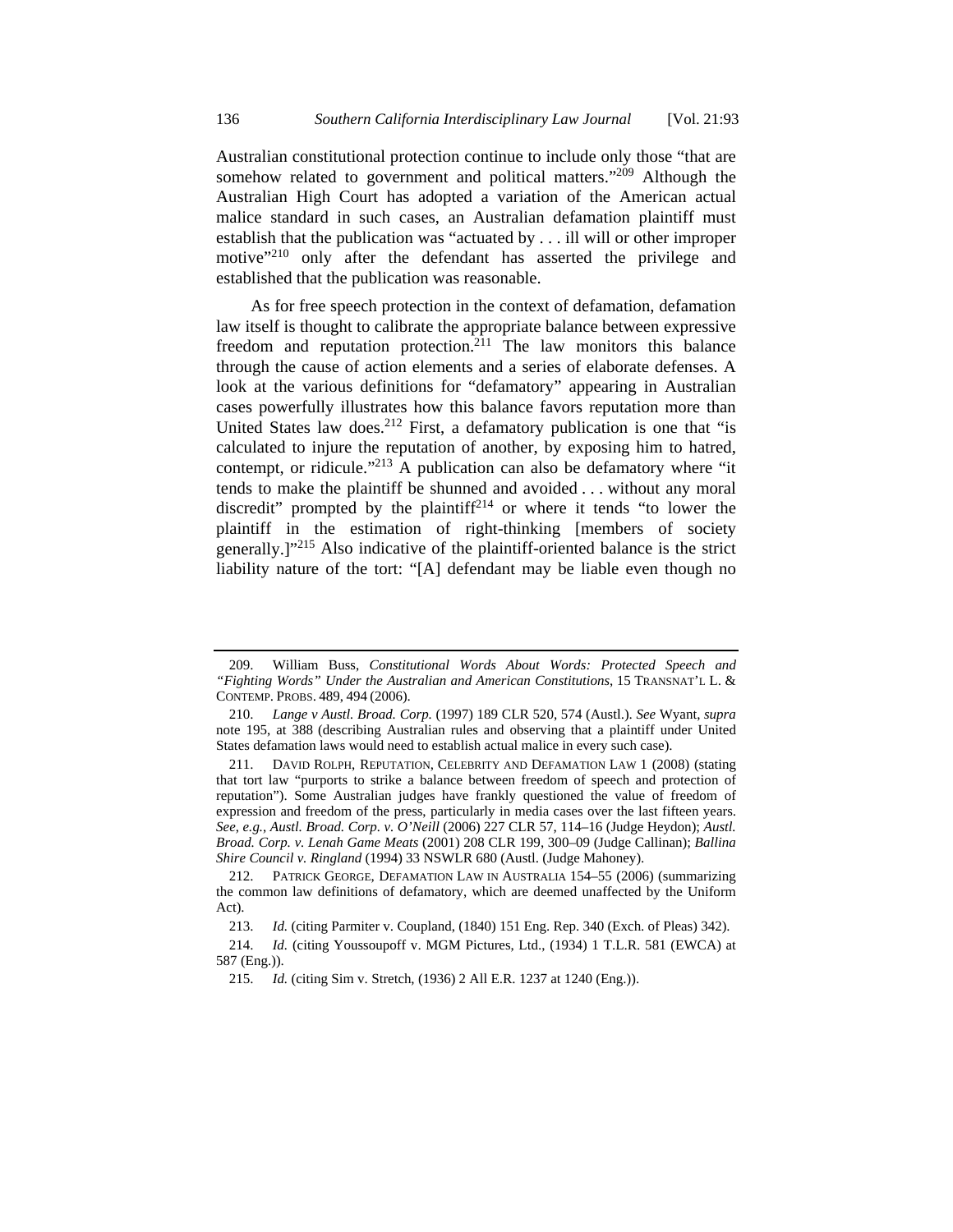Australian constitutional protection continue to include only those "that are somehow related to government and political matters."<sup>209</sup> Although the Australian High Court has adopted a variation of the American actual malice standard in such cases, an Australian defamation plaintiff must establish that the publication was "actuated by . . . ill will or other improper motive"<sup>210</sup> only after the defendant has asserted the privilege and established that the publication was reasonable.

As for free speech protection in the context of defamation, defamation law itself is thought to calibrate the appropriate balance between expressive freedom and reputation protection.<sup>211</sup> The law monitors this balance through the cause of action elements and a series of elaborate defenses. A look at the various definitions for "defamatory" appearing in Australian cases powerfully illustrates how this balance favors reputation more than United States law does.<sup>212</sup> First, a defamatory publication is one that "is calculated to injure the reputation of another, by exposing him to hatred, contempt, or ridicule."<sup>213</sup> A publication can also be defamatory where "it" tends to make the plaintiff be shunned and avoided . . . without any moral discredit" prompted by the plaintiff<sup>214</sup> or where it tends "to lower the plaintiff in the estimation of right-thinking [members of society generally.]"215 Also indicative of the plaintiff-oriented balance is the strict liability nature of the tort: "[A] defendant may be liable even though no

 <sup>209.</sup> William Buss, *Constitutional Words About Words: Protected Speech and "Fighting Words" Under the Australian and American Constitutions*, 15 TRANSNAT'L L. & CONTEMP. PROBS. 489, 494 (2006).

 <sup>210.</sup> *Lange v Austl. Broad. Corp.* (1997) 189 CLR 520, 574 (Austl.). *See* Wyant, *supra* note 195, at 388 (describing Australian rules and observing that a plaintiff under United States defamation laws would need to establish actual malice in every such case).

 <sup>211.</sup> DAVID ROLPH, REPUTATION, CELEBRITY AND DEFAMATION LAW 1 (2008) (stating that tort law "purports to strike a balance between freedom of speech and protection of reputation"). Some Australian judges have frankly questioned the value of freedom of expression and freedom of the press, particularly in media cases over the last fifteen years. *See*, *e.g.*, *Austl. Broad. Corp. v. O'Neill* (2006) 227 CLR 57, 114–16 (Judge Heydon); *Austl. Broad. Corp. v. Lenah Game Meats* (2001) 208 CLR 199, 300–09 (Judge Callinan); *Ballina Shire Council v. Ringland* (1994) 33 NSWLR 680 (Austl. (Judge Mahoney).

 <sup>212.</sup> PATRICK GEORGE, DEFAMATION LAW IN AUSTRALIA 154–55 (2006) (summarizing the common law definitions of defamatory, which are deemed unaffected by the Uniform Act).

 <sup>213.</sup> *Id.* (citing Parmiter v. Coupland, (1840) 151 Eng. Rep. 340 (Exch. of Pleas) 342).

 <sup>214.</sup> *Id.* (citing Youssoupoff v. MGM Pictures, Ltd., (1934) 1 T.L.R. 581 (EWCA) at 587 (Eng.)).

 <sup>215.</sup> *Id.* (citing Sim v. Stretch, (1936) 2 All E.R. 1237 at 1240 (Eng.)).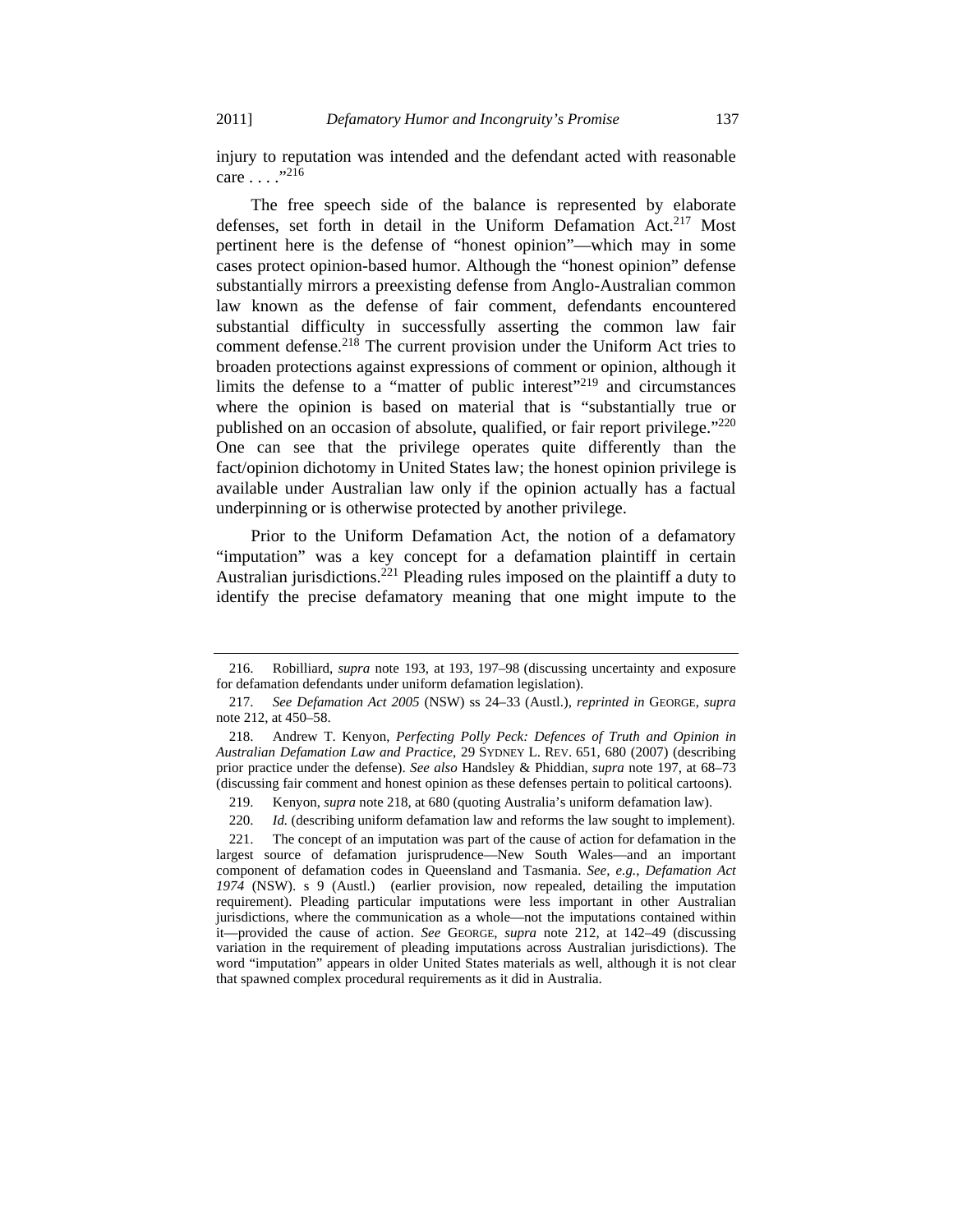injury to reputation was intended and the defendant acted with reasonable care . . . ."216

The free speech side of the balance is represented by elaborate defenses, set forth in detail in the Uniform Defamation Act.<sup>217</sup> Most pertinent here is the defense of "honest opinion"—which may in some cases protect opinion-based humor. Although the "honest opinion" defense substantially mirrors a preexisting defense from Anglo-Australian common law known as the defense of fair comment, defendants encountered substantial difficulty in successfully asserting the common law fair comment defense.<sup>218</sup> The current provision under the Uniform Act tries to broaden protections against expressions of comment or opinion, although it limits the defense to a "matter of public interest"<sup>219</sup> and circumstances where the opinion is based on material that is "substantially true or published on an occasion of absolute, qualified, or fair report privilege."<sup>220</sup> One can see that the privilege operates quite differently than the fact/opinion dichotomy in United States law; the honest opinion privilege is available under Australian law only if the opinion actually has a factual underpinning or is otherwise protected by another privilege.

Prior to the Uniform Defamation Act, the notion of a defamatory "imputation" was a key concept for a defamation plaintiff in certain Australian jurisdictions.<sup>221</sup> Pleading rules imposed on the plaintiff a duty to identify the precise defamatory meaning that one might impute to the

 <sup>216.</sup> Robilliard, *supra* note 193, at 193, 197–98 (discussing uncertainty and exposure for defamation defendants under uniform defamation legislation).

 <sup>217.</sup> *See Defamation Act 2005* (NSW) ss 24–33 (Austl.), *reprinted in* GEORGE, *supra* note 212, at 450–58.

 <sup>218.</sup> Andrew T. Kenyon, *Perfecting Polly Peck: Defences of Truth and Opinion in Australian Defamation Law and Practice*, 29 SYDNEY L. REV. 651, 680 (2007) (describing prior practice under the defense). *See also* Handsley & Phiddian, *supra* note 197, at 68–73 (discussing fair comment and honest opinion as these defenses pertain to political cartoons).

 <sup>219.</sup> Kenyon, *supra* note 218, at 680 (quoting Australia's uniform defamation law).

<sup>220.</sup> *Id.* (describing uniform defamation law and reforms the law sought to implement).

 <sup>221.</sup> The concept of an imputation was part of the cause of action for defamation in the largest source of defamation jurisprudence—New South Wales—and an important component of defamation codes in Queensland and Tasmania. *See, e.g.*, *Defamation Act 1974* (NSW). s 9 (Austl.) (earlier provision, now repealed, detailing the imputation requirement). Pleading particular imputations were less important in other Australian jurisdictions, where the communication as a whole—not the imputations contained within it—provided the cause of action. *See* GEORGE, *supra* note 212, at 142–49 (discussing variation in the requirement of pleading imputations across Australian jurisdictions). The word "imputation" appears in older United States materials as well, although it is not clear that spawned complex procedural requirements as it did in Australia.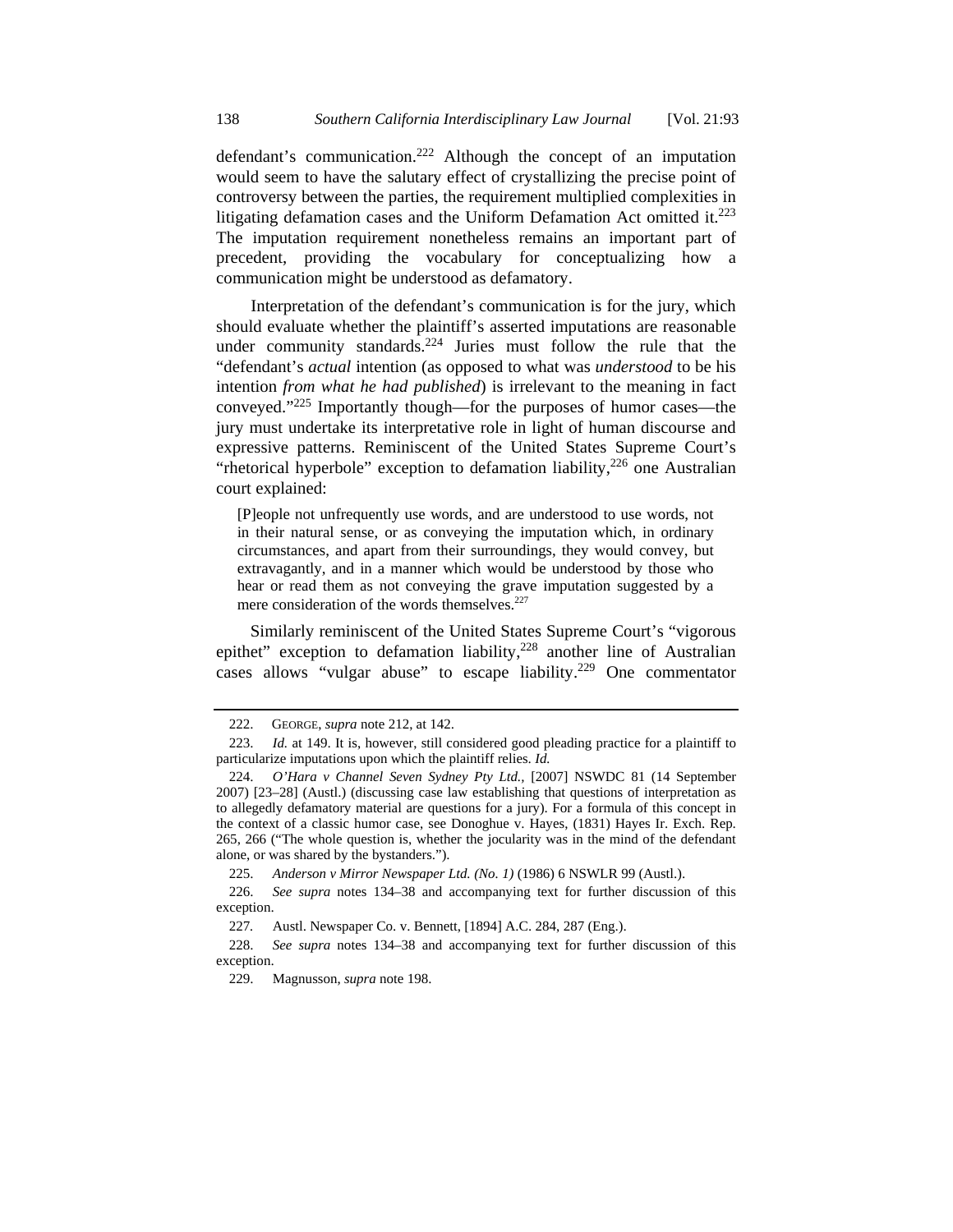defendant's communication.<sup>222</sup> Although the concept of an imputation would seem to have the salutary effect of crystallizing the precise point of controversy between the parties, the requirement multiplied complexities in litigating defamation cases and the Uniform Defamation Act omitted it. $223$ The imputation requirement nonetheless remains an important part of precedent, providing the vocabulary for conceptualizing how a communication might be understood as defamatory.

Interpretation of the defendant's communication is for the jury, which should evaluate whether the plaintiff's asserted imputations are reasonable under community standards.<sup>224</sup> Juries must follow the rule that the "defendant's *actual* intention (as opposed to what was *understood* to be his intention *from what he had published*) is irrelevant to the meaning in fact conveyed."225 Importantly though—for the purposes of humor cases—the jury must undertake its interpretative role in light of human discourse and expressive patterns. Reminiscent of the United States Supreme Court's "rhetorical hyperbole" exception to defamation liability, $226$  one Australian court explained:

[P]eople not unfrequently use words, and are understood to use words, not in their natural sense, or as conveying the imputation which, in ordinary circumstances, and apart from their surroundings, they would convey, but extravagantly, and in a manner which would be understood by those who hear or read them as not conveying the grave imputation suggested by a mere consideration of the words themselves.<sup>227</sup>

Similarly reminiscent of the United States Supreme Court's "vigorous epithet" exception to defamation liability, $228$  another line of Australian cases allows "vulgar abuse" to escape liability.<sup>229</sup> One commentator

 <sup>222.</sup> GEORGE, *supra* note 212, at 142.

 <sup>223.</sup> *Id.* at 149. It is, however, still considered good pleading practice for a plaintiff to particularize imputations upon which the plaintiff relies. *Id.*

 <sup>224.</sup> *O'Hara v Channel Seven Sydney Pty Ltd.,* [2007] NSWDC 81 (14 September 2007) [23–28] (Austl.) (discussing case law establishing that questions of interpretation as to allegedly defamatory material are questions for a jury). For a formula of this concept in the context of a classic humor case, see Donoghue v. Hayes, (1831) Hayes Ir. Exch. Rep. 265, 266 ("The whole question is, whether the jocularity was in the mind of the defendant alone, or was shared by the bystanders.").

 <sup>225.</sup> *Anderson v Mirror Newspaper Ltd. (No. 1)* (1986) 6 NSWLR 99 (Austl.).

 <sup>226.</sup> *See supra* notes 134–38 and accompanying text for further discussion of this exception.

<sup>227</sup>*.* Austl. Newspaper Co. v. Bennett, [1894] A.C. 284, 287 (Eng.).

 <sup>228.</sup> *See supra* notes 134–38 and accompanying text for further discussion of this exception.

 <sup>229.</sup> Magnusson, *supra* note 198.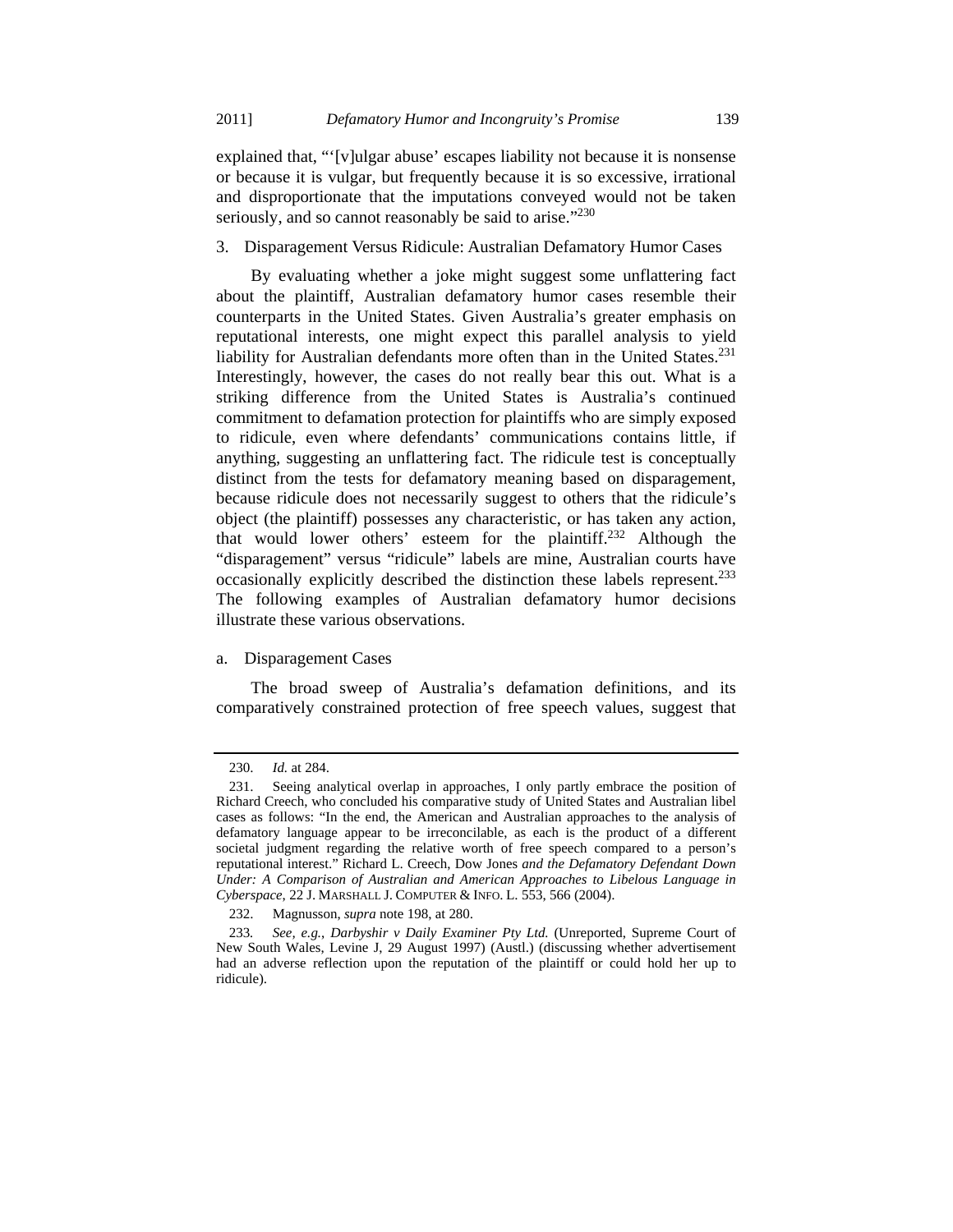explained that, "'[v]ulgar abuse' escapes liability not because it is nonsense or because it is vulgar, but frequently because it is so excessive, irrational and disproportionate that the imputations conveyed would not be taken seriously, and so cannot reasonably be said to arise."<sup>230</sup>

#### 3. Disparagement Versus Ridicule: Australian Defamatory Humor Cases

By evaluating whether a joke might suggest some unflattering fact about the plaintiff, Australian defamatory humor cases resemble their counterparts in the United States. Given Australia's greater emphasis on reputational interests, one might expect this parallel analysis to yield liability for Australian defendants more often than in the United States.<sup>231</sup> Interestingly, however, the cases do not really bear this out. What is a striking difference from the United States is Australia's continued commitment to defamation protection for plaintiffs who are simply exposed to ridicule, even where defendants' communications contains little, if anything, suggesting an unflattering fact. The ridicule test is conceptually distinct from the tests for defamatory meaning based on disparagement, because ridicule does not necessarily suggest to others that the ridicule's object (the plaintiff) possesses any characteristic, or has taken any action, that would lower others' esteem for the plaintiff.232 Although the "disparagement" versus "ridicule" labels are mine, Australian courts have occasionally explicitly described the distinction these labels represent.<sup>233</sup> The following examples of Australian defamatory humor decisions illustrate these various observations.

### a. Disparagement Cases

The broad sweep of Australia's defamation definitions, and its comparatively constrained protection of free speech values, suggest that

 <sup>230.</sup> *Id.* at 284.

 <sup>231.</sup> Seeing analytical overlap in approaches, I only partly embrace the position of Richard Creech, who concluded his comparative study of United States and Australian libel cases as follows: "In the end, the American and Australian approaches to the analysis of defamatory language appear to be irreconcilable, as each is the product of a different societal judgment regarding the relative worth of free speech compared to a person's reputational interest." Richard L. Creech, Dow Jones *and the Defamatory Defendant Down Under: A Comparison of Australian and American Approaches to Libelous Language in Cyberspace*, 22 J. MARSHALL J. COMPUTER & INFO. L. 553, 566 (2004).

 <sup>232.</sup> Magnusson, *supra* note 198, at 280.

<sup>233</sup>*. See, e.g.*, *Darbyshir v Daily Examiner Pty Ltd.* (Unreported, Supreme Court of New South Wales, Levine J, 29 August 1997) (Austl.) (discussing whether advertisement had an adverse reflection upon the reputation of the plaintiff or could hold her up to ridicule).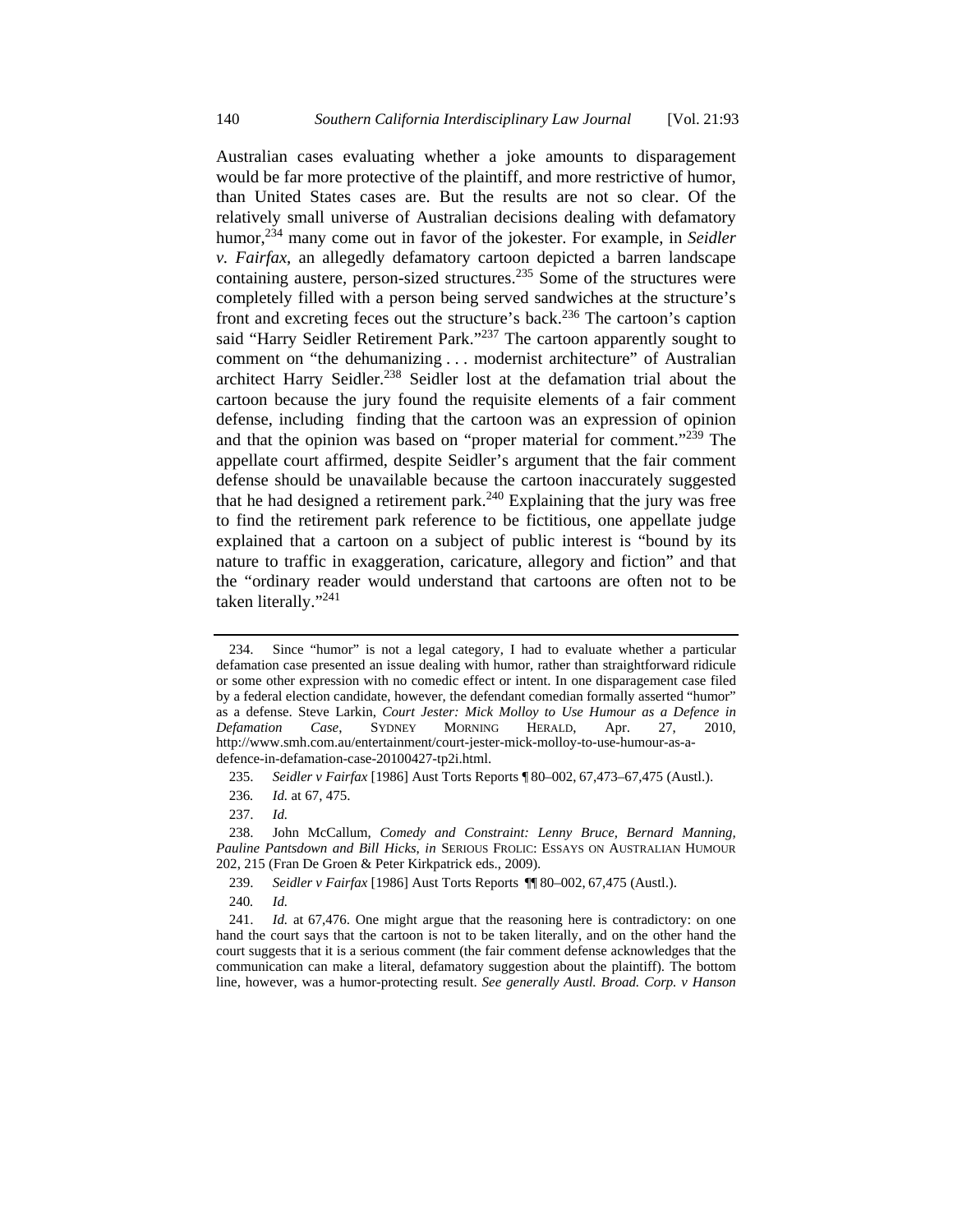Australian cases evaluating whether a joke amounts to disparagement would be far more protective of the plaintiff, and more restrictive of humor, than United States cases are. But the results are not so clear. Of the relatively small universe of Australian decisions dealing with defamatory humor,<sup>234</sup> many come out in favor of the jokester. For example, in *Seidler v. Fairfax*, an allegedly defamatory cartoon depicted a barren landscape containing austere, person-sized structures.235 Some of the structures were completely filled with a person being served sandwiches at the structure's front and excreting feces out the structure's back.<sup>236</sup> The cartoon's caption said "Harry Seidler Retirement Park."<sup>237</sup> The cartoon apparently sought to comment on "the dehumanizing . . . modernist architecture" of Australian architect Harry Seidler.<sup>238</sup> Seidler lost at the defamation trial about the cartoon because the jury found the requisite elements of a fair comment defense, including finding that the cartoon was an expression of opinion and that the opinion was based on "proper material for comment."239 The appellate court affirmed, despite Seidler's argument that the fair comment defense should be unavailable because the cartoon inaccurately suggested that he had designed a retirement park.<sup>240</sup> Explaining that the jury was free to find the retirement park reference to be fictitious, one appellate judge explained that a cartoon on a subject of public interest is "bound by its nature to traffic in exaggeration, caricature, allegory and fiction" and that the "ordinary reader would understand that cartoons are often not to be taken literally."241

 <sup>234.</sup> Since "humor" is not a legal category, I had to evaluate whether a particular defamation case presented an issue dealing with humor, rather than straightforward ridicule or some other expression with no comedic effect or intent. In one disparagement case filed by a federal election candidate, however, the defendant comedian formally asserted "humor" as a defense. Steve Larkin, *Court Jester: Mick Molloy to Use Humour as a Defence in Defamation Case*, SYDNEY MORNING HERALD, Apr. 27, 2010, http://www.smh.com.au/entertainment/court-jester-mick-molloy-to-use-humour-as-adefence-in-defamation-case-20100427-tp2i.html.

 <sup>235.</sup> *Seidler v Fairfax* [1986] Aust Torts Reports ¶ 80–002, 67,473–67,475 (Austl.).

<sup>236</sup>*. Id.* at 67, 475.

 <sup>237.</sup> *Id.* 

 <sup>238.</sup> John McCallum, *Comedy and Constraint: Lenny Bruce, Bernard Manning, Pauline Pantsdown and Bill Hicks*, *in* SERIOUS FROLIC: ESSAYS ON AUSTRALIAN HUMOUR 202, 215 (Fran De Groen & Peter Kirkpatrick eds., 2009).

 <sup>239.</sup> *Seidler v Fairfax* [1986] Aust Torts Reports ¶¶ 80–002, 67,475 (Austl.).

<sup>240</sup>*. Id.*

 <sup>241.</sup> *Id.* at 67,476. One might argue that the reasoning here is contradictory: on one hand the court says that the cartoon is not to be taken literally, and on the other hand the court suggests that it is a serious comment (the fair comment defense acknowledges that the communication can make a literal, defamatory suggestion about the plaintiff). The bottom line, however, was a humor-protecting result. *See generally Austl. Broad. Corp. v Hanson*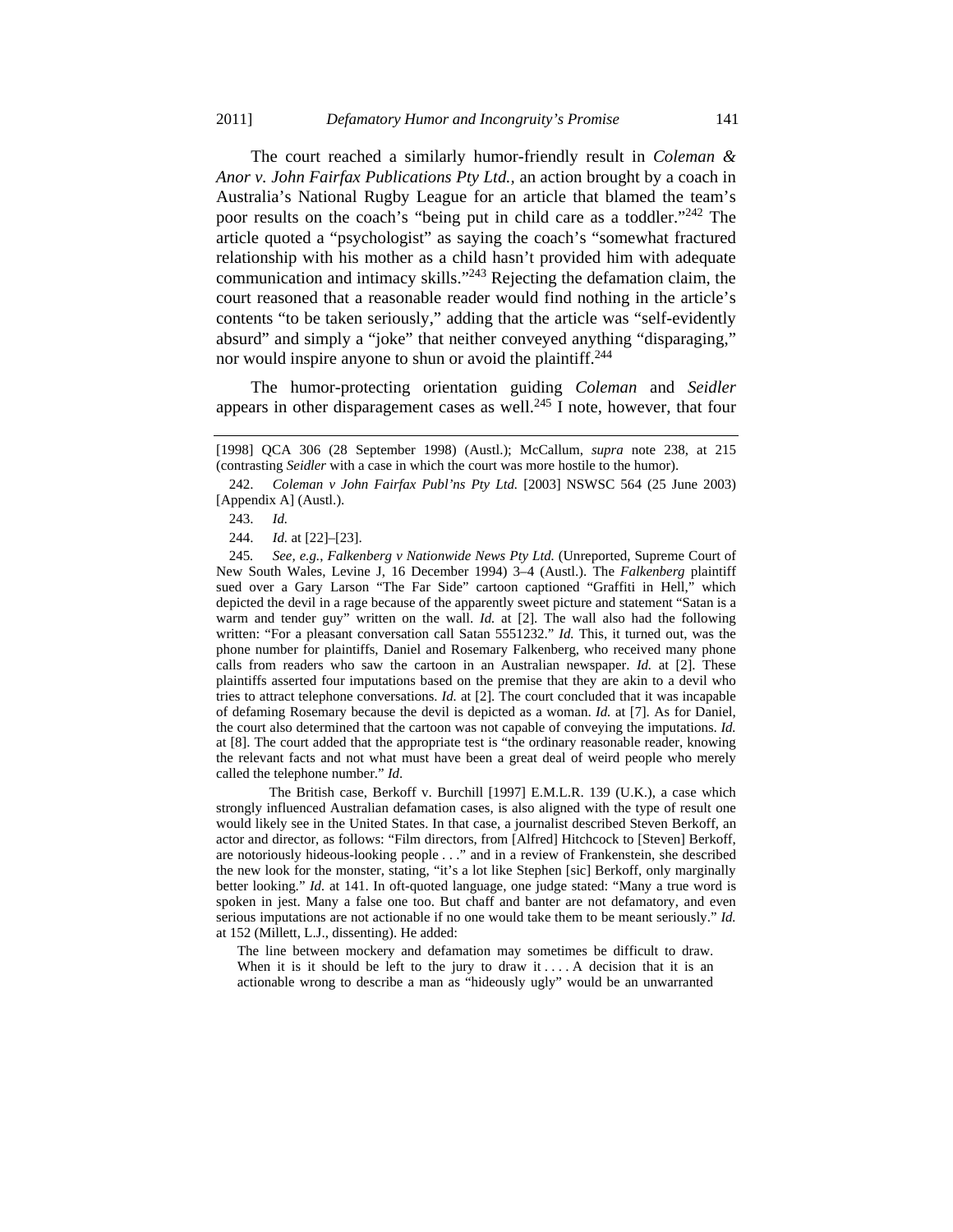nor would inspire anyone to shun or avoid the plaintiff.<sup>244</sup>

The court reached a similarly humor-friendly result in *Coleman & Anor v. John Fairfax Publications Pty Ltd.,* an action brought by a coach in Australia's National Rugby League for an article that blamed the team's poor results on the coach's "being put in child care as a toddler."242 The article quoted a "psychologist" as saying the coach's "somewhat fractured relationship with his mother as a child hasn't provided him with adequate communication and intimacy skills."243 Rejecting the defamation claim, the court reasoned that a reasonable reader would find nothing in the article's contents "to be taken seriously," adding that the article was "self-evidently absurd" and simply a "joke" that neither conveyed anything "disparaging,"

The humor-protecting orientation guiding *Coleman* and *Seidler* appears in other disparagement cases as well.<sup>245</sup> I note, however, that four

 The British case, Berkoff v. Burchill [1997] E.M.L.R. 139 (U.K.), a case which strongly influenced Australian defamation cases, is also aligned with the type of result one would likely see in the United States. In that case, a journalist described Steven Berkoff, an actor and director, as follows: "Film directors, from [Alfred] Hitchcock to [Steven] Berkoff, are notoriously hideous-looking people . . ." and in a review of Frankenstein, she described the new look for the monster, stating, "it's a lot like Stephen [sic] Berkoff, only marginally better looking." *Id.* at 141. In oft-quoted language, one judge stated: "Many a true word is spoken in jest. Many a false one too. But chaff and banter are not defamatory, and even serious imputations are not actionable if no one would take them to be meant seriously." *Id.*  at 152 (Millett, L.J., dissenting). He added:

The line between mockery and defamation may sometimes be difficult to draw. When it is it should be left to the jury to draw it  $\dots$ . A decision that it is an actionable wrong to describe a man as "hideously ugly" would be an unwarranted

<sup>[1998]</sup> QCA 306 (28 September 1998) (Austl.); McCallum, *supra* note 238, at 215 (contrasting *Seidler* with a case in which the court was more hostile to the humor).

 <sup>242.</sup> *Coleman v John Fairfax Publ'ns Pty Ltd.* [2003] NSWSC 564 (25 June 2003) [Appendix A] (Austl.).

 <sup>243.</sup> *Id.*

 <sup>244.</sup> *Id.* at [22]–[23].

<sup>245</sup>*. See, e.g.*, *Falkenberg v Nationwide News Pty Ltd.* (Unreported, Supreme Court of New South Wales, Levine J, 16 December 1994) 3–4 (Austl.). The *Falkenberg* plaintiff sued over a Gary Larson "The Far Side" cartoon captioned "Graffiti in Hell," which depicted the devil in a rage because of the apparently sweet picture and statement "Satan is a warm and tender guy" written on the wall. *Id.* at [2]. The wall also had the following written: "For a pleasant conversation call Satan 5551232." *Id.* This, it turned out, was the phone number for plaintiffs, Daniel and Rosemary Falkenberg, who received many phone calls from readers who saw the cartoon in an Australian newspaper. *Id.* at [2]. These plaintiffs asserted four imputations based on the premise that they are akin to a devil who tries to attract telephone conversations. *Id.* at [2]. The court concluded that it was incapable of defaming Rosemary because the devil is depicted as a woman. *Id.* at [7]. As for Daniel, the court also determined that the cartoon was not capable of conveying the imputations. *Id.* at [8]. The court added that the appropriate test is "the ordinary reasonable reader, knowing the relevant facts and not what must have been a great deal of weird people who merely called the telephone number." *Id*.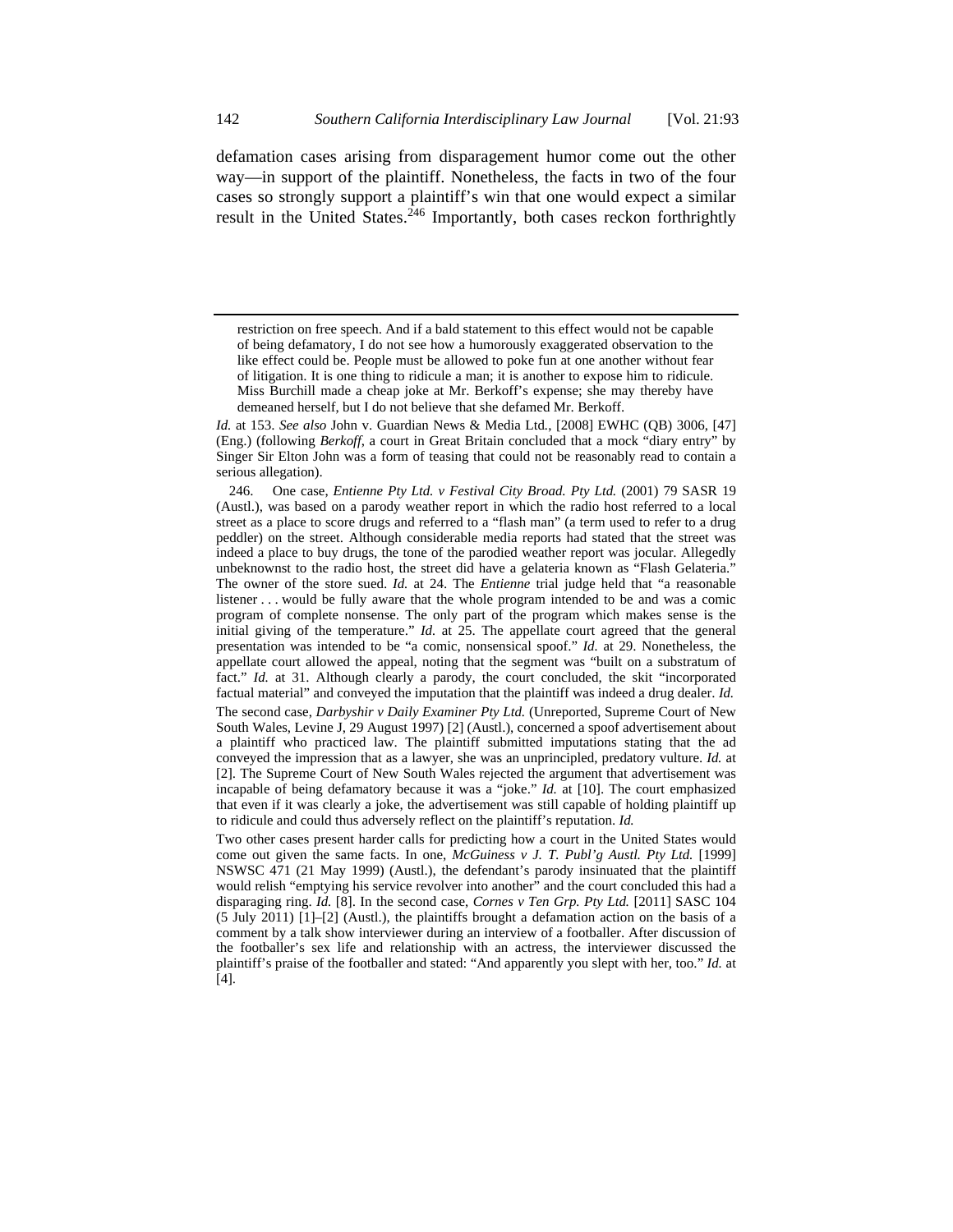defamation cases arising from disparagement humor come out the other way—in support of the plaintiff. Nonetheless, the facts in two of the four cases so strongly support a plaintiff's win that one would expect a similar result in the United States.<sup>246</sup> Importantly, both cases reckon forthrightly

*Id.* at 153. *See also* John v. Guardian News & Media Ltd*.*, [2008] EWHC (QB) 3006, [47] (Eng.) (following *Berkoff*, a court in Great Britain concluded that a mock "diary entry" by Singer Sir Elton John was a form of teasing that could not be reasonably read to contain a serious allegation).

 246. One case, *Entienne Pty Ltd. v Festival City Broad. Pty Ltd.* (2001) 79 SASR 19 (Austl.), was based on a parody weather report in which the radio host referred to a local street as a place to score drugs and referred to a "flash man" (a term used to refer to a drug peddler) on the street. Although considerable media reports had stated that the street was indeed a place to buy drugs, the tone of the parodied weather report was jocular. Allegedly unbeknownst to the radio host, the street did have a gelateria known as "Flash Gelateria." The owner of the store sued. *Id.* at 24. The *Entienne* trial judge held that "a reasonable listener . . . would be fully aware that the whole program intended to be and was a comic program of complete nonsense. The only part of the program which makes sense is the initial giving of the temperature." *Id.* at 25. The appellate court agreed that the general presentation was intended to be "a comic, nonsensical spoof." *Id.* at 29. Nonetheless, the appellate court allowed the appeal, noting that the segment was "built on a substratum of fact." *Id.* at 31. Although clearly a parody, the court concluded, the skit "incorporated factual material" and conveyed the imputation that the plaintiff was indeed a drug dealer. *Id.* The second case, *Darbyshir v Daily Examiner Pty Ltd.* (Unreported, Supreme Court of New South Wales, Levine J, 29 August 1997) [2] (Austl.), concerned a spoof advertisement about a plaintiff who practiced law. The plaintiff submitted imputations stating that the ad conveyed the impression that as a lawyer, she was an unprincipled, predatory vulture. *Id.* at [2]. The Supreme Court of New South Wales rejected the argument that advertisement was incapable of being defamatory because it was a "joke." *Id.* at [10]. The court emphasized that even if it was clearly a joke, the advertisement was still capable of holding plaintiff up to ridicule and could thus adversely reflect on the plaintiff's reputation. *Id.* 

Two other cases present harder calls for predicting how a court in the United States would come out given the same facts. In one, *McGuiness v J. T. Publ'g Austl. Pty Ltd.* [1999] NSWSC 471 (21 May 1999) (Austl.), the defendant's parody insinuated that the plaintiff would relish "emptying his service revolver into another" and the court concluded this had a disparaging ring. *Id.* [8]. In the second case, *Cornes v Ten Grp. Pty Ltd.* [2011] SASC 104 (5 July 2011) [1]–[2] (Austl.), the plaintiffs brought a defamation action on the basis of a comment by a talk show interviewer during an interview of a footballer. After discussion of the footballer's sex life and relationship with an actress, the interviewer discussed the plaintiff's praise of the footballer and stated: "And apparently you slept with her, too." *Id.* at [4].

restriction on free speech. And if a bald statement to this effect would not be capable of being defamatory, I do not see how a humorously exaggerated observation to the like effect could be. People must be allowed to poke fun at one another without fear of litigation. It is one thing to ridicule a man; it is another to expose him to ridicule. Miss Burchill made a cheap joke at Mr. Berkoff's expense; she may thereby have demeaned herself, but I do not believe that she defamed Mr. Berkoff.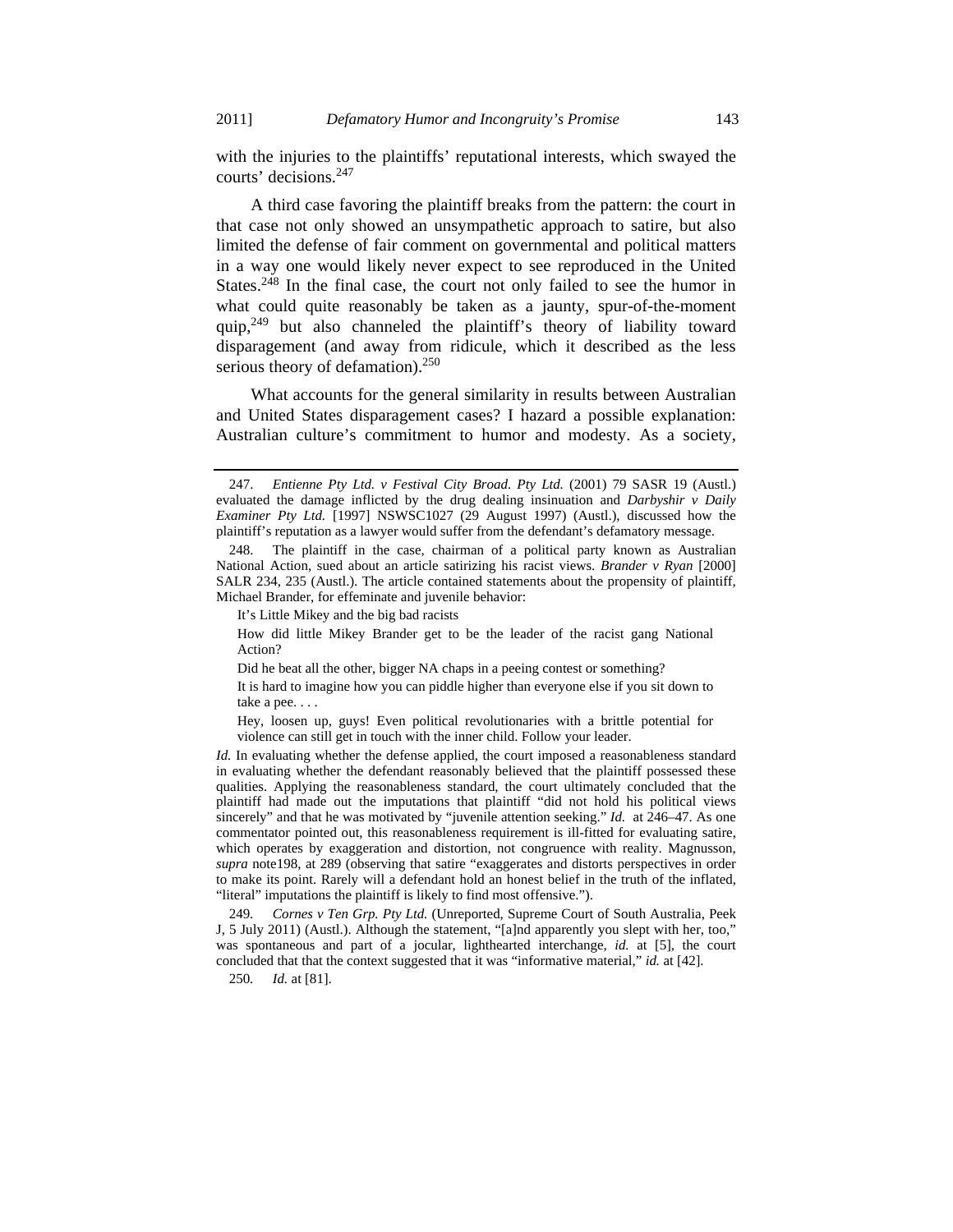with the injuries to the plaintiffs' reputational interests, which swayed the courts' decisions.247

A third case favoring the plaintiff breaks from the pattern: the court in that case not only showed an unsympathetic approach to satire, but also limited the defense of fair comment on governmental and political matters in a way one would likely never expect to see reproduced in the United States.<sup>248</sup> In the final case, the court not only failed to see the humor in what could quite reasonably be taken as a jaunty, spur-of-the-moment quip, $249$  but also channeled the plaintiff's theory of liability toward disparagement (and away from ridicule, which it described as the less serious theory of defamation).<sup>250</sup>

What accounts for the general similarity in results between Australian and United States disparagement cases? I hazard a possible explanation: Australian culture's commitment to humor and modesty. As a society,

It's Little Mikey and the big bad racists

How did little Mikey Brander get to be the leader of the racist gang National Action?

Did he beat all the other, bigger NA chaps in a peeing contest or something?

It is hard to imagine how you can piddle higher than everyone else if you sit down to take a pee. . . .

Hey, loosen up, guys! Even political revolutionaries with a brittle potential for violence can still get in touch with the inner child. Follow your leader.

*Id.* In evaluating whether the defense applied, the court imposed a reasonableness standard in evaluating whether the defendant reasonably believed that the plaintiff possessed these qualities. Applying the reasonableness standard, the court ultimately concluded that the plaintiff had made out the imputations that plaintiff "did not hold his political views sincerely" and that he was motivated by "juvenile attention seeking." *Id.* at 246–47. As one commentator pointed out, this reasonableness requirement is ill-fitted for evaluating satire, which operates by exaggeration and distortion, not congruence with reality. Magnusson, *supra* note198, at 289 (observing that satire "exaggerates and distorts perspectives in order to make its point. Rarely will a defendant hold an honest belief in the truth of the inflated, "literal" imputations the plaintiff is likely to find most offensive.").

249*. Cornes v Ten Grp. Pty Ltd.* (Unreported, Supreme Court of South Australia, Peek J, 5 July 2011) (Austl.). Although the statement, "[a]nd apparently you slept with her, too," was spontaneous and part of a jocular, lighthearted interchange, *id.* at [5], the court concluded that that the context suggested that it was "informative material," *id.* at [42].

250*. Id.* at [81].

 <sup>247.</sup> *Entienne Pty Ltd. v Festival City Broad. Pty Ltd.* (2001) 79 SASR 19 (Austl.) evaluated the damage inflicted by the drug dealing insinuation and *Darbyshir v Daily Examiner Pty Ltd.* [1997] NSWSC1027 (29 August 1997) (Austl.), discussed how the plaintiff's reputation as a lawyer would suffer from the defendant's defamatory message.

 <sup>248.</sup> The plaintiff in the case, chairman of a political party known as Australian National Action, sued about an article satirizing his racist views. *Brander v Ryan* [2000] SALR 234, 235 (Austl.). The article contained statements about the propensity of plaintiff, Michael Brander, for effeminate and juvenile behavior: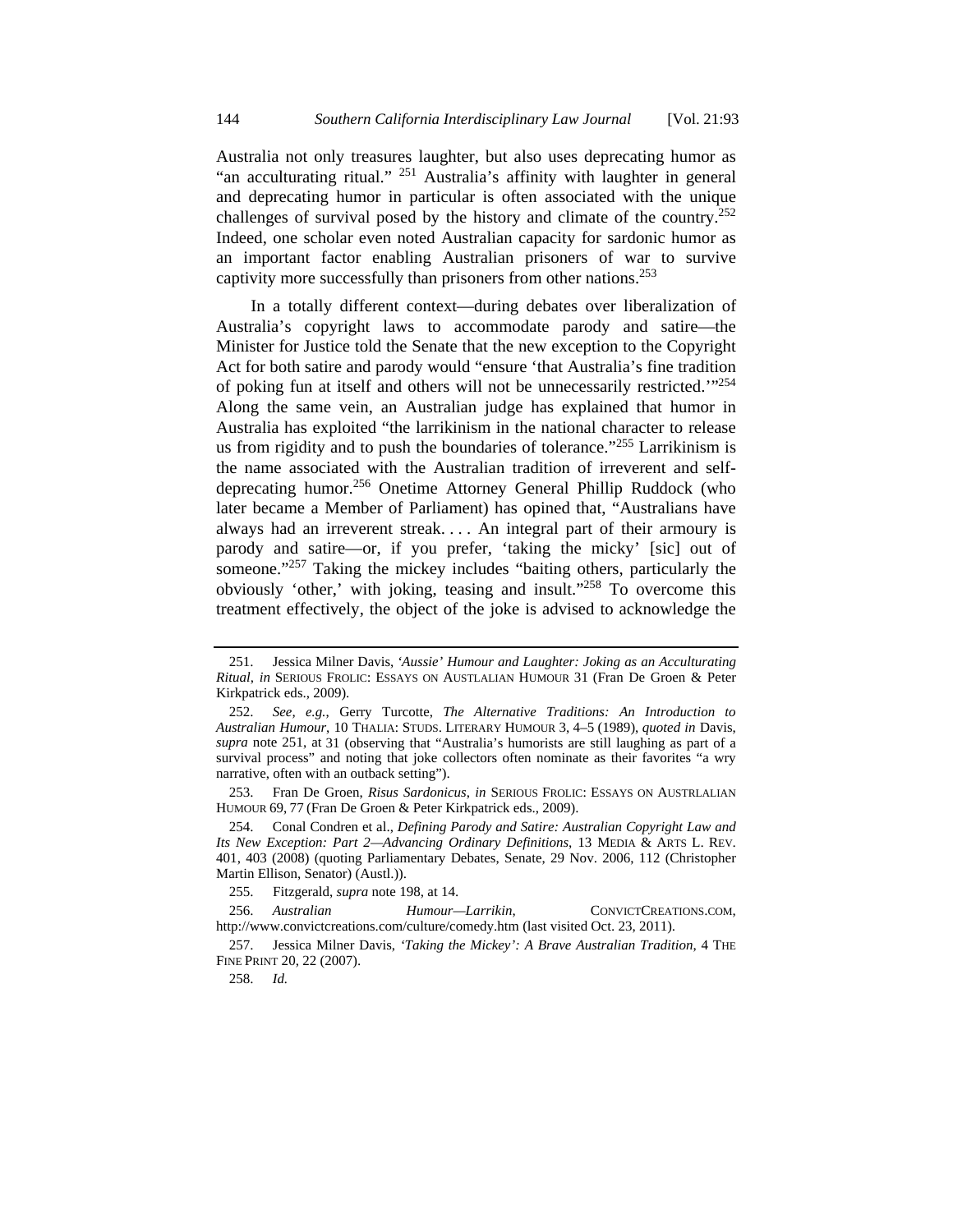Australia not only treasures laughter, but also uses deprecating humor as "an acculturating ritual." 251 Australia's affinity with laughter in general and deprecating humor in particular is often associated with the unique challenges of survival posed by the history and climate of the country.252 Indeed, one scholar even noted Australian capacity for sardonic humor as an important factor enabling Australian prisoners of war to survive captivity more successfully than prisoners from other nations.253

In a totally different context—during debates over liberalization of Australia's copyright laws to accommodate parody and satire—the Minister for Justice told the Senate that the new exception to the Copyright Act for both satire and parody would "ensure 'that Australia's fine tradition of poking fun at itself and others will not be unnecessarily restricted.'"254 Along the same vein, an Australian judge has explained that humor in Australia has exploited "the larrikinism in the national character to release us from rigidity and to push the boundaries of tolerance."<sup>255</sup> Larrikinism is the name associated with the Australian tradition of irreverent and selfdeprecating humor.256 Onetime Attorney General Phillip Ruddock (who later became a Member of Parliament) has opined that, "Australians have always had an irreverent streak. . . . An integral part of their armoury is parody and satire—or, if you prefer, 'taking the micky' [sic] out of someone."<sup>257</sup> Taking the mickey includes "baiting others, particularly the obviously 'other,' with joking, teasing and insult."258 To overcome this treatment effectively, the object of the joke is advised to acknowledge the

 253. Fran De Groen, *Risus Sardonicus*, *in* SERIOUS FROLIC: ESSAYS ON AUSTRLALIAN HUMOUR 69, 77 (Fran De Groen & Peter Kirkpatrick eds., 2009).

 254. Conal Condren et al., *Defining Parody and Satire: Australian Copyright Law and Its New Exception: Part 2—Advancing Ordinary Definitions*, 13 MEDIA & ARTS L. REV. 401, 403 (2008) (quoting Parliamentary Debates, Senate, 29 Nov. 2006, 112 (Christopher Martin Ellison, Senator) (Austl.)).

255. Fitzgerald, *supra* note 198, at 14.

 256. *Australian Humour—Larrikin*, CONVICTCREATIONS.COM, http://www.convictcreations.com/culture/comedy.htm (last visited Oct. 23, 2011).

 257. Jessica Milner Davis, *'Taking the Mickey': A Brave Australian Tradition*, 4 THE FINE PRINT 20, 22 (2007).

258. *Id.*

 <sup>251.</sup> Jessica Milner Davis, *'Aussie' Humour and Laughter: Joking as an Acculturating Ritual*, *in* SERIOUS FROLIC: ESSAYS ON AUSTLALIAN HUMOUR 31 (Fran De Groen & Peter Kirkpatrick eds., 2009).

 <sup>252.</sup> *See, e.g.*, Gerry Turcotte, *The Alternative Traditions: An Introduction to Australian Humour*, 10 THALIA: STUDS. LITERARY HUMOUR 3, 4–5 (1989), *quoted in* Davis, *supra* note 251, at 31 (observing that "Australia's humorists are still laughing as part of a survival process" and noting that joke collectors often nominate as their favorites "a wry narrative, often with an outback setting").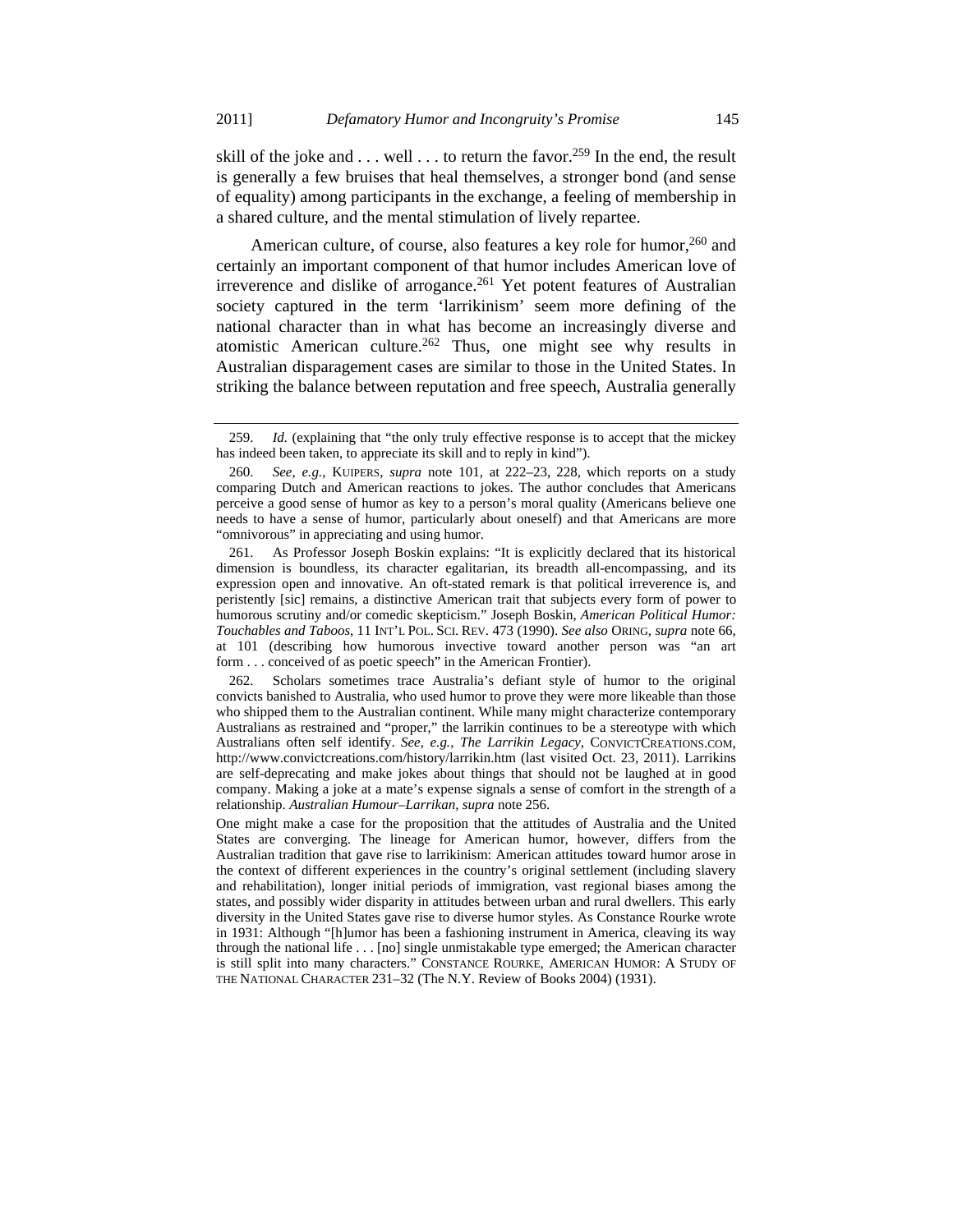skill of the joke and  $\dots$  well  $\dots$  to return the favor.<sup>259</sup> In the end, the result is generally a few bruises that heal themselves, a stronger bond (and sense of equality) among participants in the exchange, a feeling of membership in a shared culture, and the mental stimulation of lively repartee.

American culture, of course, also features a key role for humor,<sup>260</sup> and certainly an important component of that humor includes American love of irreverence and dislike of arrogance.<sup>261</sup> Yet potent features of Australian society captured in the term 'larrikinism' seem more defining of the national character than in what has become an increasingly diverse and atomistic American culture.<sup>262</sup> Thus, one might see why results in Australian disparagement cases are similar to those in the United States. In striking the balance between reputation and free speech, Australia generally

 262. Scholars sometimes trace Australia's defiant style of humor to the original convicts banished to Australia, who used humor to prove they were more likeable than those who shipped them to the Australian continent. While many might characterize contemporary Australians as restrained and "proper," the larrikin continues to be a stereotype with which Australians often self identify. *See, e.g.*, *The Larrikin Legacy*, CONVICTCREATIONS.COM, http://www.convictcreations.com/history/larrikin.htm (last visited Oct. 23, 2011). Larrikins are self-deprecating and make jokes about things that should not be laughed at in good company. Making a joke at a mate's expense signals a sense of comfort in the strength of a relationship. *Australian Humour–Larrikan*, *supra* note 256.

One might make a case for the proposition that the attitudes of Australia and the United States are converging. The lineage for American humor, however, differs from the Australian tradition that gave rise to larrikinism: American attitudes toward humor arose in the context of different experiences in the country's original settlement (including slavery and rehabilitation), longer initial periods of immigration, vast regional biases among the states, and possibly wider disparity in attitudes between urban and rural dwellers. This early diversity in the United States gave rise to diverse humor styles. As Constance Rourke wrote in 1931: Although "[h]umor has been a fashioning instrument in America, cleaving its way through the national life . . . [no] single unmistakable type emerged; the American character is still split into many characters." CONSTANCE ROURKE, AMERICAN HUMOR: A STUDY OF THE NATIONAL CHARACTER 231–32 (The N.Y. Review of Books 2004) (1931).

 <sup>259.</sup> *Id.* (explaining that "the only truly effective response is to accept that the mickey has indeed been taken, to appreciate its skill and to reply in kind").

 <sup>260.</sup> *See, e.g.*, KUIPERS, *supra* note 101, at 222–23, 228, which reports on a study comparing Dutch and American reactions to jokes. The author concludes that Americans perceive a good sense of humor as key to a person's moral quality (Americans believe one needs to have a sense of humor, particularly about oneself) and that Americans are more "omnivorous" in appreciating and using humor.

 <sup>261.</sup> As Professor Joseph Boskin explains: "It is explicitly declared that its historical dimension is boundless, its character egalitarian, its breadth all-encompassing, and its expression open and innovative. An oft-stated remark is that political irreverence is, and peristently [sic] remains, a distinctive American trait that subjects every form of power to humorous scrutiny and/or comedic skepticism." Joseph Boskin, *American Political Humor: Touchables and Taboos*, 11 INT'L POL. SCI. REV. 473 (1990). *See also* ORING, *supra* note 66, at 101 (describing how humorous invective toward another person was "an art form . . . conceived of as poetic speech" in the American Frontier).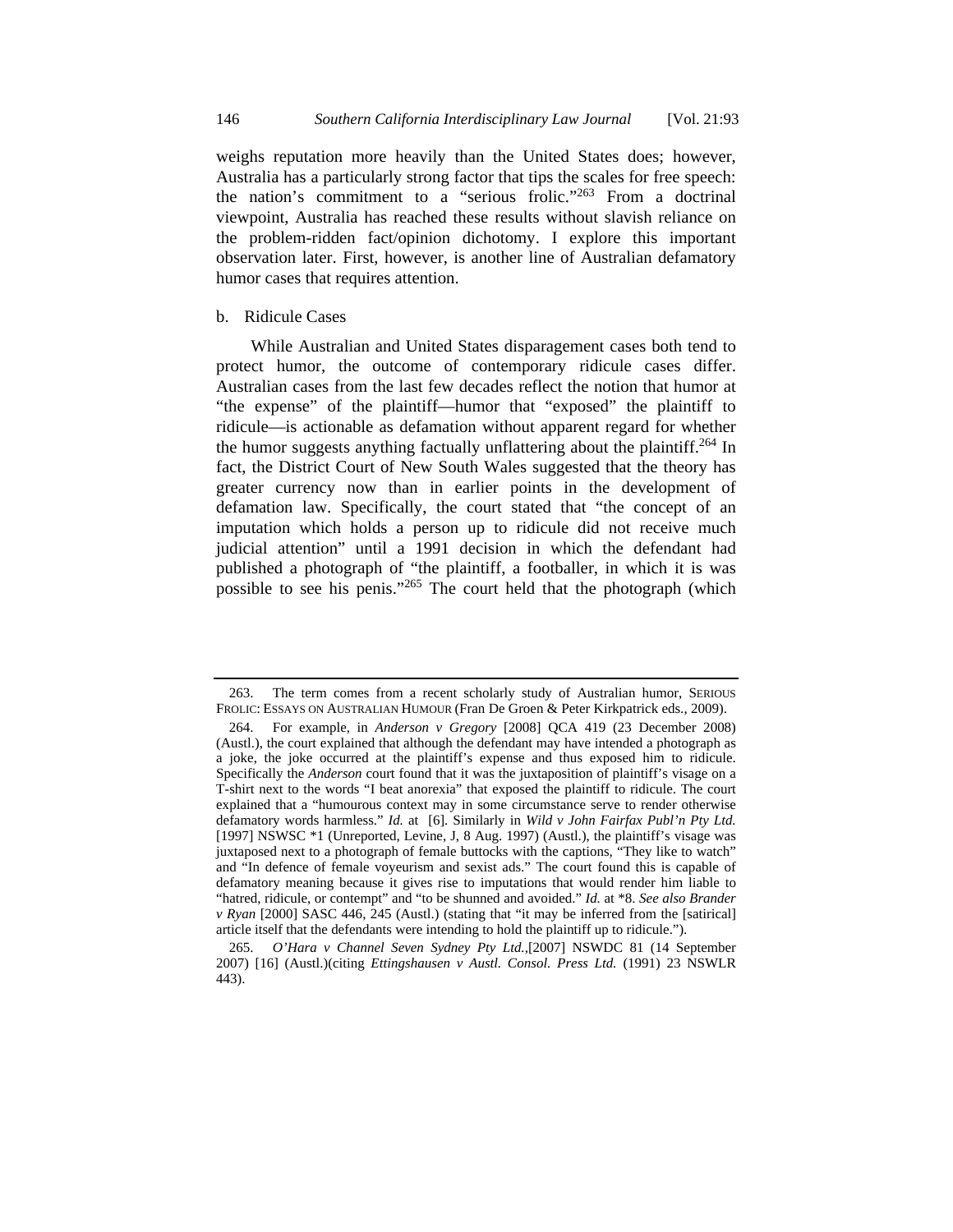weighs reputation more heavily than the United States does; however, Australia has a particularly strong factor that tips the scales for free speech: the nation's commitment to a "serious frolic."263 From a doctrinal viewpoint, Australia has reached these results without slavish reliance on the problem-ridden fact/opinion dichotomy. I explore this important observation later. First, however, is another line of Australian defamatory humor cases that requires attention.

### b. Ridicule Cases

While Australian and United States disparagement cases both tend to protect humor, the outcome of contemporary ridicule cases differ. Australian cases from the last few decades reflect the notion that humor at "the expense" of the plaintiff—humor that "exposed" the plaintiff to ridicule—is actionable as defamation without apparent regard for whether the humor suggests anything factually unflattering about the plaintiff.<sup>264</sup> In fact, the District Court of New South Wales suggested that the theory has greater currency now than in earlier points in the development of defamation law. Specifically, the court stated that "the concept of an imputation which holds a person up to ridicule did not receive much judicial attention" until a 1991 decision in which the defendant had published a photograph of "the plaintiff, a footballer, in which it is was possible to see his penis."265 The court held that the photograph (which

 <sup>263.</sup> The term comes from a recent scholarly study of Australian humor, SERIOUS FROLIC: ESSAYS ON AUSTRALIAN HUMOUR (Fran De Groen & Peter Kirkpatrick eds., 2009).

 <sup>264.</sup> For example, in *Anderson v Gregory* [2008] QCA 419 (23 December 2008) (Austl.), the court explained that although the defendant may have intended a photograph as a joke, the joke occurred at the plaintiff's expense and thus exposed him to ridicule. Specifically the *Anderson* court found that it was the juxtaposition of plaintiff's visage on a T-shirt next to the words "I beat anorexia" that exposed the plaintiff to ridicule. The court explained that a "humourous context may in some circumstance serve to render otherwise defamatory words harmless." *Id.* at [6]. Similarly in *Wild v John Fairfax Publ'n Pty Ltd.* [1997] NSWSC \*1 (Unreported, Levine, J, 8 Aug. 1997) (Austl.), the plaintiff's visage was juxtaposed next to a photograph of female buttocks with the captions, "They like to watch" and "In defence of female voyeurism and sexist ads." The court found this is capable of defamatory meaning because it gives rise to imputations that would render him liable to "hatred, ridicule, or contempt" and "to be shunned and avoided." *Id.* at \*8. *See also Brander v Ryan* [2000] SASC 446, 245 (Austl.) (stating that "it may be inferred from the [satirical] article itself that the defendants were intending to hold the plaintiff up to ridicule.").

 <sup>265.</sup> *O'Hara v Channel Seven Sydney Pty Ltd.,*[2007] NSWDC 81 (14 September 2007) [16] (Austl.)(citing *Ettingshausen v Austl. Consol. Press Ltd.* (1991) 23 NSWLR 443).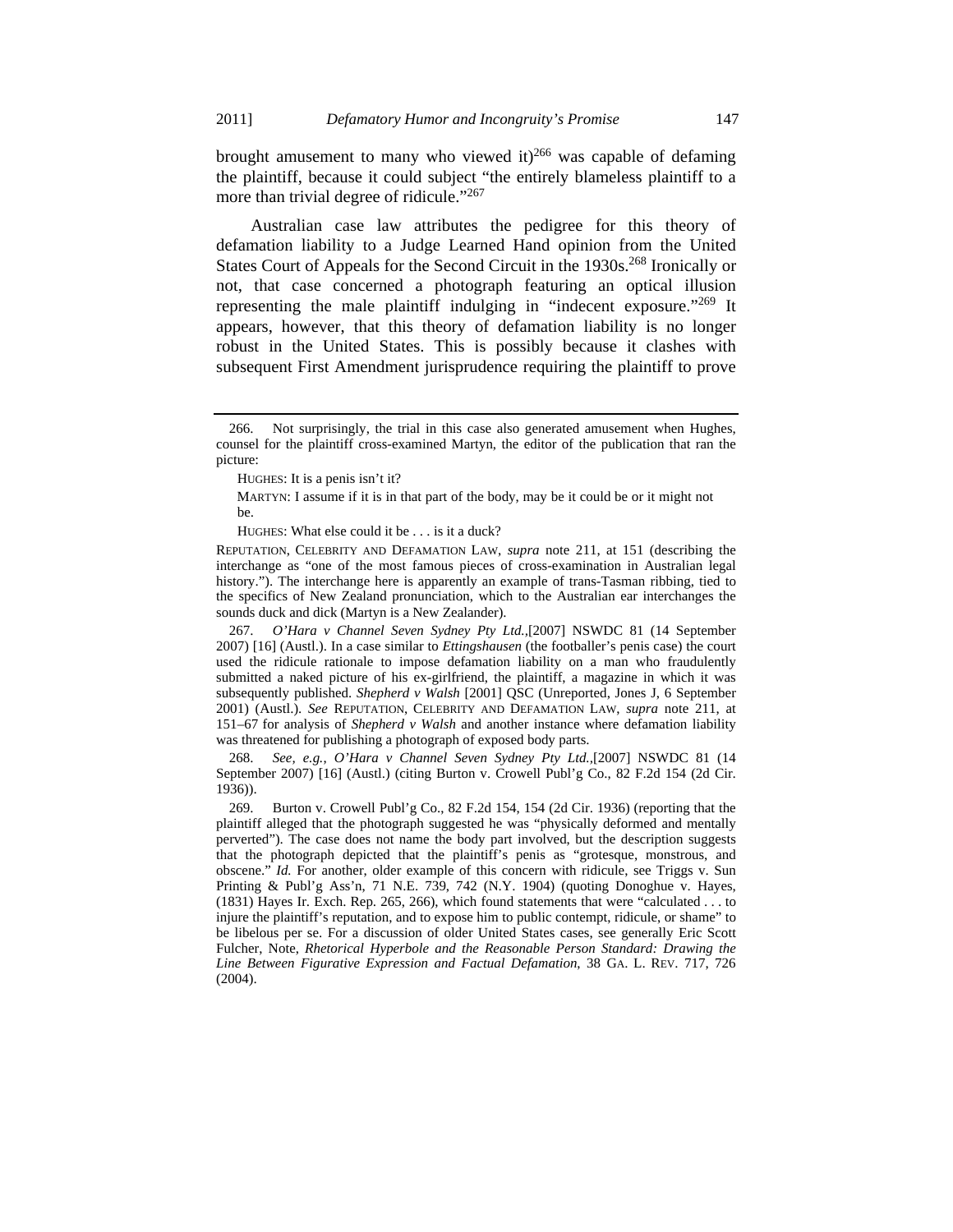brought amusement to many who viewed it)<sup>266</sup> was capable of defaming the plaintiff, because it could subject "the entirely blameless plaintiff to a more than trivial degree of ridicule."<sup>267</sup>

Australian case law attributes the pedigree for this theory of defamation liability to a Judge Learned Hand opinion from the United States Court of Appeals for the Second Circuit in the 1930s.<sup>268</sup> Ironically or not, that case concerned a photograph featuring an optical illusion representing the male plaintiff indulging in "indecent exposure."269 It appears, however, that this theory of defamation liability is no longer robust in the United States. This is possibly because it clashes with subsequent First Amendment jurisprudence requiring the plaintiff to prove

HUGHES: What else could it be . . . is it a duck?

REPUTATION, CELEBRITY AND DEFAMATION LAW, *supra* note 211, at 151 (describing the interchange as "one of the most famous pieces of cross-examination in Australian legal history."). The interchange here is apparently an example of trans-Tasman ribbing, tied to the specifics of New Zealand pronunciation, which to the Australian ear interchanges the sounds duck and dick (Martyn is a New Zealander).

 267. *O'Hara v Channel Seven Sydney Pty Ltd.,*[2007] NSWDC 81 (14 September 2007) [16] (Austl.). In a case similar to *Ettingshausen* (the footballer's penis case) the court used the ridicule rationale to impose defamation liability on a man who fraudulently submitted a naked picture of his ex-girlfriend, the plaintiff, a magazine in which it was subsequently published. *Shepherd v Walsh* [2001] QSC (Unreported, Jones J, 6 September 2001) (Austl.). *See* REPUTATION, CELEBRITY AND DEFAMATION LAW, *supra* note 211, at 151–67 for analysis of *Shepherd v Walsh* and another instance where defamation liability was threatened for publishing a photograph of exposed body parts.

 268. *See, e.g.*, *O'Hara v Channel Seven Sydney Pty Ltd.,*[2007] NSWDC 81 (14 September 2007) [16] (Austl.) (citing Burton v. Crowell Publ'g Co., 82 F.2d 154 (2d Cir. 1936)).

 269. Burton v. Crowell Publ'g Co., 82 F.2d 154, 154 (2d Cir. 1936) (reporting that the plaintiff alleged that the photograph suggested he was "physically deformed and mentally perverted"). The case does not name the body part involved, but the description suggests that the photograph depicted that the plaintiff's penis as "grotesque, monstrous, and obscene." *Id.* For another, older example of this concern with ridicule, see Triggs v. Sun Printing & Publ'g Ass'n, 71 N.E. 739, 742 (N.Y. 1904) (quoting Donoghue v. Hayes, (1831) Hayes Ir. Exch. Rep. 265, 266), which found statements that were "calculated . . . to injure the plaintiff's reputation, and to expose him to public contempt, ridicule, or shame" to be libelous per se. For a discussion of older United States cases, see generally Eric Scott Fulcher, Note, *Rhetorical Hyperbole and the Reasonable Person Standard: Drawing the Line Between Figurative Expression and Factual Defamation*, 38 GA. L. REV. 717, 726 (2004).

 <sup>266.</sup> Not surprisingly, the trial in this case also generated amusement when Hughes, counsel for the plaintiff cross-examined Martyn, the editor of the publication that ran the picture:

HUGHES: It is a penis isn't it?

MARTYN: I assume if it is in that part of the body, may be it could be or it might not be.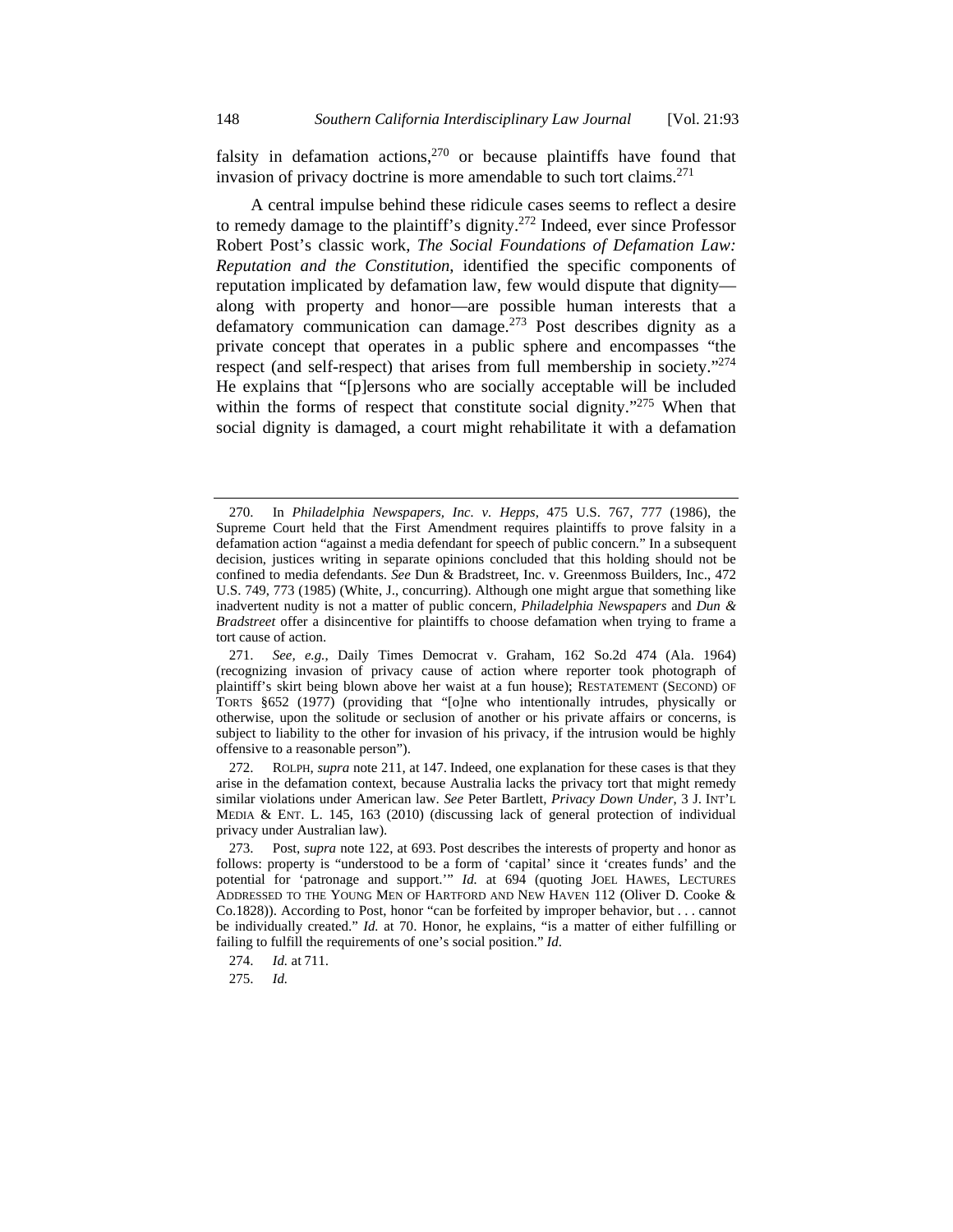falsity in defamation actions, $270$  or because plaintiffs have found that invasion of privacy doctrine is more amendable to such tort claims.<sup>271</sup>

A central impulse behind these ridicule cases seems to reflect a desire to remedy damage to the plaintiff's dignity.272 Indeed, ever since Professor Robert Post's classic work, *The Social Foundations of Defamation Law: Reputation and the Constitution*, identified the specific components of reputation implicated by defamation law, few would dispute that dignity along with property and honor—are possible human interests that a defamatory communication can damage.<sup>273</sup> Post describes dignity as a private concept that operates in a public sphere and encompasses "the respect (and self-respect) that arises from full membership in society."<sup>274</sup> He explains that "[p]ersons who are socially acceptable will be included within the forms of respect that constitute social dignity."<sup>275</sup> When that social dignity is damaged, a court might rehabilitate it with a defamation

 272. ROLPH, *supra* note 211, at 147. Indeed, one explanation for these cases is that they arise in the defamation context, because Australia lacks the privacy tort that might remedy similar violations under American law. *See* Peter Bartlett, *Privacy Down Under*, 3 J. INT'L MEDIA & ENT. L. 145, 163 (2010) (discussing lack of general protection of individual privacy under Australian law).

 <sup>270.</sup> In *Philadelphia Newspapers, Inc. v. Hepps*, 475 U.S. 767, 777 (1986), the Supreme Court held that the First Amendment requires plaintiffs to prove falsity in a defamation action "against a media defendant for speech of public concern." In a subsequent decision, justices writing in separate opinions concluded that this holding should not be confined to media defendants. *See* Dun & Bradstreet, Inc. v. Greenmoss Builders, Inc., 472 U.S. 749, 773 (1985) (White, J., concurring). Although one might argue that something like inadvertent nudity is not a matter of public concern, *Philadelphia Newspapers* and *Dun & Bradstreet* offer a disincentive for plaintiffs to choose defamation when trying to frame a tort cause of action.

 <sup>271.</sup> *See, e.g.*, Daily Times Democrat v. Graham, 162 So.2d 474 (Ala. 1964) (recognizing invasion of privacy cause of action where reporter took photograph of plaintiff's skirt being blown above her waist at a fun house); RESTATEMENT (SECOND) OF TORTS §652 (1977) (providing that "[o]ne who intentionally intrudes, physically or otherwise, upon the solitude or seclusion of another or his private affairs or concerns, is subject to liability to the other for invasion of his privacy, if the intrusion would be highly offensive to a reasonable person").

 <sup>273.</sup> Post, *supra* note 122, at 693. Post describes the interests of property and honor as follows: property is "understood to be a form of 'capital' since it 'creates funds' and the potential for 'patronage and support.'" *Id.* at 694 (quoting JOEL HAWES, LECTURES ADDRESSED TO THE YOUNG MEN OF HARTFORD AND NEW HAVEN 112 (Oliver D. Cooke & Co.1828)). According to Post, honor "can be forfeited by improper behavior, but . . . cannot be individually created." *Id.* at 70. Honor, he explains, "is a matter of either fulfilling or failing to fulfill the requirements of one's social position." *Id*.

 <sup>274.</sup> *Id.* at 711.

 <sup>275.</sup> *Id.*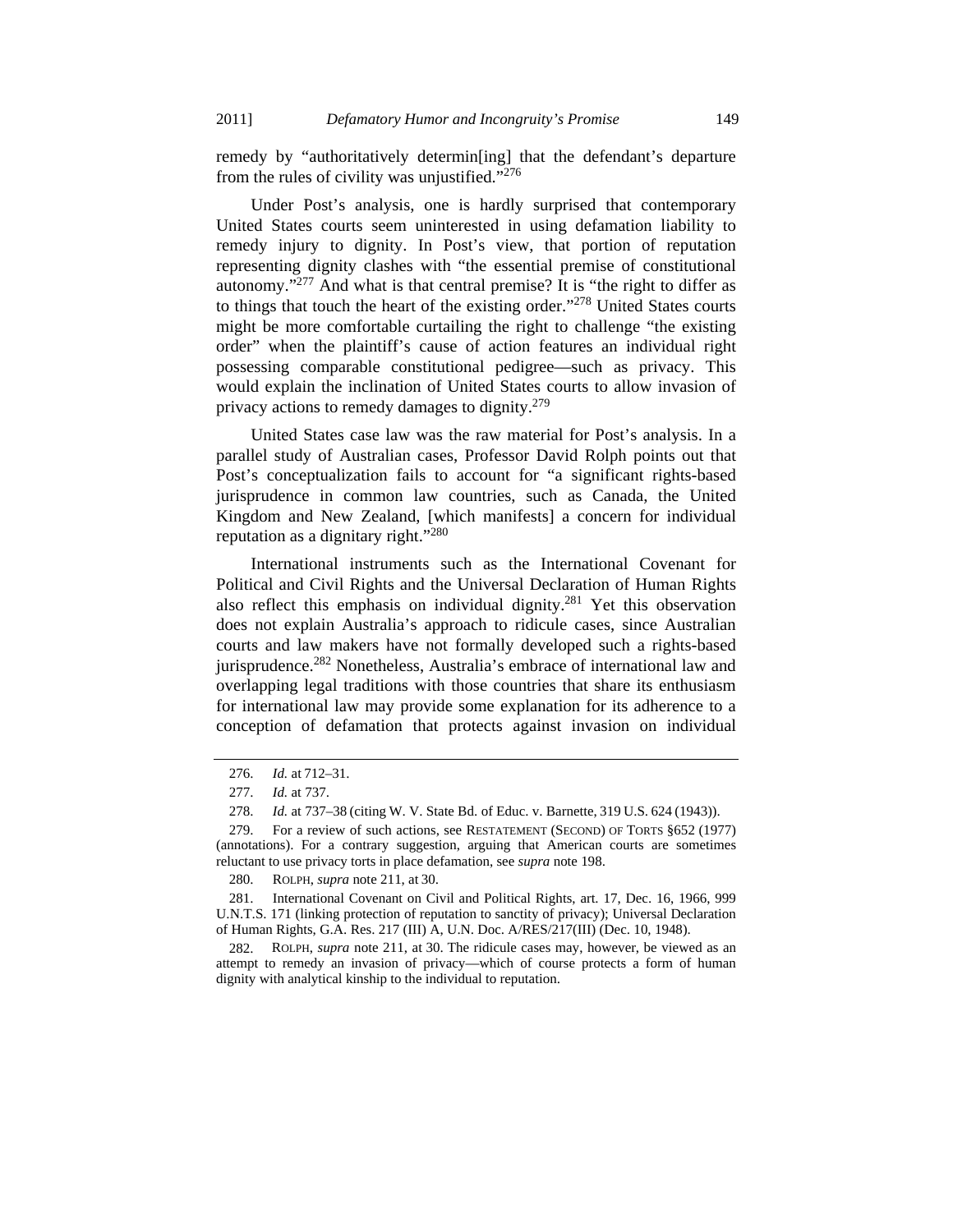remedy by "authoritatively determin[ing] that the defendant's departure from the rules of civility was unjustified."<sup>276</sup>

Under Post's analysis, one is hardly surprised that contemporary United States courts seem uninterested in using defamation liability to remedy injury to dignity. In Post's view, that portion of reputation representing dignity clashes with "the essential premise of constitutional autonomy."277 And what is that central premise? It is "the right to differ as to things that touch the heart of the existing order."278 United States courts might be more comfortable curtailing the right to challenge "the existing order" when the plaintiff's cause of action features an individual right possessing comparable constitutional pedigree—such as privacy. This would explain the inclination of United States courts to allow invasion of privacy actions to remedy damages to dignity. $279$ 

United States case law was the raw material for Post's analysis. In a parallel study of Australian cases, Professor David Rolph points out that Post's conceptualization fails to account for "a significant rights-based jurisprudence in common law countries, such as Canada, the United Kingdom and New Zealand, [which manifests] a concern for individual reputation as a dignitary right."<sup>280</sup>

International instruments such as the International Covenant for Political and Civil Rights and the Universal Declaration of Human Rights also reflect this emphasis on individual dignity.281 Yet this observation does not explain Australia's approach to ridicule cases, since Australian courts and law makers have not formally developed such a rights-based jurisprudence.<sup>282</sup> Nonetheless, Australia's embrace of international law and overlapping legal traditions with those countries that share its enthusiasm for international law may provide some explanation for its adherence to a conception of defamation that protects against invasion on individual

 <sup>276.</sup> *Id.* at 712–31.

 <sup>277.</sup> *Id.* at 737.

 <sup>278.</sup> *Id.* at 737–38 (citing W. V. State Bd. of Educ. v. Barnette, 319 U.S. 624 (1943)).

 <sup>279.</sup> For a review of such actions, see RESTATEMENT (SECOND) OF TORTS §652 (1977) (annotations). For a contrary suggestion, arguing that American courts are sometimes reluctant to use privacy torts in place defamation, see *supra* note 198.

 <sup>280.</sup> ROLPH, *supra* note 211, at 30.

 <sup>281.</sup> International Covenant on Civil and Political Rights, art. 17, Dec. 16, 1966, 999 U.N.T.S. 171 (linking protection of reputation to sanctity of privacy); Universal Declaration of Human Rights, G.A. Res. 217 (III) A, U.N. Doc. A/RES/217(III) (Dec. 10, 1948).

 <sup>282.</sup> ROLPH, *supra* note 211, at 30. The ridicule cases may, however, be viewed as an attempt to remedy an invasion of privacy—which of course protects a form of human dignity with analytical kinship to the individual to reputation.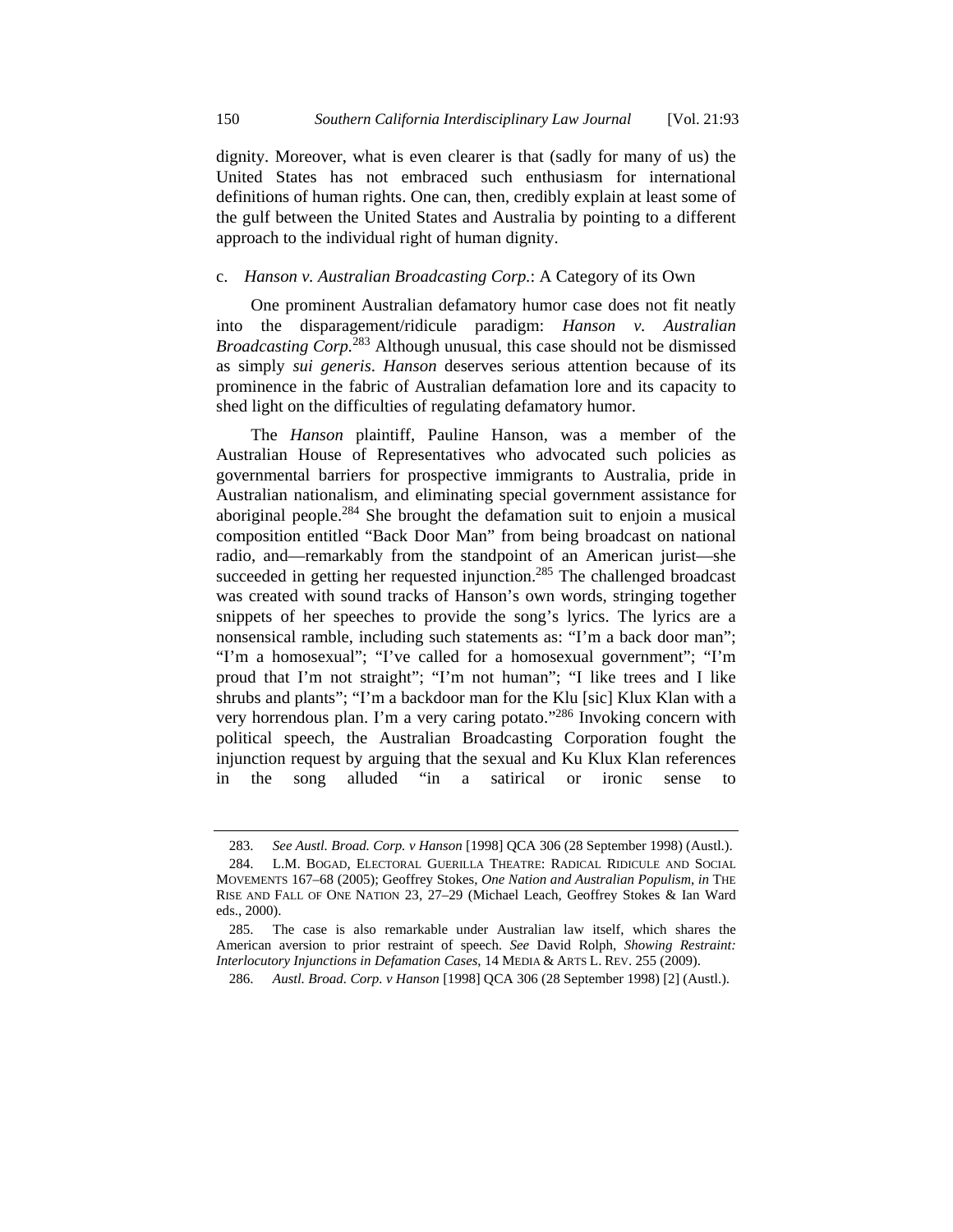dignity. Moreover, what is even clearer is that (sadly for many of us) the United States has not embraced such enthusiasm for international definitions of human rights. One can, then, credibly explain at least some of the gulf between the United States and Australia by pointing to a different approach to the individual right of human dignity.

### c. *Hanson v. Australian Broadcasting Corp.*: A Category of its Own

One prominent Australian defamatory humor case does not fit neatly into the disparagement/ridicule paradigm: *Hanson v. Australian Broadcasting Corp.*<sup>283</sup> Although unusual, this case should not be dismissed as simply *sui generis*. *Hanson* deserves serious attention because of its prominence in the fabric of Australian defamation lore and its capacity to shed light on the difficulties of regulating defamatory humor.

The *Hanson* plaintiff, Pauline Hanson, was a member of the Australian House of Representatives who advocated such policies as governmental barriers for prospective immigrants to Australia, pride in Australian nationalism, and eliminating special government assistance for aboriginal people.284 She brought the defamation suit to enjoin a musical composition entitled "Back Door Man" from being broadcast on national radio, and—remarkably from the standpoint of an American jurist—she succeeded in getting her requested injunction.<sup>285</sup> The challenged broadcast was created with sound tracks of Hanson's own words, stringing together snippets of her speeches to provide the song's lyrics. The lyrics are a nonsensical ramble, including such statements as: "I'm a back door man"; "I'm a homosexual"; "I've called for a homosexual government"; "I'm proud that I'm not straight"; "I'm not human"; "I like trees and I like shrubs and plants"; "I'm a backdoor man for the Klu [sic] Klux Klan with a very horrendous plan. I'm a very caring potato."286 Invoking concern with political speech, the Australian Broadcasting Corporation fought the injunction request by arguing that the sexual and Ku Klux Klan references in the song alluded "in a satirical or ironic sense to

 <sup>283.</sup> *See Austl. Broad. Corp. v Hanson* [1998] QCA 306 (28 September 1998) (Austl.).

 <sup>284.</sup> L.M. BOGAD, ELECTORAL GUERILLA THEATRE: RADICAL RIDICULE AND SOCIAL MOVEMENTS 167–68 (2005); Geoffrey Stokes, *One Nation and Australian Populism*, *in* THE RISE AND FALL OF ONE NATION 23, 27–29 (Michael Leach, Geoffrey Stokes & Ian Ward eds., 2000).

 <sup>285.</sup> The case is also remarkable under Australian law itself, which shares the American aversion to prior restraint of speech. *See* David Rolph, *Showing Restraint: Interlocutory Injunctions in Defamation Cases*, 14 MEDIA & ARTS L. REV. 255 (2009).

 <sup>286.</sup> *Austl. Broad. Corp. v Hanson* [1998] QCA 306 (28 September 1998) [2] (Austl.).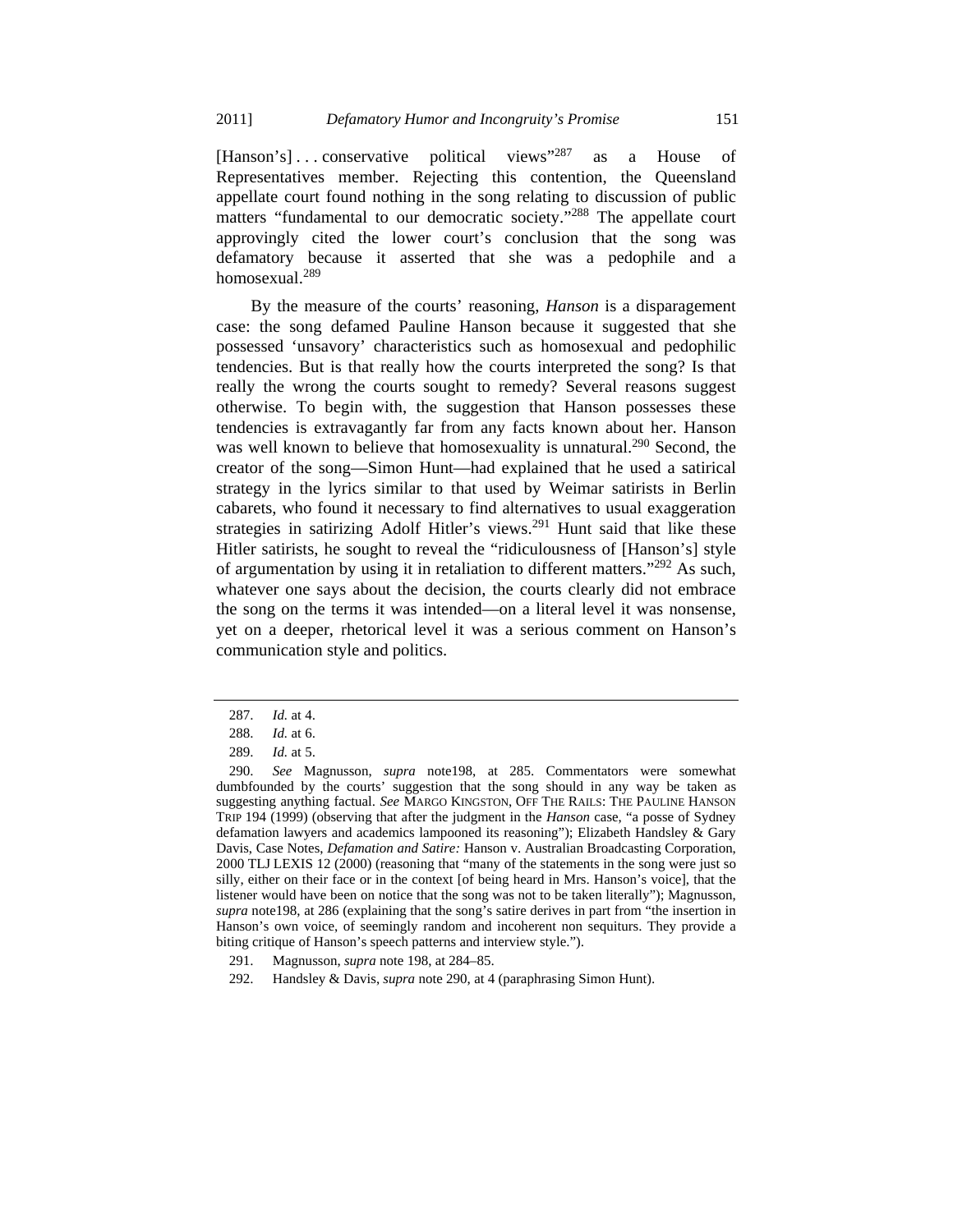[Hanson's] ... conservative political views"<sup>287</sup> as a House of Representatives member. Rejecting this contention, the Queensland appellate court found nothing in the song relating to discussion of public matters "fundamental to our democratic society."288 The appellate court approvingly cited the lower court's conclusion that the song was defamatory because it asserted that she was a pedophile and a homosexual.<sup>289</sup>

By the measure of the courts' reasoning, *Hanson* is a disparagement case: the song defamed Pauline Hanson because it suggested that she possessed 'unsavory' characteristics such as homosexual and pedophilic tendencies. But is that really how the courts interpreted the song? Is that really the wrong the courts sought to remedy? Several reasons suggest otherwise. To begin with, the suggestion that Hanson possesses these tendencies is extravagantly far from any facts known about her. Hanson was well known to believe that homosexuality is unnatural.<sup>290</sup> Second, the creator of the song—Simon Hunt—had explained that he used a satirical strategy in the lyrics similar to that used by Weimar satirists in Berlin cabarets, who found it necessary to find alternatives to usual exaggeration strategies in satirizing Adolf Hitler's views.<sup>291</sup> Hunt said that like these Hitler satirists, he sought to reveal the "ridiculousness of [Hanson's] style of argumentation by using it in retaliation to different matters."<sup>292</sup> As such, whatever one says about the decision, the courts clearly did not embrace the song on the terms it was intended—on a literal level it was nonsense, yet on a deeper, rhetorical level it was a serious comment on Hanson's communication style and politics.

 <sup>287.</sup> *Id.* at 4.

 <sup>288.</sup> *Id.* at 6.

 <sup>289.</sup> *Id.* at 5.

 <sup>290.</sup> *See* Magnusson, *supra* note198, at 285. Commentators were somewhat dumbfounded by the courts' suggestion that the song should in any way be taken as suggesting anything factual. *See* MARGO KINGSTON, OFF THE RAILS: THE PAULINE HANSON TRIP 194 (1999) (observing that after the judgment in the *Hanson* case, "a posse of Sydney defamation lawyers and academics lampooned its reasoning"); Elizabeth Handsley & Gary Davis, Case Notes, *Defamation and Satire:* Hanson v. Australian Broadcasting Corporation, 2000 TLJ LEXIS 12 (2000) (reasoning that "many of the statements in the song were just so silly, either on their face or in the context [of being heard in Mrs. Hanson's voice], that the listener would have been on notice that the song was not to be taken literally"); Magnusson, *supra* note198, at 286 (explaining that the song's satire derives in part from "the insertion in Hanson's own voice, of seemingly random and incoherent non sequiturs. They provide a biting critique of Hanson's speech patterns and interview style.").

 <sup>291.</sup> Magnusson, *supra* note 198, at 284–85.

 <sup>292.</sup> Handsley & Davis, *supra* note 290, at 4 (paraphrasing Simon Hunt).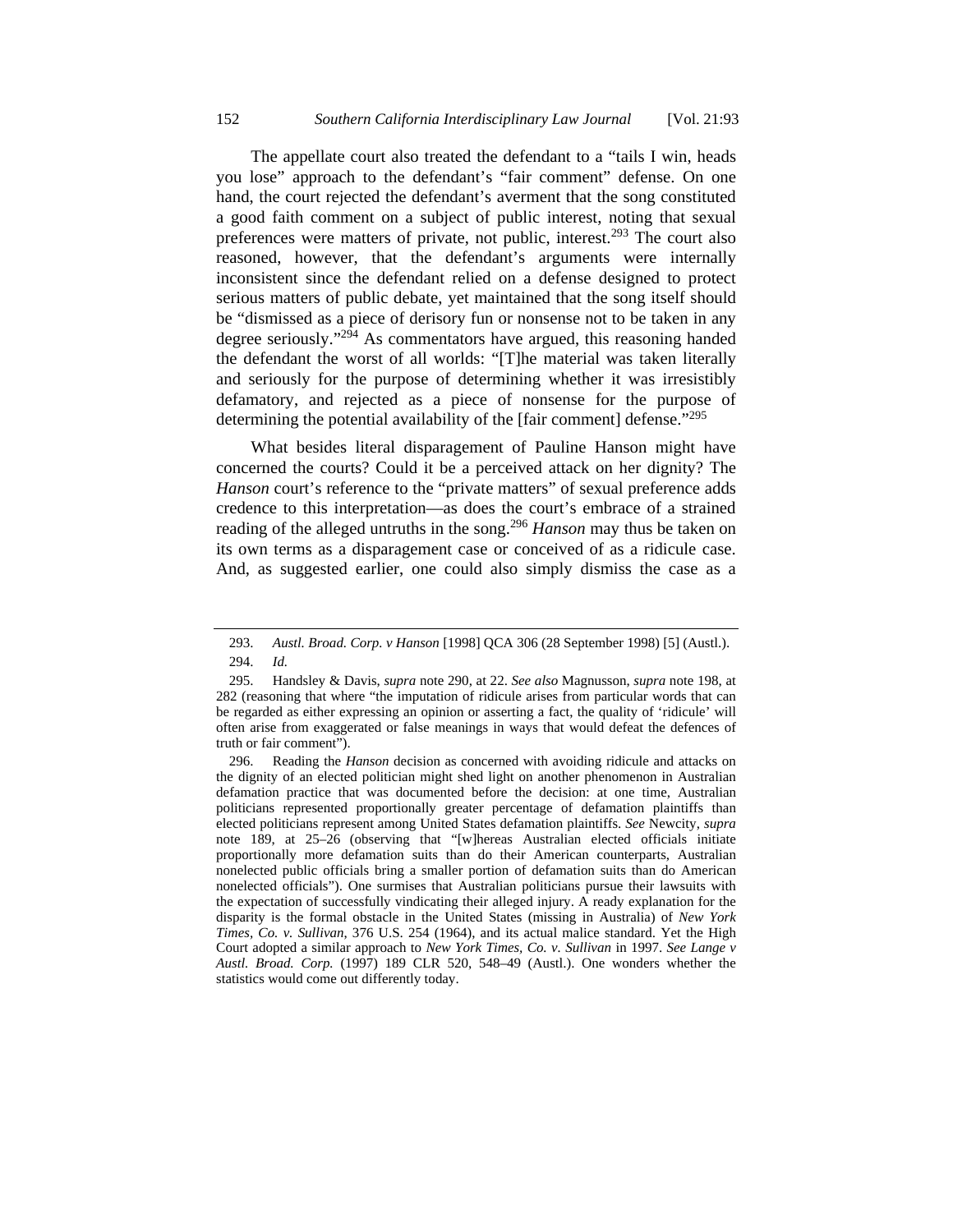The appellate court also treated the defendant to a "tails I win, heads you lose" approach to the defendant's "fair comment" defense. On one hand, the court rejected the defendant's averment that the song constituted a good faith comment on a subject of public interest, noting that sexual preferences were matters of private, not public, interest.<sup>293</sup> The court also reasoned, however, that the defendant's arguments were internally inconsistent since the defendant relied on a defense designed to protect serious matters of public debate, yet maintained that the song itself should be "dismissed as a piece of derisory fun or nonsense not to be taken in any degree seriously."294 As commentators have argued, this reasoning handed the defendant the worst of all worlds: "[T]he material was taken literally and seriously for the purpose of determining whether it was irresistibly defamatory, and rejected as a piece of nonsense for the purpose of determining the potential availability of the [fair comment] defense.<sup>"295</sup>

What besides literal disparagement of Pauline Hanson might have concerned the courts? Could it be a perceived attack on her dignity? The *Hanson* court's reference to the "private matters" of sexual preference adds credence to this interpretation—as does the court's embrace of a strained reading of the alleged untruths in the song.296 *Hanson* may thus be taken on its own terms as a disparagement case or conceived of as a ridicule case. And, as suggested earlier, one could also simply dismiss the case as a

 <sup>293.</sup> *Austl. Broad. Corp. v Hanson* [1998] QCA 306 (28 September 1998) [5] (Austl.). 294. *Id.*

 <sup>295.</sup> Handsley & Davis, *supra* note 290, at 22. *See also* Magnusson, *supra* note 198, at 282 (reasoning that where "the imputation of ridicule arises from particular words that can be regarded as either expressing an opinion or asserting a fact, the quality of 'ridicule' will often arise from exaggerated or false meanings in ways that would defeat the defences of truth or fair comment").

 <sup>296.</sup> Reading the *Hanson* decision as concerned with avoiding ridicule and attacks on the dignity of an elected politician might shed light on another phenomenon in Australian defamation practice that was documented before the decision: at one time, Australian politicians represented proportionally greater percentage of defamation plaintiffs than elected politicians represent among United States defamation plaintiffs. *See* Newcity, *supra*  note 189, at 25–26 (observing that "[w]hereas Australian elected officials initiate proportionally more defamation suits than do their American counterparts, Australian nonelected public officials bring a smaller portion of defamation suits than do American nonelected officials"). One surmises that Australian politicians pursue their lawsuits with the expectation of successfully vindicating their alleged injury. A ready explanation for the disparity is the formal obstacle in the United States (missing in Australia) of *New York Times, Co. v. Sullivan*, 376 U.S. 254 (1964), and its actual malice standard. Yet the High Court adopted a similar approach to *New York Times, Co. v. Sullivan* in 1997. *See Lange v Austl. Broad. Corp.* (1997) 189 CLR 520, 548–49 (Austl.). One wonders whether the statistics would come out differently today.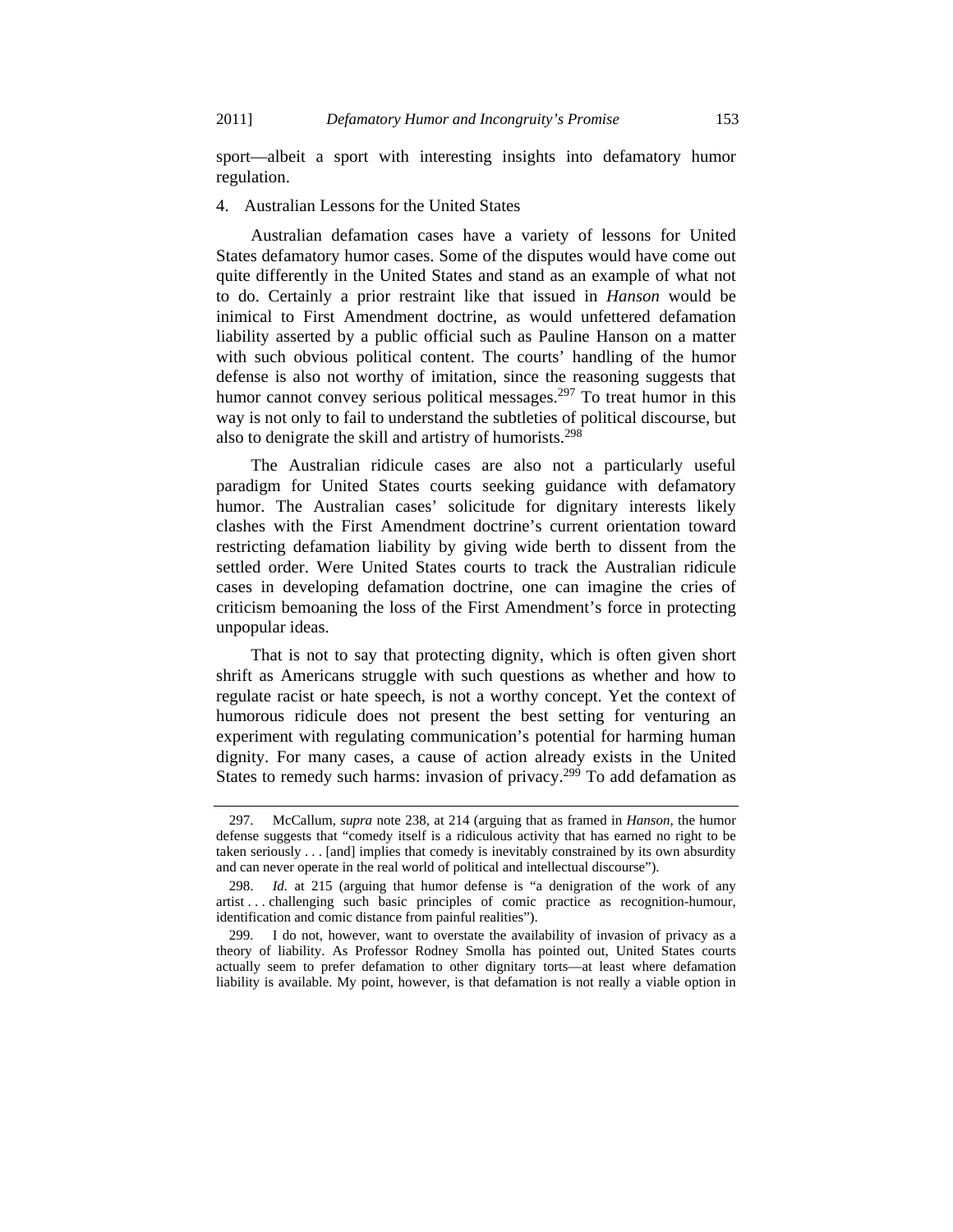sport—albeit a sport with interesting insights into defamatory humor regulation.

### 4. Australian Lessons for the United States

Australian defamation cases have a variety of lessons for United States defamatory humor cases. Some of the disputes would have come out quite differently in the United States and stand as an example of what not to do. Certainly a prior restraint like that issued in *Hanson* would be inimical to First Amendment doctrine, as would unfettered defamation liability asserted by a public official such as Pauline Hanson on a matter with such obvious political content. The courts' handling of the humor defense is also not worthy of imitation, since the reasoning suggests that humor cannot convey serious political messages.<sup>297</sup> To treat humor in this way is not only to fail to understand the subtleties of political discourse, but also to denigrate the skill and artistry of humorists.<sup>298</sup>

The Australian ridicule cases are also not a particularly useful paradigm for United States courts seeking guidance with defamatory humor. The Australian cases' solicitude for dignitary interests likely clashes with the First Amendment doctrine's current orientation toward restricting defamation liability by giving wide berth to dissent from the settled order. Were United States courts to track the Australian ridicule cases in developing defamation doctrine, one can imagine the cries of criticism bemoaning the loss of the First Amendment's force in protecting unpopular ideas.

That is not to say that protecting dignity, which is often given short shrift as Americans struggle with such questions as whether and how to regulate racist or hate speech, is not a worthy concept. Yet the context of humorous ridicule does not present the best setting for venturing an experiment with regulating communication's potential for harming human dignity. For many cases, a cause of action already exists in the United States to remedy such harms: invasion of privacy.<sup>299</sup> To add defamation as

 <sup>297.</sup> McCallum, *supra* note 238, at 214 (arguing that as framed in *Hanson,* the humor defense suggests that "comedy itself is a ridiculous activity that has earned no right to be taken seriously . . . [and] implies that comedy is inevitably constrained by its own absurdity and can never operate in the real world of political and intellectual discourse").

 <sup>298.</sup> *Id.* at 215 (arguing that humor defense is "a denigration of the work of any artist . . . challenging such basic principles of comic practice as recognition-humour, identification and comic distance from painful realities").

 <sup>299.</sup> I do not, however, want to overstate the availability of invasion of privacy as a theory of liability. As Professor Rodney Smolla has pointed out, United States courts actually seem to prefer defamation to other dignitary torts—at least where defamation liability is available. My point, however, is that defamation is not really a viable option in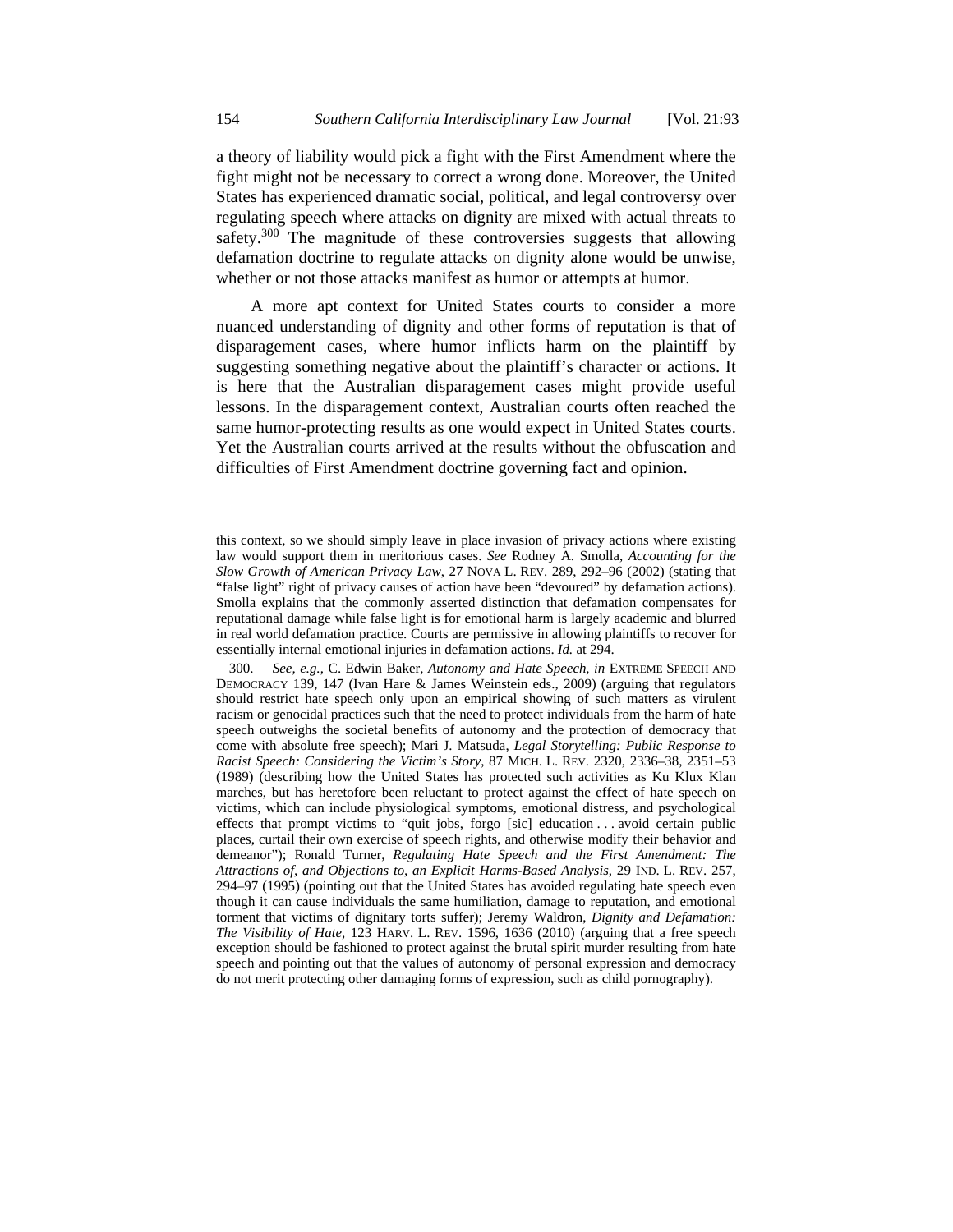a theory of liability would pick a fight with the First Amendment where the fight might not be necessary to correct a wrong done. Moreover, the United States has experienced dramatic social, political, and legal controversy over regulating speech where attacks on dignity are mixed with actual threats to safety.<sup>300</sup> The magnitude of these controversies suggests that allowing defamation doctrine to regulate attacks on dignity alone would be unwise, whether or not those attacks manifest as humor or attempts at humor.

A more apt context for United States courts to consider a more nuanced understanding of dignity and other forms of reputation is that of disparagement cases, where humor inflicts harm on the plaintiff by suggesting something negative about the plaintiff's character or actions. It is here that the Australian disparagement cases might provide useful lessons. In the disparagement context, Australian courts often reached the same humor-protecting results as one would expect in United States courts. Yet the Australian courts arrived at the results without the obfuscation and difficulties of First Amendment doctrine governing fact and opinion.

this context, so we should simply leave in place invasion of privacy actions where existing law would support them in meritorious cases. *See* Rodney A. Smolla, *Accounting for the Slow Growth of American Privacy Law*, 27 NOVA L. REV. 289, 292–96 (2002) (stating that "false light" right of privacy causes of action have been "devoured" by defamation actions). Smolla explains that the commonly asserted distinction that defamation compensates for reputational damage while false light is for emotional harm is largely academic and blurred in real world defamation practice. Courts are permissive in allowing plaintiffs to recover for essentially internal emotional injuries in defamation actions. *Id.* at 294.

 <sup>300.</sup> *See, e.g.*, C. Edwin Baker, *Autonomy and Hate Speech*, *in* EXTREME SPEECH AND DEMOCRACY 139, 147 (Ivan Hare & James Weinstein eds., 2009) (arguing that regulators should restrict hate speech only upon an empirical showing of such matters as virulent racism or genocidal practices such that the need to protect individuals from the harm of hate speech outweighs the societal benefits of autonomy and the protection of democracy that come with absolute free speech); Mari J. Matsuda, *Legal Storytelling: Public Response to Racist Speech: Considering the Victim's Story*, 87 MICH. L. REV. 2320, 2336–38, 2351–53 (1989) (describing how the United States has protected such activities as Ku Klux Klan marches, but has heretofore been reluctant to protect against the effect of hate speech on victims, which can include physiological symptoms, emotional distress, and psychological effects that prompt victims to "quit jobs, forgo [sic] education . . . avoid certain public places, curtail their own exercise of speech rights, and otherwise modify their behavior and demeanor"); Ronald Turner, *Regulating Hate Speech and the First Amendment: The Attractions of, and Objections to, an Explicit Harms-Based Analysis*, 29 IND. L. REV. 257, 294–97 (1995) (pointing out that the United States has avoided regulating hate speech even though it can cause individuals the same humiliation, damage to reputation, and emotional torment that victims of dignitary torts suffer); Jeremy Waldron, *Dignity and Defamation: The Visibility of Hate*, 123 HARV. L. REV. 1596, 1636 (2010) (arguing that a free speech exception should be fashioned to protect against the brutal spirit murder resulting from hate speech and pointing out that the values of autonomy of personal expression and democracy do not merit protecting other damaging forms of expression, such as child pornography).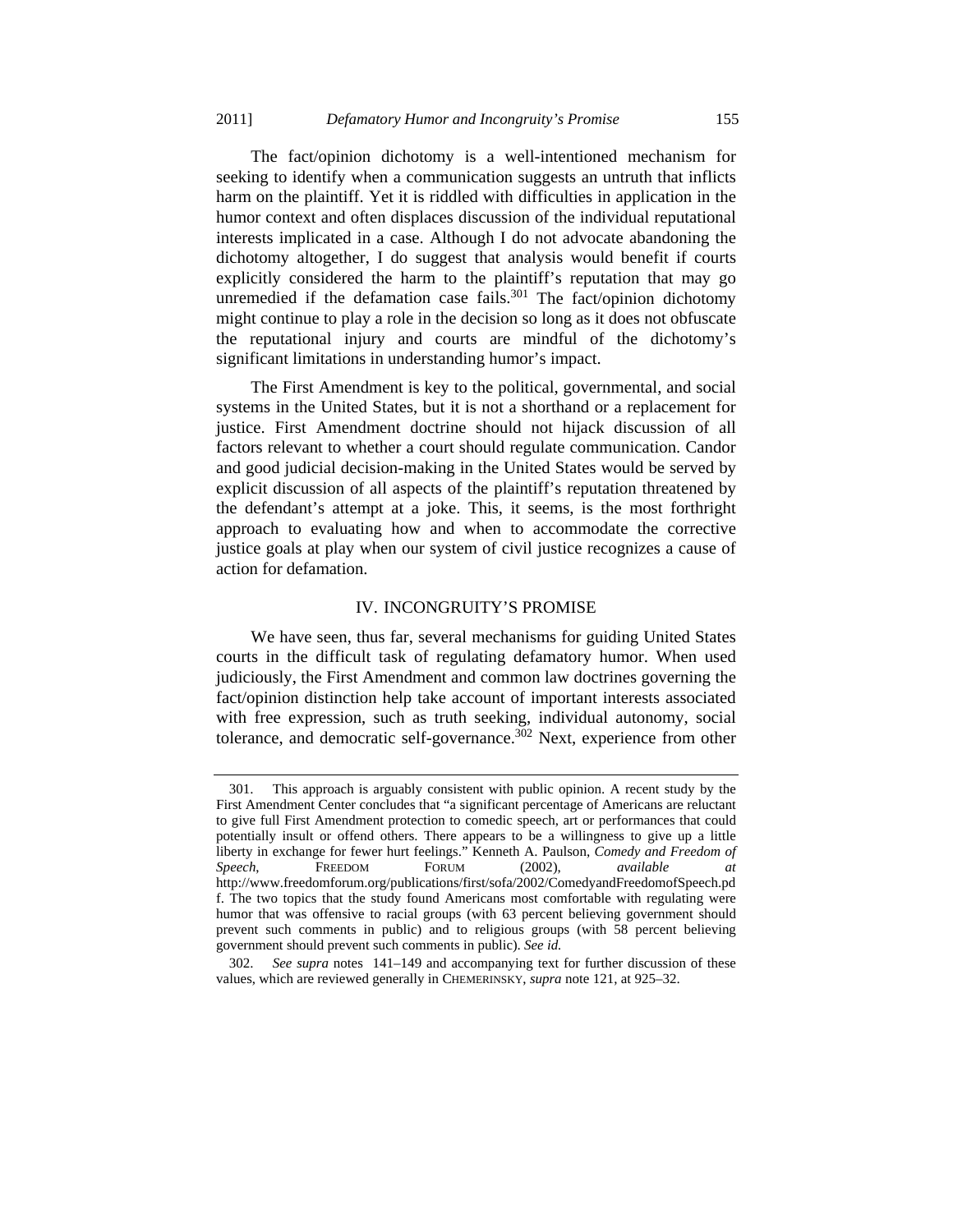The fact/opinion dichotomy is a well-intentioned mechanism for seeking to identify when a communication suggests an untruth that inflicts harm on the plaintiff. Yet it is riddled with difficulties in application in the humor context and often displaces discussion of the individual reputational interests implicated in a case. Although I do not advocate abandoning the dichotomy altogether, I do suggest that analysis would benefit if courts explicitly considered the harm to the plaintiff's reputation that may go unremedied if the defamation case fails. $301$  The fact/opinion dichotomy might continue to play a role in the decision so long as it does not obfuscate the reputational injury and courts are mindful of the dichotomy's significant limitations in understanding humor's impact.

The First Amendment is key to the political, governmental, and social systems in the United States, but it is not a shorthand or a replacement for justice. First Amendment doctrine should not hijack discussion of all factors relevant to whether a court should regulate communication. Candor and good judicial decision-making in the United States would be served by explicit discussion of all aspects of the plaintiff's reputation threatened by the defendant's attempt at a joke. This, it seems, is the most forthright approach to evaluating how and when to accommodate the corrective justice goals at play when our system of civil justice recognizes a cause of action for defamation.

#### IV. INCONGRUITY'S PROMISE

We have seen, thus far, several mechanisms for guiding United States courts in the difficult task of regulating defamatory humor. When used judiciously, the First Amendment and common law doctrines governing the fact/opinion distinction help take account of important interests associated with free expression, such as truth seeking, individual autonomy, social tolerance, and democratic self-governance.<sup>302</sup> Next, experience from other

 <sup>301.</sup> This approach is arguably consistent with public opinion. A recent study by the First Amendment Center concludes that "a significant percentage of Americans are reluctant to give full First Amendment protection to comedic speech, art or performances that could potentially insult or offend others. There appears to be a willingness to give up a little liberty in exchange for fewer hurt feelings." Kenneth A. Paulson, *Comedy and Freedom of Speech*, FREEDOM FORUM (2002), *available at*  http://www.freedomforum.org/publications/first/sofa/2002/ComedyandFreedomofSpeech.pd f. The two topics that the study found Americans most comfortable with regulating were humor that was offensive to racial groups (with 63 percent believing government should prevent such comments in public) and to religious groups (with 58 percent believing government should prevent such comments in public). *See id.*

 <sup>302.</sup> *See supra* notes 141–149 and accompanying text for further discussion of these values, which are reviewed generally in CHEMERINSKY, *supra* note 121, at 925–32.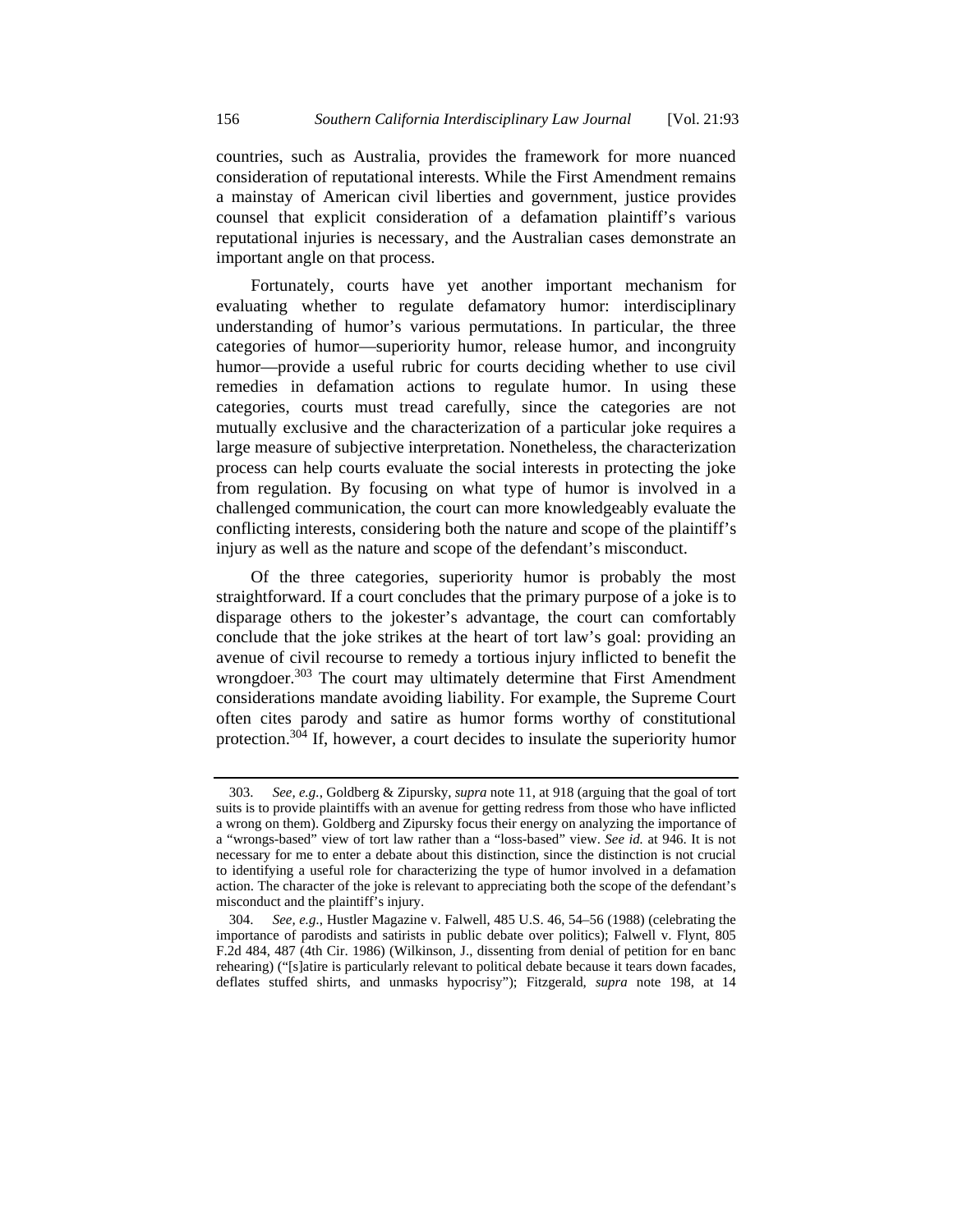countries, such as Australia, provides the framework for more nuanced consideration of reputational interests. While the First Amendment remains a mainstay of American civil liberties and government, justice provides counsel that explicit consideration of a defamation plaintiff's various reputational injuries is necessary, and the Australian cases demonstrate an important angle on that process.

Fortunately, courts have yet another important mechanism for evaluating whether to regulate defamatory humor: interdisciplinary understanding of humor's various permutations. In particular, the three categories of humor—superiority humor, release humor, and incongruity humor—provide a useful rubric for courts deciding whether to use civil remedies in defamation actions to regulate humor. In using these categories, courts must tread carefully, since the categories are not mutually exclusive and the characterization of a particular joke requires a large measure of subjective interpretation. Nonetheless, the characterization process can help courts evaluate the social interests in protecting the joke from regulation. By focusing on what type of humor is involved in a challenged communication, the court can more knowledgeably evaluate the conflicting interests, considering both the nature and scope of the plaintiff's injury as well as the nature and scope of the defendant's misconduct.

Of the three categories, superiority humor is probably the most straightforward. If a court concludes that the primary purpose of a joke is to disparage others to the jokester's advantage, the court can comfortably conclude that the joke strikes at the heart of tort law's goal: providing an avenue of civil recourse to remedy a tortious injury inflicted to benefit the wrongdoer.<sup>303</sup> The court may ultimately determine that First Amendment considerations mandate avoiding liability. For example, the Supreme Court often cites parody and satire as humor forms worthy of constitutional protection.304 If, however, a court decides to insulate the superiority humor

 <sup>303.</sup> *See, e.g.*, Goldberg & Zipursky, *supra* note 11, at 918 (arguing that the goal of tort suits is to provide plaintiffs with an avenue for getting redress from those who have inflicted a wrong on them). Goldberg and Zipursky focus their energy on analyzing the importance of a "wrongs-based" view of tort law rather than a "loss-based" view. *See id.* at 946. It is not necessary for me to enter a debate about this distinction, since the distinction is not crucial to identifying a useful role for characterizing the type of humor involved in a defamation action. The character of the joke is relevant to appreciating both the scope of the defendant's misconduct and the plaintiff's injury.

 <sup>304.</sup> *See, e.g.*, Hustler Magazine v. Falwell, 485 U.S. 46, 54–56 (1988) (celebrating the importance of parodists and satirists in public debate over politics); Falwell v. Flynt, 805 F.2d 484, 487 (4th Cir. 1986) (Wilkinson, J., dissenting from denial of petition for en banc rehearing) ("[s]atire is particularly relevant to political debate because it tears down facades, deflates stuffed shirts, and unmasks hypocrisy"); Fitzgerald, *supra* note 198, at 14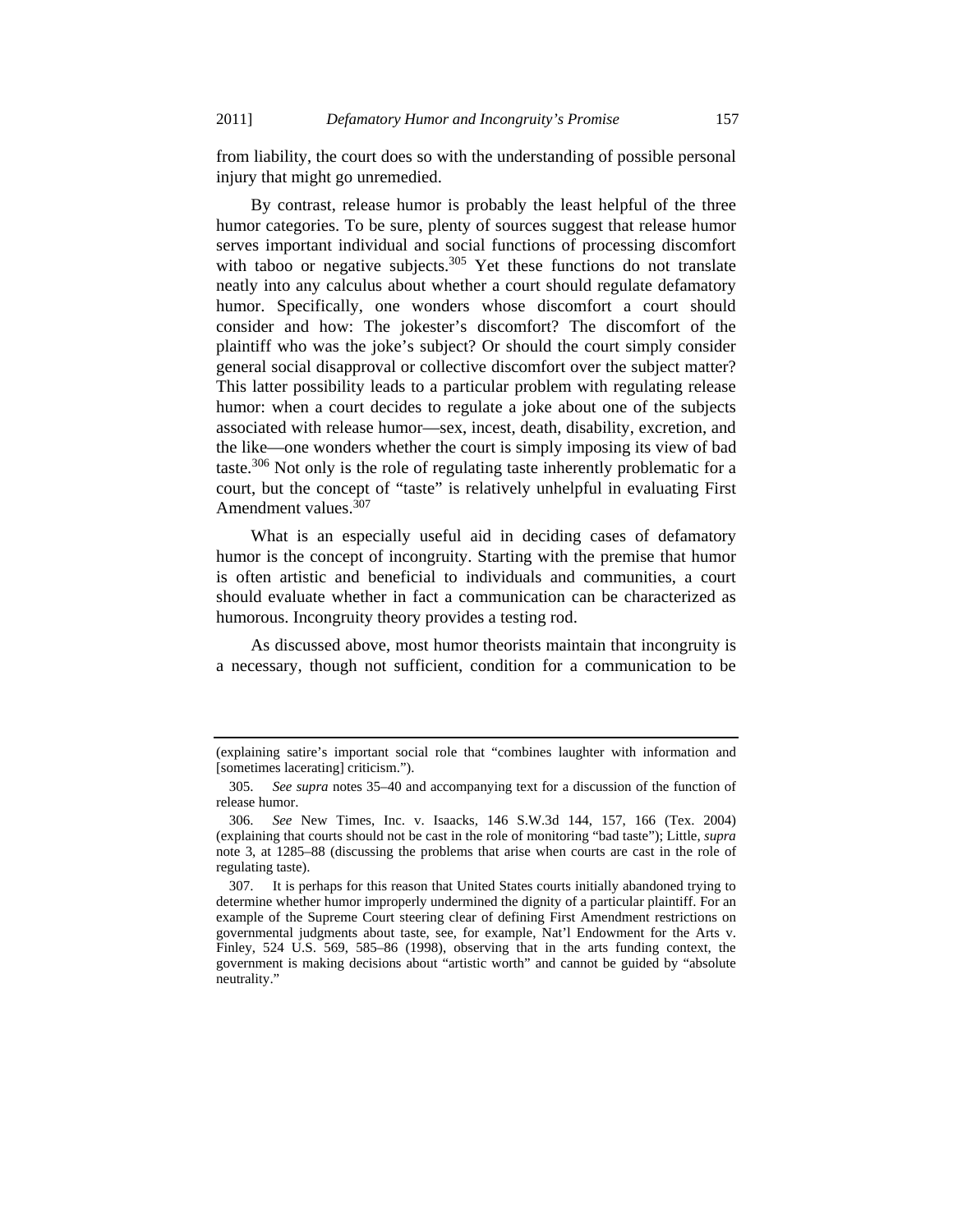from liability, the court does so with the understanding of possible personal injury that might go unremedied.

By contrast, release humor is probably the least helpful of the three humor categories. To be sure, plenty of sources suggest that release humor serves important individual and social functions of processing discomfort with taboo or negative subjects.<sup>305</sup> Yet these functions do not translate neatly into any calculus about whether a court should regulate defamatory humor. Specifically, one wonders whose discomfort a court should consider and how: The jokester's discomfort? The discomfort of the plaintiff who was the joke's subject? Or should the court simply consider general social disapproval or collective discomfort over the subject matter? This latter possibility leads to a particular problem with regulating release humor: when a court decides to regulate a joke about one of the subjects associated with release humor—sex, incest, death, disability, excretion, and the like—one wonders whether the court is simply imposing its view of bad taste.<sup>306</sup> Not only is the role of regulating taste inherently problematic for a court, but the concept of "taste" is relatively unhelpful in evaluating First Amendment values.<sup>307</sup>

What is an especially useful aid in deciding cases of defamatory humor is the concept of incongruity. Starting with the premise that humor is often artistic and beneficial to individuals and communities, a court should evaluate whether in fact a communication can be characterized as humorous. Incongruity theory provides a testing rod.

As discussed above, most humor theorists maintain that incongruity is a necessary, though not sufficient, condition for a communication to be

<sup>(</sup>explaining satire's important social role that "combines laughter with information and [sometimes lacerating] criticism.").

 <sup>305.</sup> *See supra* notes 35–40 and accompanying text for a discussion of the function of release humor.

 <sup>306.</sup> *See* New Times, Inc. v. Isaacks*,* 146 S.W.3d 144, 157, 166 (Tex. 2004) (explaining that courts should not be cast in the role of monitoring "bad taste"); Little, *supra* note 3, at 1285–88 (discussing the problems that arise when courts are cast in the role of regulating taste).

 <sup>307.</sup> It is perhaps for this reason that United States courts initially abandoned trying to determine whether humor improperly undermined the dignity of a particular plaintiff. For an example of the Supreme Court steering clear of defining First Amendment restrictions on governmental judgments about taste, see, for example, Nat'l Endowment for the Arts v. Finley, 524 U.S. 569, 585–86 (1998), observing that in the arts funding context, the government is making decisions about "artistic worth" and cannot be guided by "absolute neutrality."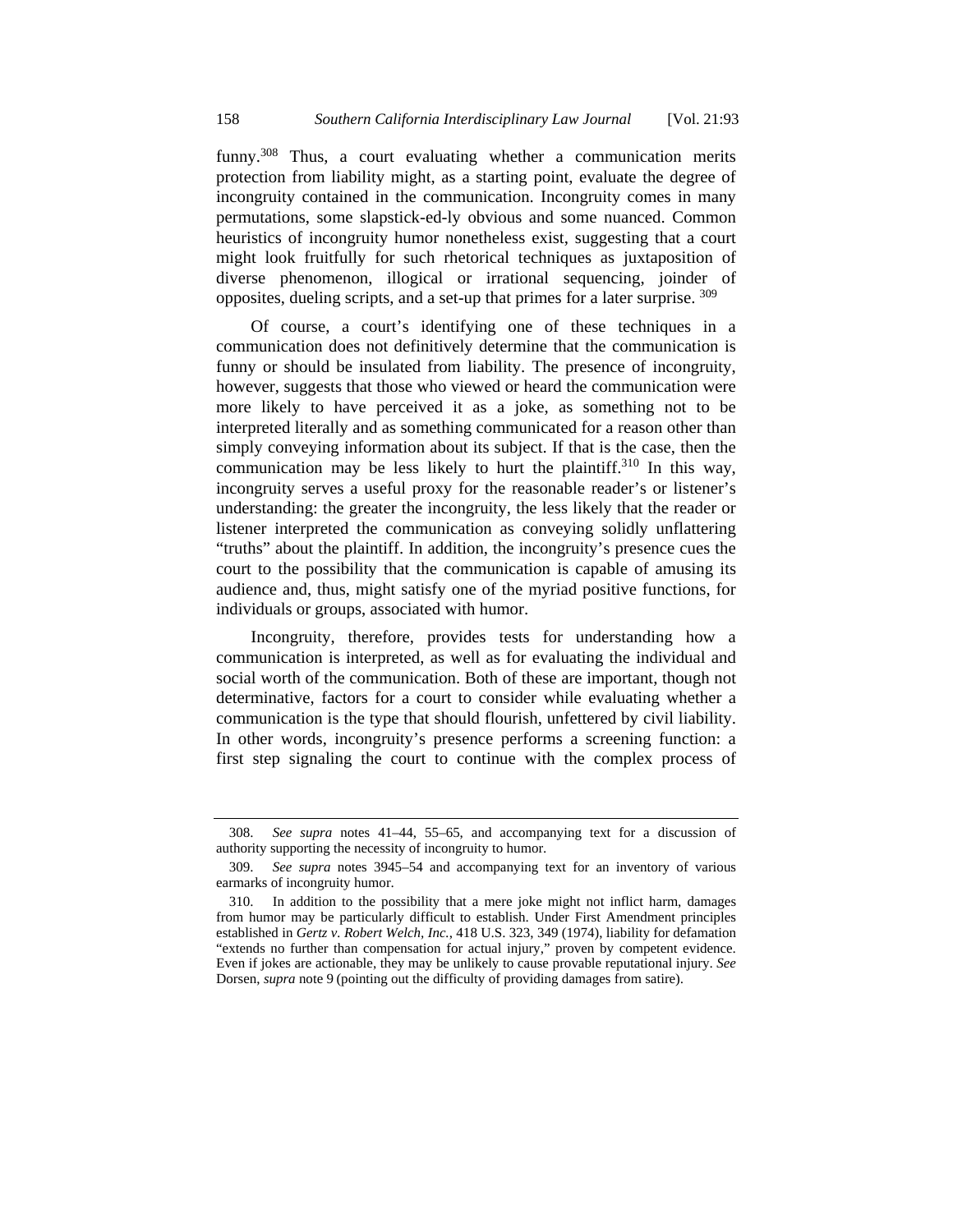funny.<sup>308</sup> Thus, a court evaluating whether a communication merits protection from liability might, as a starting point, evaluate the degree of incongruity contained in the communication. Incongruity comes in many permutations, some slapstick-ed-ly obvious and some nuanced. Common heuristics of incongruity humor nonetheless exist, suggesting that a court might look fruitfully for such rhetorical techniques as juxtaposition of diverse phenomenon, illogical or irrational sequencing, joinder of opposites, dueling scripts, and a set-up that primes for a later surprise. 309

Of course, a court's identifying one of these techniques in a communication does not definitively determine that the communication is funny or should be insulated from liability. The presence of incongruity, however, suggests that those who viewed or heard the communication were more likely to have perceived it as a joke, as something not to be interpreted literally and as something communicated for a reason other than simply conveying information about its subject. If that is the case, then the communication may be less likely to hurt the plaintiff.<sup>310</sup> In this way, incongruity serves a useful proxy for the reasonable reader's or listener's understanding: the greater the incongruity, the less likely that the reader or listener interpreted the communication as conveying solidly unflattering "truths" about the plaintiff. In addition, the incongruity's presence cues the court to the possibility that the communication is capable of amusing its audience and, thus, might satisfy one of the myriad positive functions, for individuals or groups, associated with humor.

Incongruity, therefore, provides tests for understanding how a communication is interpreted, as well as for evaluating the individual and social worth of the communication. Both of these are important, though not determinative, factors for a court to consider while evaluating whether a communication is the type that should flourish, unfettered by civil liability. In other words, incongruity's presence performs a screening function: a first step signaling the court to continue with the complex process of

 <sup>308.</sup> *See supra* notes 41–44, 55–65, and accompanying text for a discussion of authority supporting the necessity of incongruity to humor.

 <sup>309.</sup> *See supra* notes 3945–54 and accompanying text for an inventory of various earmarks of incongruity humor.

 <sup>310.</sup> In addition to the possibility that a mere joke might not inflict harm, damages from humor may be particularly difficult to establish. Under First Amendment principles established in *Gertz v. Robert Welch, Inc.*, 418 U.S. 323, 349 (1974), liability for defamation "extends no further than compensation for actual injury," proven by competent evidence. Even if jokes are actionable, they may be unlikely to cause provable reputational injury. *See*  Dorsen, *supra* note 9 (pointing out the difficulty of providing damages from satire).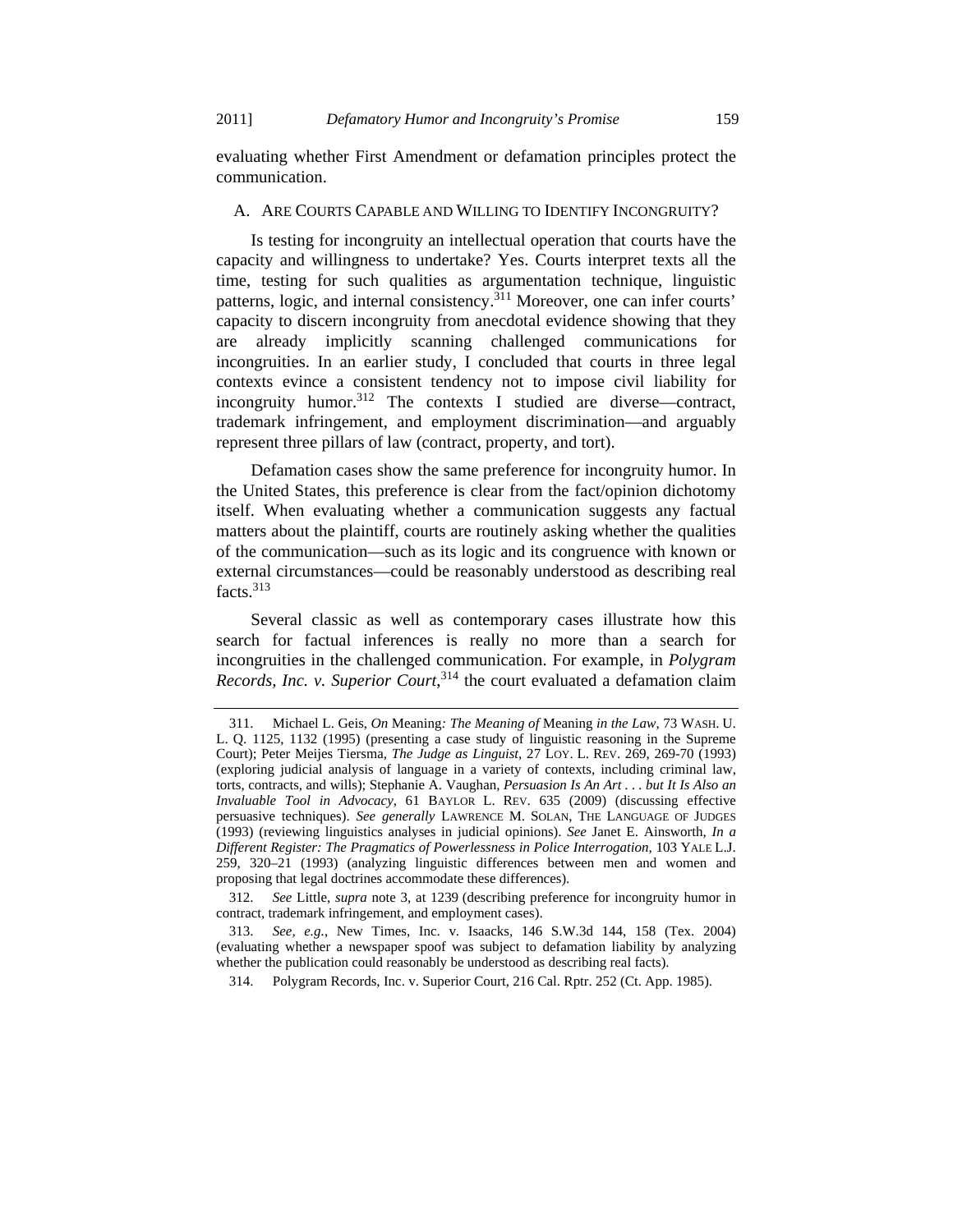evaluating whether First Amendment or defamation principles protect the communication.

#### A. ARE COURTS CAPABLE AND WILLING TO IDENTIFY INCONGRUITY?

Is testing for incongruity an intellectual operation that courts have the capacity and willingness to undertake? Yes. Courts interpret texts all the time, testing for such qualities as argumentation technique, linguistic patterns, logic, and internal consistency.311 Moreover, one can infer courts' capacity to discern incongruity from anecdotal evidence showing that they are already implicitly scanning challenged communications for incongruities. In an earlier study, I concluded that courts in three legal contexts evince a consistent tendency not to impose civil liability for incongruity humor.<sup>312</sup> The contexts I studied are diverse—contract, trademark infringement, and employment discrimination—and arguably represent three pillars of law (contract, property, and tort).

Defamation cases show the same preference for incongruity humor. In the United States, this preference is clear from the fact/opinion dichotomy itself. When evaluating whether a communication suggests any factual matters about the plaintiff, courts are routinely asking whether the qualities of the communication—such as its logic and its congruence with known or external circumstances—could be reasonably understood as describing real facts.<sup>313</sup>

Several classic as well as contemporary cases illustrate how this search for factual inferences is really no more than a search for incongruities in the challenged communication. For example, in *Polygram Records, Inc. v. Superior Court*, 314 the court evaluated a defamation claim

 <sup>311.</sup> Michael L. Geis, *On* Meaning*: The Meaning of* Meaning *in the Law*, 73 WASH. U. L. Q. 1125, 1132 (1995) (presenting a case study of linguistic reasoning in the Supreme Court); Peter Meijes Tiersma, *The Judge as Linguist*, 27 LOY. L. REV. 269, 269-70 (1993) (exploring judicial analysis of language in a variety of contexts, including criminal law, torts, contracts, and wills); Stephanie A. Vaughan, *Persuasion Is An Art . . . but It Is Also an Invaluable Tool in Advocacy*, 61 BAYLOR L. REV. 635 (2009) (discussing effective persuasive techniques). *See generally* LAWRENCE M. SOLAN, THE LANGUAGE OF JUDGES (1993) (reviewing linguistics analyses in judicial opinions). *See* Janet E. Ainsworth, *In a Different Register: The Pragmatics of Powerlessness in Police Interrogation*, 103 YALE L.J. 259, 320–21 (1993) (analyzing linguistic differences between men and women and proposing that legal doctrines accommodate these differences).

 <sup>312.</sup> *See* Little, *supra* note 3, at 1239 (describing preference for incongruity humor in contract, trademark infringement, and employment cases).

 <sup>313.</sup> *See, e.g.*, New Times, Inc. v. Isaacks*,* 146 S.W.3d 144, 158 (Tex. 2004) (evaluating whether a newspaper spoof was subject to defamation liability by analyzing whether the publication could reasonably be understood as describing real facts).

 <sup>314.</sup> Polygram Records, Inc. v. Superior Court, 216 Cal. Rptr. 252 (Ct. App. 1985).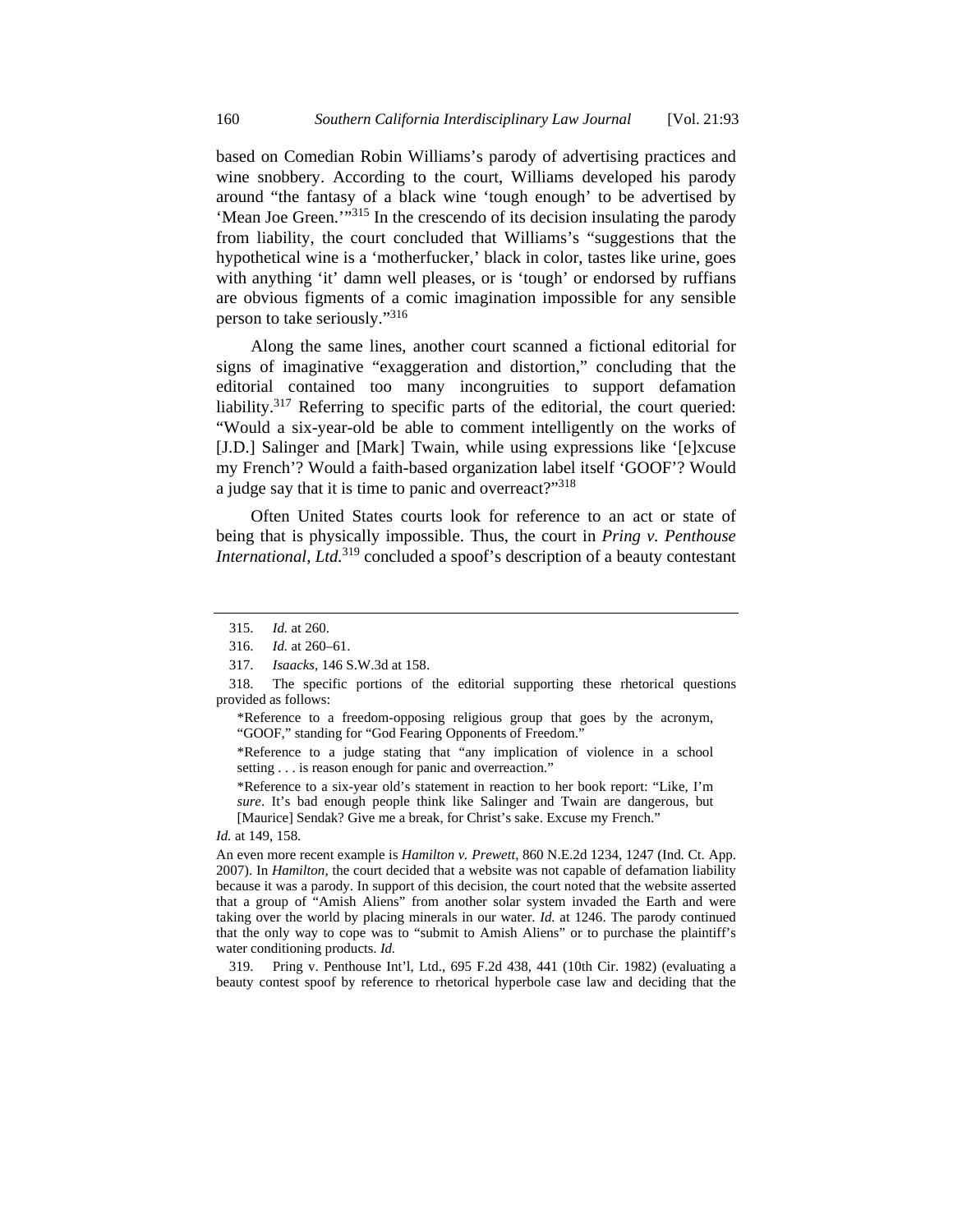based on Comedian Robin Williams's parody of advertising practices and wine snobbery. According to the court, Williams developed his parody around "the fantasy of a black wine 'tough enough' to be advertised by 'Mean Joe Green.'"315 In the crescendo of its decision insulating the parody from liability, the court concluded that Williams's "suggestions that the hypothetical wine is a 'motherfucker,' black in color, tastes like urine, goes with anything 'it' damn well pleases, or is 'tough' or endorsed by ruffians are obvious figments of a comic imagination impossible for any sensible person to take seriously."316

Along the same lines, another court scanned a fictional editorial for signs of imaginative "exaggeration and distortion," concluding that the editorial contained too many incongruities to support defamation liability.<sup>317</sup> Referring to specific parts of the editorial, the court queried: "Would a six-year-old be able to comment intelligently on the works of [J.D.] Salinger and [Mark] Twain, while using expressions like '[e]xcuse my French'? Would a faith-based organization label itself 'GOOF'? Would a judge say that it is time to panic and overreact?"318

Often United States courts look for reference to an act or state of being that is physically impossible. Thus, the court in *Pring v. Penthouse International, Ltd.*<sup>319</sup> concluded a spoof's description of a beauty contestant

\*Reference to a judge stating that "any implication of violence in a school setting . . . is reason enough for panic and overreaction."

\*Reference to a six-year old's statement in reaction to her book report: "Like, I'm *sure*. It's bad enough people think like Salinger and Twain are dangerous, but [Maurice] Sendak? Give me a break, for Christ's sake. Excuse my French."

*Id.* at 149, 158.

An even more recent example is *Hamilton v. Prewett*, 860 N.E.2d 1234, 1247 (Ind. Ct. App. 2007). In *Hamilton,* the court decided that a website was not capable of defamation liability because it was a parody. In support of this decision, the court noted that the website asserted that a group of "Amish Aliens" from another solar system invaded the Earth and were taking over the world by placing minerals in our water. *Id.* at 1246. The parody continued that the only way to cope was to "submit to Amish Aliens" or to purchase the plaintiff's water conditioning products. *Id.*

 319. Pring v. Penthouse Int'l, Ltd., 695 F.2d 438, 441 (10th Cir. 1982) (evaluating a beauty contest spoof by reference to rhetorical hyperbole case law and deciding that the

 <sup>315.</sup> *Id.* at 260.

 <sup>316.</sup> *Id.* at 260–61.

 <sup>317.</sup> *Isaacks*, 146 S.W.3d at 158.

 <sup>318.</sup> The specific portions of the editorial supporting these rhetorical questions provided as follows:

<sup>\*</sup>Reference to a freedom-opposing religious group that goes by the acronym, "GOOF," standing for "God Fearing Opponents of Freedom."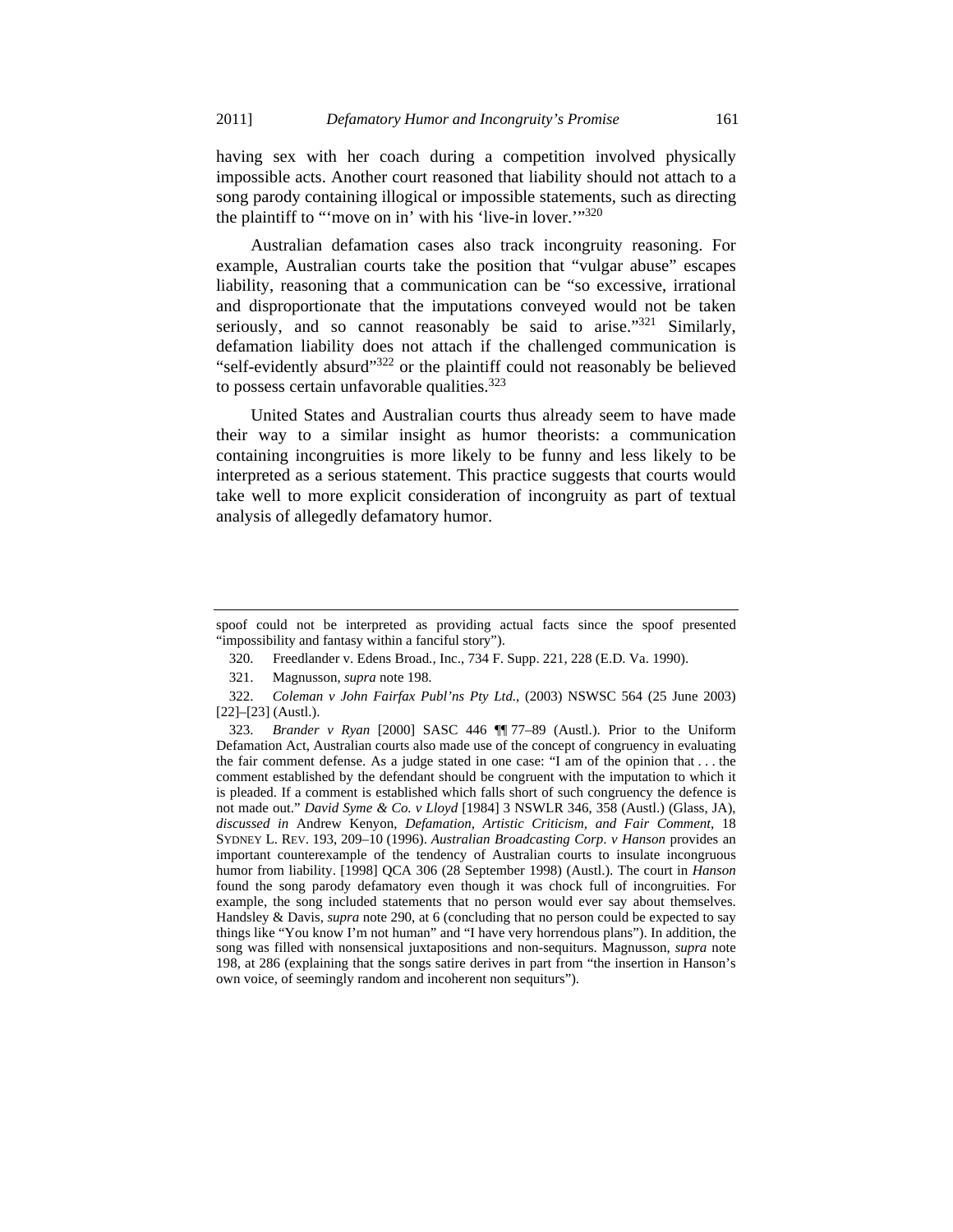having sex with her coach during a competition involved physically impossible acts. Another court reasoned that liability should not attach to a song parody containing illogical or impossible statements, such as directing the plaintiff to "'move on in' with his 'live-in lover.'"320

Australian defamation cases also track incongruity reasoning. For example, Australian courts take the position that "vulgar abuse" escapes liability, reasoning that a communication can be "so excessive, irrational and disproportionate that the imputations conveyed would not be taken seriously, and so cannot reasonably be said to arise." $321$  Similarly, defamation liability does not attach if the challenged communication is "self-evidently absurd"322 or the plaintiff could not reasonably be believed to possess certain unfavorable qualities. $323$ 

United States and Australian courts thus already seem to have made their way to a similar insight as humor theorists: a communication containing incongruities is more likely to be funny and less likely to be interpreted as a serious statement. This practice suggests that courts would take well to more explicit consideration of incongruity as part of textual analysis of allegedly defamatory humor.

spoof could not be interpreted as providing actual facts since the spoof presented "impossibility and fantasy within a fanciful story").

 <sup>320.</sup> Freedlander v. Edens Broad., Inc., 734 F. Supp. 221, 228 (E.D. Va. 1990).

 <sup>321.</sup> Magnusson, *supra* note 198.

 <sup>322.</sup> *Coleman v John Fairfax Publ'ns Pty Ltd.*, (2003) NSWSC 564 (25 June 2003) [22]–[23] (Austl.).

 <sup>323.</sup> *Brander v Ryan* [2000] SASC 446 ¶¶ 77–89 (Austl.). Prior to the Uniform Defamation Act, Australian courts also made use of the concept of congruency in evaluating the fair comment defense. As a judge stated in one case: "I am of the opinion that . . . the comment established by the defendant should be congruent with the imputation to which it is pleaded. If a comment is established which falls short of such congruency the defence is not made out." *David Syme & Co. v Lloyd* [1984] 3 NSWLR 346, 358 (Austl.) (Glass, JA), *discussed in* Andrew Kenyon, *Defamation, Artistic Criticism, and Fair Comment*, 18 SYDNEY L. REV. 193, 209–10 (1996). *Australian Broadcasting Corp*. *v Hanson* provides an important counterexample of the tendency of Australian courts to insulate incongruous humor from liability. [1998] QCA 306 (28 September 1998) (Austl.). The court in *Hanson* found the song parody defamatory even though it was chock full of incongruities. For example, the song included statements that no person would ever say about themselves. Handsley & Davis, *supra* note 290, at 6 (concluding that no person could be expected to say things like "You know I'm not human" and "I have very horrendous plans"). In addition, the song was filled with nonsensical juxtapositions and non-sequiturs. Magnusson, *supra* note 198, at 286 (explaining that the songs satire derives in part from "the insertion in Hanson's own voice, of seemingly random and incoherent non sequiturs").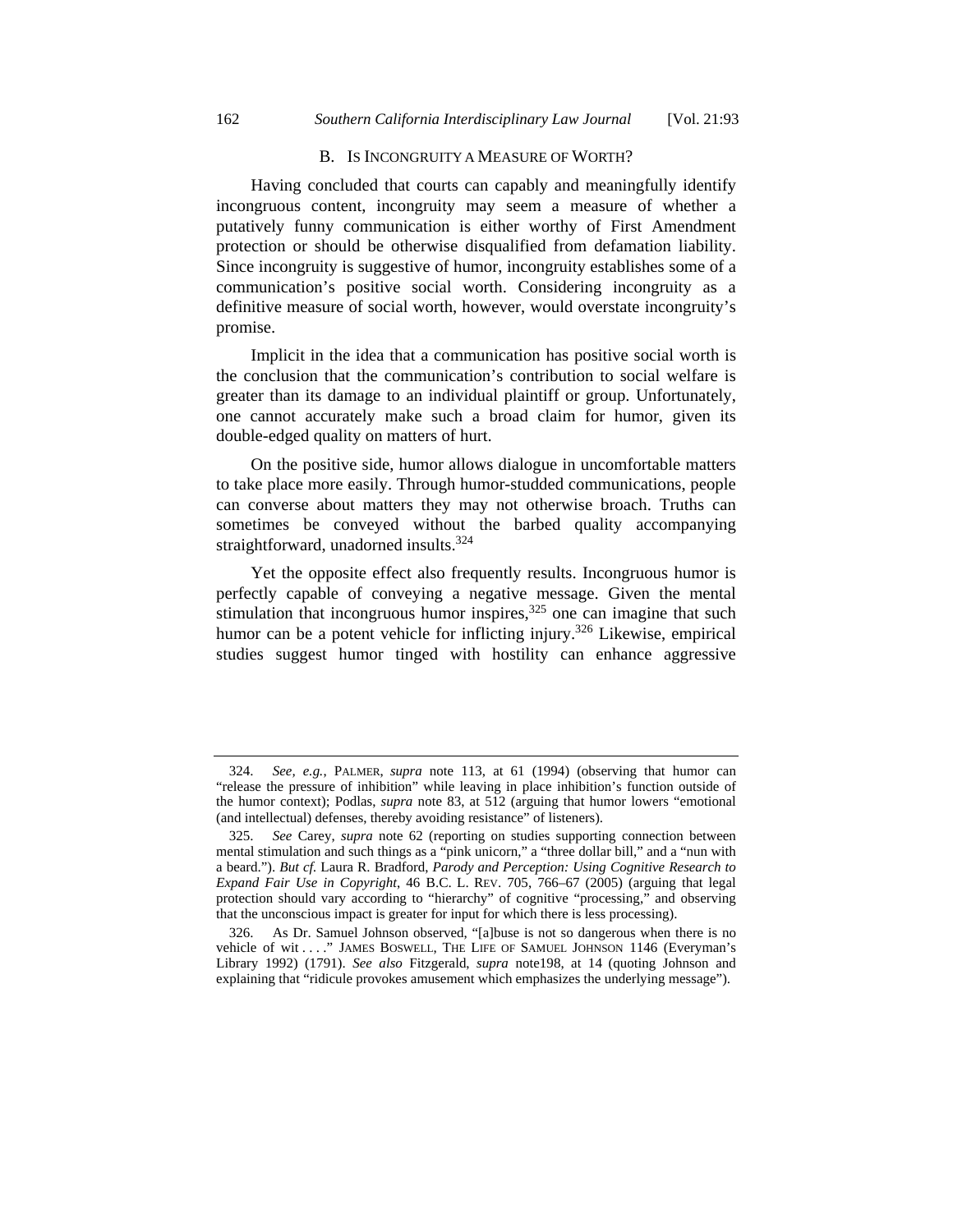#### B. IS INCONGRUITY A MEASURE OF WORTH?

Having concluded that courts can capably and meaningfully identify incongruous content, incongruity may seem a measure of whether a putatively funny communication is either worthy of First Amendment protection or should be otherwise disqualified from defamation liability. Since incongruity is suggestive of humor, incongruity establishes some of a communication's positive social worth. Considering incongruity as a definitive measure of social worth, however, would overstate incongruity's promise.

Implicit in the idea that a communication has positive social worth is the conclusion that the communication's contribution to social welfare is greater than its damage to an individual plaintiff or group. Unfortunately, one cannot accurately make such a broad claim for humor, given its double-edged quality on matters of hurt.

On the positive side, humor allows dialogue in uncomfortable matters to take place more easily. Through humor-studded communications, people can converse about matters they may not otherwise broach. Truths can sometimes be conveyed without the barbed quality accompanying straightforward, unadorned insults.<sup>324</sup>

Yet the opposite effect also frequently results. Incongruous humor is perfectly capable of conveying a negative message. Given the mental stimulation that incongruous humor inspires, $325$  one can imagine that such humor can be a potent vehicle for inflicting injury.<sup>326</sup> Likewise, empirical studies suggest humor tinged with hostility can enhance aggressive

 <sup>324.</sup> *See, e.g.*, PALMER, *supra* note 113, at 61 (1994) (observing that humor can "release the pressure of inhibition" while leaving in place inhibition's function outside of the humor context); Podlas, *supra* note 83, at 512 (arguing that humor lowers "emotional (and intellectual) defenses, thereby avoiding resistance" of listeners).

 <sup>325.</sup> *See* Carey, *supra* note 62 (reporting on studies supporting connection between mental stimulation and such things as a "pink unicorn," a "three dollar bill," and a "nun with a beard."). *But cf.* Laura R. Bradford, *Parody and Perception: Using Cognitive Research to Expand Fair Use in Copyright*, 46 B.C. L. REV. 705, 766–67 (2005) (arguing that legal protection should vary according to "hierarchy" of cognitive "processing," and observing that the unconscious impact is greater for input for which there is less processing).

 <sup>326.</sup> As Dr. Samuel Johnson observed, "[a]buse is not so dangerous when there is no vehicle of wit . . . ." JAMES BOSWELL, THE LIFE OF SAMUEL JOHNSON 1146 (Everyman's Library 1992) (1791). *See also* Fitzgerald, *supra* note198, at 14 (quoting Johnson and explaining that "ridicule provokes amusement which emphasizes the underlying message").